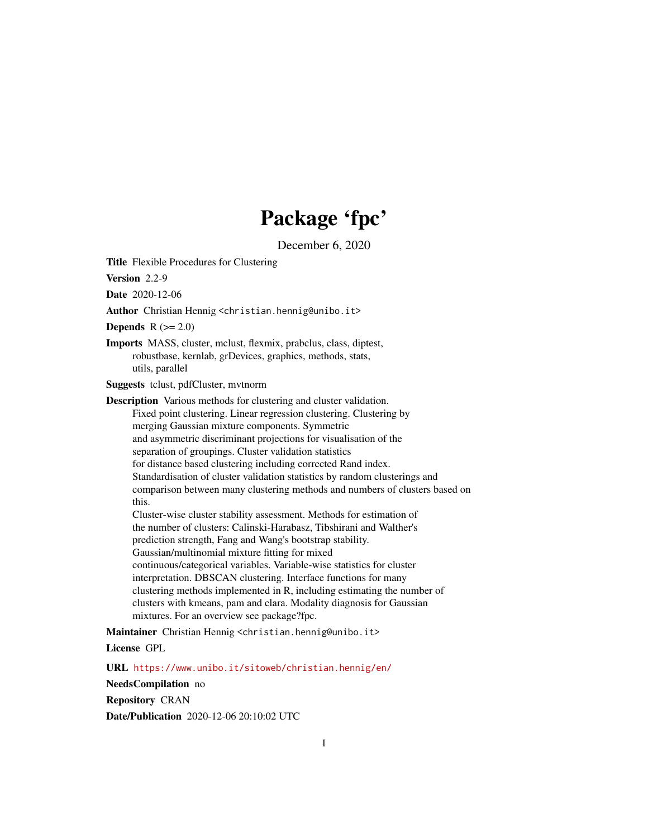# Package 'fpc'

December 6, 2020

<span id="page-0-0"></span>Title Flexible Procedures for Clustering

Version 2.2-9

Date 2020-12-06

Author Christian Hennig <christian.hennig@unibo.it>

Depends  $R (= 2.0)$ 

Imports MASS, cluster, mclust, flexmix, prabclus, class, diptest, robustbase, kernlab, grDevices, graphics, methods, stats, utils, parallel

Suggests tclust, pdfCluster, mvtnorm

Description Various methods for clustering and cluster validation. Fixed point clustering. Linear regression clustering. Clustering by merging Gaussian mixture components. Symmetric and asymmetric discriminant projections for visualisation of the separation of groupings. Cluster validation statistics for distance based clustering including corrected Rand index. Standardisation of cluster validation statistics by random clusterings and comparison between many clustering methods and numbers of clusters based on this. Cluster-wise cluster stability assessment. Methods for estimation of the number of clusters: Calinski-Harabasz, Tibshirani and Walther's prediction strength, Fang and Wang's bootstrap stability. Gaussian/multinomial mixture fitting for mixed continuous/categorical variables. Variable-wise statistics for cluster interpretation. DBSCAN clustering. Interface functions for many clustering methods implemented in R, including estimating the number of clusters with kmeans, pam and clara. Modality diagnosis for Gaussian

mixtures. For an overview see package?fpc.

Maintainer Christian Hennig <christian.hennig@unibo.it>

License GPL

URL <https://www.unibo.it/sitoweb/christian.hennig/en/>

NeedsCompilation no

Repository CRAN

Date/Publication 2020-12-06 20:10:02 UTC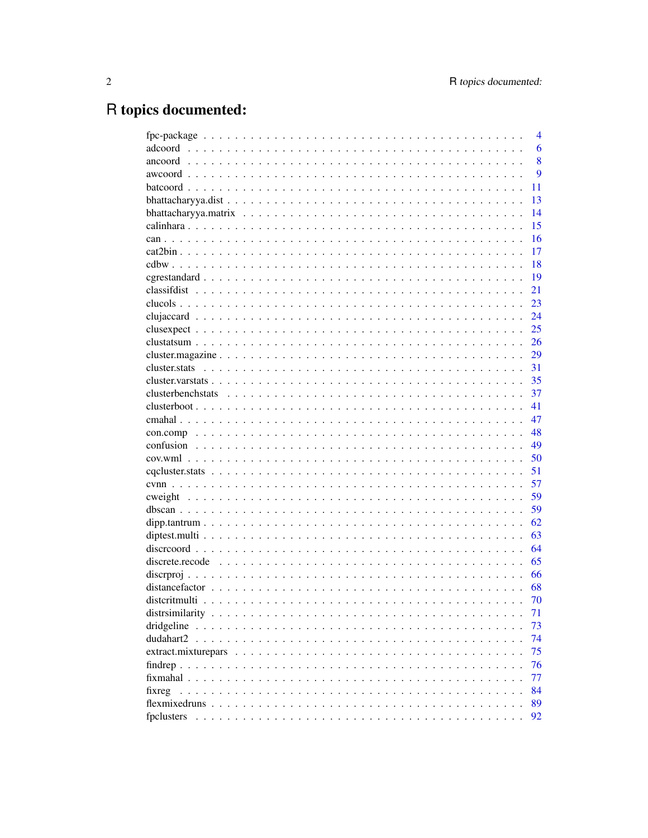# R topics documented:

|                                                                                                                             | $\overline{4}$ |
|-----------------------------------------------------------------------------------------------------------------------------|----------------|
|                                                                                                                             | 6              |
|                                                                                                                             | 8              |
|                                                                                                                             | 9              |
|                                                                                                                             | 11             |
|                                                                                                                             | 13             |
|                                                                                                                             | 14             |
|                                                                                                                             | 15             |
|                                                                                                                             | 16             |
|                                                                                                                             | 17             |
|                                                                                                                             | 18             |
|                                                                                                                             | 19             |
|                                                                                                                             | 21             |
|                                                                                                                             | 23             |
|                                                                                                                             | 24             |
|                                                                                                                             | 25             |
|                                                                                                                             | 26             |
| $cluster \text{.} \dots \dots \dots \dots \dots \dots \dots \dots \dots \dots \dots \dots \dots \dots \dots \dots$          | 29             |
|                                                                                                                             | 31             |
|                                                                                                                             | 35             |
|                                                                                                                             | 37             |
|                                                                                                                             | 41             |
|                                                                                                                             | 47             |
|                                                                                                                             | 48             |
|                                                                                                                             | 49             |
|                                                                                                                             | 50             |
|                                                                                                                             | 51             |
|                                                                                                                             | 57             |
|                                                                                                                             | 59             |
|                                                                                                                             | 59             |
|                                                                                                                             | 62             |
|                                                                                                                             | 63             |
|                                                                                                                             | 64             |
| discrete.recode $\ldots \ldots \ldots \ldots \ldots \ldots \ldots \ldots \ldots \ldots \ldots \ldots \ldots$                | 65             |
|                                                                                                                             | 66             |
|                                                                                                                             | 68             |
|                                                                                                                             | 70             |
|                                                                                                                             | 71             |
| dridgeline<br>a constitution de la constitution de la constitution de la constitution de la constitution de la constitution | 73             |
| dudahart2                                                                                                                   | 74             |
|                                                                                                                             | 75             |
|                                                                                                                             | 76             |
|                                                                                                                             | 77             |
| fixreg                                                                                                                      | 84             |
|                                                                                                                             |                |
|                                                                                                                             | 89             |
| fpclusters                                                                                                                  | 92             |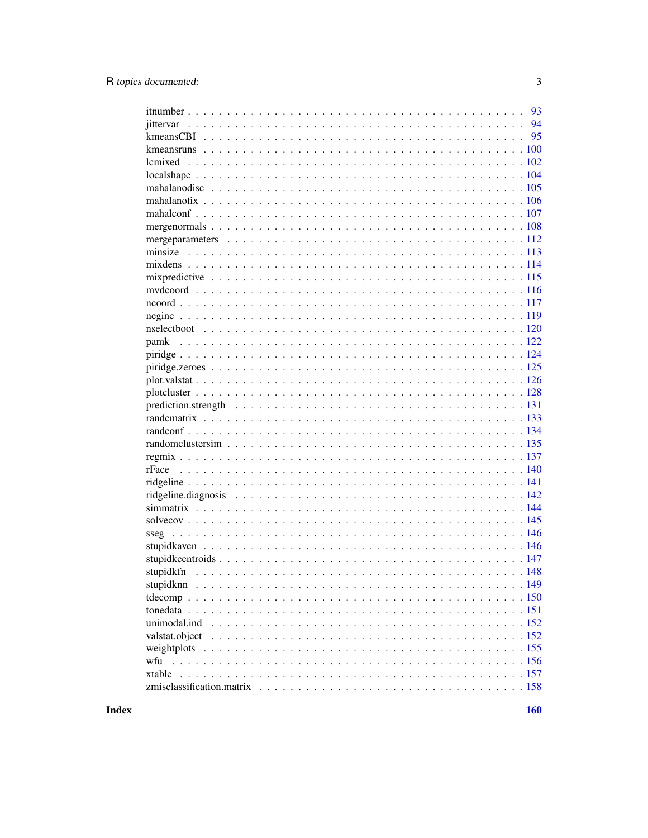| pamk           |
|----------------|
|                |
|                |
|                |
|                |
|                |
|                |
|                |
|                |
|                |
|                |
|                |
|                |
|                |
|                |
|                |
|                |
|                |
|                |
|                |
|                |
|                |
|                |
| valstat.object |
|                |
|                |
| xtable         |
|                |
|                |

**Index**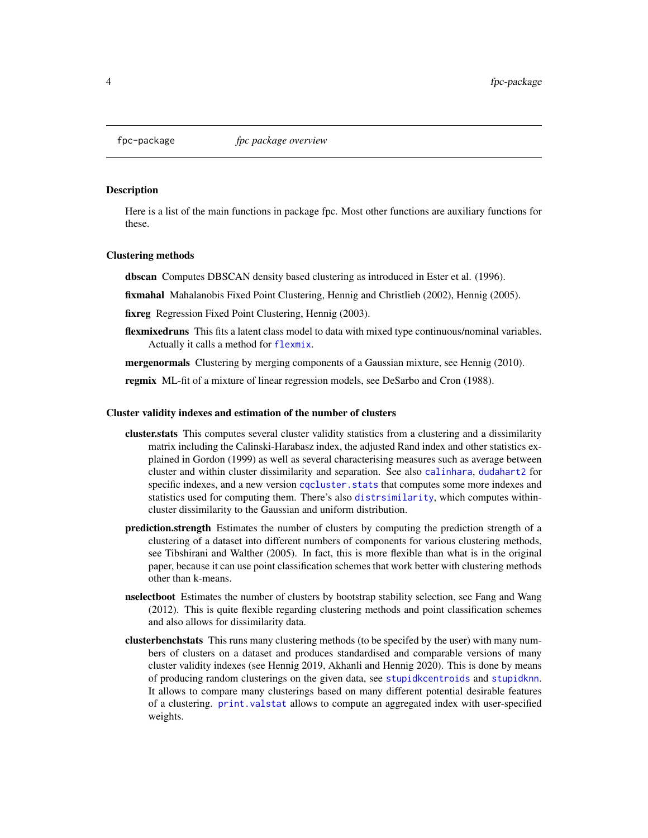## <span id="page-3-0"></span>**Description**

Here is a list of the main functions in package fpc. Most other functions are auxiliary functions for these.

#### Clustering methods

dbscan Computes DBSCAN density based clustering as introduced in Ester et al. (1996).

fixmahal Mahalanobis Fixed Point Clustering, Hennig and Christlieb (2002), Hennig (2005).

fixreg Regression Fixed Point Clustering, Hennig (2003).

flexmixedruns This fits a latent class model to data with mixed type continuous/nominal variables. Actually it calls a method for [flexmix](#page-0-0).

**mergenormals** Clustering by merging components of a Gaussian mixture, see Hennig (2010).

regmix ML-fit of a mixture of linear regression models, see DeSarbo and Cron (1988).

#### Cluster validity indexes and estimation of the number of clusters

- cluster.stats This computes several cluster validity statistics from a clustering and a dissimilarity matrix including the Calinski-Harabasz index, the adjusted Rand index and other statistics explained in Gordon (1999) as well as several characterising measures such as average between cluster and within cluster dissimilarity and separation. See also [calinhara](#page-14-1), [dudahart2](#page-73-1) for specific indexes, and a new version cqcluster. stats that computes some more indexes and statistics used for computing them. There's also [distrsimilarity](#page-70-1), which computes withincluster dissimilarity to the Gaussian and uniform distribution.
- prediction.strength Estimates the number of clusters by computing the prediction strength of a clustering of a dataset into different numbers of components for various clustering methods, see Tibshirani and Walther (2005). In fact, this is more flexible than what is in the original paper, because it can use point classification schemes that work better with clustering methods other than k-means.
- nselectboot Estimates the number of clusters by bootstrap stability selection, see Fang and Wang (2012). This is quite flexible regarding clustering methods and point classification schemes and also allows for dissimilarity data.
- clusterbenchstats This runs many clustering methods (to be specifed by the user) with many numbers of clusters on a dataset and produces standardised and comparable versions of many cluster validity indexes (see Hennig 2019, Akhanli and Hennig 2020). This is done by means of producing random clusterings on the given data, see [stupidkcentroids](#page-146-1) and [stupidknn](#page-148-1). It allows to compare many clusterings based on many different potential desirable features of a clustering. [print.valstat](#page-125-1) allows to compute an aggregated index with user-specified weights.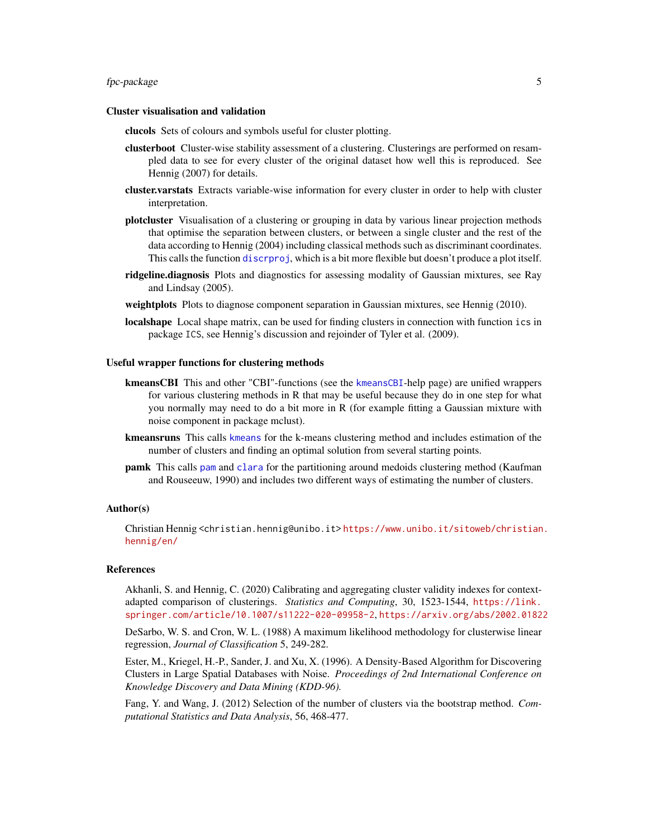## fpc-package 5

#### Cluster visualisation and validation

clucols Sets of colours and symbols useful for cluster plotting.

- clusterboot Cluster-wise stability assessment of a clustering. Clusterings are performed on resampled data to see for every cluster of the original dataset how well this is reproduced. See Hennig (2007) for details.
- cluster.varstats Extracts variable-wise information for every cluster in order to help with cluster interpretation.
- plotcluster Visualisation of a clustering or grouping in data by various linear projection methods that optimise the separation between clusters, or between a single cluster and the rest of the data according to Hennig (2004) including classical methods such as discriminant coordinates. This calls the function [discrproj](#page-65-1), which is a bit more flexible but doesn't produce a plot itself.
- ridgeline.diagnosis Plots and diagnostics for assessing modality of Gaussian mixtures, see Ray and Lindsay (2005).
- weightplots Plots to diagnose component separation in Gaussian mixtures, see Hennig (2010).
- localshape Local shape matrix, can be used for finding clusters in connection with function ics in package ICS, see Hennig's discussion and rejoinder of Tyler et al. (2009).

#### Useful wrapper functions for clustering methods

- [kmeansCBI](#page-94-1) This and other "CBI"-functions (see the kmeansCBI-help page) are unified wrappers for various clustering methods in R that may be useful because they do in one step for what you normally may need to do a bit more in R (for example fitting a Gaussian mixture with noise component in package mclust).
- [kmeans](#page-0-0)runs This calls kmeans for the k-means clustering method and includes estimation of the number of clusters and finding an optimal solution from several starting points.
- pamk This calls [pam](#page-0-0) and [clara](#page-0-0) for the partitioning around medoids clustering method (Kaufman and Rouseeuw, 1990) and includes two different ways of estimating the number of clusters.

#### Author(s)

Christian Hennig <christian.hennig@unibo.it> [https://www.unibo.it/sitoweb/christian](https://www.unibo.it/sitoweb/christian.hennig/en/). [hennig/en/](https://www.unibo.it/sitoweb/christian.hennig/en/)

#### References

Akhanli, S. and Hennig, C. (2020) Calibrating and aggregating cluster validity indexes for contextadapted comparison of clusterings. *Statistics and Computing*, 30, 1523-1544, [https://link.](https://link.springer.com/article/10.1007/s11222-020-09958-2) [springer.com/article/10.1007/s11222-020-09958-2](https://link.springer.com/article/10.1007/s11222-020-09958-2), <https://arxiv.org/abs/2002.01822>

DeSarbo, W. S. and Cron, W. L. (1988) A maximum likelihood methodology for clusterwise linear regression, *Journal of Classification* 5, 249-282.

Ester, M., Kriegel, H.-P., Sander, J. and Xu, X. (1996). A Density-Based Algorithm for Discovering Clusters in Large Spatial Databases with Noise. *Proceedings of 2nd International Conference on Knowledge Discovery and Data Mining (KDD-96).*

Fang, Y. and Wang, J. (2012) Selection of the number of clusters via the bootstrap method. *Computational Statistics and Data Analysis*, 56, 468-477.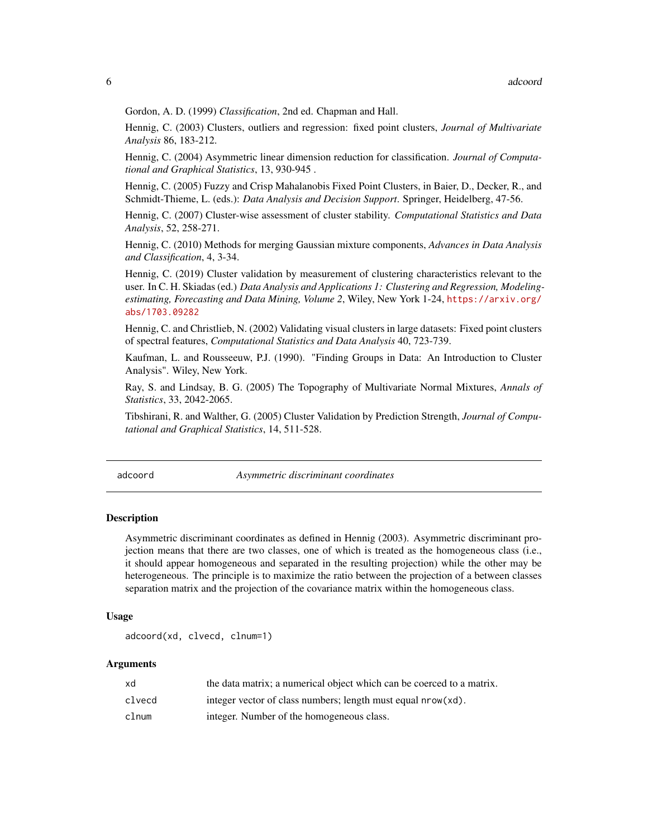<span id="page-5-0"></span>Gordon, A. D. (1999) *Classification*, 2nd ed. Chapman and Hall.

Hennig, C. (2003) Clusters, outliers and regression: fixed point clusters, *Journal of Multivariate Analysis* 86, 183-212.

Hennig, C. (2004) Asymmetric linear dimension reduction for classification. *Journal of Computational and Graphical Statistics*, 13, 930-945 .

Hennig, C. (2005) Fuzzy and Crisp Mahalanobis Fixed Point Clusters, in Baier, D., Decker, R., and Schmidt-Thieme, L. (eds.): *Data Analysis and Decision Support*. Springer, Heidelberg, 47-56.

Hennig, C. (2007) Cluster-wise assessment of cluster stability. *Computational Statistics and Data Analysis*, 52, 258-271.

Hennig, C. (2010) Methods for merging Gaussian mixture components, *Advances in Data Analysis and Classification*, 4, 3-34.

Hennig, C. (2019) Cluster validation by measurement of clustering characteristics relevant to the user. In C. H. Skiadas (ed.) *Data Analysis and Applications 1: Clustering and Regression, Modelingestimating, Forecasting and Data Mining, Volume 2*, Wiley, New York 1-24, [https://arxiv.org/](https://arxiv.org/abs/1703.09282) [abs/1703.09282](https://arxiv.org/abs/1703.09282)

Hennig, C. and Christlieb, N. (2002) Validating visual clusters in large datasets: Fixed point clusters of spectral features, *Computational Statistics and Data Analysis* 40, 723-739.

Kaufman, L. and Rousseeuw, P.J. (1990). "Finding Groups in Data: An Introduction to Cluster Analysis". Wiley, New York.

Ray, S. and Lindsay, B. G. (2005) The Topography of Multivariate Normal Mixtures, *Annals of Statistics*, 33, 2042-2065.

Tibshirani, R. and Walther, G. (2005) Cluster Validation by Prediction Strength, *Journal of Computational and Graphical Statistics*, 14, 511-528.

adcoord *Asymmetric discriminant coordinates*

## Description

Asymmetric discriminant coordinates as defined in Hennig (2003). Asymmetric discriminant projection means that there are two classes, one of which is treated as the homogeneous class (i.e., it should appear homogeneous and separated in the resulting projection) while the other may be heterogeneous. The principle is to maximize the ratio between the projection of a between classes separation matrix and the projection of the covariance matrix within the homogeneous class.

#### Usage

```
adcoord(xd, clvecd, clnum=1)
```

| xd     | the data matrix; a numerical object which can be coerced to a matrix. |
|--------|-----------------------------------------------------------------------|
| clvecd | integer vector of class numbers; length must equal nrow(xd).          |
| clnum  | integer. Number of the homogeneous class.                             |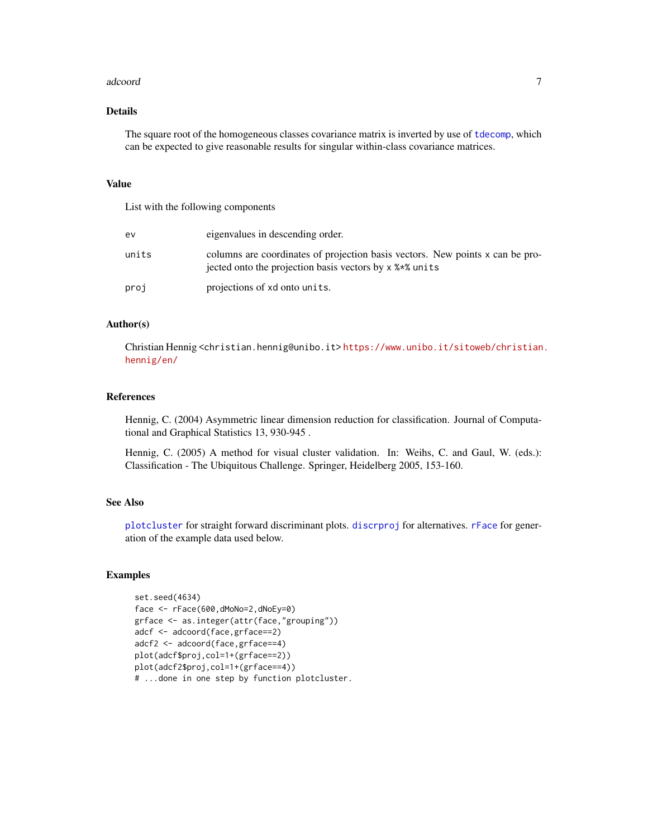#### adcoord **7**

## Details

The square root of the homogeneous classes covariance matrix is inverted by use of [tdecomp](#page-149-1), which can be expected to give reasonable results for singular within-class covariance matrices.

#### Value

List with the following components

| ev    | eigenvalues in descending order.                                                                                                         |
|-------|------------------------------------------------------------------------------------------------------------------------------------------|
| units | columns are coordinates of projection basis vectors. New points x can be pro-<br>iected onto the projection basis vectors by x % * units |
| proj  | projections of xd onto units.                                                                                                            |

## Author(s)

Christian Hennig <christian.hennig@unibo.it> [https://www.unibo.it/sitoweb/christian](https://www.unibo.it/sitoweb/christian.hennig/en/). [hennig/en/](https://www.unibo.it/sitoweb/christian.hennig/en/)

## References

Hennig, C. (2004) Asymmetric linear dimension reduction for classification. Journal of Computational and Graphical Statistics 13, 930-945 .

Hennig, C. (2005) A method for visual cluster validation. In: Weihs, C. and Gaul, W. (eds.): Classification - The Ubiquitous Challenge. Springer, Heidelberg 2005, 153-160.

## See Also

[plotcluster](#page-127-1) for straight forward discriminant plots. [discrproj](#page-65-1) for alternatives. [rFace](#page-139-1) for generation of the example data used below.

## Examples

```
set.seed(4634)
face <- rFace(600,dMoNo=2,dNoEy=0)
grface <- as.integer(attr(face,"grouping"))
adcf <- adcoord(face,grface==2)
adcf2 <- adcoord(face,grface==4)
plot(adcf$proj,col=1+(grface==2))
plot(adcf2$proj,col=1+(grface==4))
# ...done in one step by function plotcluster.
```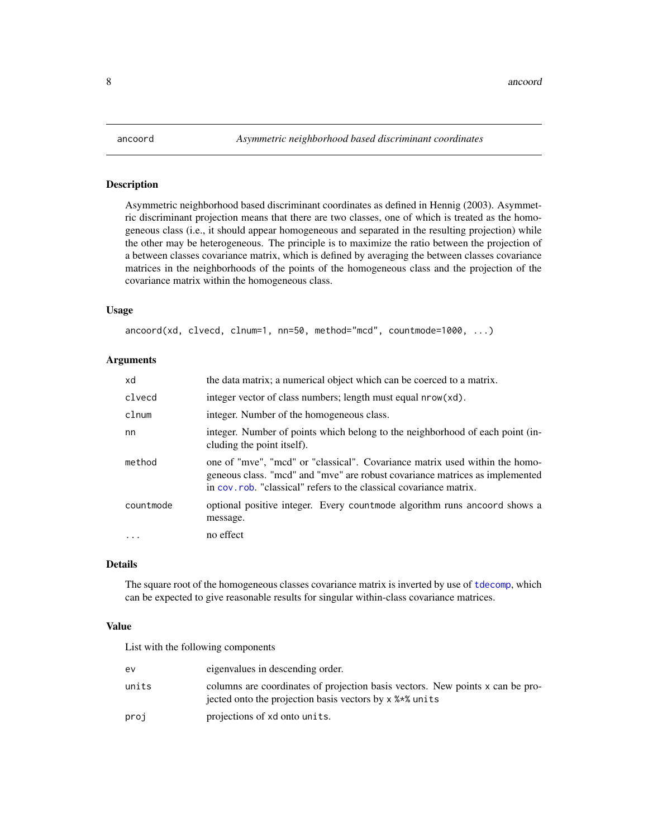<span id="page-7-0"></span>

### Description

Asymmetric neighborhood based discriminant coordinates as defined in Hennig (2003). Asymmetric discriminant projection means that there are two classes, one of which is treated as the homogeneous class (i.e., it should appear homogeneous and separated in the resulting projection) while the other may be heterogeneous. The principle is to maximize the ratio between the projection of a between classes covariance matrix, which is defined by averaging the between classes covariance matrices in the neighborhoods of the points of the homogeneous class and the projection of the covariance matrix within the homogeneous class.

#### Usage

ancoord(xd, clvecd, clnum=1, nn=50, method="mcd", countmode=1000, ...)

#### Arguments

| xd        | the data matrix; a numerical object which can be coerced to a matrix.                                                                                                                                                              |
|-----------|------------------------------------------------------------------------------------------------------------------------------------------------------------------------------------------------------------------------------------|
| clvecd    | integer vector of class numbers; length must equal nrow(xd).                                                                                                                                                                       |
| clnum     | integer. Number of the homogeneous class.                                                                                                                                                                                          |
| nn        | integer. Number of points which belong to the neighborhood of each point (in-<br>cluding the point itself).                                                                                                                        |
| method    | one of "mve", "mcd" or "classical". Covariance matrix used within the homo-<br>geneous class. "mcd" and "mve" are robust covariance matrices as implemented<br>in cov. rob. "classical" refers to the classical covariance matrix. |
| countmode | optional positive integer. Every countmode algorithm runs and oord shows a<br>message.                                                                                                                                             |
| $\cdots$  | no effect                                                                                                                                                                                                                          |

# Details

The square root of the homogeneous classes covariance matrix is inverted by use of [tdecomp](#page-149-1), which can be expected to give reasonable results for singular within-class covariance matrices.

## Value

List with the following components

| ev    | eigenvalues in descending order.                                                                                                         |
|-------|------------------------------------------------------------------------------------------------------------------------------------------|
| units | columns are coordinates of projection basis vectors. New points x can be pro-<br>jected onto the projection basis vectors by x % * units |
| proj  | projections of xd onto units.                                                                                                            |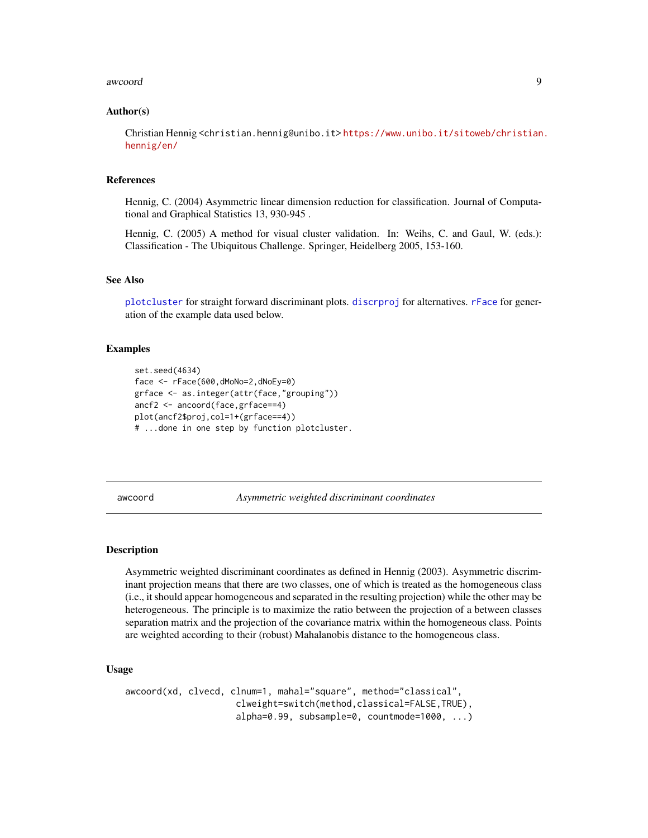#### <span id="page-8-0"></span>awcoord 9

#### Author(s)

Christian Hennig <christian.hennig@unibo.it> [https://www.unibo.it/sitoweb/christian](https://www.unibo.it/sitoweb/christian.hennig/en/). [hennig/en/](https://www.unibo.it/sitoweb/christian.hennig/en/)

## References

Hennig, C. (2004) Asymmetric linear dimension reduction for classification. Journal of Computational and Graphical Statistics 13, 930-945 .

Hennig, C. (2005) A method for visual cluster validation. In: Weihs, C. and Gaul, W. (eds.): Classification - The Ubiquitous Challenge. Springer, Heidelberg 2005, 153-160.

#### See Also

[plotcluster](#page-127-1) for straight forward discriminant plots. [discrproj](#page-65-1) for alternatives. [rFace](#page-139-1) for generation of the example data used below.

## Examples

```
set.seed(4634)
face <- rFace(600,dMoNo=2,dNoEy=0)
grface <- as.integer(attr(face,"grouping"))
ancf2 <- ancoord(face,grface==4)
plot(ancf2$proj,col=1+(grface==4))
# ...done in one step by function plotcluster.
```
awcoord *Asymmetric weighted discriminant coordinates*

#### Description

Asymmetric weighted discriminant coordinates as defined in Hennig (2003). Asymmetric discriminant projection means that there are two classes, one of which is treated as the homogeneous class (i.e., it should appear homogeneous and separated in the resulting projection) while the other may be heterogeneous. The principle is to maximize the ratio between the projection of a between classes separation matrix and the projection of the covariance matrix within the homogeneous class. Points are weighted according to their (robust) Mahalanobis distance to the homogeneous class.

#### Usage

```
awcoord(xd, clvecd, clnum=1, mahal="square", method="classical",
                    clweight=switch(method,classical=FALSE,TRUE),
                    alpha=0.99, subsample=0, countmode=1000, ...)
```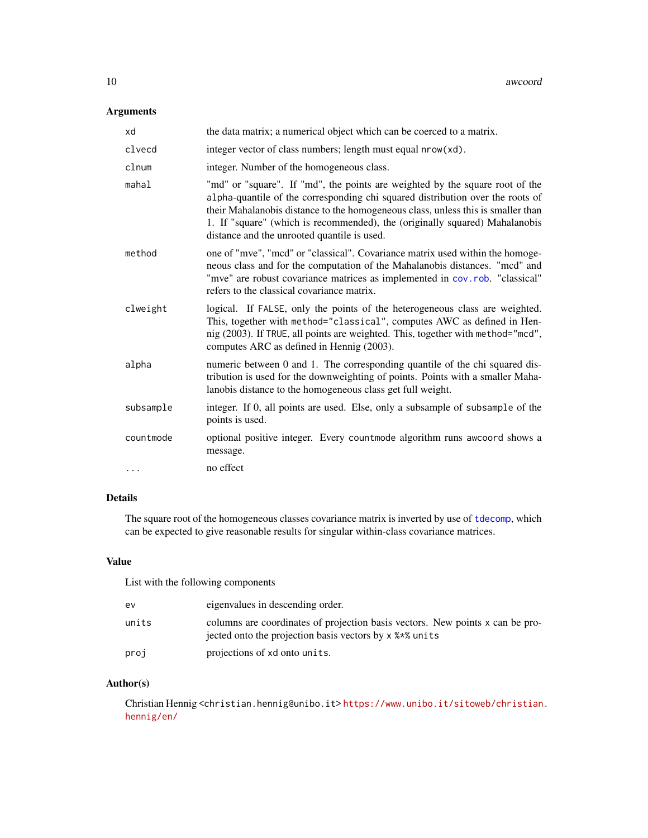# Arguments

| xd        | the data matrix; a numerical object which can be coerced to a matrix.                                                                                                                                                                                                                                                                                                            |
|-----------|----------------------------------------------------------------------------------------------------------------------------------------------------------------------------------------------------------------------------------------------------------------------------------------------------------------------------------------------------------------------------------|
| clvecd    | integer vector of class numbers; length must equal nrow(xd).                                                                                                                                                                                                                                                                                                                     |
| clnum     | integer. Number of the homogeneous class.                                                                                                                                                                                                                                                                                                                                        |
| mahal     | "md" or "square". If "md", the points are weighted by the square root of the<br>alpha-quantile of the corresponding chi squared distribution over the roots of<br>their Mahalanobis distance to the homogeneous class, unless this is smaller than<br>1. If "square" (which is recommended), the (originally squared) Mahalanobis<br>distance and the unrooted quantile is used. |
| method    | one of "mve", "mcd" or "classical". Covariance matrix used within the homoge-<br>neous class and for the computation of the Mahalanobis distances. "mcd" and<br>"mve" are robust covariance matrices as implemented in cov.rob. "classical"<br>refers to the classical covariance matrix.                                                                                        |
| clweight  | logical. If FALSE, only the points of the heterogeneous class are weighted.<br>This, together with method="classical", computes AWC as defined in Hen-<br>nig (2003). If TRUE, all points are weighted. This, together with method="mcd",<br>computes ARC as defined in Hennig (2003).                                                                                           |
| alpha     | numeric between 0 and 1. The corresponding quantile of the chi squared dis-<br>tribution is used for the downweighting of points. Points with a smaller Maha-<br>lanobis distance to the homogeneous class get full weight.                                                                                                                                                      |
| subsample | integer. If 0, all points are used. Else, only a subsample of subsample of the<br>points is used.                                                                                                                                                                                                                                                                                |
| countmode | optional positive integer. Every countmode algorithm runs awcoord shows a<br>message.                                                                                                                                                                                                                                                                                            |
| .         | no effect                                                                                                                                                                                                                                                                                                                                                                        |

# Details

The square root of the homogeneous classes covariance matrix is inverted by use of [tdecomp](#page-149-1), which can be expected to give reasonable results for singular within-class covariance matrices.

## Value

List with the following components

| ev    | eigenvalues in descending order.                                                                                                         |
|-------|------------------------------------------------------------------------------------------------------------------------------------------|
| units | columns are coordinates of projection basis vectors. New points x can be pro-<br>jected onto the projection basis vectors by x % * units |
| proj  | projections of xd onto units.                                                                                                            |

# Author(s)

Christian Hennig <christian.hennig@unibo.it> [https://www.unibo.it/sitoweb/christian](https://www.unibo.it/sitoweb/christian.hennig/en/). [hennig/en/](https://www.unibo.it/sitoweb/christian.hennig/en/)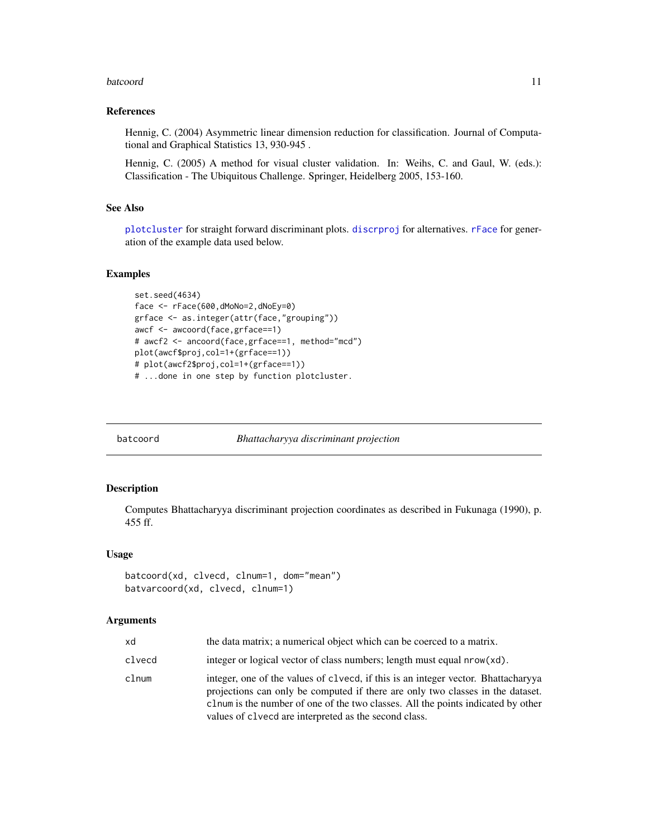#### <span id="page-10-0"></span>batcoord and the set of the set of the set of the set of the set of the set of the set of the set of the set of the set of the set of the set of the set of the set of the set of the set of the set of the set of the set of

#### References

Hennig, C. (2004) Asymmetric linear dimension reduction for classification. Journal of Computational and Graphical Statistics 13, 930-945 .

Hennig, C. (2005) A method for visual cluster validation. In: Weihs, C. and Gaul, W. (eds.): Classification - The Ubiquitous Challenge. Springer, Heidelberg 2005, 153-160.

## See Also

[plotcluster](#page-127-1) for straight forward discriminant plots. [discrproj](#page-65-1) for alternatives. [rFace](#page-139-1) for generation of the example data used below.

## Examples

```
set.seed(4634)
face <- rFace(600,dMoNo=2,dNoEy=0)
grface <- as.integer(attr(face,"grouping"))
awcf <- awcoord(face,grface==1)
# awcf2 <- ancoord(face,grface==1, method="mcd")
plot(awcf$proj,col=1+(grface==1))
# plot(awcf2$proj,col=1+(grface==1))
# ...done in one step by function plotcluster.
```
batcoord *Bhattacharyya discriminant projection*

#### Description

Computes Bhattacharyya discriminant projection coordinates as described in Fukunaga (1990), p. 455 ff.

#### Usage

```
batcoord(xd, clvecd, clnum=1, dom="mean")
batvarcoord(xd, clvecd, clnum=1)
```

| bx     | the data matrix; a numerical object which can be coerced to a matrix.                                                                                                                                                                                                                                            |
|--------|------------------------------------------------------------------------------------------------------------------------------------------------------------------------------------------------------------------------------------------------------------------------------------------------------------------|
| clvecd | integer or logical vector of class numbers; length must equal $nrow(xd)$ .                                                                                                                                                                                                                                       |
| clnum  | integer, one of the values of clvecd, if this is an integer vector. Bhattacharyya<br>projections can only be computed if there are only two classes in the dataset.<br>clnum is the number of one of the two classes. All the points indicated by other<br>values of closed are interpreted as the second class. |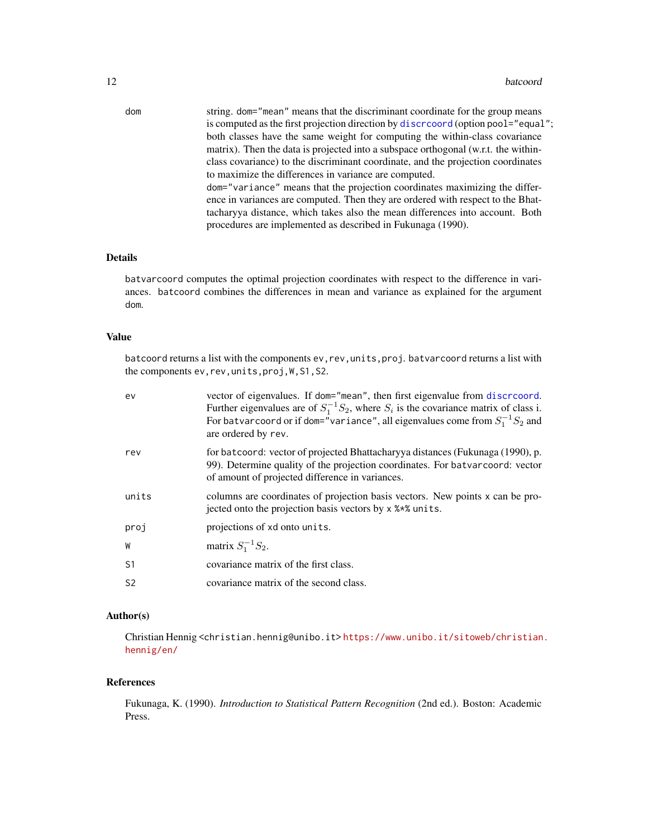dom string. dom="mean" means that the discriminant coordinate for the group means is computed as the first projection direction by discretor (option pool="equal"; both classes have the same weight for computing the within-class covariance matrix). Then the data is projected into a subspace orthogonal (w.r.t. the withinclass covariance) to the discriminant coordinate, and the projection coordinates to maximize the differences in variance are computed. dom="variance" means that the projection coordinates maximizing the difference in variances are computed. Then they are ordered with respect to the Bhattacharyya distance, which takes also the mean differences into account. Both procedures are implemented as described in Fukunaga (1990).

### Details

batvarcoord computes the optimal projection coordinates with respect to the difference in variances. batcoord combines the differences in mean and variance as explained for the argument dom.

## Value

batcoord returns a list with the components ev, rev, units, proj. batvarcoord returns a list with the components ev,rev,units,proj,W,S1,S2.

| ev             | vector of eigenvalues. If dom="mean", then first eigenvalue from discressord.<br>Further eigenvalues are of $S_1^{-1}S_2$ , where $S_i$ is the covariance matrix of class i.<br>For batvar coord or if dom="variance", all eigenvalues come from $S_1^{-1}S_2$ and<br>are ordered by rev. |
|----------------|-------------------------------------------------------------------------------------------------------------------------------------------------------------------------------------------------------------------------------------------------------------------------------------------|
| rev            | for batcoord: vector of projected Bhattacharyya distances (Fukunaga (1990), p.<br>99). Determine quality of the projection coordinates. For batvarcoord: vector<br>of amount of projected difference in variances.                                                                        |
| units          | columns are coordinates of projection basis vectors. New points x can be pro-<br>jected onto the projection basis vectors by x % * % units.                                                                                                                                               |
| proj           | projections of xd onto units.                                                                                                                                                                                                                                                             |
| W              | matrix $S_1^{-1}S_2$ .                                                                                                                                                                                                                                                                    |
| S <sub>1</sub> | covariance matrix of the first class.                                                                                                                                                                                                                                                     |
| S <sub>2</sub> | covariance matrix of the second class.                                                                                                                                                                                                                                                    |
|                |                                                                                                                                                                                                                                                                                           |

## Author(s)

Christian Hennig <christian.hennig@unibo.it> [https://www.unibo.it/sitoweb/christian](https://www.unibo.it/sitoweb/christian.hennig/en/). [hennig/en/](https://www.unibo.it/sitoweb/christian.hennig/en/)

## References

Fukunaga, K. (1990). *Introduction to Statistical Pattern Recognition* (2nd ed.). Boston: Academic Press.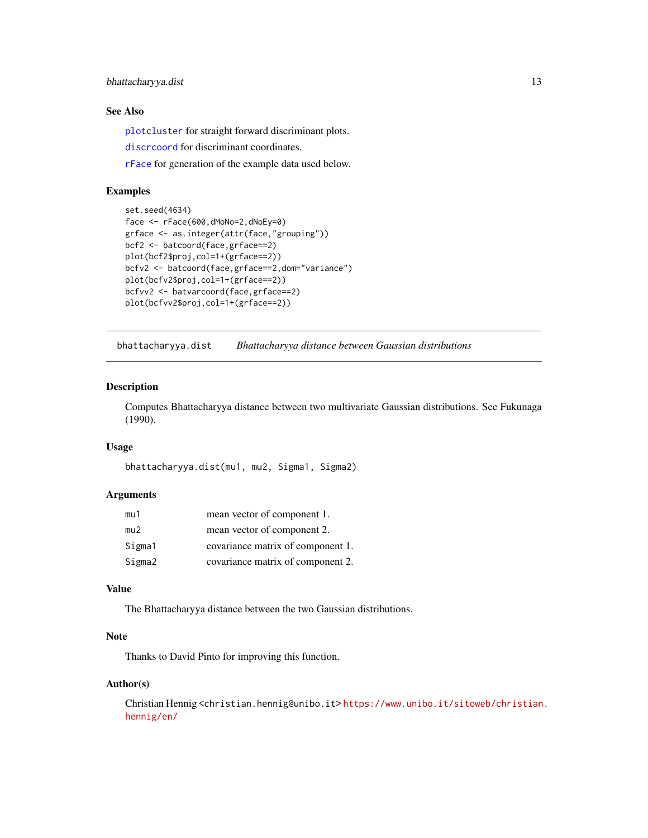# <span id="page-12-0"></span>bhattacharyya.dist 13

## See Also

[plotcluster](#page-127-1) for straight forward discriminant plots.

[discrcoord](#page-63-1) for discriminant coordinates.

[rFace](#page-139-1) for generation of the example data used below.

# Examples

```
set.seed(4634)
face <- rFace(600,dMoNo=2,dNoEy=0)
grface <- as.integer(attr(face,"grouping"))
bcf2 <- batcoord(face,grface==2)
plot(bcf2$proj,col=1+(grface==2))
bcfv2 <- batcoord(face,grface==2,dom="variance")
plot(bcfv2$proj,col=1+(grface==2))
bcfvv2 <- batvarcoord(face,grface==2)
plot(bcfvv2$proj,col=1+(grface==2))
```
<span id="page-12-1"></span>bhattacharyya.dist *Bhattacharyya distance between Gaussian distributions*

## Description

Computes Bhattacharyya distance between two multivariate Gaussian distributions. See Fukunaga (1990).

## Usage

```
bhattacharyya.dist(mu1, mu2, Sigma1, Sigma2)
```
# Arguments

| mu1    | mean vector of component 1.       |
|--------|-----------------------------------|
| mu2    | mean vector of component 2.       |
| Sigma1 | covariance matrix of component 1. |
| Sigma2 | covariance matrix of component 2. |

## Value

The Bhattacharyya distance between the two Gaussian distributions.

#### Note

Thanks to David Pinto for improving this function.

#### Author(s)

Christian Hennig <christian.hennig@unibo.it> [https://www.unibo.it/sitoweb/christian](https://www.unibo.it/sitoweb/christian.hennig/en/). [hennig/en/](https://www.unibo.it/sitoweb/christian.hennig/en/)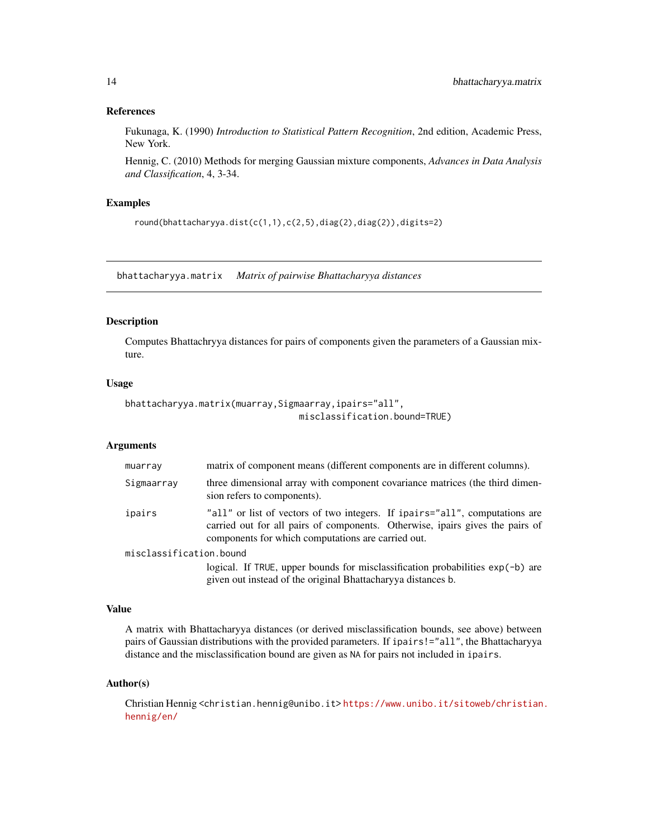#### <span id="page-13-0"></span>References

Fukunaga, K. (1990) *Introduction to Statistical Pattern Recognition*, 2nd edition, Academic Press, New York.

Hennig, C. (2010) Methods for merging Gaussian mixture components, *Advances in Data Analysis and Classification*, 4, 3-34.

# Examples

```
round(bhattacharyya.dist(c(1,1),c(2,5),diag(2),diag(2)),digits=2)
```
bhattacharyya.matrix *Matrix of pairwise Bhattacharyya distances*

### Description

Computes Bhattachryya distances for pairs of components given the parameters of a Gaussian mixture.

## Usage

```
bhattacharyya.matrix(muarray,Sigmaarray,ipairs="all",
                                 misclassification.bound=TRUE)
```
## Arguments

| muarray                 | matrix of component means (different components are in different columns).                                                                                                                                         |  |
|-------------------------|--------------------------------------------------------------------------------------------------------------------------------------------------------------------------------------------------------------------|--|
| Sigmaarray              | three dimensional array with component covariance matrices (the third dimen-<br>sion refers to components).                                                                                                        |  |
| ipairs                  | "all" or list of vectors of two integers. If ipairs="all", computations are<br>carried out for all pairs of components. Otherwise, ipairs gives the pairs of<br>components for which computations are carried out. |  |
| misclassification.bound |                                                                                                                                                                                                                    |  |
|                         | logical. If TRUE, upper bounds for misclassification probabilities exp(-b) are<br>given out instead of the original Bhattachary a distances b.                                                                     |  |

#### Value

A matrix with Bhattacharyya distances (or derived misclassification bounds, see above) between pairs of Gaussian distributions with the provided parameters. If ipairs!="all", the Bhattacharyya distance and the misclassification bound are given as NA for pairs not included in ipairs.

#### Author(s)

Christian Hennig <christian.hennig@unibo.it> [https://www.unibo.it/sitoweb/christian](https://www.unibo.it/sitoweb/christian.hennig/en/). [hennig/en/](https://www.unibo.it/sitoweb/christian.hennig/en/)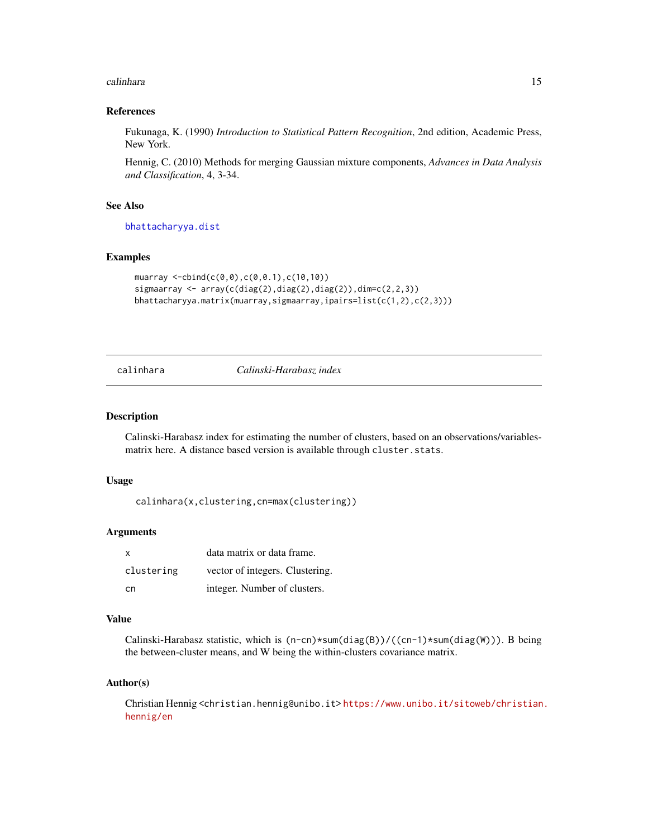#### <span id="page-14-0"></span>calinhara 15

#### References

Fukunaga, K. (1990) *Introduction to Statistical Pattern Recognition*, 2nd edition, Academic Press, New York.

Hennig, C. (2010) Methods for merging Gaussian mixture components, *Advances in Data Analysis and Classification*, 4, 3-34.

## See Also

[bhattacharyya.dist](#page-12-1)

### Examples

```
muarray <-cbind(c(0,0),c(0,0.1),c(10,10))
sigmaarray \leq array(c(diag(2),diag(2),diag(2)),dim=c(2,2,3))
bhattacharyya.matrix(muarray,sigmaarray,ipairs=list(c(1,2),c(2,3)))
```
<span id="page-14-1"></span>calinhara *Calinski-Harabasz index*

#### Description

Calinski-Harabasz index for estimating the number of clusters, based on an observations/variablesmatrix here. A distance based version is available through cluster.stats.

#### Usage

calinhara(x,clustering,cn=max(clustering))

## Arguments

| x          | data matrix or data frame.      |
|------------|---------------------------------|
| clustering | vector of integers. Clustering. |
| cn.        | integer. Number of clusters.    |

## Value

Calinski-Harabasz statistic, which is (n-cn)\*sum(diag(B))/((cn-1)\*sum(diag(W))). B being the between-cluster means, and W being the within-clusters covariance matrix.

#### Author(s)

Christian Hennig <christian.hennig@unibo.it> [https://www.unibo.it/sitoweb/christian](https://www.unibo.it/sitoweb/christian.hennig/en). [hennig/en](https://www.unibo.it/sitoweb/christian.hennig/en)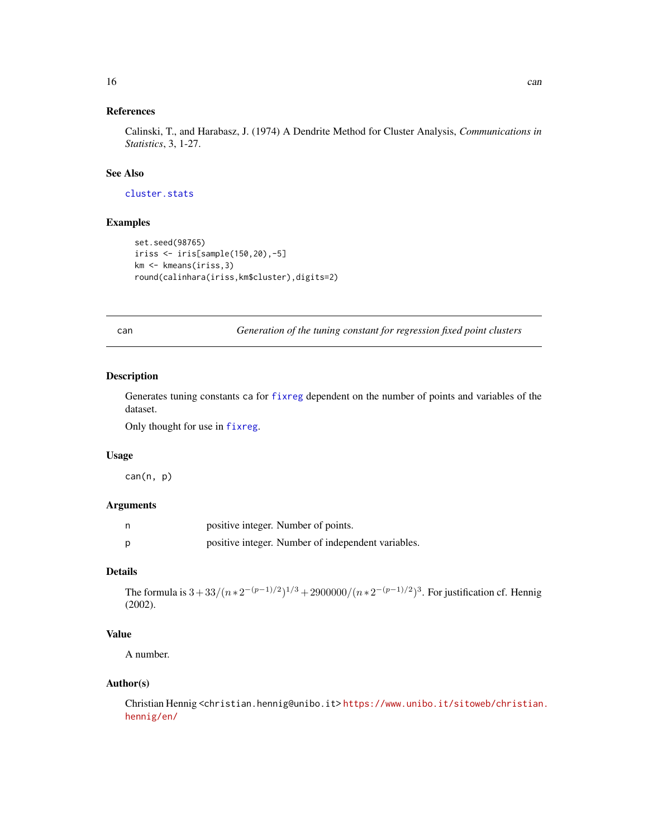# <span id="page-15-0"></span>References

Calinski, T., and Harabasz, J. (1974) A Dendrite Method for Cluster Analysis, *Communications in Statistics*, 3, 1-27.

## See Also

[cluster.stats](#page-30-1)

# Examples

```
set.seed(98765)
iriss <- iris[sample(150,20),-5]
km <- kmeans(iriss,3)
round(calinhara(iriss,km$cluster),digits=2)
```
can *Generation of the tuning constant for regression fixed point clusters*

#### Description

Generates tuning constants ca for [fixreg](#page-83-1) dependent on the number of points and variables of the dataset.

Only thought for use in [fixreg](#page-83-1).

### Usage

can(n, p)

## Arguments

|   | positive integer. Number of points.                |
|---|----------------------------------------------------|
| D | positive integer. Number of independent variables. |

## Details

The formula is  $3+33/(n*2^{-(p-1)/2})^{1/3}+2900000/(n*2^{-(p-1)/2})^3$ . For justification cf. Hennig (2002).

# Value

A number.

## Author(s)

Christian Hennig <christian.hennig@unibo.it> [https://www.unibo.it/sitoweb/christian](https://www.unibo.it/sitoweb/christian.hennig/en/). [hennig/en/](https://www.unibo.it/sitoweb/christian.hennig/en/)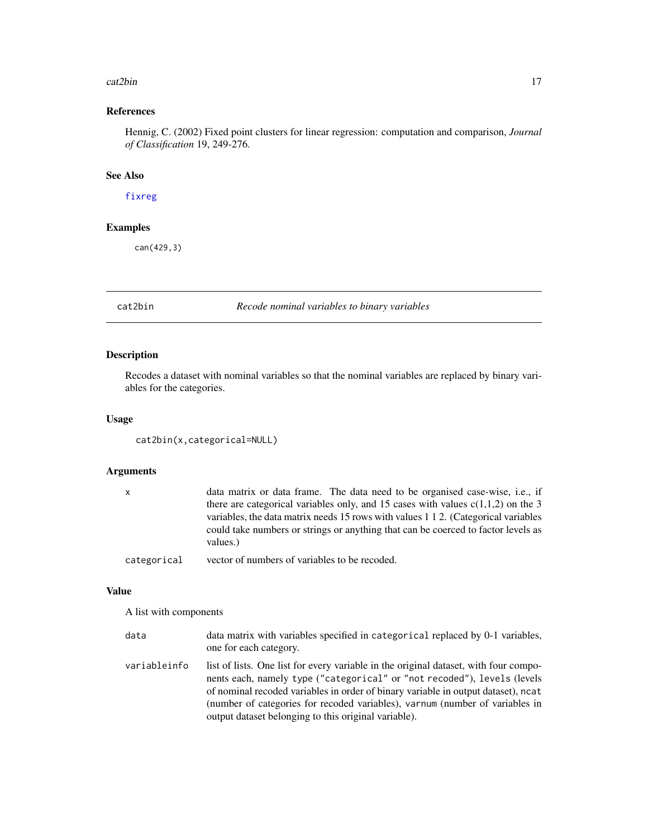#### <span id="page-16-0"></span>cat2bin 17

# References

Hennig, C. (2002) Fixed point clusters for linear regression: computation and comparison, *Journal of Classification* 19, 249-276.

# See Also

[fixreg](#page-83-1)

# Examples

can(429,3)

cat2bin *Recode nominal variables to binary variables*

# Description

Recodes a dataset with nominal variables so that the nominal variables are replaced by binary variables for the categories.

# Usage

```
cat2bin(x,categorical=NULL)
```
# Arguments

|             | data matrix or data frame. The data need to be organised case-wise, i.e., if       |
|-------------|------------------------------------------------------------------------------------|
|             | there are categorical variables only, and 15 cases with values $c(1,1,2)$ on the 3 |
|             | variables, the data matrix needs 15 rows with values 1 1 2. (Categorical variables |
|             | could take numbers or strings or anything that can be coerced to factor levels as  |
|             | values.)                                                                           |
| categorical | vector of numbers of variables to be recoded.                                      |

#### Value

A list with components

| data         | data matrix with variables specified in categorical replaced by 0-1 variables,<br>one for each category.                                                                                                                                                                                                                                                                                      |
|--------------|-----------------------------------------------------------------------------------------------------------------------------------------------------------------------------------------------------------------------------------------------------------------------------------------------------------------------------------------------------------------------------------------------|
| variableinfo | list of lists. One list for every variable in the original dataset, with four compo-<br>nents each, namely type ("categorical" or "not recoded"), levels (levels<br>of nominal recoded variables in order of binary variable in output dataset), neat<br>(number of categories for recoded variables), varnum (number of variables in<br>output dataset belonging to this original variable). |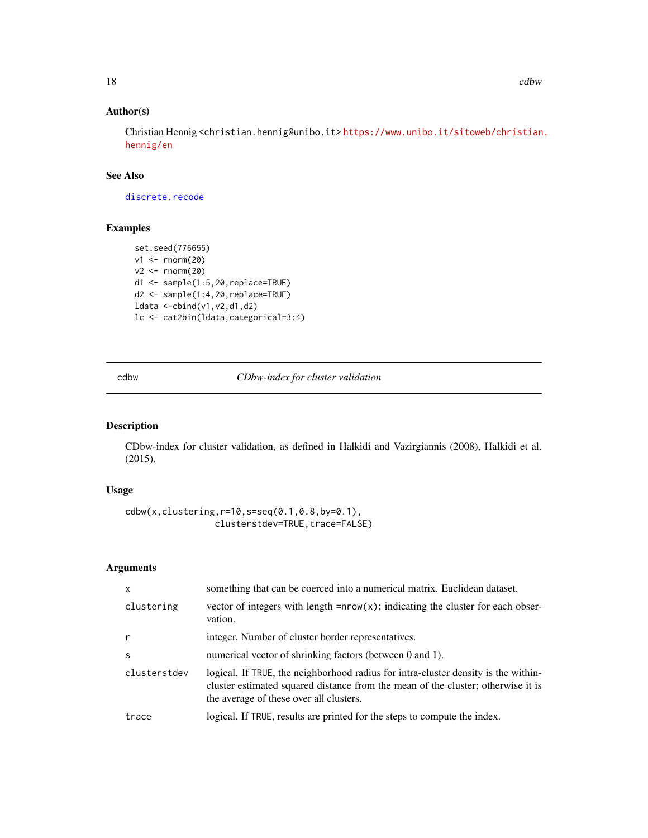# Author(s)

Christian Hennig <christian.hennig@unibo.it> [https://www.unibo.it/sitoweb/christian](https://www.unibo.it/sitoweb/christian.hennig/en). [hennig/en](https://www.unibo.it/sitoweb/christian.hennig/en)

## See Also

[discrete.recode](#page-64-1)

# Examples

```
set.seed(776655)
v1 \leftarrow \text{norm}(20)v2 <- rnorm(20)
d1 <- sample(1:5,20,replace=TRUE)
d2 <- sample(1:4,20,replace=TRUE)
ldata <-cbind(v1,v2,d1,d2)
lc <- cat2bin(ldata,categorical=3:4)
```
cdbw *CDbw-index for cluster validation*

# Description

CDbw-index for cluster validation, as defined in Halkidi and Vazirgiannis (2008), Halkidi et al. (2015).

## Usage

```
cdbw(x,clustering,r=10,s=seq(0.1,0.8,by=0.1),
                 clusterstdev=TRUE, trace=FALSE)
```

| $\mathsf{x}$ | something that can be coerced into a numerical matrix. Euclidean dataset.                                                                                                                                         |
|--------------|-------------------------------------------------------------------------------------------------------------------------------------------------------------------------------------------------------------------|
| clustering   | vector of integers with length $= nrow(x)$ ; indicating the cluster for each obser-<br>vation.                                                                                                                    |
| $\mathsf{r}$ | integer. Number of cluster border representatives.                                                                                                                                                                |
| S            | numerical vector of shrinking factors (between 0 and 1).                                                                                                                                                          |
| clusterstdev | logical. If TRUE, the neighborhood radius for intra-cluster density is the within-<br>cluster estimated squared distance from the mean of the cluster; otherwise it is<br>the average of these over all clusters. |
| trace        | logical. If TRUE, results are printed for the steps to compute the index.                                                                                                                                         |

<span id="page-17-0"></span>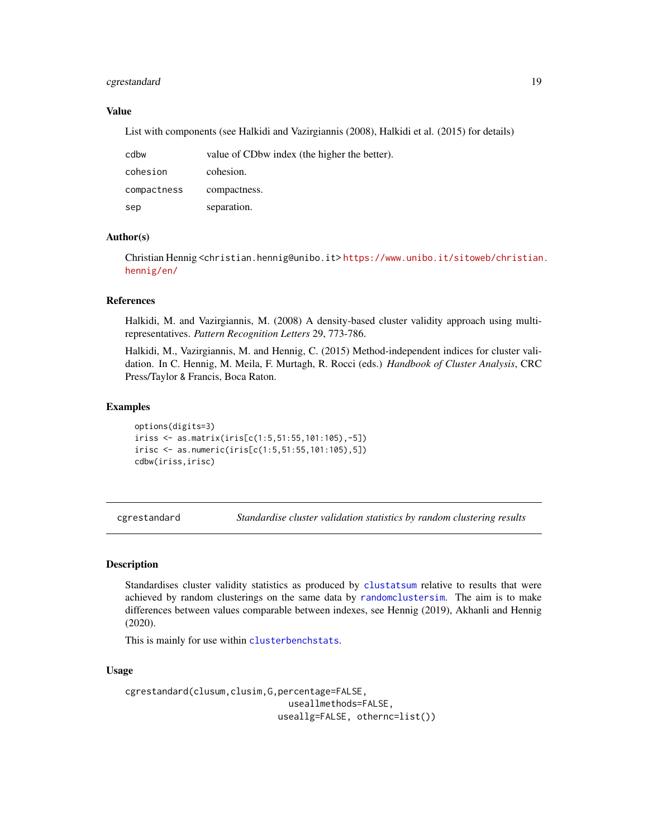## <span id="page-18-0"></span>cgrestandard 19

## Value

List with components (see Halkidi and Vazirgiannis (2008), Halkidi et al. (2015) for details)

| cdbw        | value of CDbw index (the higher the better). |
|-------------|----------------------------------------------|
| cohesion    | cohesion.                                    |
| compactness | compactness.                                 |
| sep         | separation.                                  |

# Author(s)

Christian Hennig <christian.hennig@unibo.it> [https://www.unibo.it/sitoweb/christian](https://www.unibo.it/sitoweb/christian.hennig/en/). [hennig/en/](https://www.unibo.it/sitoweb/christian.hennig/en/)

#### References

Halkidi, M. and Vazirgiannis, M. (2008) A density-based cluster validity approach using multirepresentatives. *Pattern Recognition Letters* 29, 773-786.

Halkidi, M., Vazirgiannis, M. and Hennig, C. (2015) Method-independent indices for cluster validation. In C. Hennig, M. Meila, F. Murtagh, R. Rocci (eds.) *Handbook of Cluster Analysis*, CRC Press/Taylor & Francis, Boca Raton.

#### Examples

options(digits=3) iriss <- as.matrix(iris[c(1:5,51:55,101:105),-5]) irisc <- as.numeric(iris[c(1:5,51:55,101:105),5]) cdbw(iriss,irisc)

<span id="page-18-1"></span>cgrestandard *Standardise cluster validation statistics by random clustering results*

# Description

Standardises cluster validity statistics as produced by [clustatsum](#page-25-1) relative to results that were achieved by random clusterings on the same data by [randomclustersim](#page-134-1). The aim is to make differences between values comparable between indexes, see Hennig (2019), Akhanli and Hennig (2020).

This is mainly for use within [clusterbenchstats](#page-36-1).

#### Usage

```
cgrestandard(clusum,clusim,G,percentage=FALSE,
                               useallmethods=FALSE,
                             useallg=FALSE, othernc=list())
```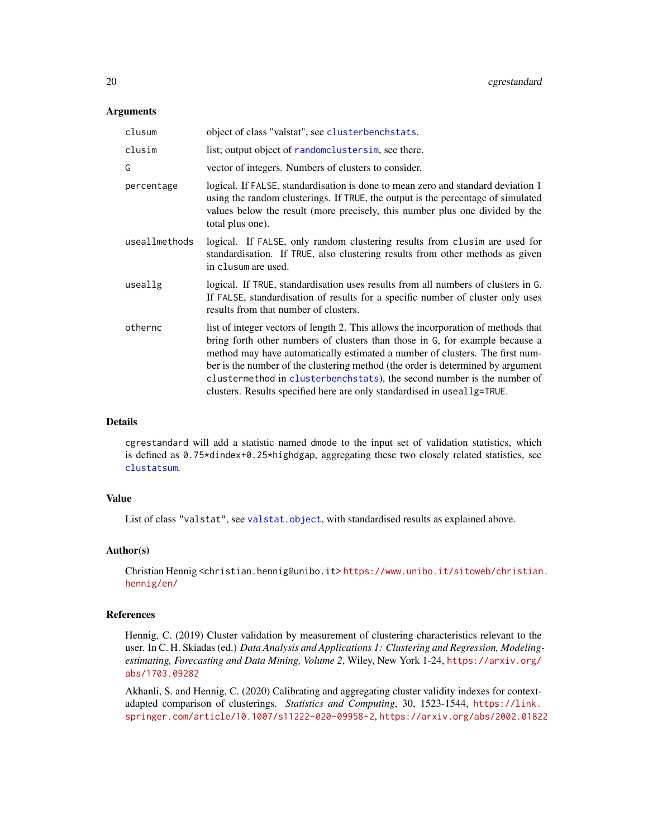#### **Arguments**

| clusum        | object of class "valstat", see clusterbenchstats.                                                                                                                                                                                                                                                                                                                                                                                                                                           |
|---------------|---------------------------------------------------------------------------------------------------------------------------------------------------------------------------------------------------------------------------------------------------------------------------------------------------------------------------------------------------------------------------------------------------------------------------------------------------------------------------------------------|
| clusim        | list; output object of random clusters im, see there.                                                                                                                                                                                                                                                                                                                                                                                                                                       |
| G             | vector of integers. Numbers of clusters to consider.                                                                                                                                                                                                                                                                                                                                                                                                                                        |
| percentage    | logical. If FALSE, standardisation is done to mean zero and standard deviation 1<br>using the random clusterings. If TRUE, the output is the percentage of simulated<br>values below the result (more precisely, this number plus one divided by the<br>total plus one).                                                                                                                                                                                                                    |
| useallmethods | logical. If FALSE, only random clustering results from clusim are used for<br>standardisation. If TRUE, also clustering results from other methods as given<br>in clusum are used.                                                                                                                                                                                                                                                                                                          |
| useallg       | logical. If TRUE, standardisation uses results from all numbers of clusters in G.<br>If FALSE, standardisation of results for a specific number of cluster only uses<br>results from that number of clusters.                                                                                                                                                                                                                                                                               |
| othernc       | list of integer vectors of length 2. This allows the incorporation of methods that<br>bring forth other numbers of clusters than those in G, for example because a<br>method may have automatically estimated a number of clusters. The first num-<br>ber is the number of the clustering method (the order is determined by argument<br>clustermethod in clusterbenchstats), the second number is the number of<br>clusters. Results specified here are only standardised in useallg=TRUE. |

#### Details

cgrestandard will add a statistic named dmode to the input set of validation statistics, which is defined as 0.75\*dindex+0.25\*highdgap, aggregating these two closely related statistics, see [clustatsum](#page-25-1).

## Value

List of class "valstat", see [valstat.object](#page-151-1), with standardised results as explained above.

#### Author(s)

Christian Hennig <christian.hennig@unibo.it> [https://www.unibo.it/sitoweb/christian](https://www.unibo.it/sitoweb/christian.hennig/en/). [hennig/en/](https://www.unibo.it/sitoweb/christian.hennig/en/)

#### References

Hennig, C. (2019) Cluster validation by measurement of clustering characteristics relevant to the user. In C. H. Skiadas (ed.) *Data Analysis and Applications 1: Clustering and Regression, Modelingestimating, Forecasting and Data Mining, Volume 2*, Wiley, New York 1-24, [https://arxiv.org/](https://arxiv.org/abs/1703.09282) [abs/1703.09282](https://arxiv.org/abs/1703.09282)

Akhanli, S. and Hennig, C. (2020) Calibrating and aggregating cluster validity indexes for contextadapted comparison of clusterings. *Statistics and Computing*, 30, 1523-1544, [https://link.](https://link.springer.com/article/10.1007/s11222-020-09958-2) [springer.com/article/10.1007/s11222-020-09958-2](https://link.springer.com/article/10.1007/s11222-020-09958-2), <https://arxiv.org/abs/2002.01822>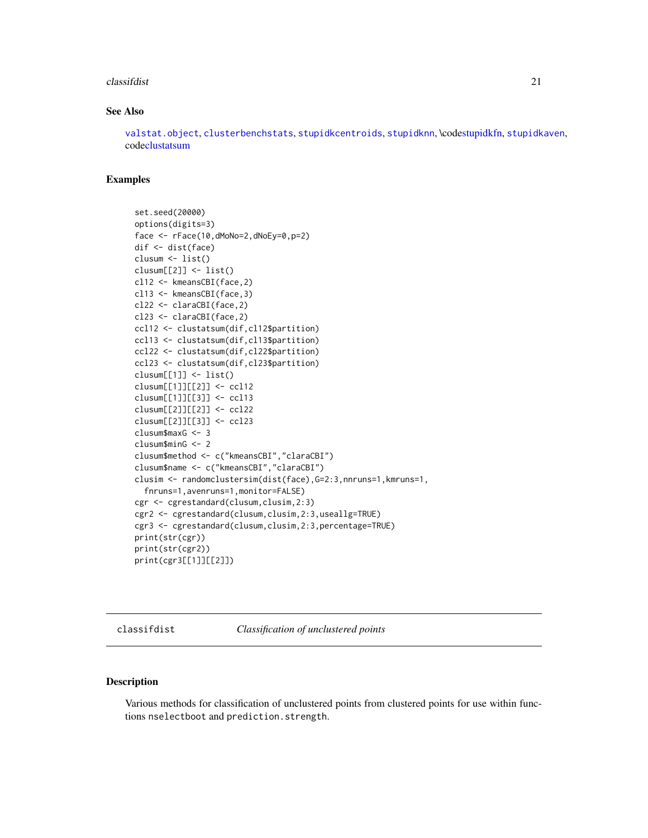#### <span id="page-20-0"></span>classifdist 21

#### See Also

[valstat.object](#page-151-1), [clusterbenchstats](#page-36-1), [stupidkcentroids](#page-146-1), [stupidknn](#page-148-1), \cod[estupidkfn,](#page-147-1) [stupidkaven](#page-145-1), cod[eclustatsum](#page-25-1)

# Examples

```
set.seed(20000)
options(digits=3)
face <- rFace(10,dMoNo=2,dNoEy=0,p=2)
dif <- dist(face)
clusum <- list()
clusum[[2]] <- list()
cl12 <- kmeansCBI(face,2)
cl13 <- kmeansCBI(face,3)
cl22 <- claraCBI(face,2)
cl23 <- claraCBI(face,2)
ccl12 <- clustatsum(dif,cl12$partition)
ccl13 <- clustatsum(dif,cl13$partition)
ccl22 <- clustatsum(dif,cl22$partition)
ccl23 <- clustatsum(dif,cl23$partition)
clusum[[1]] <- list()
clusum[[1]][[2]] <- ccl12
clusum[[1]][[3]] <- ccl13
clusum[[2]][[2]] <- ccl22
clusum[[2]][[3]] <- ccl23
clusum$maxG <- 3
clusum$minG <- 2
clusum$method <- c("kmeansCBI","claraCBI")
clusum$name <- c("kmeansCBI","claraCBI")
clusim <- randomclustersim(dist(face),G=2:3,nnruns=1,kmruns=1,
 fnruns=1,avenruns=1,monitor=FALSE)
cgr <- cgrestandard(clusum,clusim,2:3)
cgr2 <- cgrestandard(clusum,clusim,2:3,useallg=TRUE)
cgr3 <- cgrestandard(clusum,clusim,2:3,percentage=TRUE)
print(str(cgr))
print(str(cgr2))
print(cgr3[[1]][[2]])
```
classifdist *Classification of unclustered points*

## Description

Various methods for classification of unclustered points from clustered points for use within functions nselectboot and prediction.strength.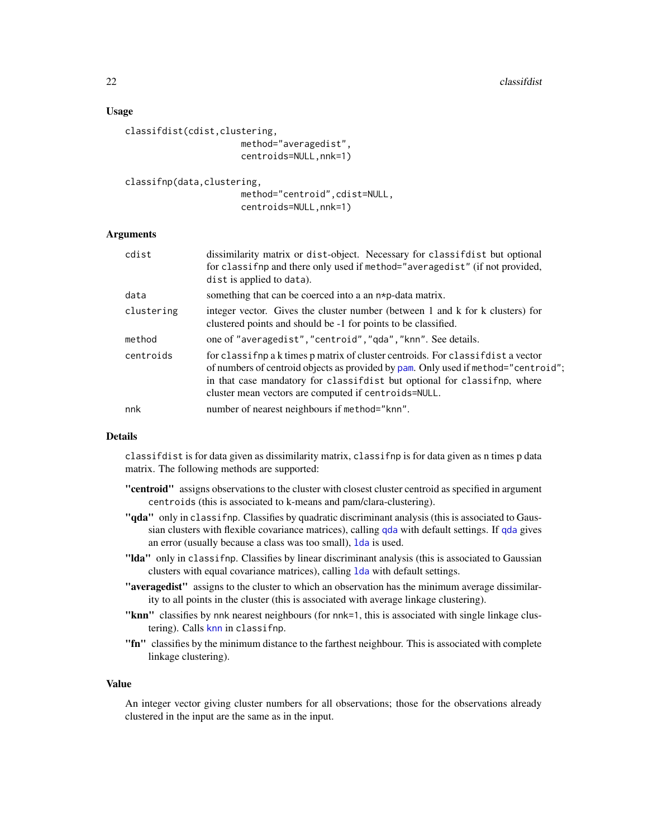## Usage

```
classifdist(cdist,clustering,
                      method="averagedist",
                      centroids=NULL,nnk=1)
```
classifnp(data,clustering,

method="centroid",cdist=NULL, centroids=NULL,nnk=1)

## Arguments

| cdist      | dissimilarity matrix or dist-object. Necessary for classifdist but optional<br>for classif np and there only used if method="averagedist" (if not provided,<br>dist is applied to data).                                                                                                                  |
|------------|-----------------------------------------------------------------------------------------------------------------------------------------------------------------------------------------------------------------------------------------------------------------------------------------------------------|
| data       | something that can be coerced into a an $n * p$ -data matrix.                                                                                                                                                                                                                                             |
| clustering | integer vector. Gives the cluster number (between 1 and k for k clusters) for<br>clustered points and should be -1 for points to be classified.                                                                                                                                                           |
| method     | one of "averagedist", "centroid", "qda", "knn". See details.                                                                                                                                                                                                                                              |
| centroids  | for classifult a k times p matrix of cluster centroids. For classifult a vector<br>of numbers of centroid objects as provided by pam. Only used if method="centroid";<br>in that case mandatory for classified but optional for classifing, where<br>cluster mean vectors are computed if centroids=NULL. |
| nnk        | number of nearest neighbours if method="knn".                                                                                                                                                                                                                                                             |

## Details

classifdist is for data given as dissimilarity matrix, classifnp is for data given as n times p data matrix. The following methods are supported:

- "centroid" assigns observations to the cluster with closest cluster centroid as specified in argument centroids (this is associated to k-means and pam/clara-clustering).
- "**qda**" only in classifnp. Classifies by quadratic discriminant analysis (this is associated to Gaussian clusters with flexible covariance matrices), calling [qda](#page-0-0) with default settings. If [qda](#page-0-0) gives an error (usually because a class was too small), [lda](#page-0-0) is used.
- "Ida" only in classifnp. Classifies by linear discriminant analysis (this is associated to Gaussian clusters with equal covariance matrices), calling [lda](#page-0-0) with default settings.
- "averagedist" assigns to the cluster to which an observation has the minimum average dissimilarity to all points in the cluster (this is associated with average linkage clustering).
- "knn" classifies by nnk nearest neighbours (for nnk=1, this is associated with single linkage clustering). Calls [knn](#page-0-0) in classifnp.
- "fn" classifies by the minimum distance to the farthest neighbour. This is associated with complete linkage clustering).

#### Value

An integer vector giving cluster numbers for all observations; those for the observations already clustered in the input are the same as in the input.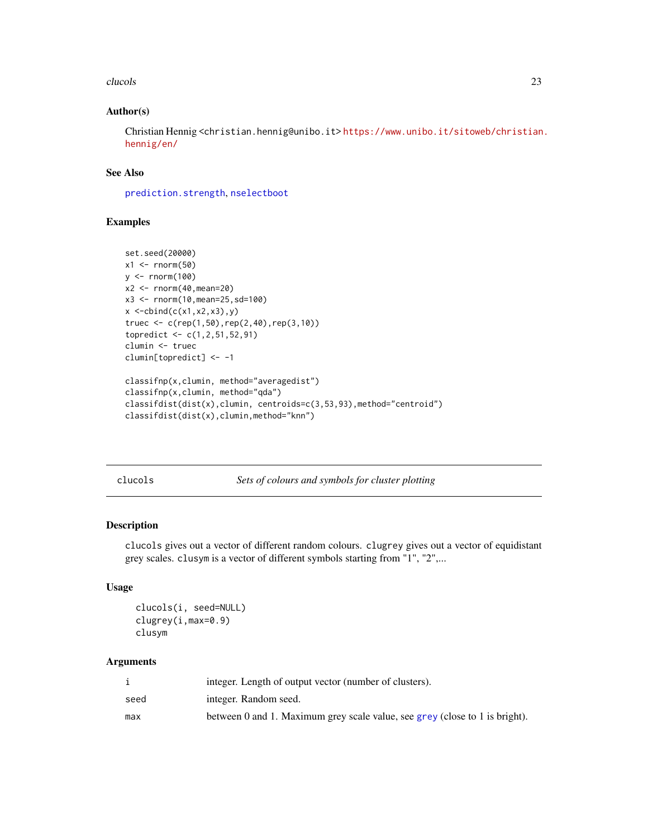#### <span id="page-22-0"></span>clucols 23

## Author(s)

Christian Hennig <christian.hennig@unibo.it> [https://www.unibo.it/sitoweb/christian](https://www.unibo.it/sitoweb/christian.hennig/en/). [hennig/en/](https://www.unibo.it/sitoweb/christian.hennig/en/)

## See Also

[prediction.strength](#page-130-1), [nselectboot](#page-119-1)

# Examples

```
set.seed(20000)
x1 \leftarrow \text{rnorm}(50)y \le - rnorm(100)x2 < - rnorm(40, mean=20)
x3 <- rnorm(10,mean=25,sd=100)
x < -cbind(c(x1, x2, x3), y)truec <- c(rep(1,50),rep(2,40),rep(3,10))topredict <- c(1,2,51,52,91)
clumin <- truec
clumin[topredict] <- -1
classifnp(x,clumin, method="averagedist")
classifnp(x,clumin, method="qda")
classifdist(dist(x),clumin, centroids=c(3,53,93),method="centroid")
classifdist(dist(x),clumin,method="knn")
```
clucols *Sets of colours and symbols for cluster plotting*

## Description

clucols gives out a vector of different random colours. clugrey gives out a vector of equidistant grey scales. clusym is a vector of different symbols starting from "1", "2",...

# Usage

```
clucols(i, seed=NULL)
clugrey(i,max=0.9)
clusym
```

|      | integer. Length of output vector (number of clusters).                      |
|------|-----------------------------------------------------------------------------|
| seed | integer. Random seed.                                                       |
| max  | between 0 and 1. Maximum grey scale value, see grey (close to 1 is bright). |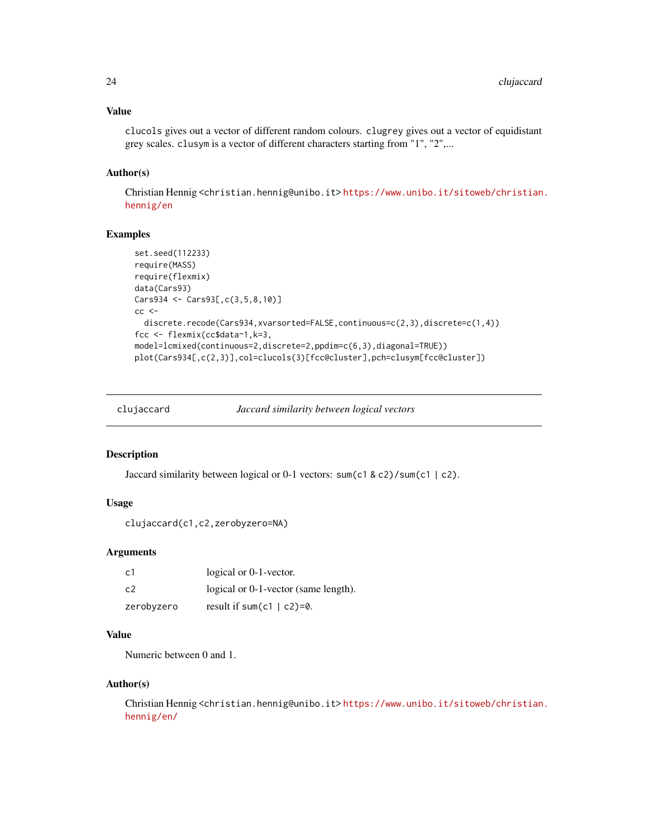## <span id="page-23-0"></span>Value

clucols gives out a vector of different random colours. clugrey gives out a vector of equidistant grey scales. clusym is a vector of different characters starting from "1", "2",...

## Author(s)

Christian Hennig <christian.hennig@unibo.it> [https://www.unibo.it/sitoweb/christian](https://www.unibo.it/sitoweb/christian.hennig/en). [hennig/en](https://www.unibo.it/sitoweb/christian.hennig/en)

## Examples

```
set.seed(112233)
require(MASS)
require(flexmix)
data(Cars93)
Cars934 <- Cars93[,c(3,5,8,10)]
cc <discrete.recode(Cars934,xvarsorted=FALSE,continuous=c(2,3),discrete=c(1,4))
fcc <- flexmix(cc$data~1,k=3,
model=lcmixed(continuous=2,discrete=2,ppdim=c(6,3),diagonal=TRUE))
plot(Cars934[,c(2,3)],col=clucols(3)[fcc@cluster],pch=clusym[fcc@cluster])
```

| clujaccard | Jaccard similarity between logical vectors |  |  |
|------------|--------------------------------------------|--|--|
|            |                                            |  |  |

## Description

Jaccard similarity between logical or 0-1 vectors: sum(c1 & c2)/sum(c1 | c2).

#### Usage

```
clujaccard(c1,c2,zerobyzero=NA)
```
#### Arguments

| c1         | logical or 0-1-vector.               |
|------------|--------------------------------------|
| c2         | logical or 0-1-vector (same length). |
| zerobyzero | result if sum(c1   c2)=0.            |

# Value

Numeric between 0 and 1.

#### Author(s)

Christian Hennig <christian.hennig@unibo.it> [https://www.unibo.it/sitoweb/christian](https://www.unibo.it/sitoweb/christian.hennig/en/). [hennig/en/](https://www.unibo.it/sitoweb/christian.hennig/en/)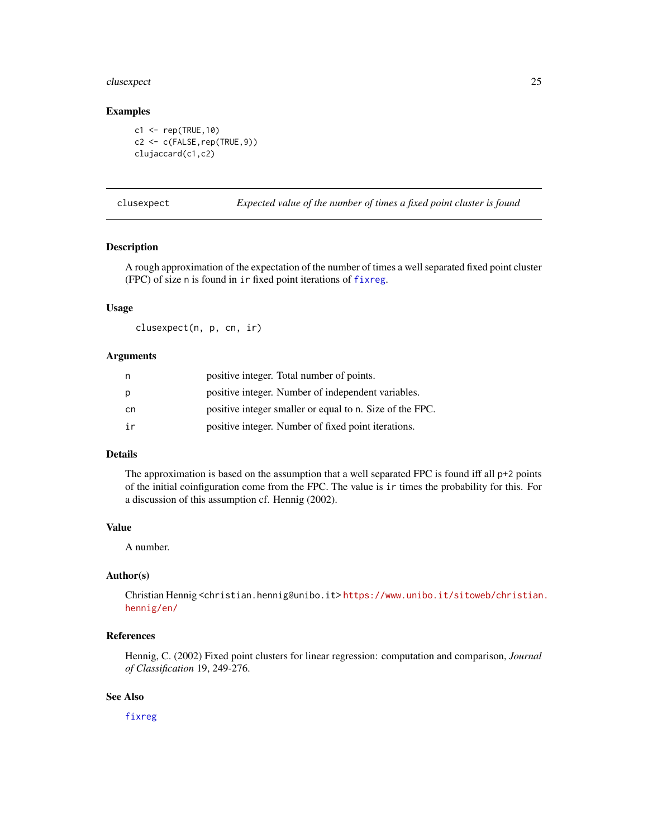# <span id="page-24-0"></span>clusexpect 25

## Examples

```
c1 <- rep(TRUE,10)
c2 <- c(FALSE,rep(TRUE,9))
clujaccard(c1,c2)
```
clusexpect *Expected value of the number of times a fixed point cluster is found*

#### Description

A rough approximation of the expectation of the number of times a well separated fixed point cluster (FPC) of size n is found in ir fixed point iterations of [fixreg](#page-83-1).

# Usage

clusexpect(n, p, cn, ir)

#### Arguments

| n   | positive integer. Total number of points.                |
|-----|----------------------------------------------------------|
| р   | positive integer. Number of independent variables.       |
| cn. | positive integer smaller or equal to n. Size of the FPC. |
| ir  | positive integer. Number of fixed point iterations.      |

# Details

The approximation is based on the assumption that a well separated FPC is found iff all  $p+2$  points of the initial coinfiguration come from the FPC. The value is ir times the probability for this. For a discussion of this assumption cf. Hennig (2002).

#### Value

A number.

# Author(s)

Christian Hennig <christian.hennig@unibo.it> [https://www.unibo.it/sitoweb/christian](https://www.unibo.it/sitoweb/christian.hennig/en/). [hennig/en/](https://www.unibo.it/sitoweb/christian.hennig/en/)

### References

Hennig, C. (2002) Fixed point clusters for linear regression: computation and comparison, *Journal of Classification* 19, 249-276.

## See Also

[fixreg](#page-83-1)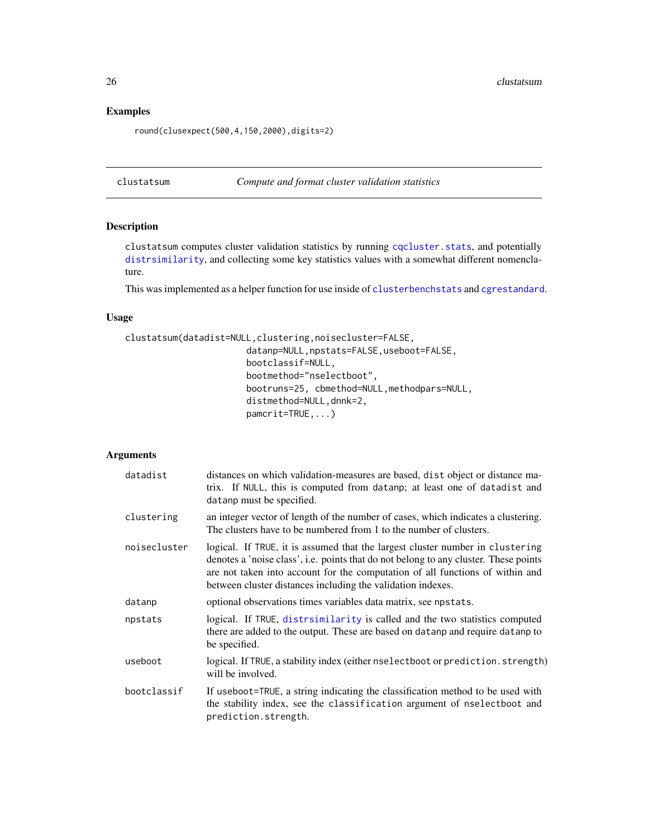# Examples

round(clusexpect(500,4,150,2000),digits=2)

<span id="page-25-1"></span>clustatsum *Compute and format cluster validation statistics*

# Description

clustatsum computes cluster validation statistics by running [cqcluster.stats](#page-50-1), and potentially [distrsimilarity](#page-70-1), and collecting some key statistics values with a somewhat different nomenclature.

This was implemented as a helper function for use inside of [clusterbenchstats](#page-36-1) and [cgrestandard](#page-18-1).

## Usage

```
clustatsum(datadist=NULL,clustering,noisecluster=FALSE,
                       datanp=NULL,npstats=FALSE,useboot=FALSE,
                       bootclassif=NULL,
                       bootmethod="nselectboot",
                       bootruns=25, cbmethod=NULL,methodpars=NULL,
                       distmethod=NULL,dnnk=2,
                       pamcrit=TRUE,...)
```

| datadist     | distances on which validation-measures are based, dist object or distance ma-<br>trix. If NULL, this is computed from datanp; at least one of datadist and<br>datanp must be specified.                                                                                                                               |
|--------------|-----------------------------------------------------------------------------------------------------------------------------------------------------------------------------------------------------------------------------------------------------------------------------------------------------------------------|
| clustering   | an integer vector of length of the number of cases, which indicates a clustering.<br>The clusters have to be numbered from 1 to the number of clusters.                                                                                                                                                               |
| noisecluster | logical. If TRUE, it is assumed that the largest cluster number in clustering<br>denotes a 'noise class', i.e. points that do not belong to any cluster. These points<br>are not taken into account for the computation of all functions of within and<br>between cluster distances including the validation indexes. |
| datanp       | optional observations times variables data matrix, see npstats.                                                                                                                                                                                                                                                       |
| npstats      | logical. If TRUE, distrint is called and the two statistics computed<br>there are added to the output. These are based on data np and require data np to<br>be specified.                                                                                                                                             |
| useboot      | logical. If TRUE, a stability index (either nselectboot or prediction. strength)<br>will be involved.                                                                                                                                                                                                                 |
| bootclassif  | If useboot=TRUE, a string indicating the classification method to be used with<br>the stability index, see the classification argument of nselectboot and<br>prediction.strength.                                                                                                                                     |

<span id="page-25-0"></span>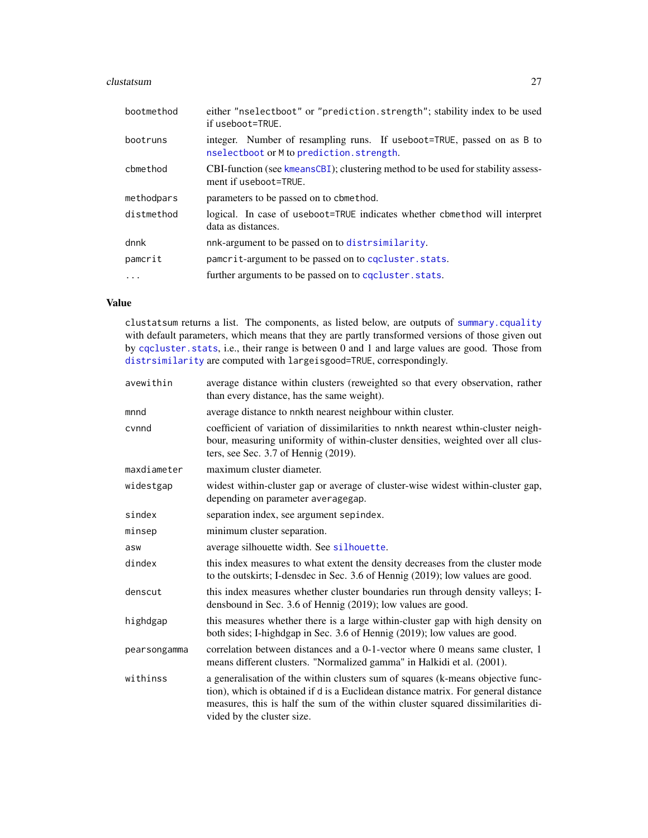#### clustatsum 27

| bootmethod | either "nselectboot" or "prediction.strength"; stability index to be used<br>if useboot=TRUE.                      |
|------------|--------------------------------------------------------------------------------------------------------------------|
| bootruns   | integer. Number of resampling runs. If useboot=TRUE, passed on as B to<br>nselectboot or M to prediction.strength. |
| cbmethod   | CBI-function (see kmeansCBI); clustering method to be used for stability assess-<br>ment if useboot=TRUE.          |
| methodpars | parameters to be passed on to cbmethod.                                                                            |
| distmethod | logical. In case of useboot=TRUE indicates whether cbmethod will interpret<br>data as distances.                   |
| dnnk       | nnk-argument to be passed on to distrsimilarity.                                                                   |
| pamcrit    | pamerit-argument to be passed on to concluster. stats.                                                             |
| .          | further arguments to be passed on to concluster. stats.                                                            |

# Value

clustatsum returns a list. The components, as listed below, are outputs of [summary.cquality](#page-50-2) with default parameters, which means that they are partly transformed versions of those given out by [cqcluster.stats](#page-50-1), i.e., their range is between 0 and 1 and large values are good. Those from [distrsimilarity](#page-70-1) are computed with largeisgood=TRUE, correspondingly.

| avewithin    | average distance within clusters (reweighted so that every observation, rather<br>than every distance, has the same weight).                                                                                                                                                            |
|--------------|-----------------------------------------------------------------------------------------------------------------------------------------------------------------------------------------------------------------------------------------------------------------------------------------|
| mnnd         | average distance to nnkth nearest neighbour within cluster.                                                                                                                                                                                                                             |
| cvnnd        | coefficient of variation of dissimilarities to nnkth nearest wthin-cluster neigh-<br>bour, measuring uniformity of within-cluster densities, weighted over all clus-<br>ters, see Sec. 3.7 of Hennig (2019).                                                                            |
| maxdiameter  | maximum cluster diameter.                                                                                                                                                                                                                                                               |
| widestgap    | widest within-cluster gap or average of cluster-wise widest within-cluster gap,<br>depending on parameter averagegap.                                                                                                                                                                   |
| sindex       | separation index, see argument sepindex.                                                                                                                                                                                                                                                |
| minsep       | minimum cluster separation.                                                                                                                                                                                                                                                             |
| asw          | average silhouette width. See silhouette.                                                                                                                                                                                                                                               |
| dindex       | this index measures to what extent the density decreases from the cluster mode<br>to the outskirts; I-densdec in Sec. 3.6 of Hennig (2019); low values are good.                                                                                                                        |
| denscut      | this index measures whether cluster boundaries run through density valleys; I-<br>densbound in Sec. 3.6 of Hennig (2019); low values are good.                                                                                                                                          |
| highdgap     | this measures whether there is a large within-cluster gap with high density on<br>both sides; I-highdgap in Sec. 3.6 of Hennig (2019); low values are good.                                                                                                                             |
| pearsongamma | correlation between distances and a 0-1-vector where 0 means same cluster, 1<br>means different clusters. "Normalized gamma" in Halkidi et al. (2001).                                                                                                                                  |
| withinss     | a generalisation of the within clusters sum of squares (k-means objective func-<br>tion), which is obtained if d is a Euclidean distance matrix. For general distance<br>measures, this is half the sum of the within cluster squared dissimilarities di-<br>vided by the cluster size. |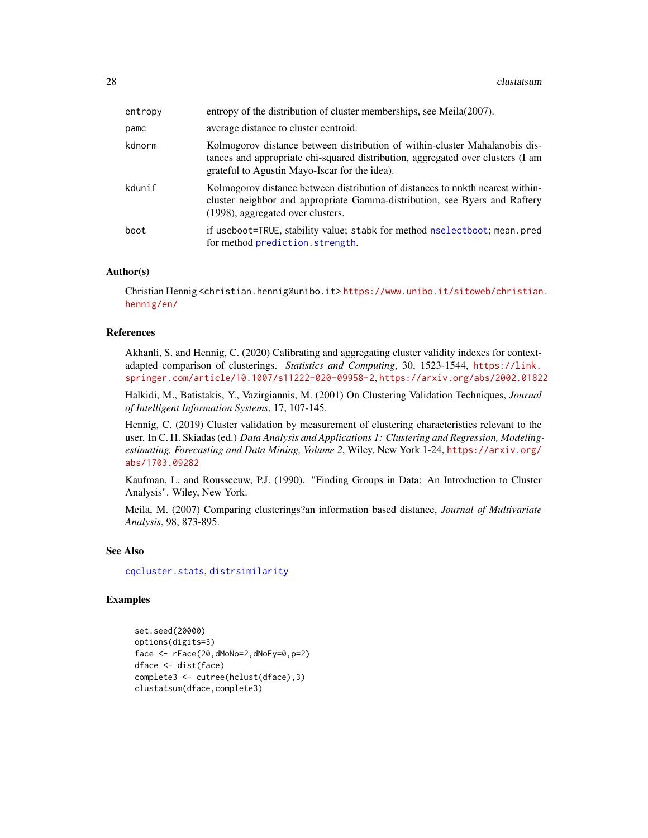| entropy | entropy of the distribution of cluster memberships, see Meila(2007).                                                                                                                                            |
|---------|-----------------------------------------------------------------------------------------------------------------------------------------------------------------------------------------------------------------|
| pamc    | average distance to cluster centroid.                                                                                                                                                                           |
| kdnorm  | Kolmogorov distance between distribution of within-cluster Mahalanobis dis-<br>tances and appropriate chi-squared distribution, aggregated over clusters (I am<br>grateful to Agustin Mayo-Iscar for the idea). |
| kdunif  | Kolmogorov distance between distribution of distances to nnkth nearest within-<br>cluster neighbor and appropriate Gamma-distribution, see Byers and Raftery<br>(1998), aggregated over clusters.               |
| boot    | if useboot=TRUE, stability value; stabk for method nselectboot; mean.pred<br>for method prediction.strength.                                                                                                    |

#### Author(s)

Christian Hennig <christian.hennig@unibo.it> [https://www.unibo.it/sitoweb/christian](https://www.unibo.it/sitoweb/christian.hennig/en/). [hennig/en/](https://www.unibo.it/sitoweb/christian.hennig/en/)

## References

Akhanli, S. and Hennig, C. (2020) Calibrating and aggregating cluster validity indexes for contextadapted comparison of clusterings. *Statistics and Computing*, 30, 1523-1544, [https://link.](https://link.springer.com/article/10.1007/s11222-020-09958-2) [springer.com/article/10.1007/s11222-020-09958-2](https://link.springer.com/article/10.1007/s11222-020-09958-2), <https://arxiv.org/abs/2002.01822>

Halkidi, M., Batistakis, Y., Vazirgiannis, M. (2001) On Clustering Validation Techniques, *Journal of Intelligent Information Systems*, 17, 107-145.

Hennig, C. (2019) Cluster validation by measurement of clustering characteristics relevant to the user. In C. H. Skiadas (ed.) *Data Analysis and Applications 1: Clustering and Regression, Modelingestimating, Forecasting and Data Mining, Volume 2*, Wiley, New York 1-24, [https://arxiv.org/](https://arxiv.org/abs/1703.09282) [abs/1703.09282](https://arxiv.org/abs/1703.09282)

Kaufman, L. and Rousseeuw, P.J. (1990). "Finding Groups in Data: An Introduction to Cluster Analysis". Wiley, New York.

Meila, M. (2007) Comparing clusterings?an information based distance, *Journal of Multivariate Analysis*, 98, 873-895.

#### See Also

[cqcluster.stats](#page-50-1), [distrsimilarity](#page-70-1)

## Examples

```
set.seed(20000)
options(digits=3)
face <- rFace(20,dMoNo=2,dNoEy=0,p=2)
dface <- dist(face)
complete3 <- cutree(hclust(dface),3)
clustatsum(dface,complete3)
```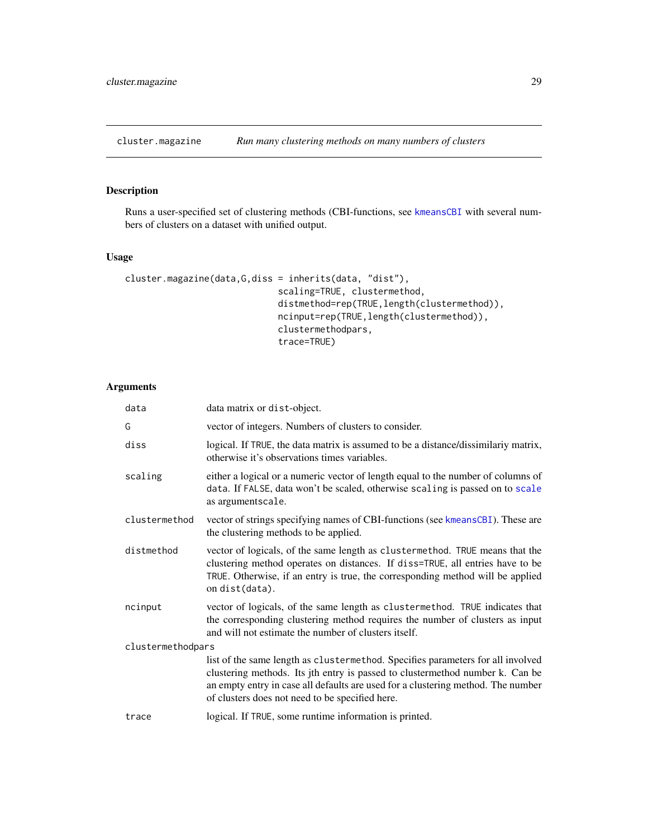<span id="page-28-0"></span>

# Description

Runs a user-specified set of clustering methods (CBI-functions, see [kmeansCBI](#page-94-1) with several numbers of clusters on a dataset with unified output.

# Usage

```
cluster.magazine(data,G,diss = inherits(data, "dist"),
                             scaling=TRUE, clustermethod,
                             distmethod=rep(TRUE, length(clustermethod)),
                             ncinput=rep(TRUE,length(clustermethod)),
                             clustermethodpars,
                             trace=TRUE)
```

| data              | data matrix or dist-object.                                                                                                                                                                                                                                                                             |
|-------------------|---------------------------------------------------------------------------------------------------------------------------------------------------------------------------------------------------------------------------------------------------------------------------------------------------------|
| G                 | vector of integers. Numbers of clusters to consider.                                                                                                                                                                                                                                                    |
| diss              | logical. If TRUE, the data matrix is assumed to be a distance/dissimilariy matrix,<br>otherwise it's observations times variables.                                                                                                                                                                      |
| scaling           | either a logical or a numeric vector of length equal to the number of columns of<br>data. If FALSE, data won't be scaled, otherwise scaling is passed on to scale<br>as argumentscale.                                                                                                                  |
| clustermethod     | vector of strings specifying names of CBI-functions (see kmeansCBI). These are<br>the clustering methods to be applied.                                                                                                                                                                                 |
| distmethod        | vector of logicals, of the same length as clustermethod. TRUE means that the<br>clustering method operates on distances. If diss=TRUE, all entries have to be<br>TRUE. Otherwise, if an entry is true, the corresponding method will be applied<br>on dist(data).                                       |
| ncinput           | vector of logicals, of the same length as clustermethod. TRUE indicates that<br>the corresponding clustering method requires the number of clusters as input<br>and will not estimate the number of clusters itself.                                                                                    |
| clustermethodpars |                                                                                                                                                                                                                                                                                                         |
|                   | list of the same length as clustermethod. Specifies parameters for all involved<br>clustering methods. Its jth entry is passed to clustermethod number k. Can be<br>an empty entry in case all defaults are used for a clustering method. The number<br>of clusters does not need to be specified here. |
| trace             | logical. If TRUE, some runtime information is printed.                                                                                                                                                                                                                                                  |
|                   |                                                                                                                                                                                                                                                                                                         |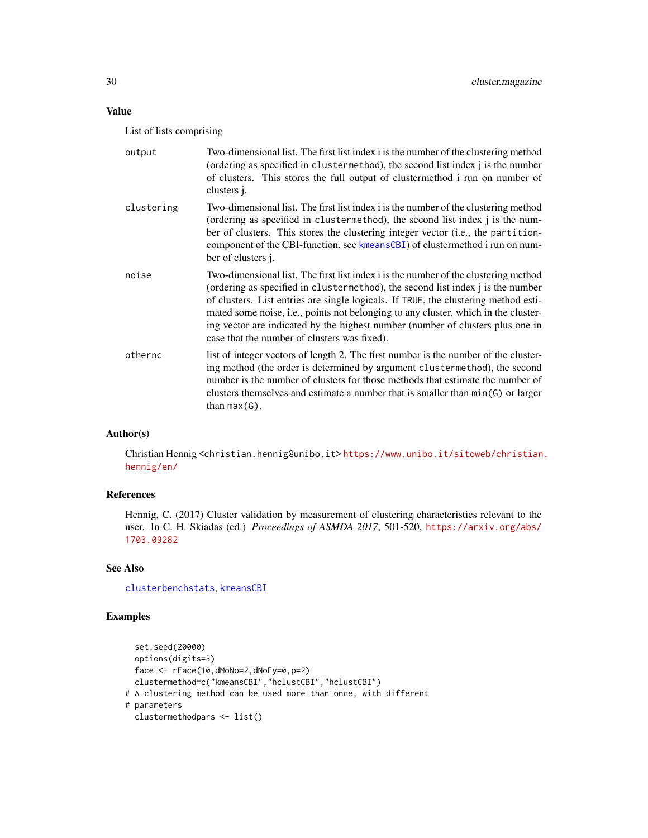# Value

List of lists comprising

| output     | Two-dimensional list. The first list index i is the number of the clustering method<br>(ordering as specified in clustermethod), the second list index j is the number<br>of clusters. This stores the full output of clustermethod i run on number of<br>clusters <i>j.</i>                                                                                                                                                                                                          |
|------------|---------------------------------------------------------------------------------------------------------------------------------------------------------------------------------------------------------------------------------------------------------------------------------------------------------------------------------------------------------------------------------------------------------------------------------------------------------------------------------------|
| clustering | Two-dimensional list. The first list index i is the number of the clustering method<br>(ordering as specified in clustermethod), the second list index j is the num-<br>ber of clusters. This stores the clustering integer vector (i.e., the partition-<br>component of the CBI-function, see kmeansCBI) of clustermethod i run on num-<br>ber of clusters <i>j</i> .                                                                                                                |
| noise      | Two-dimensional list. The first list index i is the number of the clustering method<br>(ordering as specified in clustermethod), the second list index j is the number<br>of clusters. List entries are single logicals. If TRUE, the clustering method esti-<br>mated some noise, i.e., points not belonging to any cluster, which in the cluster-<br>ing vector are indicated by the highest number (number of clusters plus one in<br>case that the number of clusters was fixed). |
| othernc    | list of integer vectors of length 2. The first number is the number of the cluster-<br>ing method (the order is determined by argument clustermethod), the second<br>number is the number of clusters for those methods that estimate the number of<br>clusters themselves and estimate a number that is smaller than min(G) or larger<br>than $max(G)$ .                                                                                                                             |

# Author(s)

Christian Hennig <christian.hennig@unibo.it> [https://www.unibo.it/sitoweb/christian](https://www.unibo.it/sitoweb/christian.hennig/en/). [hennig/en/](https://www.unibo.it/sitoweb/christian.hennig/en/)

# References

Hennig, C. (2017) Cluster validation by measurement of clustering characteristics relevant to the user. In C. H. Skiadas (ed.) *Proceedings of ASMDA 2017*, 501-520, [https://arxiv.org/abs/](https://arxiv.org/abs/1703.09282) [1703.09282](https://arxiv.org/abs/1703.09282)

## See Also

[clusterbenchstats](#page-36-1), [kmeansCBI](#page-94-1)

# Examples

```
set.seed(20000)
 options(digits=3)
 face <- rFace(10,dMoNo=2,dNoEy=0,p=2)
 clustermethod=c("kmeansCBI","hclustCBI","hclustCBI")
# A clustering method can be used more than once, with different
# parameters
 clustermethodpars <- list()
```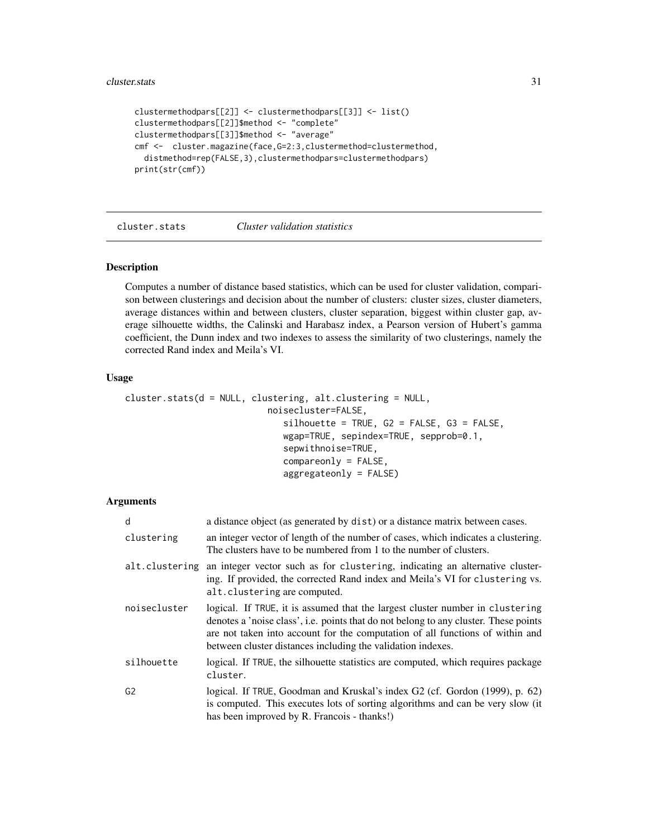```
clustermethodpars[[2]] <- clustermethodpars[[3]] <- list()
clustermethodpars[[2]]$method <- "complete"
clustermethodpars[[3]]$method <- "average"
cmf <- cluster.magazine(face, G=2:3, clustermethod=clustermethod,
  distmethod=rep(FALSE,3),clustermethodpars=clustermethodpars)
print(str(cmf))
```
<span id="page-30-1"></span>cluster.stats *Cluster validation statistics*

#### Description

Computes a number of distance based statistics, which can be used for cluster validation, comparison between clusterings and decision about the number of clusters: cluster sizes, cluster diameters, average distances within and between clusters, cluster separation, biggest within cluster gap, average silhouette widths, the Calinski and Harabasz index, a Pearson version of Hubert's gamma coefficient, the Dunn index and two indexes to assess the similarity of two clusterings, namely the corrected Rand index and Meila's VI.

## Usage

```
cluster.stats(d = NULL, clustering, alt.clustering = NULL,
                           noisecluster=FALSE,
                              silhouette = TRUE, G2 = FALSE, G3 = FALSE,wgap=TRUE, sepindex=TRUE, sepprob=0.1,
                              sepwithnoise=TRUE,
                              compareonly = FALSE,
                              aggregateonly = FALSE)
```

| d              | a distance object (as generated by dist) or a distance matrix between cases.                                                                                                                                                                                                                                          |
|----------------|-----------------------------------------------------------------------------------------------------------------------------------------------------------------------------------------------------------------------------------------------------------------------------------------------------------------------|
| clustering     | an integer vector of length of the number of cases, which indicates a clustering.<br>The clusters have to be numbered from 1 to the number of clusters.                                                                                                                                                               |
| alt.clustering | an integer vector such as for clustering, indicating an alternative cluster-<br>ing. If provided, the corrected Rand index and Meila's VI for clustering vs.<br>alt.clustering are computed.                                                                                                                          |
| noisecluster   | logical. If TRUE, it is assumed that the largest cluster number in clustering<br>denotes a 'noise class', i.e. points that do not belong to any cluster. These points<br>are not taken into account for the computation of all functions of within and<br>between cluster distances including the validation indexes. |
| silhouette     | logical. If TRUE, the silhouette statistics are computed, which requires package<br>cluster.                                                                                                                                                                                                                          |
| G <sub>2</sub> | logical. If TRUE, Goodman and Kruskal's index G2 (cf. Gordon (1999), p. 62)<br>is computed. This executes lots of sorting algorithms and can be very slow (it<br>has been improved by R. Francois - thanks!)                                                                                                          |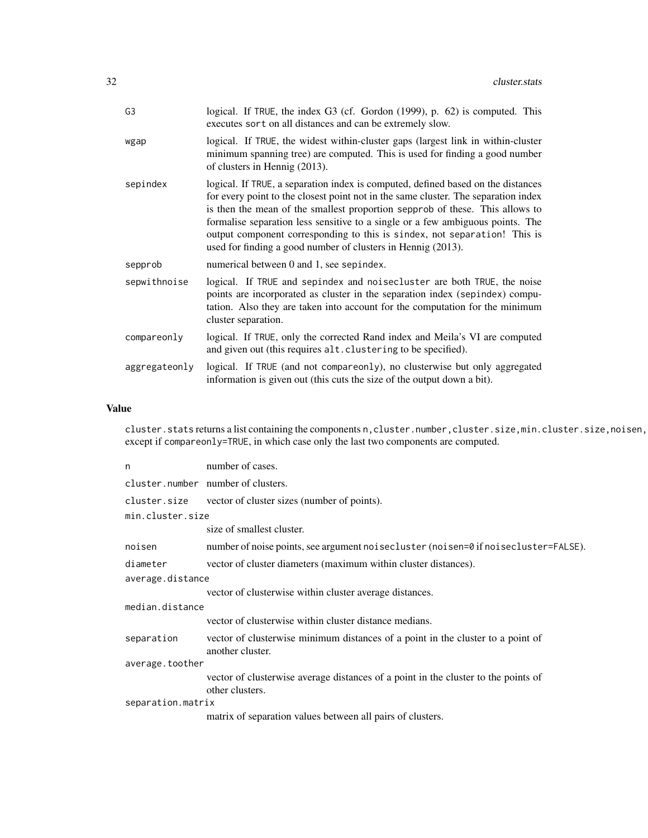| G <sub>3</sub> | logical. If TRUE, the index G3 (cf. Gordon (1999), p. 62) is computed. This<br>executes sort on all distances and can be extremely slow.                                                                                                                                                                                                                                                                                                                                              |
|----------------|---------------------------------------------------------------------------------------------------------------------------------------------------------------------------------------------------------------------------------------------------------------------------------------------------------------------------------------------------------------------------------------------------------------------------------------------------------------------------------------|
| wgap           | logical. If TRUE, the widest within-cluster gaps (largest link in within-cluster<br>minimum spanning tree) are computed. This is used for finding a good number<br>of clusters in Hennig (2013).                                                                                                                                                                                                                                                                                      |
| sepindex       | logical. If TRUE, a separation index is computed, defined based on the distances<br>for every point to the closest point not in the same cluster. The separation index<br>is then the mean of the smallest proportion sepprob of these. This allows to<br>formalise separation less sensitive to a single or a few ambiguous points. The<br>output component corresponding to this is sindex, not separation! This is<br>used for finding a good number of clusters in Hennig (2013). |
| sepprob        | numerical between 0 and 1, see sepindex.                                                                                                                                                                                                                                                                                                                                                                                                                                              |
| sepwithnoise   | logical. If TRUE and sepindex and noise cluster are both TRUE, the noise<br>points are incorporated as cluster in the separation index (sepindex) compu-<br>tation. Also they are taken into account for the computation for the minimum<br>cluster separation.                                                                                                                                                                                                                       |
| compareonly    | logical. If TRUE, only the corrected Rand index and Meila's VI are computed<br>and given out (this requires alt. clustering to be specified).                                                                                                                                                                                                                                                                                                                                         |
| aggregateonly  | logical. If TRUE (and not compareonly), no clusterwise but only aggregated<br>information is given out (this cuts the size of the output down a bit).                                                                                                                                                                                                                                                                                                                                 |

# Value

cluster.stats returns a list containing the components n, cluster.number, cluster.size, min.cluster.size, noisen, except if compareonly=TRUE, in which case only the last two components are computed.

| n                 | number of cases.                                                                                      |  |
|-------------------|-------------------------------------------------------------------------------------------------------|--|
|                   | cluster.number number of clusters.                                                                    |  |
|                   | cluster.size vector of cluster sizes (number of points).                                              |  |
| min.cluster.size  |                                                                                                       |  |
|                   | size of smallest cluster.                                                                             |  |
| noisen            | number of noise points, see argument noisecluster (noisen=0 if noisecluster=FALSE).                   |  |
| diameter          | vector of cluster diameters (maximum within cluster distances).                                       |  |
| average.distance  |                                                                                                       |  |
|                   | vector of clusterwise within cluster average distances.                                               |  |
| median.distance   |                                                                                                       |  |
|                   | vector of clusterwise within cluster distance medians.                                                |  |
| separation        | vector of clusterwise minimum distances of a point in the cluster to a point of<br>another cluster.   |  |
| average.toother   |                                                                                                       |  |
|                   | vector of clusterwise average distances of a point in the cluster to the points of<br>other clusters. |  |
| separation.matrix |                                                                                                       |  |
|                   | matrix of separation values between all pairs of clusters.                                            |  |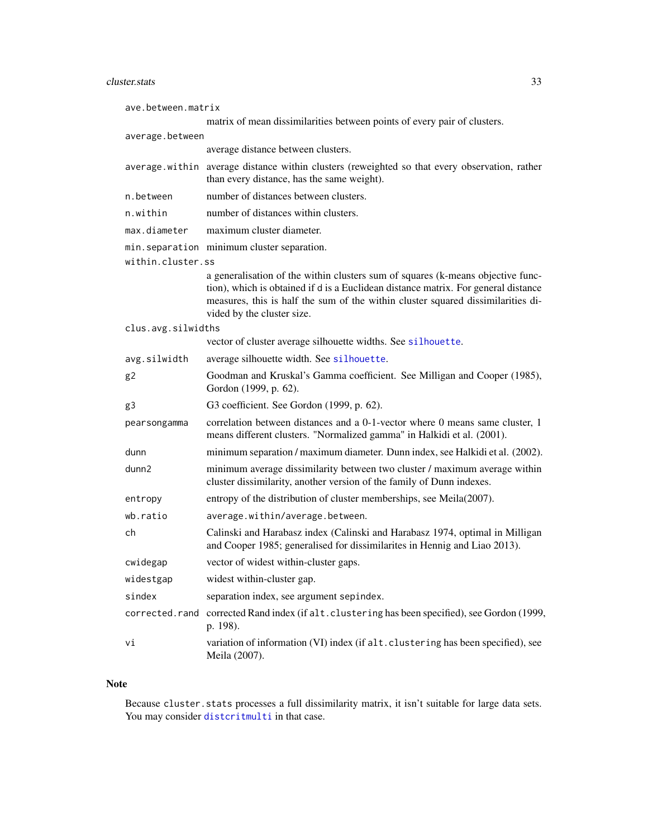# cluster.stats 33

| ave.between.matrix |                                                                                                                                                                                                                                                                                         |  |
|--------------------|-----------------------------------------------------------------------------------------------------------------------------------------------------------------------------------------------------------------------------------------------------------------------------------------|--|
|                    | matrix of mean dissimilarities between points of every pair of clusters.                                                                                                                                                                                                                |  |
| average.between    |                                                                                                                                                                                                                                                                                         |  |
|                    | average distance between clusters.                                                                                                                                                                                                                                                      |  |
|                    | average within average distance within clusters (reweighted so that every observation, rather<br>than every distance, has the same weight).                                                                                                                                             |  |
| n.between          | number of distances between clusters.                                                                                                                                                                                                                                                   |  |
| n.within           | number of distances within clusters.                                                                                                                                                                                                                                                    |  |
| max.diameter       | maximum cluster diameter.                                                                                                                                                                                                                                                               |  |
|                    | min. separation minimum cluster separation.                                                                                                                                                                                                                                             |  |
| within.cluster.ss  |                                                                                                                                                                                                                                                                                         |  |
|                    | a generalisation of the within clusters sum of squares (k-means objective func-<br>tion), which is obtained if d is a Euclidean distance matrix. For general distance<br>measures, this is half the sum of the within cluster squared dissimilarities di-<br>vided by the cluster size. |  |
| clus.avg.silwidths |                                                                                                                                                                                                                                                                                         |  |
|                    | vector of cluster average silhouette widths. See silhouette.                                                                                                                                                                                                                            |  |
| avg.silwidth       | average silhouette width. See silhouette.                                                                                                                                                                                                                                               |  |
| g2                 | Goodman and Kruskal's Gamma coefficient. See Milligan and Cooper (1985),<br>Gordon (1999, p. 62).                                                                                                                                                                                       |  |
| g3                 | G3 coefficient. See Gordon (1999, p. 62).                                                                                                                                                                                                                                               |  |
| pearsongamma       | correlation between distances and a 0-1-vector where 0 means same cluster, 1<br>means different clusters. "Normalized gamma" in Halkidi et al. (2001).                                                                                                                                  |  |
| dunn               | minimum separation / maximum diameter. Dunn index, see Halkidi et al. (2002).                                                                                                                                                                                                           |  |
| dunn2              | minimum average dissimilarity between two cluster / maximum average within<br>cluster dissimilarity, another version of the family of Dunn indexes.                                                                                                                                     |  |
| entropy            | entropy of the distribution of cluster memberships, see Meila(2007).                                                                                                                                                                                                                    |  |
| wb.ratio           | average.within/average.between.                                                                                                                                                                                                                                                         |  |
| ch                 | Calinski and Harabasz index (Calinski and Harabasz 1974, optimal in Milligan<br>and Cooper 1985; generalised for dissimilarites in Hennig and Liao 2013).                                                                                                                               |  |
| cwidegap           | vector of widest within-cluster gaps.                                                                                                                                                                                                                                                   |  |
| widestgap          | widest within-cluster gap.                                                                                                                                                                                                                                                              |  |
| sindex             | separation index, see argument sepindex.                                                                                                                                                                                                                                                |  |
| corrected.rand     | corrected Rand index (if alt. clustering has been specified), see Gordon (1999,<br>p. 198).                                                                                                                                                                                             |  |
| vi                 | variation of information (VI) index (if alt. clustering has been specified), see<br>Meila (2007).                                                                                                                                                                                       |  |

# Note

Because cluster.stats processes a full dissimilarity matrix, it isn't suitable for large data sets. You may consider [distcritmulti](#page-69-1) in that case.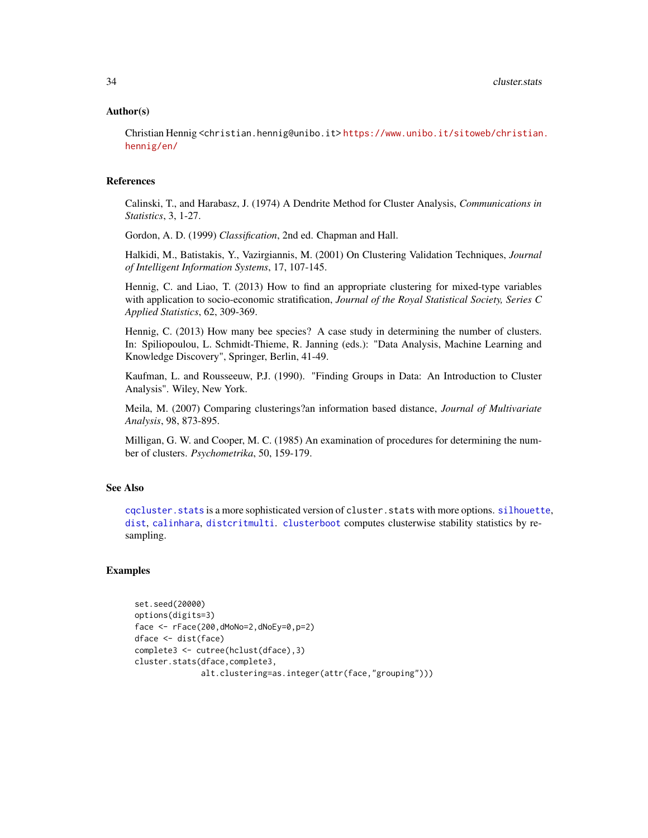#### Author(s)

Christian Hennig <christian.hennig@unibo.it> [https://www.unibo.it/sitoweb/christian](https://www.unibo.it/sitoweb/christian.hennig/en/). [hennig/en/](https://www.unibo.it/sitoweb/christian.hennig/en/)

### References

Calinski, T., and Harabasz, J. (1974) A Dendrite Method for Cluster Analysis, *Communications in Statistics*, 3, 1-27.

Gordon, A. D. (1999) *Classification*, 2nd ed. Chapman and Hall.

Halkidi, M., Batistakis, Y., Vazirgiannis, M. (2001) On Clustering Validation Techniques, *Journal of Intelligent Information Systems*, 17, 107-145.

Hennig, C. and Liao, T. (2013) How to find an appropriate clustering for mixed-type variables with application to socio-economic stratification, *Journal of the Royal Statistical Society, Series C Applied Statistics*, 62, 309-369.

Hennig, C. (2013) How many bee species? A case study in determining the number of clusters. In: Spiliopoulou, L. Schmidt-Thieme, R. Janning (eds.): "Data Analysis, Machine Learning and Knowledge Discovery", Springer, Berlin, 41-49.

Kaufman, L. and Rousseeuw, P.J. (1990). "Finding Groups in Data: An Introduction to Cluster Analysis". Wiley, New York.

Meila, M. (2007) Comparing clusterings?an information based distance, *Journal of Multivariate Analysis*, 98, 873-895.

Milligan, G. W. and Cooper, M. C. (1985) An examination of procedures for determining the number of clusters. *Psychometrika*, 50, 159-179.

# See Also

[cqcluster.stats](#page-50-1) is a more sophisticated version of cluster.stats with more options. [silhouette](#page-0-0), [dist](#page-0-0), [calinhara](#page-14-1), [distcritmulti](#page-69-1). [clusterboot](#page-40-1) computes clusterwise stability statistics by resampling.

#### Examples

```
set.seed(20000)
options(digits=3)
face <- rFace(200,dMoNo=2,dNoEy=0,p=2)
dface <- dist(face)
complete3 <- cutree(hclust(dface),3)
cluster.stats(dface,complete3,
              alt.clustering=as.integer(attr(face,"grouping")))
```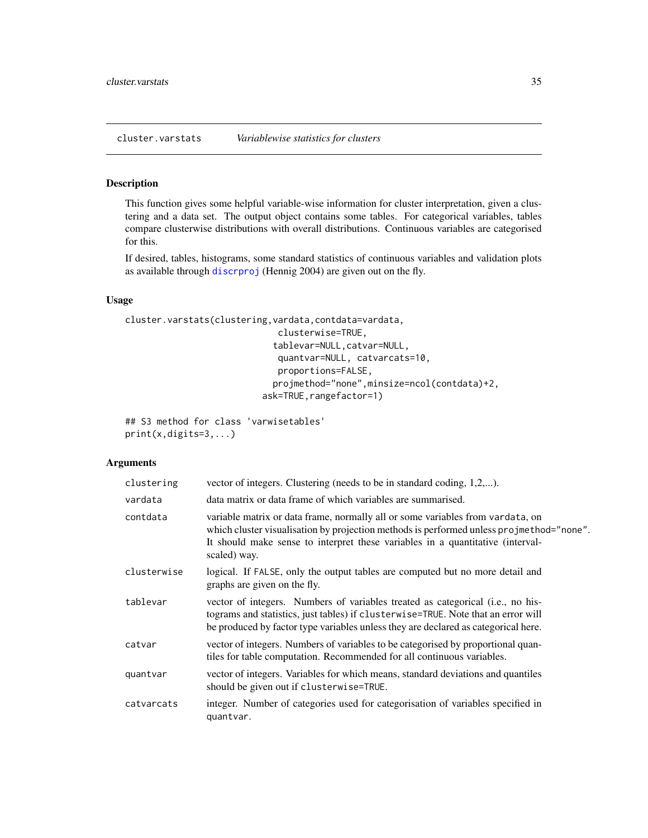#### <span id="page-34-0"></span>Description

This function gives some helpful variable-wise information for cluster interpretation, given a clustering and a data set. The output object contains some tables. For categorical variables, tables compare clusterwise distributions with overall distributions. Continuous variables are categorised for this.

If desired, tables, histograms, some standard statistics of continuous variables and validation plots as available through [discrproj](#page-65-1) (Hennig 2004) are given out on the fly.

## Usage

```
cluster.varstats(clustering,vardata,contdata=vardata,
                             clusterwise=TRUE,
                            tablevar=NULL,catvar=NULL,
                             quantvar=NULL, catvarcats=10,
                             proportions=FALSE,
                            projmethod="none",minsize=ncol(contdata)+2,
                          ask=TRUE, rangefactor=1)
```

```
## S3 method for class 'varwisetables'
print(x,digits=3,...)
```

| clustering  | vector of integers. Clustering (needs to be in standard coding, 1,2,).                                                                                                                                                                                                       |
|-------------|------------------------------------------------------------------------------------------------------------------------------------------------------------------------------------------------------------------------------------------------------------------------------|
| vardata     | data matrix or data frame of which variables are summarised.                                                                                                                                                                                                                 |
| contdata    | variable matrix or data frame, normally all or some variables from variata, on<br>which cluster visualisation by projection methods is performed unless projmethod="none".<br>It should make sense to interpret these variables in a quantitative (interval-<br>scaled) way. |
| clusterwise | logical. If FALSE, only the output tables are computed but no more detail and<br>graphs are given on the fly.                                                                                                                                                                |
| tablevar    | vector of integers. Numbers of variables treated as categorical (i.e., no his-<br>tograms and statistics, just tables) if clusterwise=TRUE. Note that an error will<br>be produced by factor type variables unless they are declared as categorical here.                    |
| catvar      | vector of integers. Numbers of variables to be categorised by proportional quan-<br>tiles for table computation. Recommended for all continuous variables.                                                                                                                   |
| quantvar    | vector of integers. Variables for which means, standard deviations and quantiles<br>should be given out if clusterwise=TRUE.                                                                                                                                                 |
| catvarcats  | integer. Number of categories used for categorisation of variables specified in<br>quantvar.                                                                                                                                                                                 |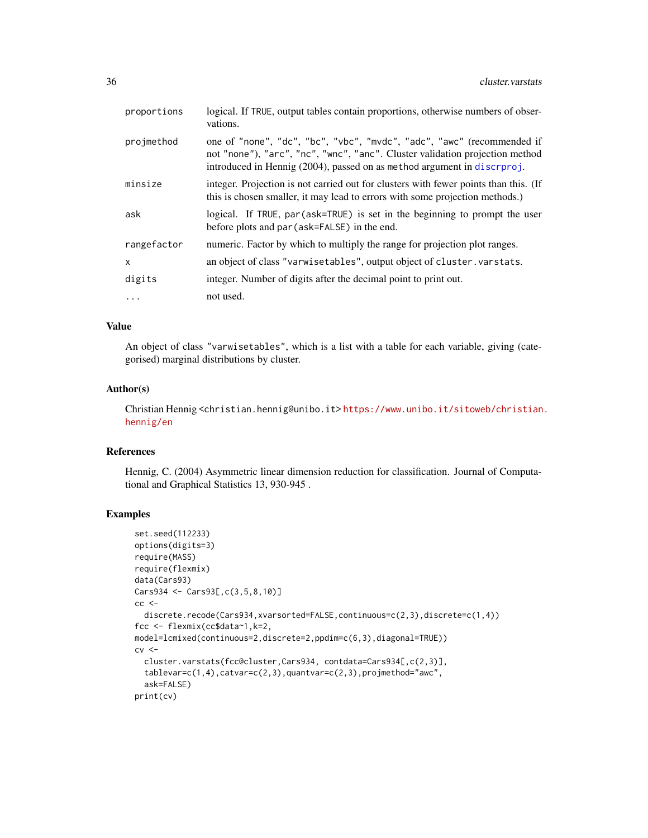| proportions | logical. If TRUE, output tables contain proportions, otherwise numbers of obser-<br>vations.                                                                                                                                          |
|-------------|---------------------------------------------------------------------------------------------------------------------------------------------------------------------------------------------------------------------------------------|
| projmethod  | one of "none", "dc", "bc", "vbc", "mvdc", "adc", "awc" (recommended if<br>not "none"), "arc", "nc", "wnc", "anc". Cluster validation projection method<br>introduced in Hennig (2004), passed on as method argument in discriptorion- |
| minsize     | integer. Projection is not carried out for clusters with fewer points than this. (If<br>this is chosen smaller, it may lead to errors with some projection methods.)                                                                  |
| ask         | logical. If TRUE, par (ask=TRUE) is set in the beginning to prompt the user<br>before plots and par (ask=FALSE) in the end.                                                                                                           |
| rangefactor | numeric. Factor by which to multiply the range for projection plot ranges.                                                                                                                                                            |
| $\times$    | an object of class "varwisetables", output object of cluster. varstats.                                                                                                                                                               |
| digits      | integer. Number of digits after the decimal point to print out.                                                                                                                                                                       |
| $\cdots$    | not used.                                                                                                                                                                                                                             |

# Value

An object of class "varwisetables", which is a list with a table for each variable, giving (categorised) marginal distributions by cluster.

## Author(s)

Christian Hennig <christian.hennig@unibo.it> [https://www.unibo.it/sitoweb/christian](https://www.unibo.it/sitoweb/christian.hennig/en). [hennig/en](https://www.unibo.it/sitoweb/christian.hennig/en)

# References

Hennig, C. (2004) Asymmetric linear dimension reduction for classification. Journal of Computational and Graphical Statistics 13, 930-945 .

## Examples

```
set.seed(112233)
options(digits=3)
require(MASS)
require(flexmix)
data(Cars93)
Cars934 <- Cars93[,c(3,5,8,10)]
cc <discrete.recode(Cars934,xvarsorted=FALSE,continuous=c(2,3),discrete=c(1,4))
fcc <- flexmix(cc$data~1,k=2,
model=lcmixed(continuous=2,discrete=2,ppdim=c(6,3),diagonal=TRUE))
cv <cluster.varstats(fcc@cluster,Cars934, contdata=Cars934[,c(2,3)],
  tablevar=c(1,4),catvar=c(2,3),quantvar=c(2,3),projmethod="awc",
 ask=FALSE)
print(cv)
```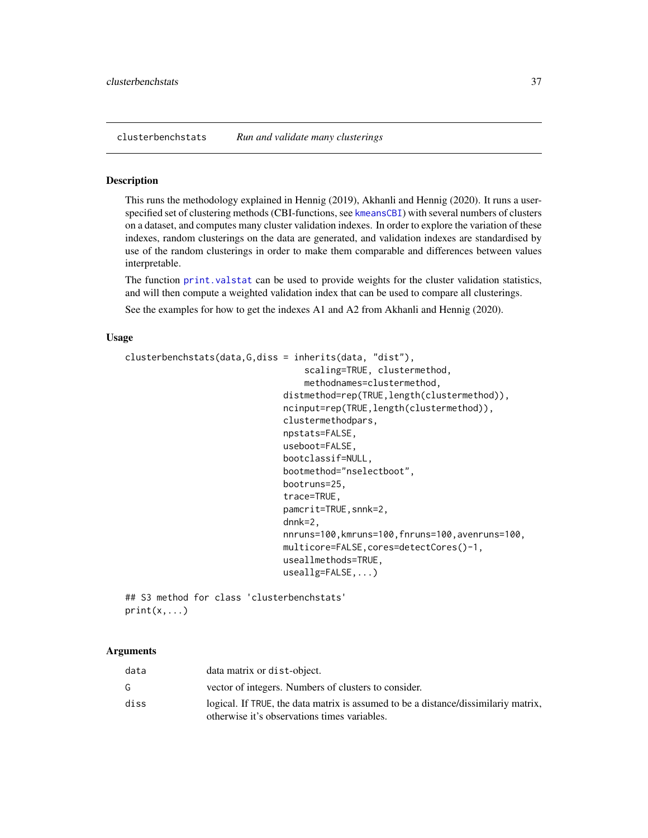<span id="page-36-0"></span>clusterbenchstats *Run and validate many clusterings*

#### Description

This runs the methodology explained in Hennig (2019), Akhanli and Hennig (2020). It runs a userspecified set of clustering methods (CBI-functions, see [kmeansCBI](#page-94-0)) with several numbers of clusters on a dataset, and computes many cluster validation indexes. In order to explore the variation of these indexes, random clusterings on the data are generated, and validation indexes are standardised by use of the random clusterings in order to make them comparable and differences between values interpretable.

The function [print.valstat](#page-125-0) can be used to provide weights for the cluster validation statistics, and will then compute a weighted validation index that can be used to compare all clusterings.

See the examples for how to get the indexes A1 and A2 from Akhanli and Hennig (2020).

## Usage

```
clusterbenchstats(data,G,diss = inherits(data, "dist"),
                                   scaling=TRUE, clustermethod,
                                   methodnames=clustermethod,
                               distmethod=rep(TRUE, length(clustermethod)),
                               ncinput=rep(TRUE,length(clustermethod)),
                               clustermethodpars,
                               npstats=FALSE,
                               useboot=FALSE,
                               bootclassif=NULL,
                               bootmethod="nselectboot",
                               bootruns=25,
                               trace=TRUE,
                               pamcrit=TRUE,snnk=2,
                               dnnk=2,
                               nnruns=100,kmruns=100,fnruns=100,avenruns=100,
                               multicore=FALSE,cores=detectCores()-1,
                               useallmethods=TRUE,
                               useallg=FALSE,...)
```
## S3 method for class 'clusterbenchstats'  $print(x, \ldots)$ 

# Arguments

| data | data matrix or dist-object.                                                                                                        |
|------|------------------------------------------------------------------------------------------------------------------------------------|
| G.   | vector of integers. Numbers of clusters to consider.                                                                               |
| diss | logical. If TRUE, the data matrix is assumed to be a distance/dissimilarly matrix,<br>otherwise it's observations times variables. |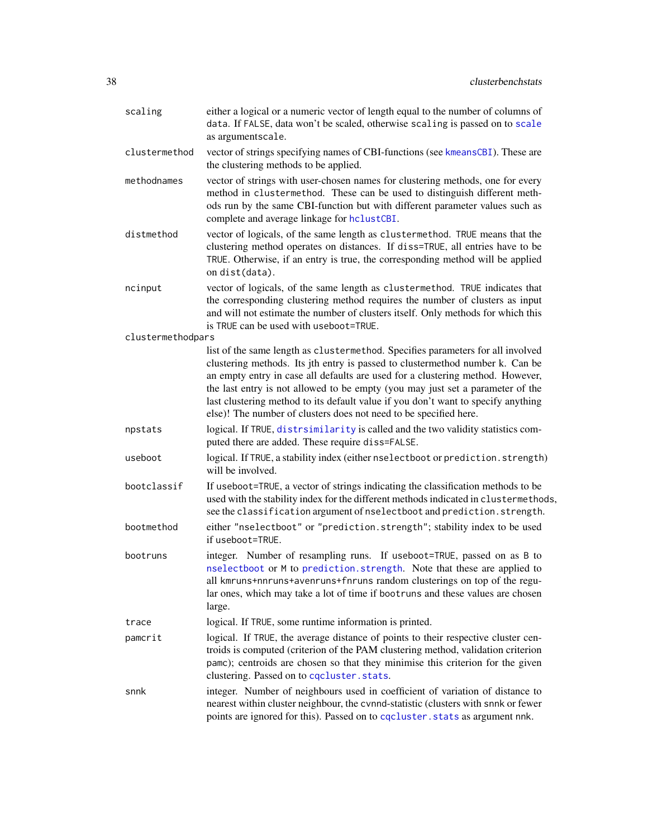| scaling           | either a logical or a numeric vector of length equal to the number of columns of<br>data. If FALSE, data won't be scaled, otherwise scaling is passed on to scale<br>as argumentscale.                                                                                                                                                                                                                                                                                                         |
|-------------------|------------------------------------------------------------------------------------------------------------------------------------------------------------------------------------------------------------------------------------------------------------------------------------------------------------------------------------------------------------------------------------------------------------------------------------------------------------------------------------------------|
| clustermethod     | vector of strings specifying names of CBI-functions (see kmeansCBI). These are<br>the clustering methods to be applied.                                                                                                                                                                                                                                                                                                                                                                        |
| methodnames       | vector of strings with user-chosen names for clustering methods, one for every<br>method in clustermethod. These can be used to distinguish different meth-<br>ods run by the same CBI-function but with different parameter values such as<br>complete and average linkage for hclustCBI.                                                                                                                                                                                                     |
| distmethod        | vector of logicals, of the same length as clustermethod. TRUE means that the<br>clustering method operates on distances. If diss=TRUE, all entries have to be<br>TRUE. Otherwise, if an entry is true, the corresponding method will be applied<br>on dist(data).                                                                                                                                                                                                                              |
| ncinput           | vector of logicals, of the same length as clustermethod. TRUE indicates that<br>the corresponding clustering method requires the number of clusters as input<br>and will not estimate the number of clusters itself. Only methods for which this<br>is TRUE can be used with useboot=TRUE.                                                                                                                                                                                                     |
| clustermethodpars |                                                                                                                                                                                                                                                                                                                                                                                                                                                                                                |
|                   | list of the same length as clustermethod. Specifies parameters for all involved<br>clustering methods. Its jth entry is passed to clustermethod number k. Can be<br>an empty entry in case all defaults are used for a clustering method. However,<br>the last entry is not allowed to be empty (you may just set a parameter of the<br>last clustering method to its default value if you don't want to specify anything<br>else)! The number of clusters does not need to be specified here. |
| npstats           | logical. If TRUE, distrsimilarity is called and the two validity statistics com-<br>puted there are added. These require diss=FALSE.                                                                                                                                                                                                                                                                                                                                                           |
| useboot           | logical. If TRUE, a stability index (either nselectboot or prediction.strength)<br>will be involved.                                                                                                                                                                                                                                                                                                                                                                                           |
| bootclassif       | If useboot=TRUE, a vector of strings indicating the classification methods to be<br>used with the stability index for the different methods indicated in clustermethods,<br>see the classification argument of nselectboot and prediction. strength.                                                                                                                                                                                                                                           |
| bootmethod        | either "nselectboot" or "prediction.strength"; stability index to be used<br>if useboot=TRUE.                                                                                                                                                                                                                                                                                                                                                                                                  |
| bootruns          | integer. Number of resampling runs. If useboot=TRUE, passed on as B to<br>nselectboot or M to prediction.strength. Note that these are applied to<br>all kmruns+nnruns+avenruns+fnruns random clusterings on top of the regu-<br>lar ones, which may take a lot of time if bootruns and these values are chosen<br>large.                                                                                                                                                                      |
| trace             | logical. If TRUE, some runtime information is printed.                                                                                                                                                                                                                                                                                                                                                                                                                                         |
| pamcrit           | logical. If TRUE, the average distance of points to their respective cluster cen-<br>troids is computed (criterion of the PAM clustering method, validation criterion<br>pamc); centroids are chosen so that they minimise this criterion for the given<br>clustering. Passed on to cqcluster.stats.                                                                                                                                                                                           |
| snnk              | integer. Number of neighbours used in coefficient of variation of distance to<br>nearest within cluster neighbour, the cvnnd-statistic (clusters with snnk or fewer<br>points are ignored for this). Passed on to cqcluster. stats as argument nnk.                                                                                                                                                                                                                                            |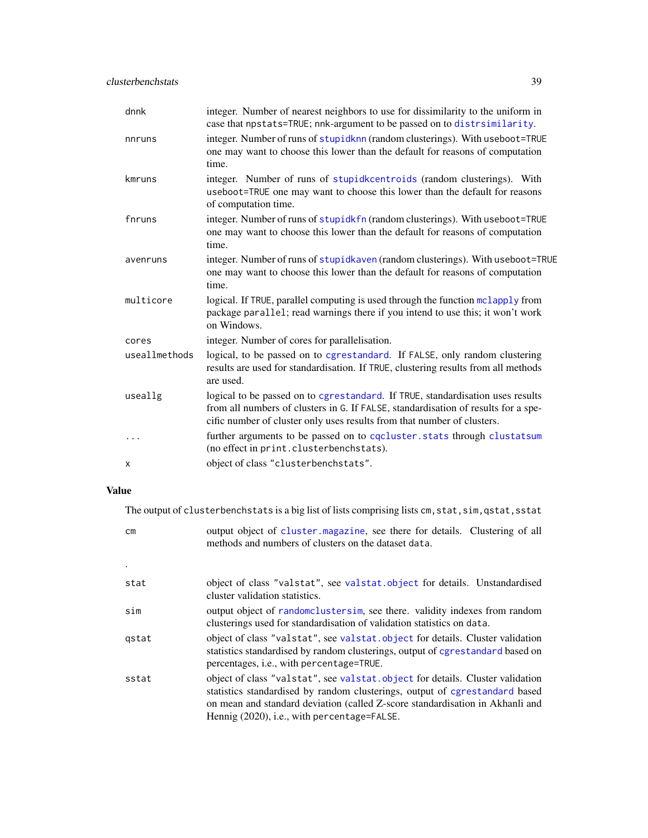| dnnk          | integer. Number of nearest neighbors to use for dissimilarity to the uniform in<br>case that npstats=TRUE; nnk-argument to be passed on to distrsimilarity.                                                                                     |
|---------------|-------------------------------------------------------------------------------------------------------------------------------------------------------------------------------------------------------------------------------------------------|
| nnruns        | integer. Number of runs of stupidknn (random clusterings). With useboot=TRUE<br>one may want to choose this lower than the default for reasons of computation<br>time.                                                                          |
| kmruns        | integer. Number of runs of stupidkcentroids (random clusterings). With<br>useboot=TRUE one may want to choose this lower than the default for reasons<br>of computation time.                                                                   |
| fnruns        | integer. Number of runs of stupidkfn (random clusterings). With useboot=TRUE<br>one may want to choose this lower than the default for reasons of computation<br>time.                                                                          |
| avenruns      | integer. Number of runs of stupidkaven (random clusterings). With useboot=TRUE<br>one may want to choose this lower than the default for reasons of computation<br>time.                                                                        |
| multicore     | logical. If TRUE, parallel computing is used through the function mclapply from<br>package parallel; read warnings there if you intend to use this; it won't work<br>on Windows.                                                                |
| cores         | integer. Number of cores for parallelisation.                                                                                                                                                                                                   |
| useallmethods | logical, to be passed on to cgrestandard. If FALSE, only random clustering<br>results are used for standardisation. If TRUE, clustering results from all methods<br>are used.                                                                   |
| useallg       | logical to be passed on to cgrestandard. If TRUE, standardisation uses results<br>from all numbers of clusters in G. If FALSE, standardisation of results for a spe-<br>cific number of cluster only uses results from that number of clusters. |
| .             | further arguments to be passed on to cocluster. stats through clustatsum<br>(no effect in print.clusterbenchstats).                                                                                                                             |
| X             | object of class "clusterbenchstats".                                                                                                                                                                                                            |

# Value

The output of clusterbenchstats is a big list of lists comprising lists cm, stat, sim, qstat, sstat

| сm    | output object of cluster magazine, see there for details. Clustering of all<br>methods and numbers of clusters on the dataset data.                                                                                                                                                          |
|-------|----------------------------------------------------------------------------------------------------------------------------------------------------------------------------------------------------------------------------------------------------------------------------------------------|
|       |                                                                                                                                                                                                                                                                                              |
| stat  | object of class "valstat", see valstat.object for details. Unstandardised<br>cluster validation statistics.                                                                                                                                                                                  |
| sim   | output object of random clusters im, see there. validity indexes from random<br>clusterings used for standardisation of validation statistics on data.                                                                                                                                       |
| qstat | object of class "valstat", see valstat.object for details. Cluster validation<br>statistics standardised by random clusterings, output of cgrestandard based on<br>percentages, <i>i.e.</i> , with percentage=TRUE.                                                                          |
| sstat | object of class "valstat", see valstat.object for details. Cluster validation<br>statistics standardised by random clusterings, output of cgrestandard based<br>on mean and standard deviation (called Z-score standardisation in Akhanli and<br>Hennig (2020), i.e., with percentage=FALSE. |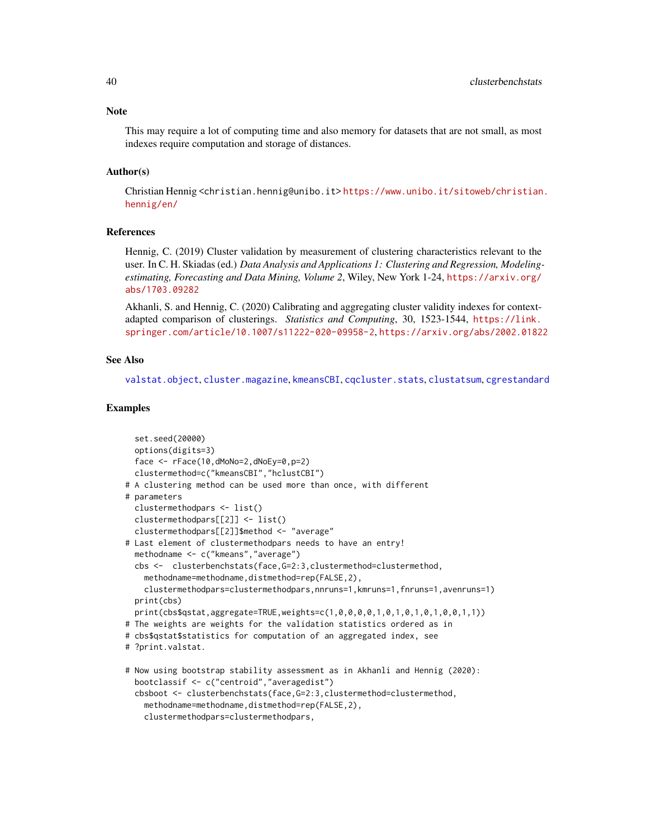This may require a lot of computing time and also memory for datasets that are not small, as most indexes require computation and storage of distances.

#### Author(s)

Christian Hennig <christian.hennig@unibo.it> [https://www.unibo.it/sitoweb/christian](https://www.unibo.it/sitoweb/christian.hennig/en/). [hennig/en/](https://www.unibo.it/sitoweb/christian.hennig/en/)

# References

Hennig, C. (2019) Cluster validation by measurement of clustering characteristics relevant to the user. In C. H. Skiadas (ed.) *Data Analysis and Applications 1: Clustering and Regression, Modelingestimating, Forecasting and Data Mining, Volume 2*, Wiley, New York 1-24, [https://arxiv.org/](https://arxiv.org/abs/1703.09282) [abs/1703.09282](https://arxiv.org/abs/1703.09282)

Akhanli, S. and Hennig, C. (2020) Calibrating and aggregating cluster validity indexes for contextadapted comparison of clusterings. *Statistics and Computing*, 30, 1523-1544, [https://link.](https://link.springer.com/article/10.1007/s11222-020-09958-2) [springer.com/article/10.1007/s11222-020-09958-2](https://link.springer.com/article/10.1007/s11222-020-09958-2), <https://arxiv.org/abs/2002.01822>

#### See Also

[valstat.object](#page-151-0), [cluster.magazine](#page-28-0), [kmeansCBI](#page-94-0), [cqcluster.stats](#page-50-0), [clustatsum](#page-25-0), [cgrestandard](#page-18-0)

## Examples

```
set.seed(20000)
 options(digits=3)
 face <- rFace(10,dMoNo=2,dNoEy=0,p=2)
 clustermethod=c("kmeansCBI","hclustCBI")
# A clustering method can be used more than once, with different
# parameters
 clustermethodpars <- list()
 clustermethodpars[[2]] <- list()
 clustermethodpars[[2]]$method <- "average"
# Last element of clustermethodpars needs to have an entry!
 methodname <- c("kmeans","average")
 cbs <- clusterbenchstats(face,G=2:3,clustermethod=clustermethod,
   methodname=methodname,distmethod=rep(FALSE,2),
   clustermethodpars=clustermethodpars,nnruns=1,kmruns=1,fnruns=1,avenruns=1)
 print(cbs)
 print(cbs$qstat,aggregate=TRUE,weights=c(1,0,0,0,0,1,0,1,0,1,0,1,0,0,1,1))
# The weights are weights for the validation statistics ordered as in
# cbs$qstat$statistics for computation of an aggregated index, see
# ?print.valstat.
# Now using bootstrap stability assessment as in Akhanli and Hennig (2020):
 bootclassif <- c("centroid","averagedist")
 cbsboot <- clusterbenchstats(face,G=2:3,clustermethod=clustermethod,
   methodname=methodname,distmethod=rep(FALSE,2),
   clustermethodpars=clustermethodpars,
```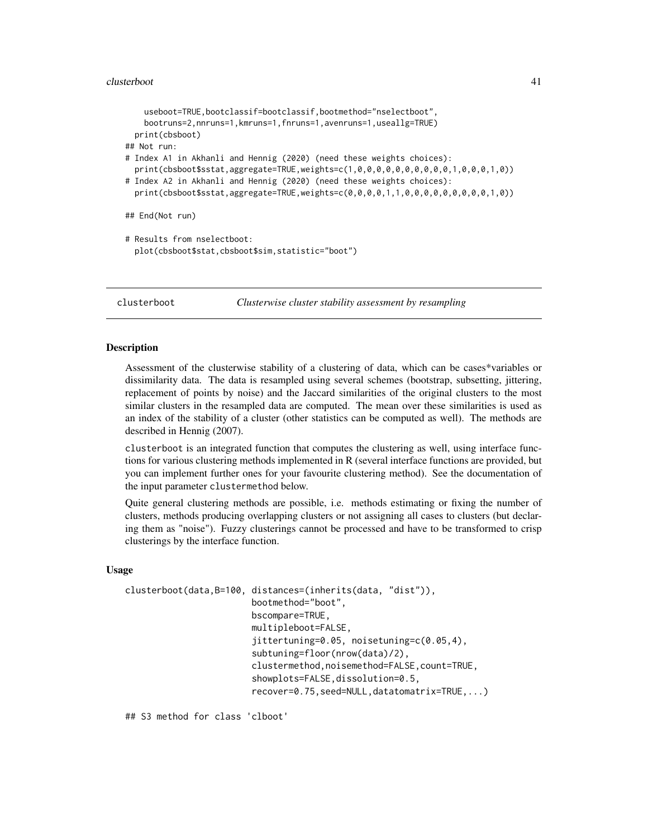```
useboot=TRUE,bootclassif=bootclassif,bootmethod="nselectboot",
   bootruns=2,nnruns=1,kmruns=1,fnruns=1,avenruns=1,useallg=TRUE)
 print(cbsboot)
## Not run:
# Index A1 in Akhanli and Hennig (2020) (need these weights choices):
 print(cbsboot$sstat,aggregate=TRUE,weights=c(1,0,0,0,0,0,0,0,0,0,0,1,0,0,0,1,0))
# Index A2 in Akhanli and Hennig (2020) (need these weights choices):
 print(cbsboot$sstat,aggregate=TRUE,weights=c(0,0,0,0,1,1,0,0,0,0,0,0,0,0,0,1,0))
## End(Not run)
# Results from nselectboot:
 plot(cbsboot$stat,cbsboot$sim,statistic="boot")
```
<span id="page-40-0"></span>clusterboot *Clusterwise cluster stability assessment by resampling*

### Description

Assessment of the clusterwise stability of a clustering of data, which can be cases\*variables or dissimilarity data. The data is resampled using several schemes (bootstrap, subsetting, jittering, replacement of points by noise) and the Jaccard similarities of the original clusters to the most similar clusters in the resampled data are computed. The mean over these similarities is used as an index of the stability of a cluster (other statistics can be computed as well). The methods are described in Hennig (2007).

clusterboot is an integrated function that computes the clustering as well, using interface functions for various clustering methods implemented in R (several interface functions are provided, but you can implement further ones for your favourite clustering method). See the documentation of the input parameter clustermethod below.

Quite general clustering methods are possible, i.e. methods estimating or fixing the number of clusters, methods producing overlapping clusters or not assigning all cases to clusters (but declaring them as "noise"). Fuzzy clusterings cannot be processed and have to be transformed to crisp clusterings by the interface function.

#### Usage

```
clusterboot(data,B=100, distances=(inherits(data, "dist")),
                        bootmethod="boot",
                        bscompare=TRUE,
                        multipleboot=FALSE,
                        jittertuning=0.05, noisetuning=c(0.05,4),
                        subtuning=floor(nrow(data)/2),
                        clustermethod,noisemethod=FALSE,count=TRUE,
                        showplots=FALSE,dissolution=0.5,
                        recover=0.75,seed=NULL,datatomatrix=TRUE,...)
```
## S3 method for class 'clboot'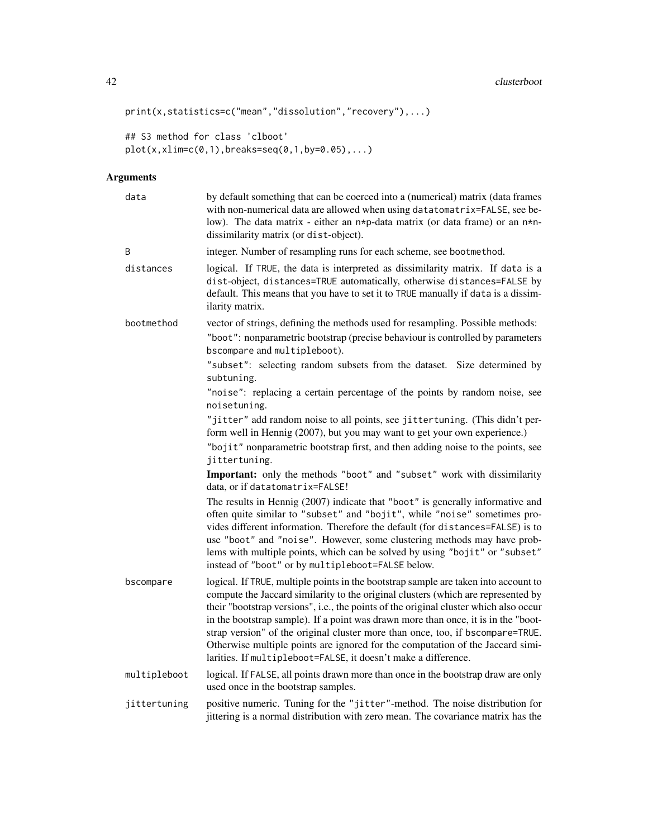```
print(x,statistics=c("mean","dissolution","recovery"),...)
```

```
## S3 method for class 'clboot'
plot(x,xlim=c(0,1),breaks=seq(0,1,by=0.05),...)
```
# Arguments

| data         | by default something that can be coerced into a (numerical) matrix (data frames<br>with non-numerical data are allowed when using datatomatrix=FALSE, see be-<br>low). The data matrix - either an n*p-data matrix (or data frame) or an n*n-<br>dissimilarity matrix (or dist-object).                                                                                                                                                                                                                                                                                                       |
|--------------|-----------------------------------------------------------------------------------------------------------------------------------------------------------------------------------------------------------------------------------------------------------------------------------------------------------------------------------------------------------------------------------------------------------------------------------------------------------------------------------------------------------------------------------------------------------------------------------------------|
| B            | integer. Number of resampling runs for each scheme, see bootmethod.                                                                                                                                                                                                                                                                                                                                                                                                                                                                                                                           |
| distances    | logical. If TRUE, the data is interpreted as dissimilarity matrix. If data is a<br>dist-object, distances=TRUE automatically, otherwise distances=FALSE by<br>default. This means that you have to set it to TRUE manually if data is a dissim-<br>ilarity matrix.                                                                                                                                                                                                                                                                                                                            |
| bootmethod   | vector of strings, defining the methods used for resampling. Possible methods:<br>"boot": nonparametric bootstrap (precise behaviour is controlled by parameters<br>bscompare and multipleboot).                                                                                                                                                                                                                                                                                                                                                                                              |
|              | "subset": selecting random subsets from the dataset. Size determined by<br>subtuning.                                                                                                                                                                                                                                                                                                                                                                                                                                                                                                         |
|              | "noise": replacing a certain percentage of the points by random noise, see<br>noisetuning.                                                                                                                                                                                                                                                                                                                                                                                                                                                                                                    |
|              | "jitter" add random noise to all points, see jittertuning. (This didn't per-<br>form well in Hennig (2007), but you may want to get your own experience.)                                                                                                                                                                                                                                                                                                                                                                                                                                     |
|              | "bojit" nonparametric bootstrap first, and then adding noise to the points, see<br>jittertuning.                                                                                                                                                                                                                                                                                                                                                                                                                                                                                              |
|              | Important: only the methods "boot" and "subset" work with dissimilarity<br>data, or if datatomatrix=FALSE!                                                                                                                                                                                                                                                                                                                                                                                                                                                                                    |
|              | The results in Hennig (2007) indicate that "boot" is generally informative and<br>often quite similar to "subset" and "bojit", while "noise" sometimes pro-<br>vides different information. Therefore the default (for distances=FALSE) is to<br>use "boot" and "noise". However, some clustering methods may have prob-<br>lems with multiple points, which can be solved by using "bojit" or "subset"<br>instead of "boot" or by multipleboot=FALSE below.                                                                                                                                  |
| bscompare    | logical. If TRUE, multiple points in the bootstrap sample are taken into account to<br>compute the Jaccard similarity to the original clusters (which are represented by<br>their "bootstrap versions", i.e., the points of the original cluster which also occur<br>in the bootstrap sample). If a point was drawn more than once, it is in the "boot-<br>strap version" of the original cluster more than once, too, if bscompare=TRUE.<br>Otherwise multiple points are ignored for the computation of the Jaccard simi-<br>larities. If multipleboot=FALSE, it doesn't make a difference. |
| multipleboot | logical. If FALSE, all points drawn more than once in the bootstrap draw are only<br>used once in the bootstrap samples.                                                                                                                                                                                                                                                                                                                                                                                                                                                                      |
| jittertuning | positive numeric. Tuning for the "jitter"-method. The noise distribution for<br>jittering is a normal distribution with zero mean. The covariance matrix has the                                                                                                                                                                                                                                                                                                                                                                                                                              |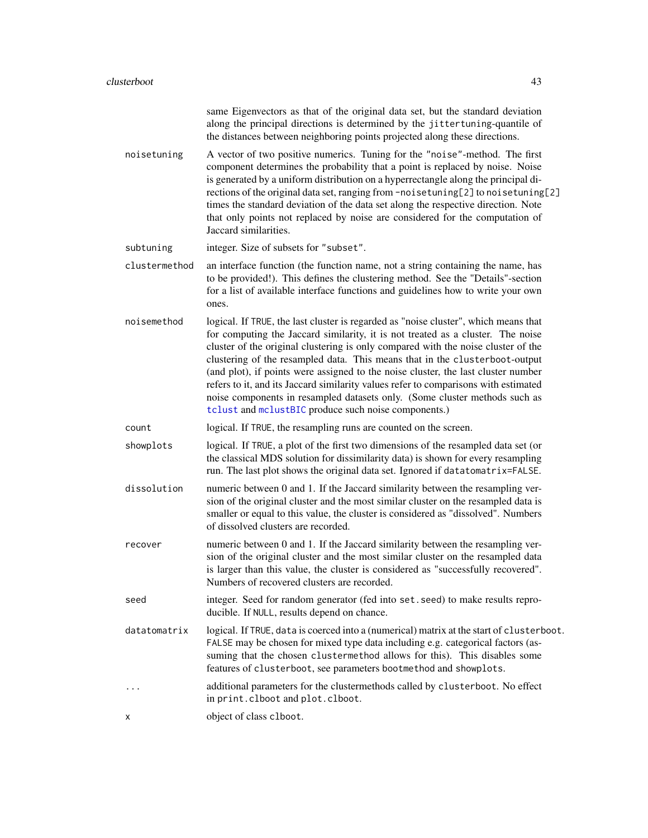|               | same Eigenvectors as that of the original data set, but the standard deviation<br>along the principal directions is determined by the jittertuning-quantile of<br>the distances between neighboring points projected along these directions.                                                                                                                                                                                                                                                                                                                                                                                                                 |
|---------------|--------------------------------------------------------------------------------------------------------------------------------------------------------------------------------------------------------------------------------------------------------------------------------------------------------------------------------------------------------------------------------------------------------------------------------------------------------------------------------------------------------------------------------------------------------------------------------------------------------------------------------------------------------------|
| noisetuning   | A vector of two positive numerics. Tuning for the "noise"-method. The first<br>component determines the probability that a point is replaced by noise. Noise<br>is generated by a uniform distribution on a hyperrectangle along the principal di-<br>rections of the original data set, ranging from -noisetuning[2] to noisetuning[2]<br>times the standard deviation of the data set along the respective direction. Note<br>that only points not replaced by noise are considered for the computation of<br>Jaccard similarities.                                                                                                                        |
| subtuning     | integer. Size of subsets for "subset".                                                                                                                                                                                                                                                                                                                                                                                                                                                                                                                                                                                                                       |
| clustermethod | an interface function (the function name, not a string containing the name, has<br>to be provided!). This defines the clustering method. See the "Details"-section<br>for a list of available interface functions and guidelines how to write your own<br>ones.                                                                                                                                                                                                                                                                                                                                                                                              |
| noisemethod   | logical. If TRUE, the last cluster is regarded as "noise cluster", which means that<br>for computing the Jaccard similarity, it is not treated as a cluster. The noise<br>cluster of the original clustering is only compared with the noise cluster of the<br>clustering of the resampled data. This means that in the clusterboot-output<br>(and plot), if points were assigned to the noise cluster, the last cluster number<br>refers to it, and its Jaccard similarity values refer to comparisons with estimated<br>noise components in resampled datasets only. (Some cluster methods such as<br>tclust and mclustBIC produce such noise components.) |
| count         | logical. If TRUE, the resampling runs are counted on the screen.                                                                                                                                                                                                                                                                                                                                                                                                                                                                                                                                                                                             |
| showplots     | logical. If TRUE, a plot of the first two dimensions of the resampled data set (or<br>the classical MDS solution for dissimilarity data) is shown for every resampling<br>run. The last plot shows the original data set. Ignored if datatomatrix=FALSE.                                                                                                                                                                                                                                                                                                                                                                                                     |
| dissolution   | numeric between 0 and 1. If the Jaccard similarity between the resampling ver-<br>sion of the original cluster and the most similar cluster on the resampled data is<br>smaller or equal to this value, the cluster is considered as "dissolved". Numbers<br>of dissolved clusters are recorded.                                                                                                                                                                                                                                                                                                                                                             |
| recover       | numeric between 0 and 1. If the Jaccard similarity between the resampling ver-<br>sion of the original cluster and the most similar cluster on the resampled data<br>is larger than this value, the cluster is considered as "successfully recovered".<br>Numbers of recovered clusters are recorded.                                                                                                                                                                                                                                                                                                                                                        |
| seed          | integer. Seed for random generator (fed into set. seed) to make results repro-<br>ducible. If NULL, results depend on chance.                                                                                                                                                                                                                                                                                                                                                                                                                                                                                                                                |
| datatomatrix  | logical. If TRUE, data is coerced into a (numerical) matrix at the start of clusterboot.<br>FALSE may be chosen for mixed type data including e.g. categorical factors (as-<br>suming that the chosen clustermethod allows for this). This disables some<br>features of clusterboot, see parameters bootmethod and showplots.                                                                                                                                                                                                                                                                                                                                |
|               | additional parameters for the clustermethods called by clusterboot. No effect<br>in print.clboot and plot.clboot.                                                                                                                                                                                                                                                                                                                                                                                                                                                                                                                                            |
| х             | object of class clboot.                                                                                                                                                                                                                                                                                                                                                                                                                                                                                                                                                                                                                                      |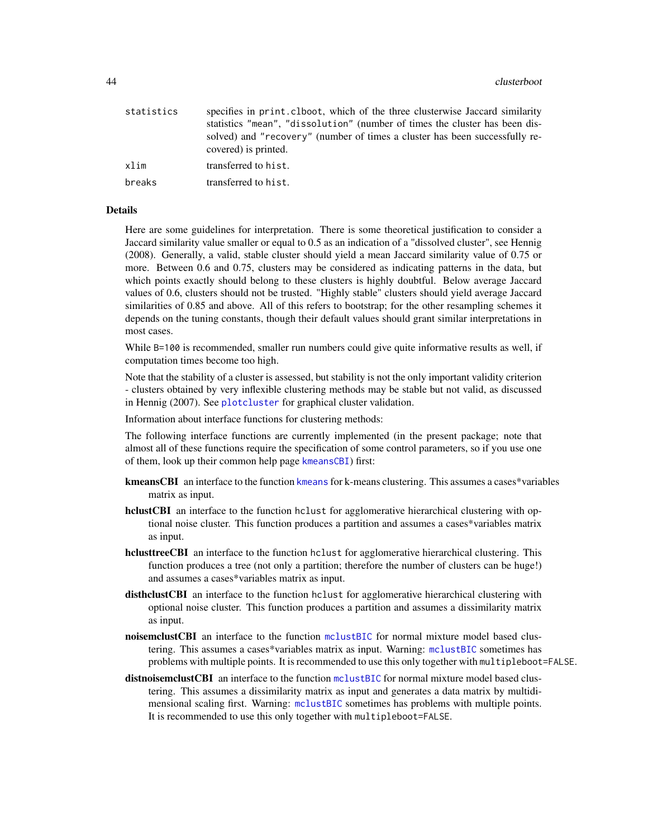| statistics | specifies in print. clboot, which of the three clusterwise Jaccard similarity<br>statistics "mean", "dissolution" (number of times the cluster has been dis-<br>solved) and "recovery" (number of times a cluster has been successfully re-<br>covered) is printed. |
|------------|---------------------------------------------------------------------------------------------------------------------------------------------------------------------------------------------------------------------------------------------------------------------|
| xlim       | transferred to hist.                                                                                                                                                                                                                                                |
| breaks     | transferred to hist.                                                                                                                                                                                                                                                |
|            |                                                                                                                                                                                                                                                                     |

# Details

Here are some guidelines for interpretation. There is some theoretical justification to consider a Jaccard similarity value smaller or equal to 0.5 as an indication of a "dissolved cluster", see Hennig (2008). Generally, a valid, stable cluster should yield a mean Jaccard similarity value of 0.75 or more. Between 0.6 and 0.75, clusters may be considered as indicating patterns in the data, but which points exactly should belong to these clusters is highly doubtful. Below average Jaccard values of 0.6, clusters should not be trusted. "Highly stable" clusters should yield average Jaccard similarities of 0.85 and above. All of this refers to bootstrap; for the other resampling schemes it depends on the tuning constants, though their default values should grant similar interpretations in most cases.

While B=100 is recommended, smaller run numbers could give quite informative results as well, if computation times become too high.

Note that the stability of a cluster is assessed, but stability is not the only important validity criterion - clusters obtained by very inflexible clustering methods may be stable but not valid, as discussed in Hennig (2007). See [plotcluster](#page-127-0) for graphical cluster validation.

Information about interface functions for clustering methods:

The following interface functions are currently implemented (in the present package; note that almost all of these functions require the specification of some control parameters, so if you use one of them, look up their common help page [kmeansCBI](#page-94-0)) first:

- [kmeans](#page-0-0)CBI an interface to the function kmeans for k-means clustering. This assumes a cases\*variables matrix as input.
- hclustCBI an interface to the function hclust for agglomerative hierarchical clustering with optional noise cluster. This function produces a partition and assumes a cases\*variables matrix as input.
- hclusttreeCBI an interface to the function hclust for agglomerative hierarchical clustering. This function produces a tree (not only a partition; therefore the number of clusters can be huge!) and assumes a cases\*variables matrix as input.
- disthclustCBI an interface to the function hclust for agglomerative hierarchical clustering with optional noise cluster. This function produces a partition and assumes a dissimilarity matrix as input.
- **noisemclustCBI** an interface to the function [mclustBIC](#page-0-0) for normal mixture model based clustering. This assumes a cases\*variables matrix as input. Warning: [mclustBIC](#page-0-0) sometimes has problems with multiple points. It is recommended to use this only together with multipleboot=FALSE.
- distrioisemclustCBI an interface to the function [mclustBIC](#page-0-0) for normal mixture model based clustering. This assumes a dissimilarity matrix as input and generates a data matrix by multidimensional scaling first. Warning: [mclustBIC](#page-0-0) sometimes has problems with multiple points. It is recommended to use this only together with multipleboot=FALSE.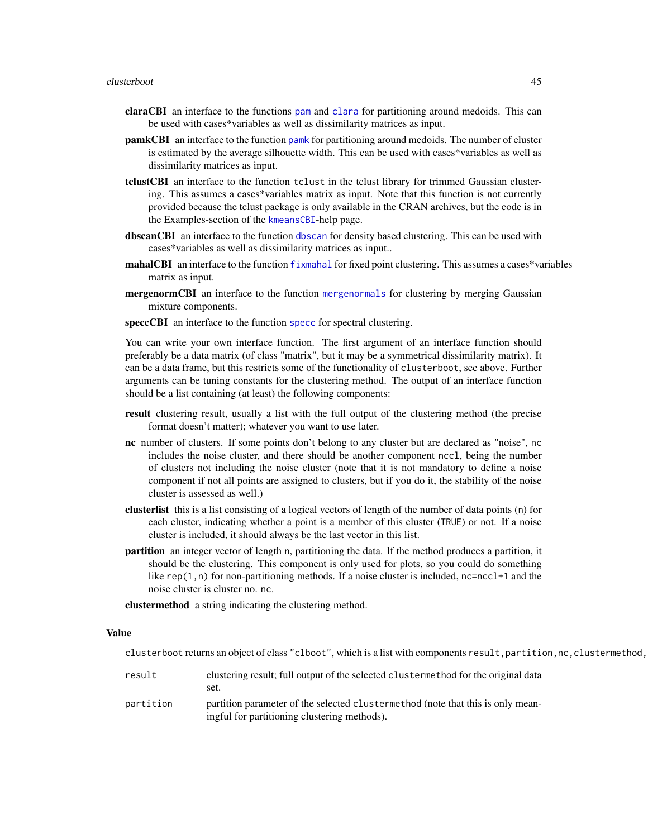- claraCBI an interface to the functions [pam](#page-0-0) and [clara](#page-0-0) for partitioning around medoids. This can be used with cases\*variables as well as dissimilarity matrices as input.
- pamkCBI an interface to the function [pamk](#page-121-0) for partitioning around medoids. The number of cluster is estimated by the average silhouette width. This can be used with cases\*variables as well as dissimilarity matrices as input.
- tclustCBI an interface to the function tclust in the tclust library for trimmed Gaussian clustering. This assumes a cases\*variables matrix as input. Note that this function is not currently provided because the tclust package is only available in the CRAN archives, but the code is in the Examples-section of the [kmeansCBI](#page-94-0)-help page.
- [dbscan](#page-58-0)CBI an interface to the function dbscan for density based clustering. This can be used with cases\*variables as well as dissimilarity matrices as input..
- mahalCBI an interface to the function [fixmahal](#page-76-0) for fixed point clustering. This assumes a cases\*variables matrix as input.
- **mergenormCBI** an interface to the function [mergenormals](#page-107-0) for clustering by merging Gaussian mixture components.
- [specc](#page-0-0)CBI an interface to the function specc for spectral clustering.

You can write your own interface function. The first argument of an interface function should preferably be a data matrix (of class "matrix", but it may be a symmetrical dissimilarity matrix). It can be a data frame, but this restricts some of the functionality of clusterboot, see above. Further arguments can be tuning constants for the clustering method. The output of an interface function should be a list containing (at least) the following components:

- result clustering result, usually a list with the full output of the clustering method (the precise format doesn't matter); whatever you want to use later.
- nc number of clusters. If some points don't belong to any cluster but are declared as "noise", nc includes the noise cluster, and there should be another component nccl, being the number of clusters not including the noise cluster (note that it is not mandatory to define a noise component if not all points are assigned to clusters, but if you do it, the stability of the noise cluster is assessed as well.)
- clusterlist this is a list consisting of a logical vectors of length of the number of data points (n) for each cluster, indicating whether a point is a member of this cluster (TRUE) or not. If a noise cluster is included, it should always be the last vector in this list.
- partition an integer vector of length n, partitioning the data. If the method produces a partition, it should be the clustering. This component is only used for plots, so you could do something like rep(1,n) for non-partitioning methods. If a noise cluster is included, nc=nccl+1 and the noise cluster is cluster no. nc.
- clustermethod a string indicating the clustering method.

#### Value

clusterboot returns an object of class "clboot", which is a list with components result, partition, nc, clustermethod,

result clustering result; full output of the selected clustermethod for the original data set. partition partition parameter of the selected clustermethod (note that this is only meaningful for partitioning clustering methods).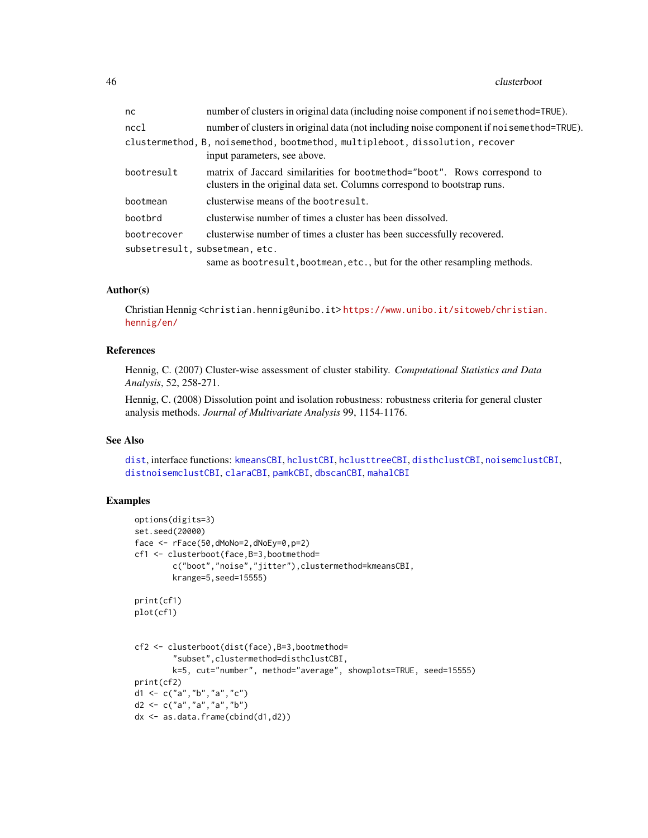#### 46 clusterboot and the contract of the contract of the contract of the clusterboot clusterboot clusterboot  $\sim$

| nc                             | number of clusters in original data (including noise component if noi semethod=TRUE).                                                                |
|--------------------------------|------------------------------------------------------------------------------------------------------------------------------------------------------|
| nccl                           | number of clusters in original data (not including noise component if noi semethod=TRUE).                                                            |
|                                | clustermethod, B, noisemethod, bootmethod, multipleboot, dissolution, recover                                                                        |
|                                | input parameters, see above.                                                                                                                         |
| bootresult                     | matrix of Jaccard similarities for bootmethod="boot". Rows correspond to<br>clusters in the original data set. Columns correspond to bootstrap runs. |
| bootmean                       | clusterwise means of the bootresult.                                                                                                                 |
| bootbrd                        | clusterwise number of times a cluster has been dissolved.                                                                                            |
| bootrecover                    | clusterwise number of times a cluster has been successfully recovered.                                                                               |
| subsetresult, subsetmean, etc. |                                                                                                                                                      |
|                                | same as bootresult, bootmean, etc., but for the other resampling methods.                                                                            |

## Author(s)

Christian Hennig <christian.hennig@unibo.it> [https://www.unibo.it/sitoweb/christian](https://www.unibo.it/sitoweb/christian.hennig/en/). [hennig/en/](https://www.unibo.it/sitoweb/christian.hennig/en/)

# References

Hennig, C. (2007) Cluster-wise assessment of cluster stability. *Computational Statistics and Data Analysis*, 52, 258-271.

Hennig, C. (2008) Dissolution point and isolation robustness: robustness criteria for general cluster analysis methods. *Journal of Multivariate Analysis* 99, 1154-1176.

## See Also

[dist](#page-0-0), interface functions: [kmeansCBI](#page-94-0), [hclustCBI](#page-94-1), [hclusttreeCBI](#page-94-1), [disthclustCBI](#page-94-1), [noisemclustCBI](#page-94-1), [distnoisemclustCBI](#page-94-1), [claraCBI](#page-94-1), [pamkCBI](#page-94-1), [dbscanCBI](#page-94-1), [mahalCBI](#page-94-1)

# Examples

```
options(digits=3)
set.seed(20000)
face \leq rFace(50,dMoNo=2,dNoEy=0,p=2)
cf1 <- clusterboot(face,B=3,bootmethod=
        c("boot","noise","jitter"),clustermethod=kmeansCBI,
        krange=5,seed=15555)
print(cf1)
plot(cf1)
cf2 <- clusterboot(dist(face),B=3,bootmethod=
        "subset",clustermethod=disthclustCBI,
        k=5, cut="number", method="average", showplots=TRUE, seed=15555)
print(cf2)
d1 <- c("a","b","a","c")
d2 <- c("a","a","a","b")
dx <- as.data.frame(cbind(d1,d2))
```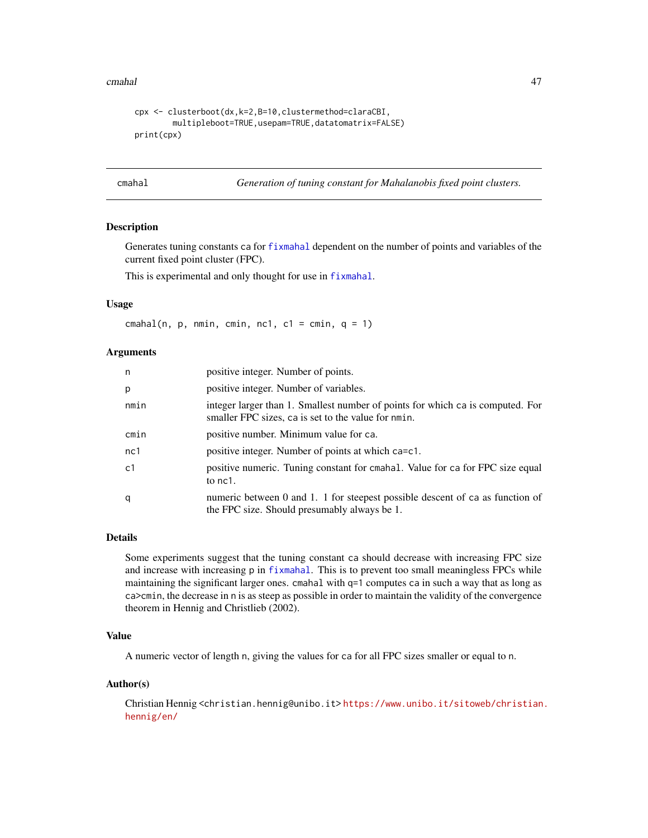#### cmahal and the contract of the contract of the contract of the contract of the contract of the contract of the contract of the contract of the contract of the contract of the contract of the contract of the contract of the

```
cpx <- clusterboot(dx,k=2,B=10,clustermethod=claraCBI,
        multipleboot=TRUE,usepam=TRUE,datatomatrix=FALSE)
print(cpx)
```
cmahal *Generation of tuning constant for Mahalanobis fixed point clusters.*

# **Description**

Generates tuning constants ca for [fixmahal](#page-76-0) dependent on the number of points and variables of the current fixed point cluster (FPC).

This is experimental and only thought for use in [fixmahal](#page-76-0).

## Usage

cmahal(n, p, nmin, cmin, nc1, c1 = cmin,  $q = 1$ )

#### Arguments

| n              | positive integer. Number of points.                                                                                                   |
|----------------|---------------------------------------------------------------------------------------------------------------------------------------|
| p              | positive integer. Number of variables.                                                                                                |
| nmin           | integer larger than 1. Smallest number of points for which ca is computed. For<br>smaller FPC sizes, ca is set to the value for nmin. |
| cmin           | positive number. Minimum value for ca.                                                                                                |
| nc1            | positive integer. Number of points at which ca=c1.                                                                                    |
| c <sub>1</sub> | positive numeric. Tuning constant for cmahal. Value for ca for FPC size equal<br>to nc1.                                              |
| q              | numeric between 0 and 1. 1 for steepest possible descent of ca as function of<br>the FPC size. Should presumably always be 1.         |

## Details

Some experiments suggest that the tuning constant ca should decrease with increasing FPC size and increase with increasing p in [fixmahal](#page-76-0). This is to prevent too small meaningless FPCs while maintaining the significant larger ones. cmahal with q=1 computes ca in such a way that as long as ca>cmin, the decrease in n is as steep as possible in order to maintain the validity of the convergence theorem in Hennig and Christlieb (2002).

## Value

A numeric vector of length n, giving the values for ca for all FPC sizes smaller or equal to n.

## Author(s)

Christian Hennig <christian.hennig@unibo.it> [https://www.unibo.it/sitoweb/christian](https://www.unibo.it/sitoweb/christian.hennig/en/). [hennig/en/](https://www.unibo.it/sitoweb/christian.hennig/en/)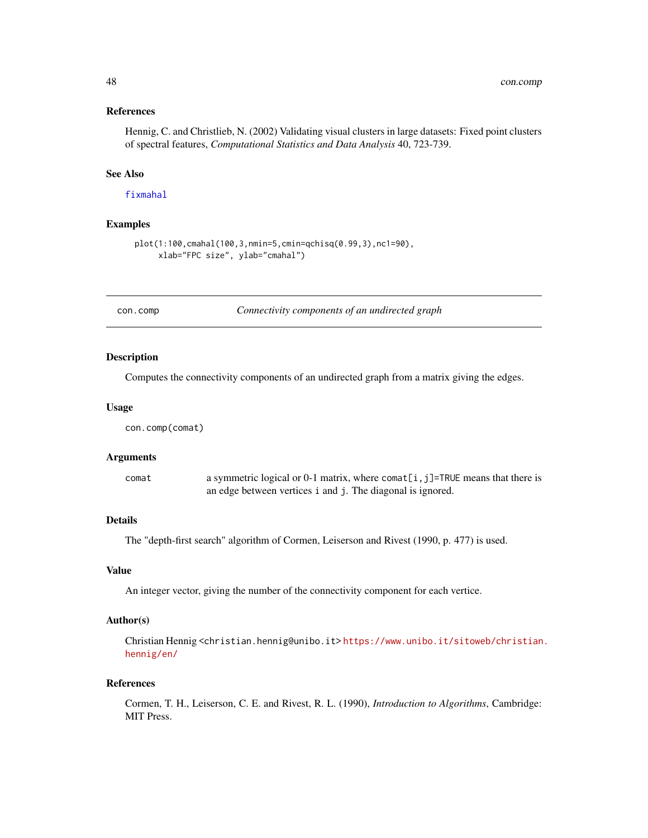#### References

Hennig, C. and Christlieb, N. (2002) Validating visual clusters in large datasets: Fixed point clusters of spectral features, *Computational Statistics and Data Analysis* 40, 723-739.

### See Also

[fixmahal](#page-76-0)

## Examples

```
plot(1:100,cmahal(100,3,nmin=5,cmin=qchisq(0.99,3),nc1=90),
     xlab="FPC size", ylab="cmahal")
```
con.comp *Connectivity components of an undirected graph*

#### **Description**

Computes the connectivity components of an undirected graph from a matrix giving the edges.

#### Usage

```
con.comp(comat)
```
#### Arguments

comat a symmetric logical or 0-1 matrix, where comat  $[i, j]$ =TRUE means that there is an edge between vertices i and j. The diagonal is ignored.

## **Details**

The "depth-first search" algorithm of Cormen, Leiserson and Rivest (1990, p. 477) is used.

### Value

An integer vector, giving the number of the connectivity component for each vertice.

#### Author(s)

Christian Hennig <christian.hennig@unibo.it> [https://www.unibo.it/sitoweb/christian](https://www.unibo.it/sitoweb/christian.hennig/en/). [hennig/en/](https://www.unibo.it/sitoweb/christian.hennig/en/)

## References

Cormen, T. H., Leiserson, C. E. and Rivest, R. L. (1990), *Introduction to Algorithms*, Cambridge: MIT Press.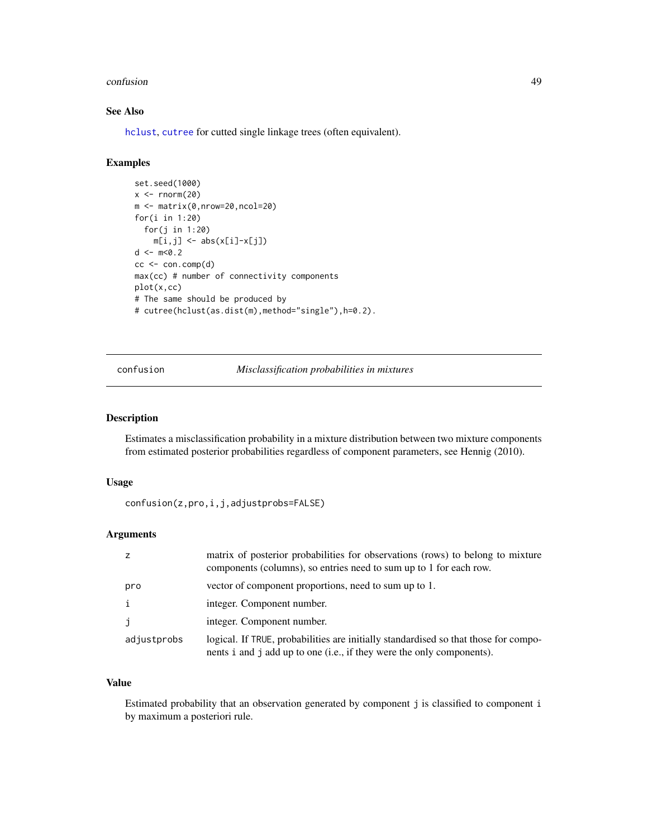#### confusion and the confusion of the confusion of the confusion of the confusion of the confusion of the confusion of the confusion of the confusion of the confusion of the confusion of the confusion of the confusion of the

# See Also

[hclust](#page-0-0), [cutree](#page-0-0) for cutted single linkage trees (often equivalent).

# Examples

```
set.seed(1000)
x < - rnorm(20)m <- matrix(0,nrow=20,ncol=20)
for(i in 1:20)
  for(j in 1:20)
    m[i,j] \leftarrow abs(x[i]-x[j])d <- m < 0.2cc < - \text{con.comp}(d)max(cc) # number of connectivity components
plot(x,cc)
# The same should be produced by
# cutree(hclust(as.dist(m),method="single"),h=0.2).
```
confusion *Misclassification probabilities in mixtures*

## Description

Estimates a misclassification probability in a mixture distribution between two mixture components from estimated posterior probabilities regardless of component parameters, see Hennig (2010).

### Usage

```
confusion(z,pro,i,j,adjustprobs=FALSE)
```
#### Arguments

|             | matrix of posterior probabilities for observations (rows) to belong to mixture<br>components (columns), so entries need to sum up to 1 for each row.         |
|-------------|--------------------------------------------------------------------------------------------------------------------------------------------------------------|
| pro         | vector of component proportions, need to sum up to 1.                                                                                                        |
|             | integer. Component number.                                                                                                                                   |
|             | integer. Component number.                                                                                                                                   |
| adjustprobs | logical. If TRUE, probabilities are initially standardised so that those for compo-<br>nents i and j add up to one (i.e., if they were the only components). |

## Value

Estimated probability that an observation generated by component j is classified to component i by maximum a posteriori rule.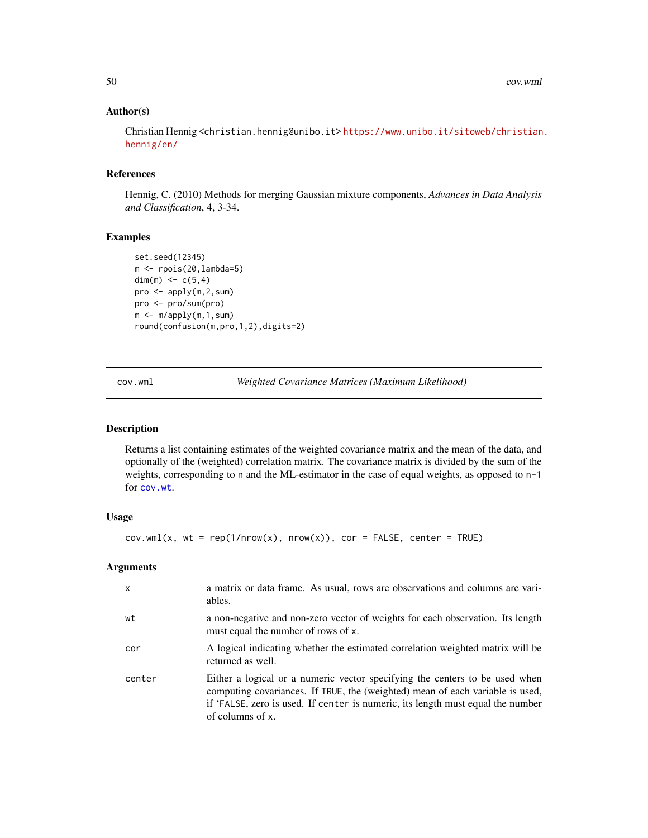### Author(s)

Christian Hennig <christian.hennig@unibo.it> [https://www.unibo.it/sitoweb/christian](https://www.unibo.it/sitoweb/christian.hennig/en/). [hennig/en/](https://www.unibo.it/sitoweb/christian.hennig/en/)

## References

Hennig, C. (2010) Methods for merging Gaussian mixture components, *Advances in Data Analysis and Classification*, 4, 3-34.

#### Examples

```
set.seed(12345)
m <- rpois(20,lambda=5)
dim(m) <-c(5,4)pro <- apply(m,2,sum)
pro <- pro/sum(pro)
m < -m/apply(m,1,sum)round(confusion(m,pro,1,2),digits=2)
```
cov.wml *Weighted Covariance Matrices (Maximum Likelihood)*

## Description

Returns a list containing estimates of the weighted covariance matrix and the mean of the data, and optionally of the (weighted) correlation matrix. The covariance matrix is divided by the sum of the weights, corresponding to n and the ML-estimator in the case of equal weights, as opposed to n-1 for [cov.wt](#page-0-0).

# Usage

 $cov.wml(x, wt = rep(1/nrow(x), nrow(x)), cor = FALSE, center = TRUE)$ 

#### Arguments

| $\mathsf{x}$ | a matrix or data frame. As usual, rows are observations and columns are vari-<br>ables.                                                                                                                                                                             |
|--------------|---------------------------------------------------------------------------------------------------------------------------------------------------------------------------------------------------------------------------------------------------------------------|
| wt           | a non-negative and non-zero vector of weights for each observation. Its length<br>must equal the number of rows of x.                                                                                                                                               |
| cor          | A logical indicating whether the estimated correlation weighted matrix will be<br>returned as well.                                                                                                                                                                 |
| center       | Either a logical or a numeric vector specifying the centers to be used when<br>computing covariances. If TRUE, the (weighted) mean of each variable is used,<br>if 'FALSE, zero is used. If center is numeric, its length must equal the number<br>of columns of x. |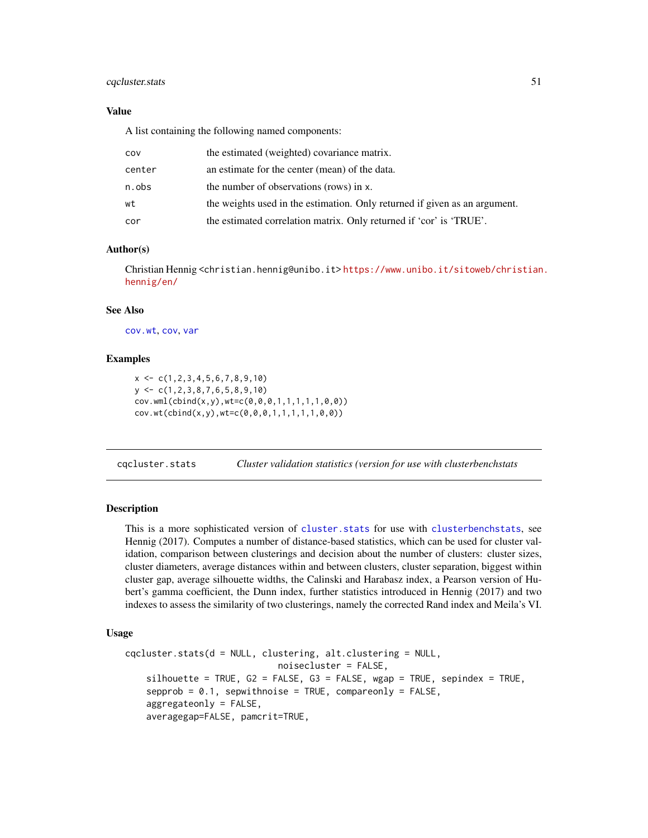## cqcluster.stats 51

## Value

A list containing the following named components:

| COV    | the estimated (weighted) covariance matrix.                                |
|--------|----------------------------------------------------------------------------|
| center | an estimate for the center (mean) of the data.                             |
| n.obs  | the number of observations (rows) in x.                                    |
| wt     | the weights used in the estimation. Only returned if given as an argument. |
| cor    | the estimated correlation matrix. Only returned if 'cor' is 'TRUE'.        |

## Author(s)

Christian Hennig <christian.hennig@unibo.it> [https://www.unibo.it/sitoweb/christian](https://www.unibo.it/sitoweb/christian.hennig/en/). [hennig/en/](https://www.unibo.it/sitoweb/christian.hennig/en/)

## See Also

[cov.wt](#page-0-0), [cov](#page-0-0), [var](#page-0-0)

### Examples

 $x \leftarrow c(1, 2, 3, 4, 5, 6, 7, 8, 9, 10)$ y <- c(1,2,3,8,7,6,5,8,9,10) cov.wml(cbind(x,y),wt=c(0,0,0,1,1,1,1,1,0,0)) cov.wt(cbind(x,y),wt=c(0,0,0,1,1,1,1,1,0,0))

<span id="page-50-0"></span>cqcluster.stats *Cluster validation statistics (version for use with clusterbenchstats*

## Description

This is a more sophisticated version of [cluster.stats](#page-30-0) for use with [clusterbenchstats](#page-36-0), see Hennig (2017). Computes a number of distance-based statistics, which can be used for cluster validation, comparison between clusterings and decision about the number of clusters: cluster sizes, cluster diameters, average distances within and between clusters, cluster separation, biggest within cluster gap, average silhouette widths, the Calinski and Harabasz index, a Pearson version of Hubert's gamma coefficient, the Dunn index, further statistics introduced in Hennig (2017) and two indexes to assess the similarity of two clusterings, namely the corrected Rand index and Meila's VI.

# Usage

```
cqcluster.stats(d = NULL, clustering, alt.clustering = NULL,
                             noisecluster = FALSE,
    silhouette = TRUE, G2 = FALSE, G3 = FALSE, wgap = TRUE, sepindex = TRUE,
    sepprob = 0.1, sepwithnoise = TRUE, compareonly = FALSE,
    aggregateonly = FALSE,
    averagegap=FALSE, pamcrit=TRUE,
```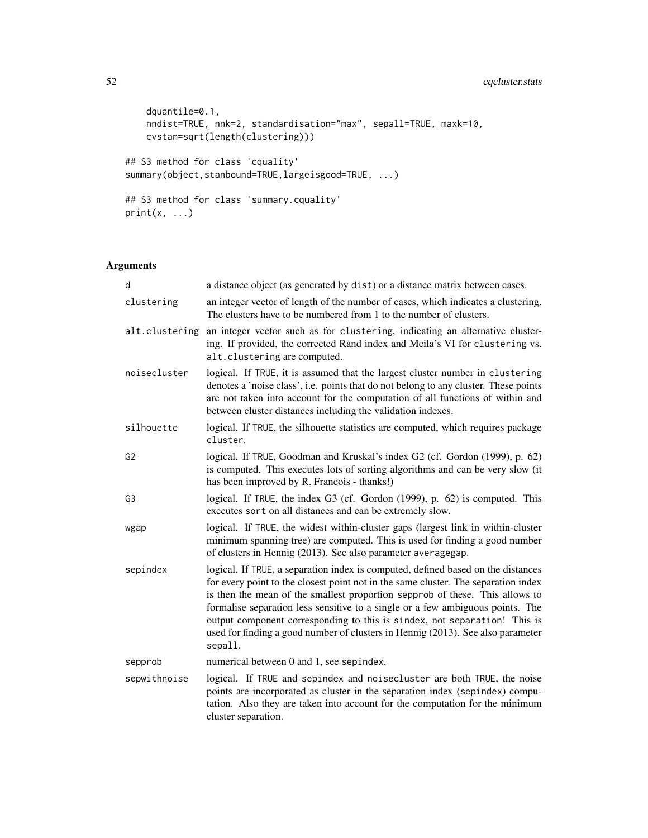# 52 cqcluster.stats

```
dquantile=0.1,
   nndist=TRUE, nnk=2, standardisation="max", sepall=TRUE, maxk=10,
   cvstan=sqrt(length(clustering)))
## S3 method for class 'cquality'
summary(object,stanbound=TRUE,largeisgood=TRUE, ...)
## S3 method for class 'summary.cquality'
print(x, \ldots)
```
# Arguments

| d              | a distance object (as generated by dist) or a distance matrix between cases.                                                                                                                                                                                                                                                                                                                                                                                                                                        |
|----------------|---------------------------------------------------------------------------------------------------------------------------------------------------------------------------------------------------------------------------------------------------------------------------------------------------------------------------------------------------------------------------------------------------------------------------------------------------------------------------------------------------------------------|
| clustering     | an integer vector of length of the number of cases, which indicates a clustering.<br>The clusters have to be numbered from 1 to the number of clusters.                                                                                                                                                                                                                                                                                                                                                             |
| alt.clustering | an integer vector such as for clustering, indicating an alternative cluster-<br>ing. If provided, the corrected Rand index and Meila's VI for clustering vs.<br>alt.clustering are computed.                                                                                                                                                                                                                                                                                                                        |
| noisecluster   | logical. If TRUE, it is assumed that the largest cluster number in clustering<br>denotes a 'noise class', i.e. points that do not belong to any cluster. These points<br>are not taken into account for the computation of all functions of within and<br>between cluster distances including the validation indexes.                                                                                                                                                                                               |
| silhouette     | logical. If TRUE, the silhouette statistics are computed, which requires package<br>cluster.                                                                                                                                                                                                                                                                                                                                                                                                                        |
| G2             | logical. If TRUE, Goodman and Kruskal's index G2 (cf. Gordon (1999), p. 62)<br>is computed. This executes lots of sorting algorithms and can be very slow (it<br>has been improved by R. Francois - thanks!)                                                                                                                                                                                                                                                                                                        |
| G3             | logical. If TRUE, the index G3 (cf. Gordon (1999), p. 62) is computed. This<br>executes sort on all distances and can be extremely slow.                                                                                                                                                                                                                                                                                                                                                                            |
| wgap           | logical. If TRUE, the widest within-cluster gaps (largest link in within-cluster<br>minimum spanning tree) are computed. This is used for finding a good number<br>of clusters in Hennig (2013). See also parameter averagegap.                                                                                                                                                                                                                                                                                     |
| sepindex       | logical. If TRUE, a separation index is computed, defined based on the distances<br>for every point to the closest point not in the same cluster. The separation index<br>is then the mean of the smallest proportion sepprob of these. This allows to<br>formalise separation less sensitive to a single or a few ambiguous points. The<br>output component corresponding to this is sindex, not separation! This is<br>used for finding a good number of clusters in Hennig (2013). See also parameter<br>sepall. |
| sepprob        | numerical between 0 and 1, see sepindex.                                                                                                                                                                                                                                                                                                                                                                                                                                                                            |
| sepwithnoise   | logical. If TRUE and sepindex and noisecluster are both TRUE, the noise<br>points are incorporated as cluster in the separation index (sepindex) compu-<br>tation. Also they are taken into account for the computation for the minimum<br>cluster separation.                                                                                                                                                                                                                                                      |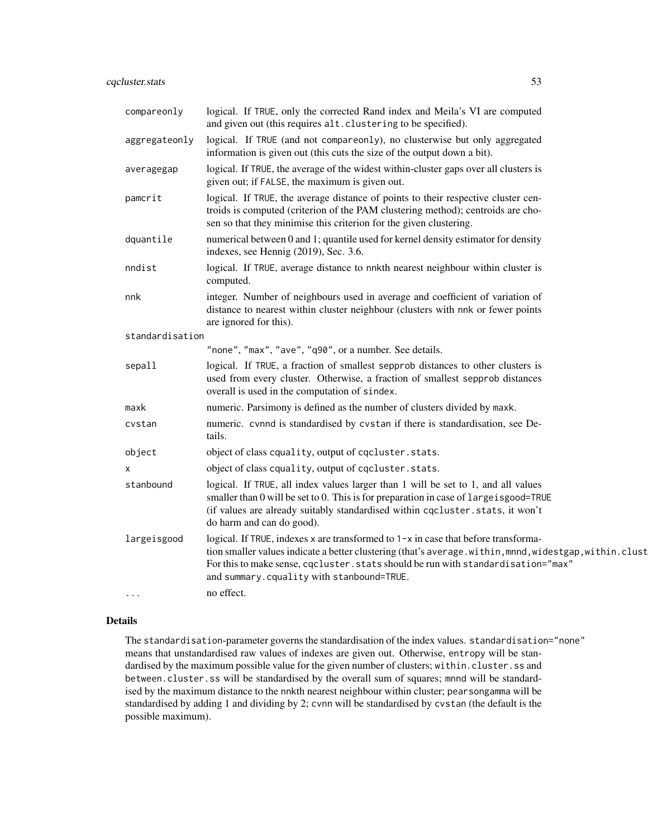| compareonly     | logical. If TRUE, only the corrected Rand index and Meila's VI are computed<br>and given out (this requires alt. clustering to be specified).                                                                                                                                                                                  |
|-----------------|--------------------------------------------------------------------------------------------------------------------------------------------------------------------------------------------------------------------------------------------------------------------------------------------------------------------------------|
| aggregateonly   | logical. If TRUE (and not compareonly), no clusterwise but only aggregated<br>information is given out (this cuts the size of the output down a bit).                                                                                                                                                                          |
| averagegap      | logical. If TRUE, the average of the widest within-cluster gaps over all clusters is<br>given out; if FALSE, the maximum is given out.                                                                                                                                                                                         |
| pamcrit         | logical. If TRUE, the average distance of points to their respective cluster cen-<br>troids is computed (criterion of the PAM clustering method); centroids are cho-<br>sen so that they minimise this criterion for the given clustering.                                                                                     |
| dquantile       | numerical between 0 and 1; quantile used for kernel density estimator for density<br>indexes, see Hennig (2019), Sec. 3.6.                                                                                                                                                                                                     |
| nndist          | logical. If TRUE, average distance to nnkth nearest neighbour within cluster is<br>computed.                                                                                                                                                                                                                                   |
| nnk             | integer. Number of neighbours used in average and coefficient of variation of<br>distance to nearest within cluster neighbour (clusters with nnk or fewer points<br>are ignored for this).                                                                                                                                     |
| standardisation |                                                                                                                                                                                                                                                                                                                                |
|                 | "none", "max", "ave", "q90", or a number. See details.                                                                                                                                                                                                                                                                         |
| sepall          | logical. If TRUE, a fraction of smallest sepprob distances to other clusters is<br>used from every cluster. Otherwise, a fraction of smallest sepprob distances<br>overall is used in the computation of sindex.                                                                                                               |
| maxk            | numeric. Parsimony is defined as the number of clusters divided by maxk.                                                                                                                                                                                                                                                       |
| cvstan          | numeric. cvnnd is standardised by cvstan if there is standardisation, see De-<br>tails.                                                                                                                                                                                                                                        |
| object          | object of class cquality, output of cqcluster.stats.                                                                                                                                                                                                                                                                           |
| x               | object of class cquality, output of cqcluster.stats.                                                                                                                                                                                                                                                                           |
| stanbound       | logical. If TRUE, all index values larger than 1 will be set to 1, and all values<br>smaller than 0 will be set to 0. This is for preparation in case of largeisgood=TRUE<br>(if values are already suitably standardised within cqcluster.stats, it won't<br>do harm and can do good).                                        |
| largeisgood     | logical. If TRUE, indexes x are transformed to 1-x in case that before transforma-<br>tion smaller values indicate a better clustering (that's average.within, mnnd, widestgap, within.clust<br>For this to make sense, cqcluster. stats should be run with standardisation="max"<br>and summary.cquality with stanbound=TRUE. |
| $\cdots$        | no effect.                                                                                                                                                                                                                                                                                                                     |

## Details

The standardisation-parameter governs the standardisation of the index values. standardisation="none" means that unstandardised raw values of indexes are given out. Otherwise, entropy will be standardised by the maximum possible value for the given number of clusters; within.cluster.ss and between.cluster.ss will be standardised by the overall sum of squares; mnnd will be standardised by the maximum distance to the nnkth nearest neighbour within cluster; pearsongamma will be standardised by adding 1 and dividing by 2; cvnn will be standardised by cvstan (the default is the possible maximum).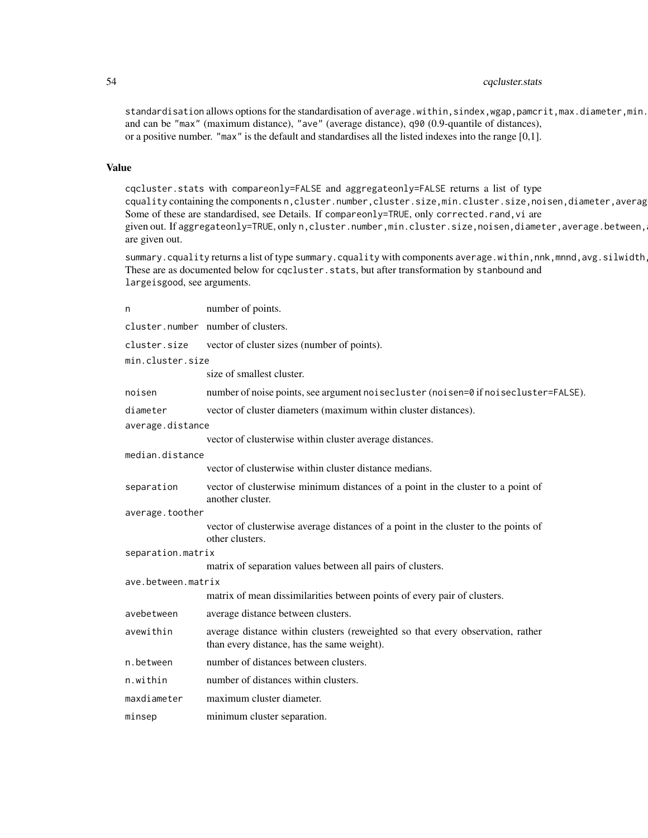# 54 cqcluster.stats

standardisation allows options for the standardisation of average.within, sindex,wgap, pamcrit,max.diameter,min. and can be "max" (maximum distance), "ave" (average distance), q90 (0.9-quantile of distances), or a positive number. "max" is the default and standardises all the listed indexes into the range [0,1].

### Value

cqcluster.stats with compareonly=FALSE and aggregateonly=FALSE returns a list of type cquality containing the components n, cluster.number, cluster.size, min.cluster.size, noisen, diameter, averag Some of these are standardised, see Details. If compareonly=TRUE, only corrected.rand,vi are given out. If aggregateonly=TRUE, only n, cluster.number, min.cluster.size, noisen, diameter, average.between, are given out.

summary.cquality returns alist of type summary.cquality with components average.within,nnk,mnnd,avg.silwidth These are as documented below for cqcluster.stats, but after transformation by stanbound and largeisgood, see arguments.

| n                  | number of points.                                                                                                            |
|--------------------|------------------------------------------------------------------------------------------------------------------------------|
|                    | cluster.number number of clusters.                                                                                           |
| cluster.size       | vector of cluster sizes (number of points).                                                                                  |
| min.cluster.size   |                                                                                                                              |
|                    | size of smallest cluster.                                                                                                    |
| noisen             | number of noise points, see argument noisecluster (noisen=0 if noisecluster=FALSE).                                          |
| diameter           | vector of cluster diameters (maximum within cluster distances).                                                              |
| average.distance   |                                                                                                                              |
|                    | vector of clusterwise within cluster average distances.                                                                      |
| median.distance    |                                                                                                                              |
|                    | vector of clusterwise within cluster distance medians.                                                                       |
| separation         | vector of clusterwise minimum distances of a point in the cluster to a point of<br>another cluster.                          |
| average.toother    |                                                                                                                              |
|                    | vector of clusterwise average distances of a point in the cluster to the points of<br>other clusters.                        |
| separation.matrix  |                                                                                                                              |
|                    | matrix of separation values between all pairs of clusters.                                                                   |
| ave.between.matrix |                                                                                                                              |
|                    | matrix of mean dissimilarities between points of every pair of clusters.                                                     |
| avebetween         | average distance between clusters.                                                                                           |
| avewithin          | average distance within clusters (reweighted so that every observation, rather<br>than every distance, has the same weight). |
| n.between          | number of distances between clusters.                                                                                        |
| n.within           | number of distances within clusters.                                                                                         |
| maxdiameter        | maximum cluster diameter.                                                                                                    |
| minsep             | minimum cluster separation.                                                                                                  |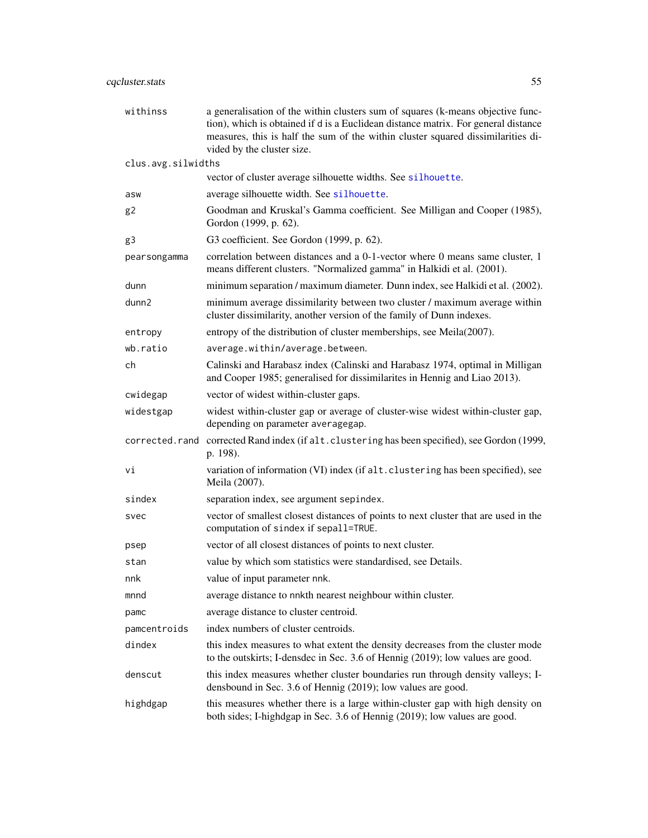| withinss           | a generalisation of the within clusters sum of squares (k-means objective func-<br>tion), which is obtained if d is a Euclidean distance matrix. For general distance<br>measures, this is half the sum of the within cluster squared dissimilarities di-<br>vided by the cluster size. |
|--------------------|-----------------------------------------------------------------------------------------------------------------------------------------------------------------------------------------------------------------------------------------------------------------------------------------|
| clus.avg.silwidths |                                                                                                                                                                                                                                                                                         |
|                    | vector of cluster average silhouette widths. See silhouette.                                                                                                                                                                                                                            |
| asw                | average silhouette width. See silhouette.                                                                                                                                                                                                                                               |
| g <sub>2</sub>     | Goodman and Kruskal's Gamma coefficient. See Milligan and Cooper (1985),<br>Gordon (1999, p. 62).                                                                                                                                                                                       |
| g3                 | G3 coefficient. See Gordon (1999, p. 62).                                                                                                                                                                                                                                               |
| pearsongamma       | correlation between distances and a 0-1-vector where 0 means same cluster, 1<br>means different clusters. "Normalized gamma" in Halkidi et al. (2001).                                                                                                                                  |
| dunn               | minimum separation / maximum diameter. Dunn index, see Halkidi et al. (2002).                                                                                                                                                                                                           |
| dunn2              | minimum average dissimilarity between two cluster / maximum average within<br>cluster dissimilarity, another version of the family of Dunn indexes.                                                                                                                                     |
| entropy            | entropy of the distribution of cluster memberships, see Meila(2007).                                                                                                                                                                                                                    |
| wb.ratio           | average.within/average.between.                                                                                                                                                                                                                                                         |
| ch                 | Calinski and Harabasz index (Calinski and Harabasz 1974, optimal in Milligan<br>and Cooper 1985; generalised for dissimilarites in Hennig and Liao 2013).                                                                                                                               |
| cwidegap           | vector of widest within-cluster gaps.                                                                                                                                                                                                                                                   |
| widestgap          | widest within-cluster gap or average of cluster-wise widest within-cluster gap,<br>depending on parameter averagegap.                                                                                                                                                                   |
|                    | corrected.rand corrected Rand index (if alt.clustering has been specified), see Gordon (1999,<br>p. 198).                                                                                                                                                                               |
| Vi                 | variation of information (VI) index (if alt. clustering has been specified), see<br>Meila (2007).                                                                                                                                                                                       |
| sindex             | separation index, see argument sepindex.                                                                                                                                                                                                                                                |
| svec               | vector of smallest closest distances of points to next cluster that are used in the<br>computation of sindex if sepall=TRUE.                                                                                                                                                            |
| psep               | vector of all closest distances of points to next cluster.                                                                                                                                                                                                                              |
| stan               | value by which som statistics were standardised, see Details.                                                                                                                                                                                                                           |
| nnk                | value of input parameter nnk.                                                                                                                                                                                                                                                           |
| mnnd               | average distance to nnkth nearest neighbour within cluster.                                                                                                                                                                                                                             |
| pamc               | average distance to cluster centroid.                                                                                                                                                                                                                                                   |
| pamcentroids       | index numbers of cluster centroids.                                                                                                                                                                                                                                                     |
| dindex             | this index measures to what extent the density decreases from the cluster mode<br>to the outskirts; I-densdec in Sec. 3.6 of Hennig (2019); low values are good.                                                                                                                        |
| denscut            | this index measures whether cluster boundaries run through density valleys; I-<br>densbound in Sec. 3.6 of Hennig (2019); low values are good.                                                                                                                                          |
| highdgap           | this measures whether there is a large within-cluster gap with high density on<br>both sides; I-highdgap in Sec. 3.6 of Hennig (2019); low values are good.                                                                                                                             |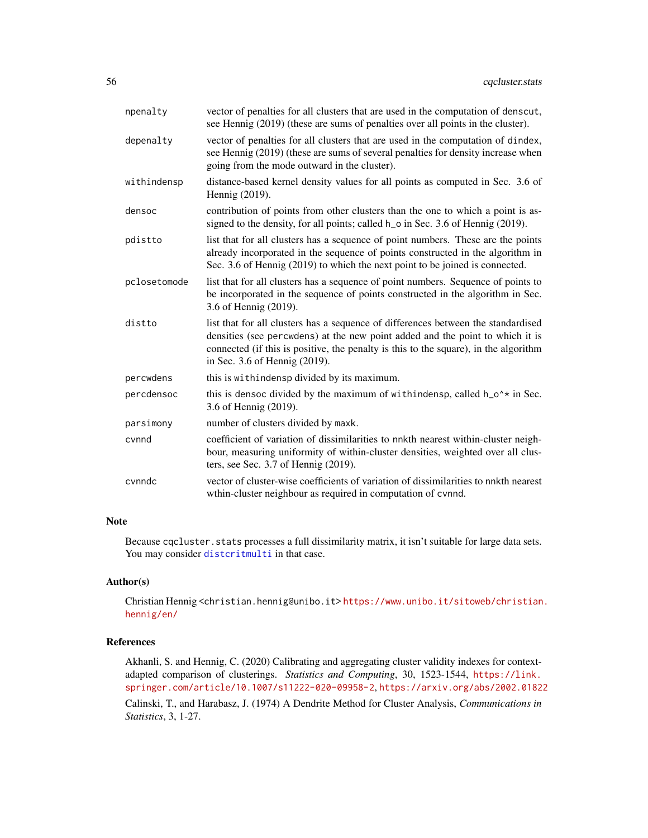| npenalty     | vector of penalties for all clusters that are used in the computation of denscut,<br>see Hennig (2019) (these are sums of penalties over all points in the cluster).                                                                                                                        |
|--------------|---------------------------------------------------------------------------------------------------------------------------------------------------------------------------------------------------------------------------------------------------------------------------------------------|
| depenalty    | vector of penalties for all clusters that are used in the computation of dindex,<br>see Hennig (2019) (these are sums of several penalties for density increase when<br>going from the mode outward in the cluster).                                                                        |
| withindensp  | distance-based kernel density values for all points as computed in Sec. 3.6 of<br>Hennig (2019).                                                                                                                                                                                            |
| densoc       | contribution of points from other clusters than the one to which a point is as-<br>signed to the density, for all points; called h <sub>o</sub> in Sec. 3.6 of Hennig (2019).                                                                                                               |
| pdistto      | list that for all clusters has a sequence of point numbers. These are the points<br>already incorporated in the sequence of points constructed in the algorithm in<br>Sec. 3.6 of Hennig (2019) to which the next point to be joined is connected.                                          |
| pclosetomode | list that for all clusters has a sequence of point numbers. Sequence of points to<br>be incorporated in the sequence of points constructed in the algorithm in Sec.<br>3.6 of Hennig (2019).                                                                                                |
| distto       | list that for all clusters has a sequence of differences between the standardised<br>densities (see percwdens) at the new point added and the point to which it is<br>connected (if this is positive, the penalty is this to the square), in the algorithm<br>in Sec. 3.6 of Hennig (2019). |
| percwdens    | this is withindensp divided by its maximum.                                                                                                                                                                                                                                                 |
| percdensoc   | this is densoc divided by the maximum of withindensp, called $h_0^*$ in Sec.<br>3.6 of Hennig (2019).                                                                                                                                                                                       |
| parsimony    | number of clusters divided by maxk.                                                                                                                                                                                                                                                         |
| cynnd        | coefficient of variation of dissimilarities to nnkth nearest within-cluster neigh-<br>bour, measuring uniformity of within-cluster densities, weighted over all clus-<br>ters, see Sec. $3.7$ of Hennig (2019).                                                                             |
| cynndc       | vector of cluster-wise coefficients of variation of dissimilarities to nnkth nearest<br>wthin-cluster neighbour as required in computation of cvnnd.                                                                                                                                        |

## Note

Because cqcluster. stats processes a full dissimilarity matrix, it isn't suitable for large data sets. You may consider [distcritmulti](#page-69-0) in that case.

# Author(s)

Christian Hennig <christian.hennig@unibo.it> [https://www.unibo.it/sitoweb/christian](https://www.unibo.it/sitoweb/christian.hennig/en/). [hennig/en/](https://www.unibo.it/sitoweb/christian.hennig/en/)

#### References

Akhanli, S. and Hennig, C. (2020) Calibrating and aggregating cluster validity indexes for contextadapted comparison of clusterings. *Statistics and Computing*, 30, 1523-1544, [https://link.](https://link.springer.com/article/10.1007/s11222-020-09958-2) [springer.com/article/10.1007/s11222-020-09958-2](https://link.springer.com/article/10.1007/s11222-020-09958-2), <https://arxiv.org/abs/2002.01822>

Calinski, T., and Harabasz, J. (1974) A Dendrite Method for Cluster Analysis, *Communications in Statistics*, 3, 1-27.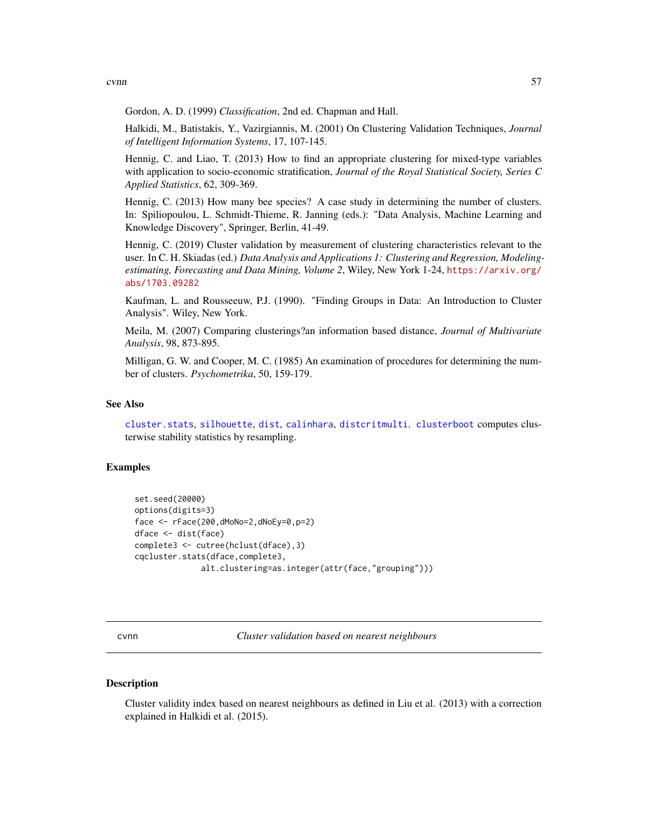cvnn 57

Gordon, A. D. (1999) *Classification*, 2nd ed. Chapman and Hall.

Halkidi, M., Batistakis, Y., Vazirgiannis, M. (2001) On Clustering Validation Techniques, *Journal of Intelligent Information Systems*, 17, 107-145.

Hennig, C. and Liao, T. (2013) How to find an appropriate clustering for mixed-type variables with application to socio-economic stratification, *Journal of the Royal Statistical Society, Series C Applied Statistics*, 62, 309-369.

Hennig, C. (2013) How many bee species? A case study in determining the number of clusters. In: Spiliopoulou, L. Schmidt-Thieme, R. Janning (eds.): "Data Analysis, Machine Learning and Knowledge Discovery", Springer, Berlin, 41-49.

Hennig, C. (2019) Cluster validation by measurement of clustering characteristics relevant to the user. In C. H. Skiadas (ed.) *Data Analysis and Applications 1: Clustering and Regression, Modelingestimating, Forecasting and Data Mining, Volume 2*, Wiley, New York 1-24, [https://arxiv.org/](https://arxiv.org/abs/1703.09282) [abs/1703.09282](https://arxiv.org/abs/1703.09282)

Kaufman, L. and Rousseeuw, P.J. (1990). "Finding Groups in Data: An Introduction to Cluster Analysis". Wiley, New York.

Meila, M. (2007) Comparing clusterings?an information based distance, *Journal of Multivariate Analysis*, 98, 873-895.

Milligan, G. W. and Cooper, M. C. (1985) An examination of procedures for determining the number of clusters. *Psychometrika*, 50, 159-179.

#### See Also

[cluster.stats](#page-30-0), [silhouette](#page-0-0), [dist](#page-0-0), [calinhara](#page-14-0), [distcritmulti](#page-69-0). [clusterboot](#page-40-0) computes clusterwise stability statistics by resampling.

## Examples

```
set.seed(20000)
options(digits=3)
face <- rFace(200,dMoNo=2,dNoEy=0,p=2)
dface <- dist(face)
complete3 <- cutree(hclust(dface),3)
cqcluster.stats(dface,complete3,
              alt.clustering=as.integer(attr(face,"grouping")))
```
cvnn *Cluster validation based on nearest neighbours*

#### Description

Cluster validity index based on nearest neighbours as defined in Liu et al. (2013) with a correction explained in Halkidi et al. (2015).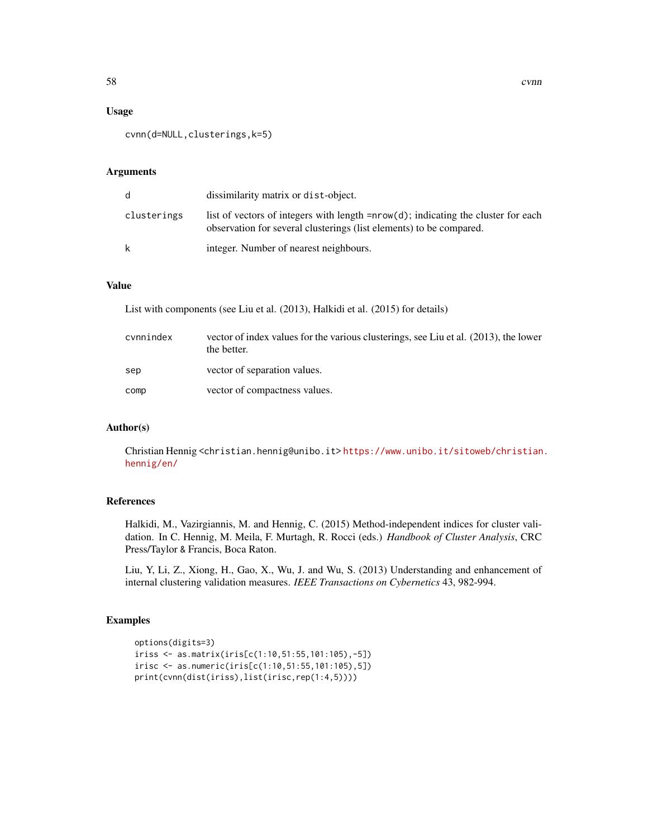#### Usage

```
cvnn(d=NULL,clusterings,k=5)
```
#### Arguments

| d           | dissimilarity matrix or dist-object.                                                                                                                         |
|-------------|--------------------------------------------------------------------------------------------------------------------------------------------------------------|
| clusterings | list of vectors of integers with length $= nrow(d)$ ; indicating the cluster for each<br>observation for several clusterings (list elements) to be compared. |
| k           | integer. Number of nearest neighbours.                                                                                                                       |

# Value

List with components (see Liu et al. (2013), Halkidi et al. (2015) for details)

| cvnnindex | vector of index values for the various clusterings, see Liu et al. (2013), the lower<br>the better. |
|-----------|-----------------------------------------------------------------------------------------------------|
| sep       | vector of separation values.                                                                        |
| comp      | vector of compactness values.                                                                       |

## Author(s)

Christian Hennig <christian.hennig@unibo.it> [https://www.unibo.it/sitoweb/christian](https://www.unibo.it/sitoweb/christian.hennig/en/). [hennig/en/](https://www.unibo.it/sitoweb/christian.hennig/en/)

# References

Halkidi, M., Vazirgiannis, M. and Hennig, C. (2015) Method-independent indices for cluster validation. In C. Hennig, M. Meila, F. Murtagh, R. Rocci (eds.) *Handbook of Cluster Analysis*, CRC Press/Taylor & Francis, Boca Raton.

Liu, Y, Li, Z., Xiong, H., Gao, X., Wu, J. and Wu, S. (2013) Understanding and enhancement of internal clustering validation measures. *IEEE Transactions on Cybernetics* 43, 982-994.

#### Examples

```
options(digits=3)
iriss <- as.matrix(iris[c(1:10,51:55,101:105),-5])
irisc <- as.numeric(iris[c(1:10,51:55,101:105),5])
print(cvnn(dist(iriss),list(irisc,rep(1:4,5))))
```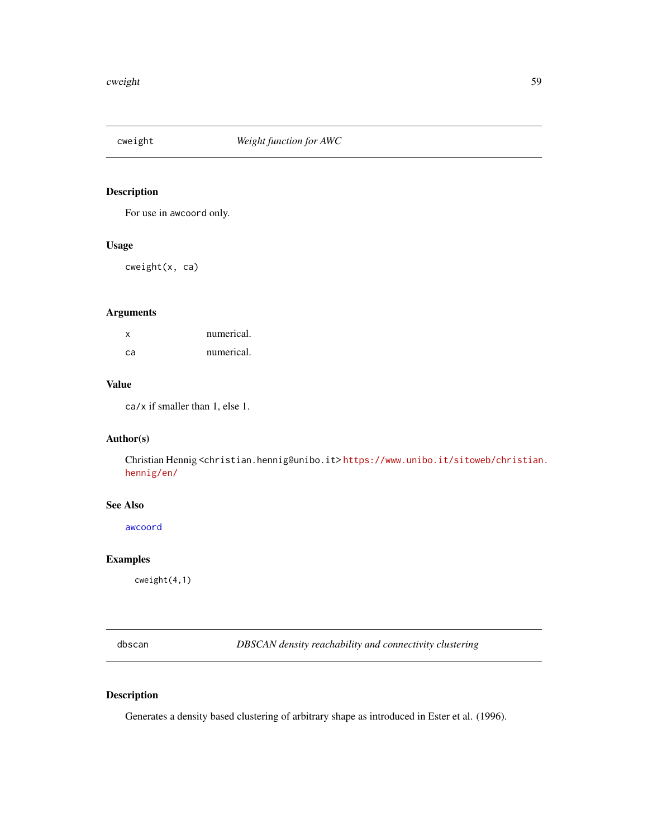# Description

For use in awcoord only.

## Usage

cweight(x, ca)

# Arguments

| $\mathbf{x}$ | numerical. |
|--------------|------------|
| -ca          | numerical. |

# Value

ca/x if smaller than 1, else 1.

## Author(s)

Christian Hennig <christian.hennig@unibo.it> [https://www.unibo.it/sitoweb/christian](https://www.unibo.it/sitoweb/christian.hennig/en/). [hennig/en/](https://www.unibo.it/sitoweb/christian.hennig/en/)

### See Also

[awcoord](#page-8-0)

# Examples

cweight(4,1)

<span id="page-58-0"></span>dbscan *DBSCAN density reachability and connectivity clustering*

# Description

Generates a density based clustering of arbitrary shape as introduced in Ester et al. (1996).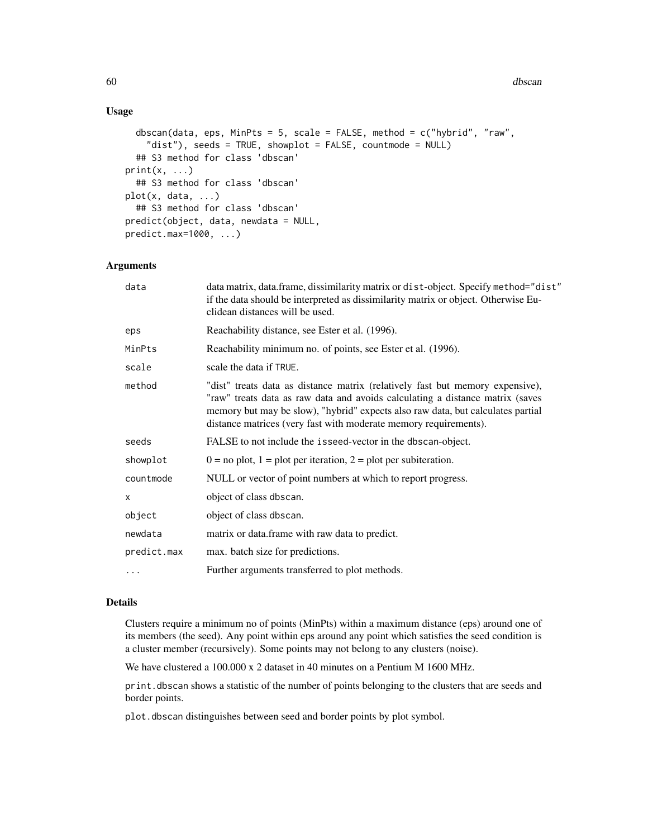# Usage

```
dbscan(data, eps, MinPts = 5, scale = FALSE, method = c("hybrid", "raw",
    "dist"), seeds = TRUE, showplot = FALSE, countmode = NULL)
  ## S3 method for class 'dbscan'
print(x, \ldots)## S3 method for class 'dbscan'
plot(x, data, ...)
  ## S3 method for class 'dbscan'
predict(object, data, newdata = NULL,
predict.max=1000, ...)
```
## Arguments

| data        | data matrix, data.frame, dissimilarity matrix or dist-object. Specify method="dist"<br>if the data should be interpreted as dissimilarity matrix or object. Otherwise Eu-<br>clidean distances will be used.                                                                                                          |
|-------------|-----------------------------------------------------------------------------------------------------------------------------------------------------------------------------------------------------------------------------------------------------------------------------------------------------------------------|
| eps         | Reachability distance, see Ester et al. (1996).                                                                                                                                                                                                                                                                       |
| MinPts      | Reachability minimum no. of points, see Ester et al. (1996).                                                                                                                                                                                                                                                          |
| scale       | scale the data if TRUE.                                                                                                                                                                                                                                                                                               |
| method      | "dist" treats data as distance matrix (relatively fast but memory expensive),<br>"raw" treats data as raw data and avoids calculating a distance matrix (saves<br>memory but may be slow), "hybrid" expects also raw data, but calculates partial<br>distance matrices (very fast with moderate memory requirements). |
| seeds       | FALSE to not include the isseed-vector in the dbscan-object.                                                                                                                                                                                                                                                          |
| showplot    | $0 =$ no plot, $1 =$ plot per iteration, $2 =$ plot per subiteration.                                                                                                                                                                                                                                                 |
| countmode   | NULL or vector of point numbers at which to report progress.                                                                                                                                                                                                                                                          |
| X           | object of class dbscan.                                                                                                                                                                                                                                                                                               |
| object      | object of class dbscan.                                                                                                                                                                                                                                                                                               |
| newdata     | matrix or data.frame with raw data to predict.                                                                                                                                                                                                                                                                        |
| predict.max | max. batch size for predictions.                                                                                                                                                                                                                                                                                      |
| $\cdots$    | Further arguments transferred to plot methods.                                                                                                                                                                                                                                                                        |

## Details

Clusters require a minimum no of points (MinPts) within a maximum distance (eps) around one of its members (the seed). Any point within eps around any point which satisfies the seed condition is a cluster member (recursively). Some points may not belong to any clusters (noise).

We have clustered a 100.000 x 2 dataset in 40 minutes on a Pentium M 1600 MHz.

print.dbscan shows a statistic of the number of points belonging to the clusters that are seeds and border points.

plot.dbscan distinguishes between seed and border points by plot symbol.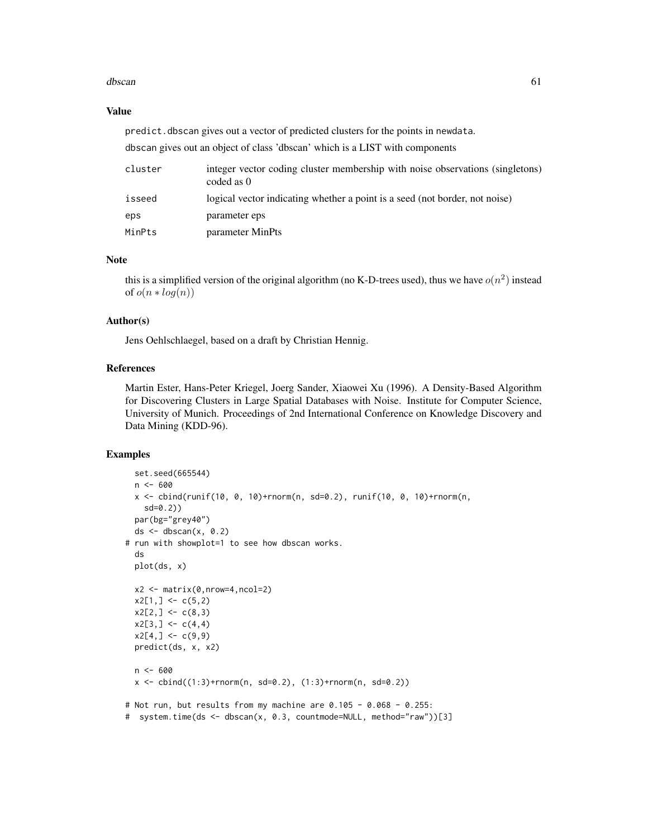#### dbscan 61 and 52 and 52 and 53 and 53 and 53 and 54 and 55 and 56 and 56 and 56 and 56 and 56 and 56 and 56 and 56 and 56 and 56 and 56 and 56 and 56 and 56 and 56 and 56 and 56 and 56 and 56 and 56 and 56 and 56 and 56 an

#### Value

predict.dbscan gives out a vector of predicted clusters for the points in newdata.

dbscan gives out an object of class 'dbscan' which is a LIST with components

| cluster | integer vector coding cluster membership with noise observations (singletons)<br>coded as 0 |
|---------|---------------------------------------------------------------------------------------------|
| isseed  | logical vector indicating whether a point is a seed (not border, not noise)                 |
| eps     | parameter eps                                                                               |
| MinPts  | parameter MinPts                                                                            |

## Note

this is a simplified version of the original algorithm (no K-D-trees used), thus we have  $o(n^2)$  instead of  $o(n * log(n))$ 

## Author(s)

Jens Oehlschlaegel, based on a draft by Christian Hennig.

## References

Martin Ester, Hans-Peter Kriegel, Joerg Sander, Xiaowei Xu (1996). A Density-Based Algorithm for Discovering Clusters in Large Spatial Databases with Noise. Institute for Computer Science, University of Munich. Proceedings of 2nd International Conference on Knowledge Discovery and Data Mining (KDD-96).

## Examples

```
set.seed(665544)
 n < -600x \le cbind(runif(10, 0, 10)+rnorm(n, sd=0.2), runif(10, 0, 10)+rnorm(n,
    sd=0.2))
 par(bg="grey40")
 ds <- dbscan(x, 0.2)# run with showplot=1 to see how dbscan works.
 ds
 plot(ds, x)
 x2 \leftarrow matrix(0, nrow=4, ncol=2)x2[1,] < -c(5,2)x2[2,] < -c(8,3)x2[3,] < -c(4,4)x2[4,] < -c(9,9)predict(ds, x, x2)
 n <- 600
 x \le - \text{bind}((1:3) + \text{norm}(n, sd=0.2), (1:3) + \text{norm}(n, sd=0.2))# Not run, but results from my machine are 0.105 - 0.068 - 0.255:
# system.time(ds <- dbscan(x, 0.3, countmode=NULL, method="raw"))[3]
```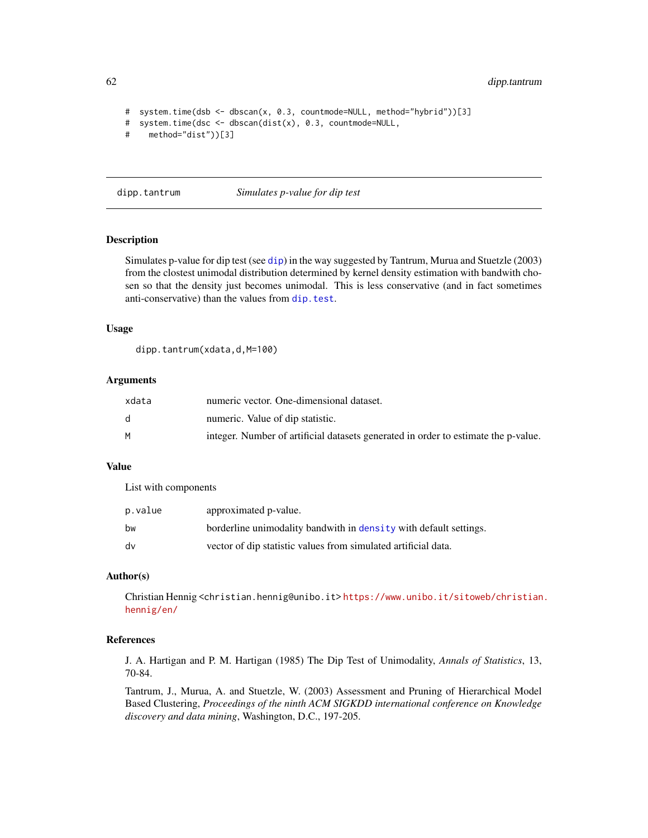62 dipp.tantrum

```
# system.time(dsb <- dbscan(x, 0.3, countmode=NULL, method="hybrid"))[3]
# system.time(dsc <- dbscan(dist(x), 0.3, countmode=NULL,
# method="dist"))[3]
```
dipp.tantrum *Simulates p-value for dip test*

# **Description**

Simulates p-value for dip test (see [dip](#page-0-0)) in the way suggested by Tantrum, Murua and Stuetzle (2003) from the clostest unimodal distribution determined by kernel density estimation with bandwith chosen so that the density just becomes unimodal. This is less conservative (and in fact sometimes anti-conservative) than the values from [dip.test](#page-0-0).

#### Usage

dipp.tantrum(xdata,d,M=100)

#### Arguments

| xdata | numeric vector. One-dimensional dataset.                                           |
|-------|------------------------------------------------------------------------------------|
|       | numeric. Value of dip statistic.                                                   |
|       | integer. Number of artificial datasets generated in order to estimate the p-value. |

## Value

List with components

| p.value | approximated p-value.                                             |
|---------|-------------------------------------------------------------------|
| bw      | borderline unimodality bandwith in density with default settings. |
| dv      | vector of dip statistic values from simulated artificial data.    |

#### Author(s)

Christian Hennig <christian.hennig@unibo.it> [https://www.unibo.it/sitoweb/christian](https://www.unibo.it/sitoweb/christian.hennig/en/). [hennig/en/](https://www.unibo.it/sitoweb/christian.hennig/en/)

## References

J. A. Hartigan and P. M. Hartigan (1985) The Dip Test of Unimodality, *Annals of Statistics*, 13, 70-84.

Tantrum, J., Murua, A. and Stuetzle, W. (2003) Assessment and Pruning of Hierarchical Model Based Clustering, *Proceedings of the ninth ACM SIGKDD international conference on Knowledge discovery and data mining*, Washington, D.C., 197-205.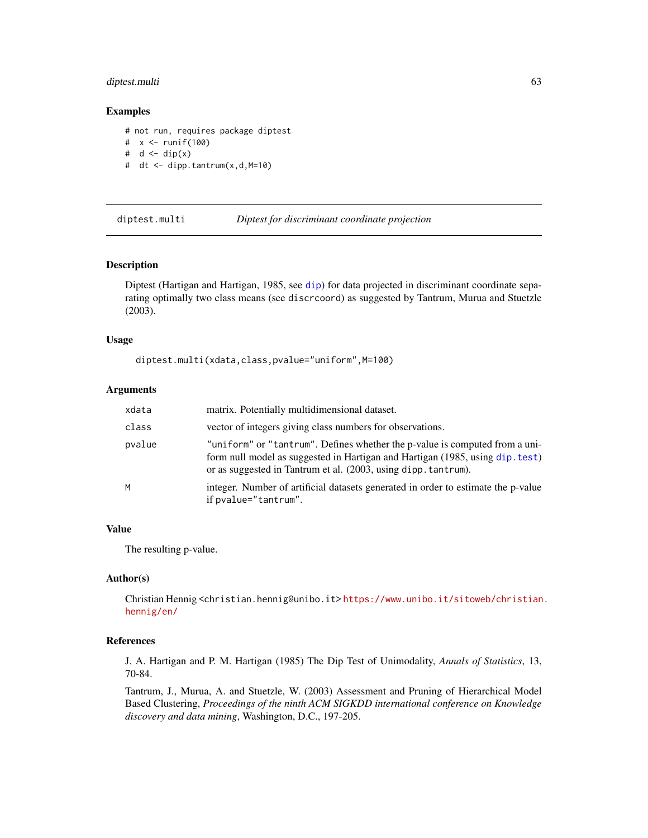## diptest.multi 63

#### Examples

# not run, requires package diptest # x <- runif(100) #  $d \leftarrow dip(x)$ # dt <- dipp.tantrum(x,d,M=10)

diptest.multi *Diptest for discriminant coordinate projection*

#### Description

Diptest (Hartigan and Hartigan, 1985, see [dip](#page-0-0)) for data projected in discriminant coordinate separating optimally two class means (see discrcoord) as suggested by Tantrum, Murua and Stuetzle (2003).

#### Usage

diptest.multi(xdata,class,pvalue="uniform",M=100)

# Arguments

| xdata  | matrix. Potentially multidimensional dataset.                                                                                                                                                                                  |
|--------|--------------------------------------------------------------------------------------------------------------------------------------------------------------------------------------------------------------------------------|
| class  | vector of integers giving class numbers for observations.                                                                                                                                                                      |
| pvalue | "uniform" or "tantrum". Defines whether the p-value is computed from a uni-<br>form null model as suggested in Hartigan and Hartigan (1985, using dip. test)<br>or as suggested in Tantrum et al. (2003, using dipp. tantrum). |
| M      | integer. Number of artificial datasets generated in order to estimate the p-value<br>if pvalue="tantrum".                                                                                                                      |

# Value

The resulting p-value.

#### Author(s)

Christian Hennig <christian.hennig@unibo.it> [https://www.unibo.it/sitoweb/christian](https://www.unibo.it/sitoweb/christian.hennig/en/). [hennig/en/](https://www.unibo.it/sitoweb/christian.hennig/en/)

## References

J. A. Hartigan and P. M. Hartigan (1985) The Dip Test of Unimodality, *Annals of Statistics*, 13, 70-84.

Tantrum, J., Murua, A. and Stuetzle, W. (2003) Assessment and Pruning of Hierarchical Model Based Clustering, *Proceedings of the ninth ACM SIGKDD international conference on Knowledge discovery and data mining*, Washington, D.C., 197-205.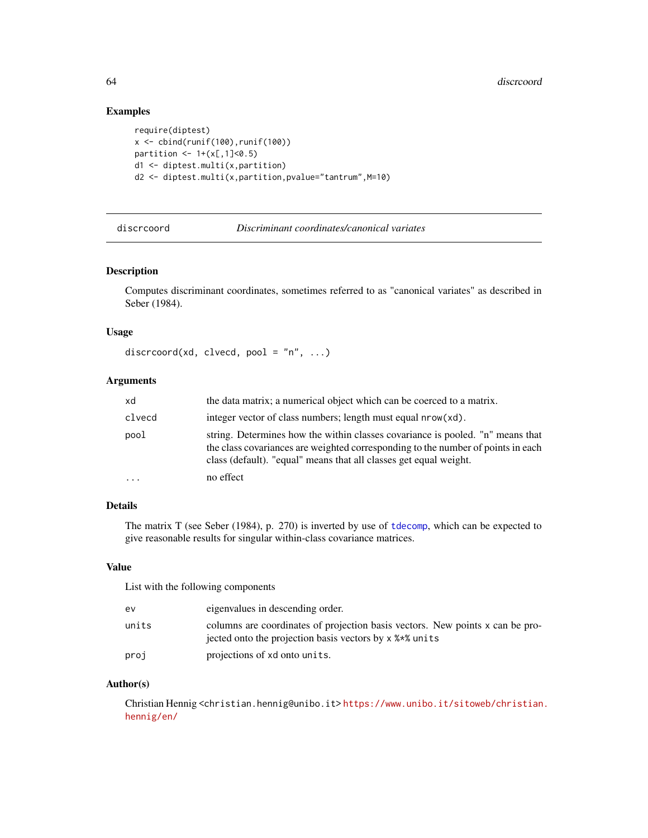# Examples

```
require(diptest)
x \leftarrow \text{cbind}(\text{runif}(100), \text{runif}(100))partition <-1+(x[,1]\le0.5)d1 <- diptest.multi(x,partition)
d2 <- diptest.multi(x,partition,pvalue="tantrum",M=10)
```
<span id="page-63-0"></span>discrcoord *Discriminant coordinates/canonical variates*

### Description

Computes discriminant coordinates, sometimes referred to as "canonical variates" as described in Seber (1984).

## Usage

```
discrcoord(xd, clvecd, pool = "n", ...)
```
## Arguments

| xd       | the data matrix; a numerical object which can be coerced to a matrix.                                                                                                                                                                   |
|----------|-----------------------------------------------------------------------------------------------------------------------------------------------------------------------------------------------------------------------------------------|
| clvecd   | integer vector of class numbers; length must equal nrow(xd).                                                                                                                                                                            |
| pool     | string. Determines how the within classes covariance is pooled. "n" means that<br>the class covariances are weighted corresponding to the number of points in each<br>class (default). "equal" means that all classes get equal weight. |
| $\ddots$ | no effect                                                                                                                                                                                                                               |

## Details

The matrix T (see Seber (1984), p. 270) is inverted by use of [tdecomp](#page-149-0), which can be expected to give reasonable results for singular within-class covariance matrices.

## Value

List with the following components

| ev    | eigenvalues in descending order.                                                                                                         |
|-------|------------------------------------------------------------------------------------------------------------------------------------------|
| units | columns are coordinates of projection basis vectors. New points x can be pro-<br>iected onto the projection basis vectors by x % * units |
| proj  | projections of xd onto units.                                                                                                            |

## Author(s)

Christian Hennig <christian.hennig@unibo.it> [https://www.unibo.it/sitoweb/christian](https://www.unibo.it/sitoweb/christian.hennig/en/). [hennig/en/](https://www.unibo.it/sitoweb/christian.hennig/en/)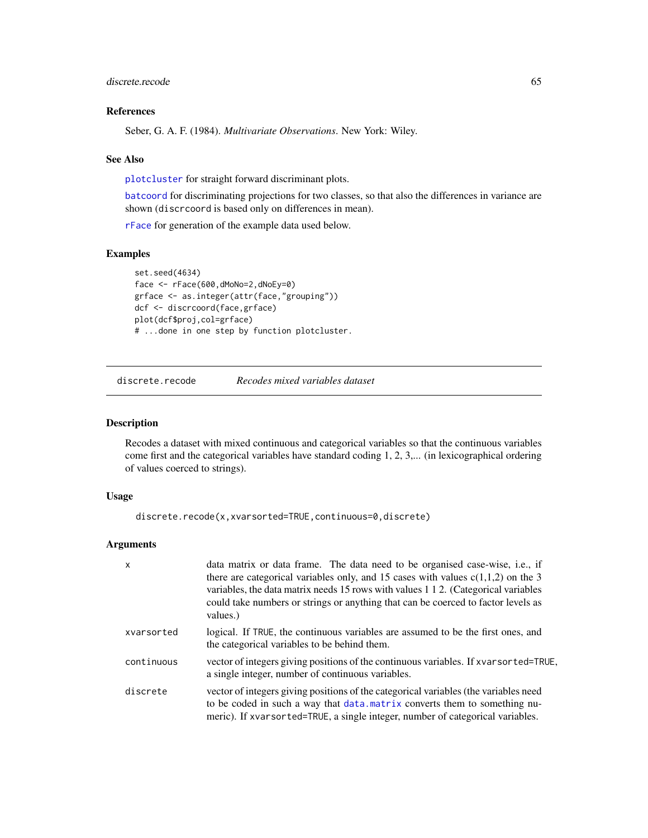## discrete.recode 65

# References

Seber, G. A. F. (1984). *Multivariate Observations*. New York: Wiley.

#### See Also

[plotcluster](#page-127-0) for straight forward discriminant plots.

[batcoord](#page-10-0) for discriminating projections for two classes, so that also the differences in variance are shown (discrcoord is based only on differences in mean).

[rFace](#page-139-0) for generation of the example data used below.

#### Examples

```
set.seed(4634)
face <- rFace(600,dMoNo=2,dNoEy=0)
grface <- as.integer(attr(face,"grouping"))
dcf <- discrcoord(face,grface)
plot(dcf$proj,col=grface)
# ...done in one step by function plotcluster.
```
discrete.recode *Recodes mixed variables dataset*

#### Description

Recodes a dataset with mixed continuous and categorical variables so that the continuous variables come first and the categorical variables have standard coding 1, 2, 3,... (in lexicographical ordering of values coerced to strings).

#### Usage

discrete.recode(x,xvarsorted=TRUE,continuous=0,discrete)

## Arguments

| X          | data matrix or data frame. The data need to be organised case-wise, i.e., if<br>there are categorical variables only, and 15 cases with values $c(1,1,2)$ on the 3<br>variables, the data matrix needs 15 rows with values 1 1 2. (Categorical variables<br>could take numbers or strings or anything that can be coerced to factor levels as<br>values.) |
|------------|-----------------------------------------------------------------------------------------------------------------------------------------------------------------------------------------------------------------------------------------------------------------------------------------------------------------------------------------------------------|
| xvarsorted | logical. If TRUE, the continuous variables are assumed to be the first ones, and<br>the categorical variables to be behind them.                                                                                                                                                                                                                          |
| continuous | vector of integers giving positions of the continuous variables. If xvarsorted=TRUE,<br>a single integer, number of continuous variables.                                                                                                                                                                                                                 |
| discrete   | vector of integers giving positions of the categorical variables (the variables need<br>to be coded in such a way that data. matrix converts them to something nu-<br>meric). If xvarsorted=TRUE, a single integer, number of categorical variables.                                                                                                      |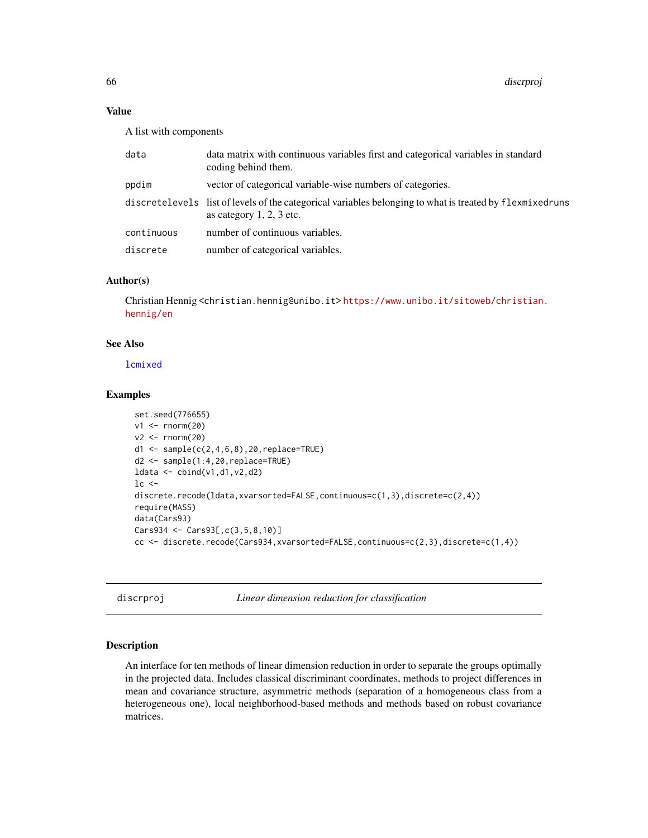## Value

A list with components

| data       | data matrix with continuous variables first and categorical variables in standard<br>coding behind them.                               |
|------------|----------------------------------------------------------------------------------------------------------------------------------------|
| ppdim      | vector of categorical variable-wise numbers of categories.                                                                             |
|            | discretelevels list of levels of the categorical variables belonging to what is treated by flexmixedruns<br>as category $1, 2, 3$ etc. |
| continuous | number of continuous variables.                                                                                                        |
| discrete   | number of categorical variables.                                                                                                       |
|            |                                                                                                                                        |

# Author(s)

Christian Hennig <christian.hennig@unibo.it> [https://www.unibo.it/sitoweb/christian](https://www.unibo.it/sitoweb/christian.hennig/en). [hennig/en](https://www.unibo.it/sitoweb/christian.hennig/en)

# See Also

[lcmixed](#page-101-0)

#### Examples

```
set.seed(776655)
v1 \leftarrow \text{norm}(20)v2 \le rnorm(20)d1 <- sample(c(2,4,6,8),20,replace=TRUE)
d2 <- sample(1:4,20,replace=TRUE)
ldata <- cbind(v1,d1,v2,d2)
lc <-discrete.recode(ldata,xvarsorted=FALSE,continuous=c(1,3),discrete=c(2,4))
require(MASS)
data(Cars93)
Cars934 <- Cars93[,c(3,5,8,10)]
cc <- discrete.recode(Cars934,xvarsorted=FALSE,continuous=c(2,3),discrete=c(1,4))
```
discrproj *Linear dimension reduction for classification*

# Description

An interface for ten methods of linear dimension reduction in order to separate the groups optimally in the projected data. Includes classical discriminant coordinates, methods to project differences in mean and covariance structure, asymmetric methods (separation of a homogeneous class from a heterogeneous one), local neighborhood-based methods and methods based on robust covariance matrices.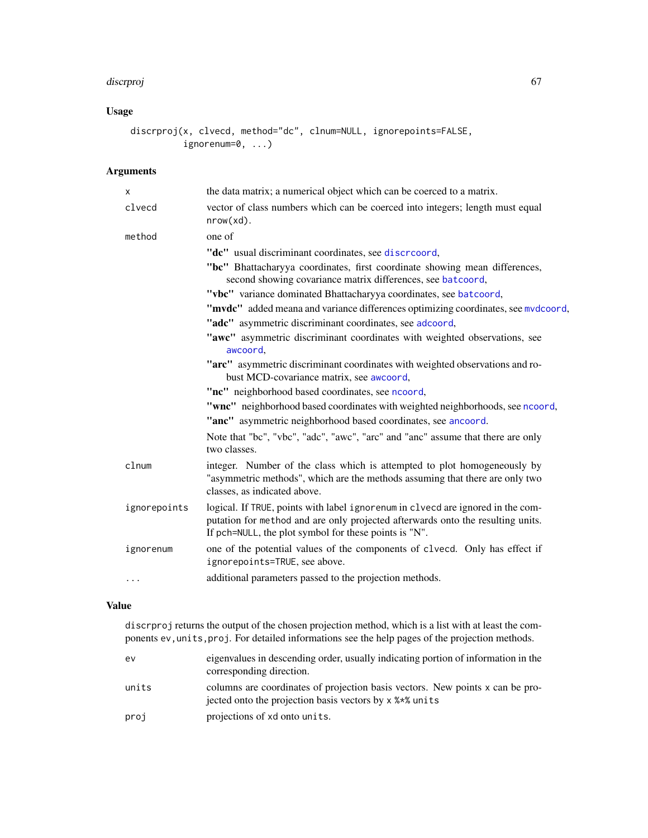#### discrproj de la contrada de la contrada de la contrada de la contrada de la contrada de la contrada de la contra

# Usage

```
discrproj(x, clvecd, method="dc", clnum=NULL, ignorepoints=FALSE,
          ignorenum=0, ...)
```
# Arguments

| X            | the data matrix; a numerical object which can be coerced to a matrix.                                                                                                                                                       |
|--------------|-----------------------------------------------------------------------------------------------------------------------------------------------------------------------------------------------------------------------------|
| clvecd       | vector of class numbers which can be coerced into integers; length must equal<br>$nrow(xd)$ .                                                                                                                               |
| method       | one of                                                                                                                                                                                                                      |
|              | "dc" usual discriminant coordinates, see discreoord,                                                                                                                                                                        |
|              | "bc" Bhattacharyya coordinates, first coordinate showing mean differences,<br>second showing covariance matrix differences, see batcoord,                                                                                   |
|              | "vbc" variance dominated Bhattacharyya coordinates, see batcoord,                                                                                                                                                           |
|              | "mvdc" added meana and variance differences optimizing coordinates, see mvdcoord,                                                                                                                                           |
|              | "adc" asymmetric discriminant coordinates, see adcoord,                                                                                                                                                                     |
|              | "awc" asymmetric discriminant coordinates with weighted observations, see<br>awcoord,                                                                                                                                       |
|              | "arc" asymmetric discriminant coordinates with weighted observations and ro-<br>bust MCD-covariance matrix, see awcoord,                                                                                                    |
|              | "nc" neighborhood based coordinates, see ncoord,                                                                                                                                                                            |
|              | "wnc" neighborhood based coordinates with weighted neighborhoods, see ncoord,                                                                                                                                               |
|              | "anc" asymmetric neighborhood based coordinates, see ancoord.                                                                                                                                                               |
|              | Note that "bc", "vbc", "adc", "awc", "arc" and "anc" assume that there are only<br>two classes.                                                                                                                             |
| clnum        | integer. Number of the class which is attempted to plot homogeneously by<br>"asymmetric methods", which are the methods assuming that there are only two<br>classes, as indicated above.                                    |
| ignorepoints | logical. If TRUE, points with label ignorenum in clvecd are ignored in the com-<br>putation for method and are only projected afterwards onto the resulting units.<br>If pch=NULL, the plot symbol for these points is "N". |
| ignorenum    | one of the potential values of the components of clvecd. Only has effect if<br>ignorepoints=TRUE, see above.                                                                                                                |
| $\cdots$     | additional parameters passed to the projection methods.                                                                                                                                                                     |

# Value

discrproj returns the output of the chosen projection method, which is a list with at least the components ev,units,proj. For detailed informations see the help pages of the projection methods.

| ev    | eigenvalues in descending order, usually indicating portion of information in the<br>corresponding direction.                            |
|-------|------------------------------------------------------------------------------------------------------------------------------------------|
| units | columns are coordinates of projection basis vectors. New points x can be pro-<br>jected onto the projection basis vectors by x % * units |
| proj  | projections of xd onto units.                                                                                                            |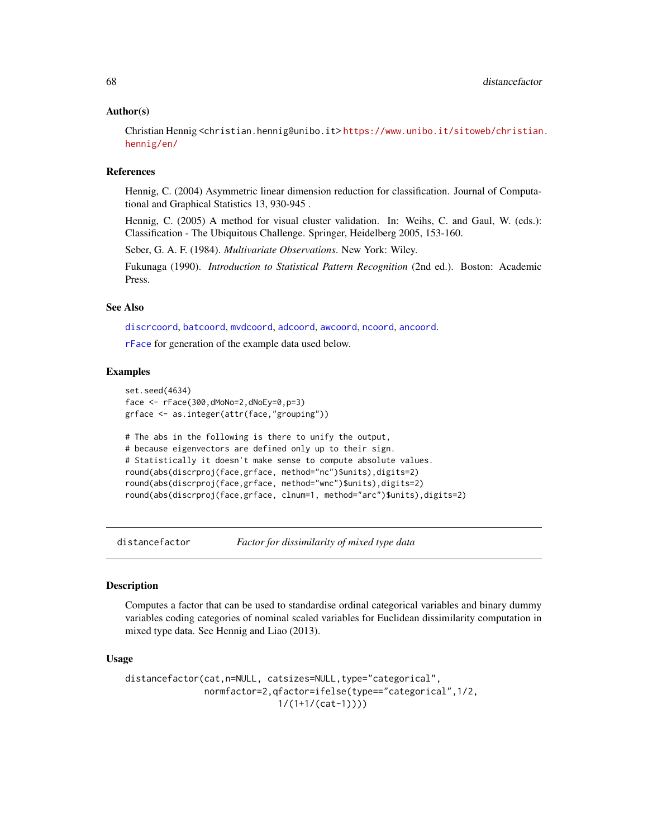#### Author(s)

Christian Hennig <christian.hennig@unibo.it> [https://www.unibo.it/sitoweb/christian](https://www.unibo.it/sitoweb/christian.hennig/en/). [hennig/en/](https://www.unibo.it/sitoweb/christian.hennig/en/)

#### References

Hennig, C. (2004) Asymmetric linear dimension reduction for classification. Journal of Computational and Graphical Statistics 13, 930-945 .

Hennig, C. (2005) A method for visual cluster validation. In: Weihs, C. and Gaul, W. (eds.): Classification - The Ubiquitous Challenge. Springer, Heidelberg 2005, 153-160.

Seber, G. A. F. (1984). *Multivariate Observations*. New York: Wiley.

Fukunaga (1990). *Introduction to Statistical Pattern Recognition* (2nd ed.). Boston: Academic Press.

# See Also

[discrcoord](#page-63-0), [batcoord](#page-10-0), [mvdcoord](#page-115-0), [adcoord](#page-5-0), [awcoord](#page-8-0), [ncoord](#page-116-0), [ancoord](#page-7-0).

[rFace](#page-139-0) for generation of the example data used below.

## Examples

```
set.seed(4634)
face <- rFace(300,dMoNo=2,dNoEy=0,p=3)
grface <- as.integer(attr(face,"grouping"))
# The abs in the following is there to unify the output,
# because eigenvectors are defined only up to their sign.
# Statistically it doesn't make sense to compute absolute values.
round(abs(discrproj(face,grface, method="nc")$units),digits=2)
round(abs(discrproj(face,grface, method="wnc")$units),digits=2)
round(abs(discrproj(face,grface, clnum=1, method="arc")$units),digits=2)
```
distancefactor *Factor for dissimilarity of mixed type data*

#### Description

Computes a factor that can be used to standardise ordinal categorical variables and binary dummy variables coding categories of nominal scaled variables for Euclidean dissimilarity computation in mixed type data. See Hennig and Liao (2013).

#### Usage

```
distancefactor(cat,n=NULL, catsizes=NULL,type="categorical",
               normfactor=2,qfactor=ifelse(type=="categorical",1/2,
                              1/(1+1/(\text{cat}-1))))
```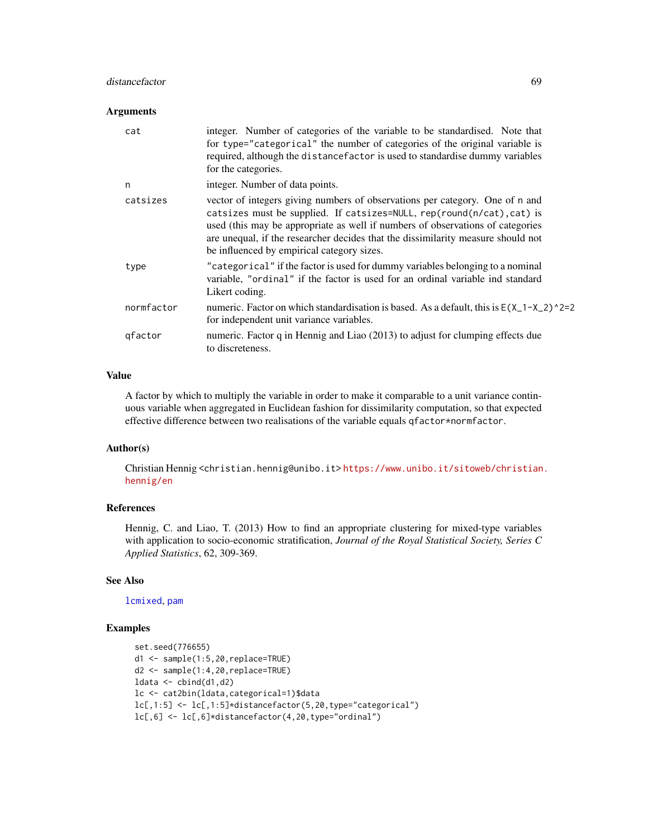## distancefactor 69

#### **Arguments**

| cat        | integer. Number of categories of the variable to be standardised. Note that<br>for type="categorical" the number of categories of the original variable is<br>required, although the distance factor is used to standardise dummy variables<br>for the categories.                                                                                                         |
|------------|----------------------------------------------------------------------------------------------------------------------------------------------------------------------------------------------------------------------------------------------------------------------------------------------------------------------------------------------------------------------------|
| n          | integer. Number of data points.                                                                                                                                                                                                                                                                                                                                            |
| catsizes   | vector of integers giving numbers of observations per category. One of n and<br>catsizes must be supplied. If catsizes=NULL, rep(round(n/cat), cat) is<br>used (this may be appropriate as well if numbers of observations of categories<br>are unequal, if the researcher decides that the dissimilarity measure should not<br>be influenced by empirical category sizes. |
| type       | "categorical" if the factor is used for dummy variables belonging to a nominal<br>variable, "ordinal" if the factor is used for an ordinal variable ind standard<br>Likert coding.                                                                                                                                                                                         |
| normfactor | numeric. Factor on which standardisation is based. As a default, this is $E(X_1 - X_2)^2 = 2$<br>for independent unit variance variables.                                                                                                                                                                                                                                  |
| gfactor    | numeric. Factor q in Hennig and Liao (2013) to adjust for clumping effects due<br>to discreteness.                                                                                                                                                                                                                                                                         |

#### Value

A factor by which to multiply the variable in order to make it comparable to a unit variance continuous variable when aggregated in Euclidean fashion for dissimilarity computation, so that expected effective difference between two realisations of the variable equals qfactor\*normfactor.

# Author(s)

Christian Hennig <christian.hennig@unibo.it> [https://www.unibo.it/sitoweb/christian](https://www.unibo.it/sitoweb/christian.hennig/en). [hennig/en](https://www.unibo.it/sitoweb/christian.hennig/en)

#### References

Hennig, C. and Liao, T. (2013) How to find an appropriate clustering for mixed-type variables with application to socio-economic stratification, *Journal of the Royal Statistical Society, Series C Applied Statistics*, 62, 309-369.

#### See Also

[lcmixed](#page-101-0), [pam](#page-0-0)

# Examples

```
set.seed(776655)
d1 <- sample(1:5,20,replace=TRUE)
d2 <- sample(1:4,20,replace=TRUE)
ldata < -</math>cbind(d1,d2)lc <- cat2bin(ldata,categorical=1)$data
lc[, 1:5] \leftarrow lc[, 1:5] * distancefactor(5, 20, type='categorical")lc[, 6] \leftarrow lc[, 6] \star distancefactor(4, 20, type='ordinal")
```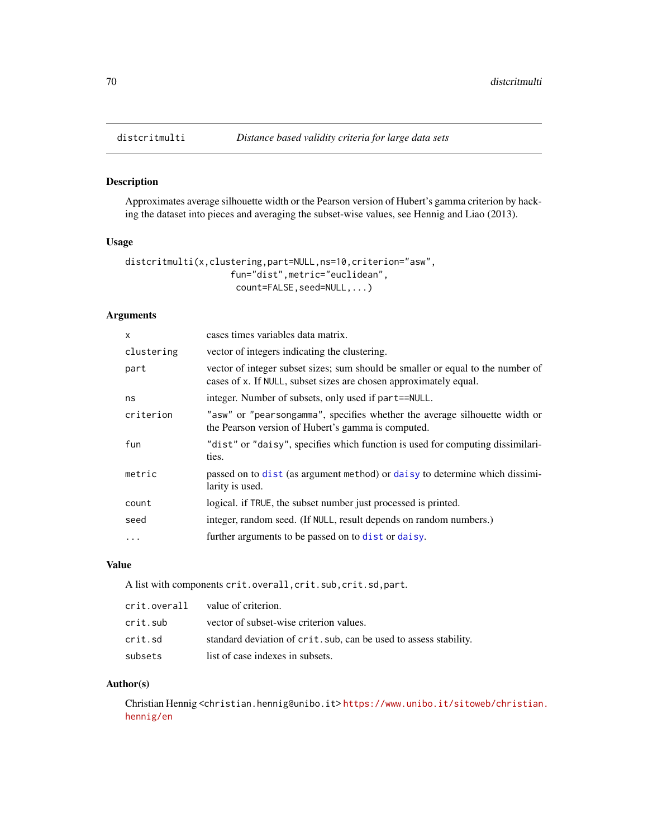<span id="page-69-0"></span>

## Description

Approximates average silhouette width or the Pearson version of Hubert's gamma criterion by hacking the dataset into pieces and averaging the subset-wise values, see Hennig and Liao (2013).

#### Usage

```
distcritmulti(x,clustering,part=NULL,ns=10,criterion="asw",
                    fun="dist",metric="euclidean",
                     count=FALSE, seed=NULL, ...)
```
## Arguments

| cases times variables data matrix.                                                                                                                   |
|------------------------------------------------------------------------------------------------------------------------------------------------------|
| vector of integers indicating the clustering.                                                                                                        |
| vector of integer subset sizes; sum should be smaller or equal to the number of<br>cases of x. If NULL, subset sizes are chosen approximately equal. |
| integer. Number of subsets, only used if part==NULL.                                                                                                 |
| "asw" or "pearsongamma", specifies whether the average silhouette width or<br>the Pearson version of Hubert's gamma is computed.                     |
| "dist" or "daisy", specifies which function is used for computing dissimilari-<br>ties.                                                              |
| passed on to dist (as argument method) or daisy to determine which dissimi-<br>larity is used.                                                       |
| logical. if TRUE, the subset number just processed is printed.                                                                                       |
| integer, random seed. (If NULL, result depends on random numbers.)                                                                                   |
| further arguments to be passed on to dist or daisy.                                                                                                  |
|                                                                                                                                                      |

## Value

A list with components crit.overall,crit.sub,crit.sd,part.

| crit.overall value of criterion. |                                                                   |
|----------------------------------|-------------------------------------------------------------------|
| crit.sub                         | vector of subset-wise criterion values.                           |
| crit.sd                          | standard deviation of crit. sub, can be used to assess stability. |
| subsets                          | list of case indexes in subsets.                                  |

#### Author(s)

Christian Hennig <christian.hennig@unibo.it> [https://www.unibo.it/sitoweb/christian](https://www.unibo.it/sitoweb/christian.hennig/en). [hennig/en](https://www.unibo.it/sitoweb/christian.hennig/en)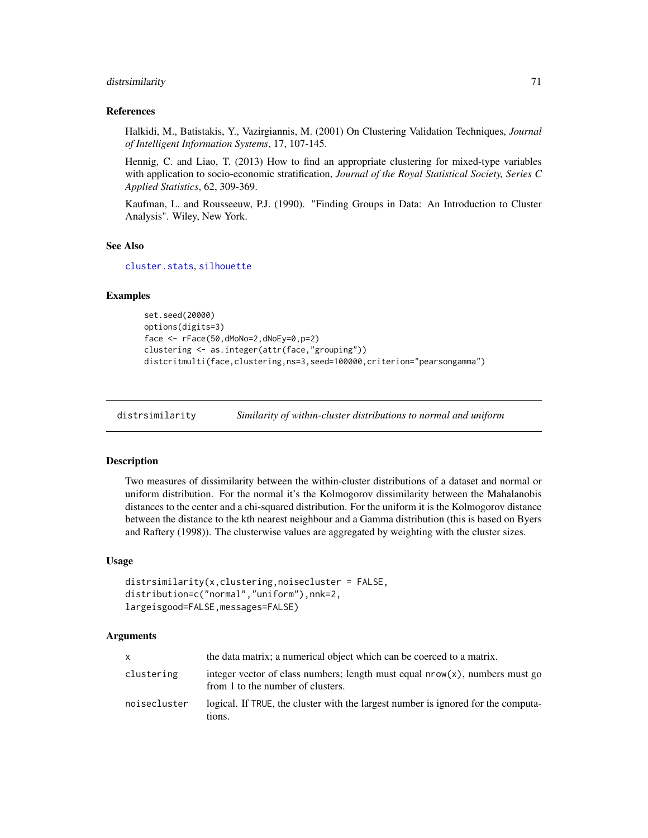## distribution of the contract of the contract of the contract of the contract of the contract of the contract of the contract of the contract of the contract of the contract of the contract of the contract of the contract o

#### References

Halkidi, M., Batistakis, Y., Vazirgiannis, M. (2001) On Clustering Validation Techniques, *Journal of Intelligent Information Systems*, 17, 107-145.

Hennig, C. and Liao, T. (2013) How to find an appropriate clustering for mixed-type variables with application to socio-economic stratification, *Journal of the Royal Statistical Society, Series C Applied Statistics*, 62, 309-369.

Kaufman, L. and Rousseeuw, P.J. (1990). "Finding Groups in Data: An Introduction to Cluster Analysis". Wiley, New York.

#### See Also

[cluster.stats](#page-30-0), [silhouette](#page-0-0)

### Examples

```
set.seed(20000)
options(digits=3)
face <- rFace(50,dMoNo=2,dNoEy=0,p=2)
clustering <- as.integer(attr(face,"grouping"))
distcritmulti(face,clustering,ns=3,seed=100000,criterion="pearsongamma")
```
<span id="page-70-0"></span>distrsimilarity *Similarity of within-cluster distributions to normal and uniform*

#### Description

Two measures of dissimilarity between the within-cluster distributions of a dataset and normal or uniform distribution. For the normal it's the Kolmogorov dissimilarity between the Mahalanobis distances to the center and a chi-squared distribution. For the uniform it is the Kolmogorov distance between the distance to the kth nearest neighbour and a Gamma distribution (this is based on Byers and Raftery (1998)). The clusterwise values are aggregated by weighting with the cluster sizes.

#### Usage

```
distrsimilarity(x, clustering, noisecluster = FALSE,distribution=c("normal","uniform"),nnk=2,
largeisgood=FALSE,messages=FALSE)
```
#### Arguments

| X            | the data matrix; a numerical object which can be coerced to a matrix.                                               |
|--------------|---------------------------------------------------------------------------------------------------------------------|
| clustering   | integer vector of class numbers; length must equal $nrow(x)$ , numbers must go<br>from 1 to the number of clusters. |
| noisecluster | logical. If TRUE, the cluster with the largest number is ignored for the computa-<br>tions.                         |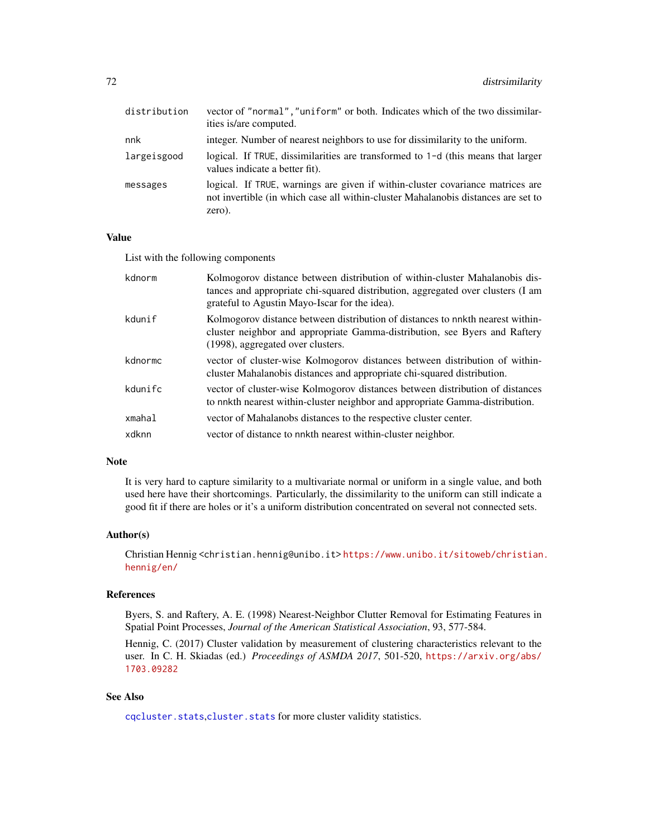| vector of "normal", "uniform" or both. Indicates which of the two dissimilar-<br>ities is/are computed.                                                                       |
|-------------------------------------------------------------------------------------------------------------------------------------------------------------------------------|
| integer. Number of nearest neighbors to use for dissimilarity to the uniform.                                                                                                 |
| logical. If TRUE, dissimilarities are transformed to $1-d$ (this means that larger<br>values indicate a better fit).                                                          |
| logical. If TRUE, warnings are given if within-cluster covariance matrices are<br>not invertible (in which case all within-cluster Mahalanobis distances are set to<br>zero). |
|                                                                                                                                                                               |

## Value

List with the following components

| kdnorm  | Kolmogorov distance between distribution of within-cluster Mahalanobis dis-<br>tances and appropriate chi-squared distribution, aggregated over clusters (I am<br>grateful to Agustin Mayo-Iscar for the idea). |
|---------|-----------------------------------------------------------------------------------------------------------------------------------------------------------------------------------------------------------------|
| kdunif  | Kolmogorov distance between distribution of distances to nnkth nearest within-<br>cluster neighbor and appropriate Gamma-distribution, see Byers and Raftery<br>(1998), aggregated over clusters.               |
| kdnormc | vector of cluster-wise Kolmogorov distances between distribution of within-<br>cluster Mahalanobis distances and appropriate chi-squared distribution.                                                          |
| kdunifc | vector of cluster-wise Kolmogorov distances between distribution of distances<br>to nnkth nearest within-cluster neighbor and appropriate Gamma-distribution.                                                   |
| xmahal  | vector of Mahalanobs distances to the respective cluster center.                                                                                                                                                |
| xdknn   | vector of distance to nnkth nearest within-cluster neighbor.                                                                                                                                                    |

## Note

It is very hard to capture similarity to a multivariate normal or uniform in a single value, and both used here have their shortcomings. Particularly, the dissimilarity to the uniform can still indicate a good fit if there are holes or it's a uniform distribution concentrated on several not connected sets.

## Author(s)

Christian Hennig <christian.hennig@unibo.it> [https://www.unibo.it/sitoweb/christian](https://www.unibo.it/sitoweb/christian.hennig/en/). [hennig/en/](https://www.unibo.it/sitoweb/christian.hennig/en/)

#### References

Byers, S. and Raftery, A. E. (1998) Nearest-Neighbor Clutter Removal for Estimating Features in Spatial Point Processes, *Journal of the American Statistical Association*, 93, 577-584.

Hennig, C. (2017) Cluster validation by measurement of clustering characteristics relevant to the user. In C. H. Skiadas (ed.) *Proceedings of ASMDA 2017*, 501-520, [https://arxiv.org/abs/](https://arxiv.org/abs/1703.09282) [1703.09282](https://arxiv.org/abs/1703.09282)

# See Also

[cqcluster.stats](#page-50-0),[cluster.stats](#page-30-0) for more cluster validity statistics.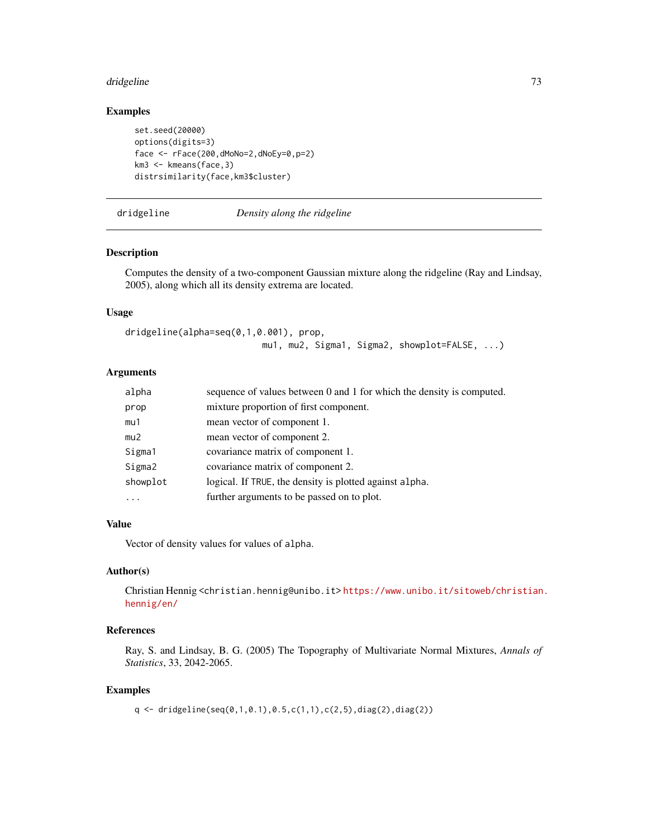#### dridgeline and the state of the state of the state of the state of the state of the state of the state of the state of the state of the state of the state of the state of the state of the state of the state of the state of

## Examples

```
set.seed(20000)
options(digits=3)
face <- rFace(200,dMoNo=2,dNoEy=0,p=2)
km3 <- kmeans(face,3)
distrsimilarity(face,km3$cluster)
```
### dridgeline *Density along the ridgeline*

### Description

Computes the density of a two-component Gaussian mixture along the ridgeline (Ray and Lindsay, 2005), along which all its density extrema are located.

### Usage

```
dridgeline(alpha=seq(0,1,0.001), prop,
                          mu1, mu2, Sigma1, Sigma2, showplot=FALSE, ...)
```
## Arguments

| alpha    | sequence of values between 0 and 1 for which the density is computed. |
|----------|-----------------------------------------------------------------------|
| prop     | mixture proportion of first component.                                |
| mu1      | mean vector of component 1.                                           |
| mu2      | mean vector of component 2.                                           |
| Sigma1   | covariance matrix of component 1.                                     |
| Sigma2   | covariance matrix of component 2.                                     |
| showplot | logical. If TRUE, the density is plotted against alpha.               |
| .        | further arguments to be passed on to plot.                            |

## Value

Vector of density values for values of alpha.

## Author(s)

Christian Hennig <christian.hennig@unibo.it> [https://www.unibo.it/sitoweb/christian](https://www.unibo.it/sitoweb/christian.hennig/en/). [hennig/en/](https://www.unibo.it/sitoweb/christian.hennig/en/)

## References

Ray, S. and Lindsay, B. G. (2005) The Topography of Multivariate Normal Mixtures, *Annals of Statistics*, 33, 2042-2065.

#### Examples

q <- dridgeline(seq(0,1,0.1),0.5,c(1,1),c(2,5),diag(2),diag(2))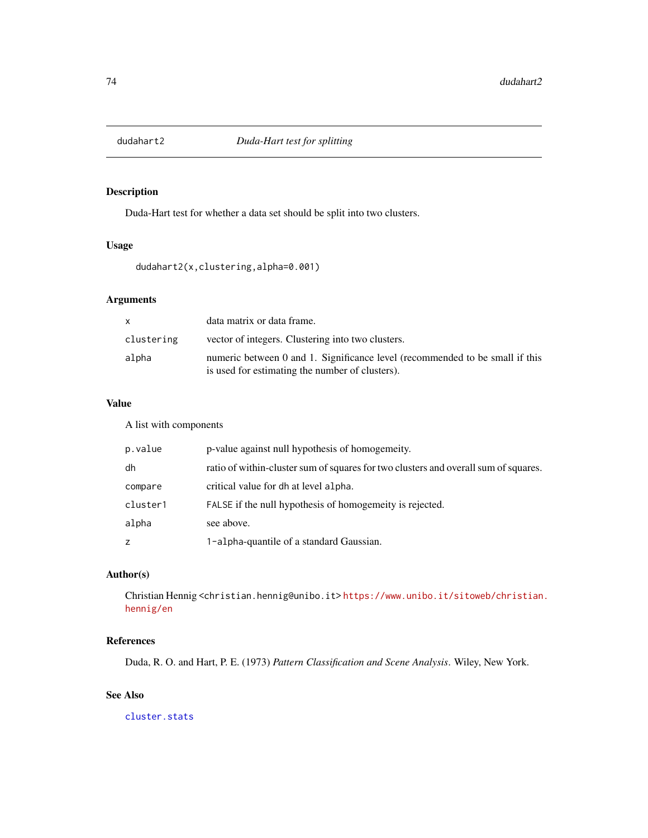<span id="page-73-0"></span>

Duda-Hart test for whether a data set should be split into two clusters.

## Usage

dudahart2(x,clustering,alpha=0.001)

## Arguments

| X          | data matrix or data frame.                                                                                                      |
|------------|---------------------------------------------------------------------------------------------------------------------------------|
| clustering | vector of integers. Clustering into two clusters.                                                                               |
| alpha      | numeric between 0 and 1. Significance level (recommended to be small if this<br>is used for estimating the number of clusters). |

# Value

A list with components

| p.value  | p-value against null hypothesis of homogemeity.                                     |
|----------|-------------------------------------------------------------------------------------|
| dh       | ratio of within-cluster sum of squares for two clusters and overall sum of squares. |
| compare  | critical value for dh at level alpha.                                               |
| cluster1 | FALSE if the null hypothesis of homogemeity is rejected.                            |
| alpha    | see above.                                                                          |
| z        | 1-alpha-quantile of a standard Gaussian.                                            |

## Author(s)

Christian Hennig <christian.hennig@unibo.it> [https://www.unibo.it/sitoweb/christian](https://www.unibo.it/sitoweb/christian.hennig/en). [hennig/en](https://www.unibo.it/sitoweb/christian.hennig/en)

# References

Duda, R. O. and Hart, P. E. (1973) *Pattern Classification and Scene Analysis*. Wiley, New York.

# See Also

[cluster.stats](#page-30-0)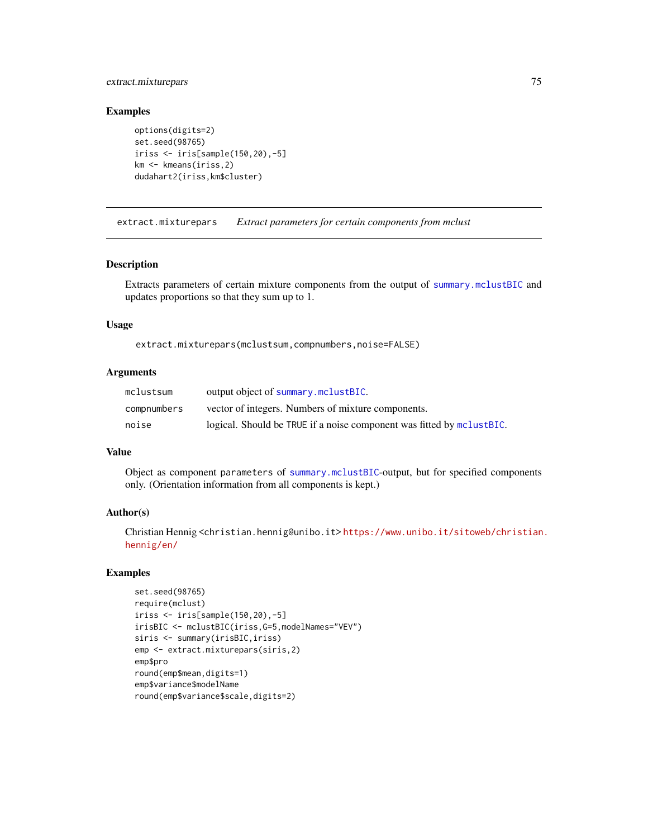## extract.mixturepars 75

## Examples

```
options(digits=2)
set.seed(98765)
iriss <- iris[sample(150,20),-5]
km <- kmeans(iriss,2)
dudahart2(iriss,km$cluster)
```
extract.mixturepars *Extract parameters for certain components from mclust*

#### Description

Extracts parameters of certain mixture components from the output of [summary.mclustBIC](#page-0-0) and updates proportions so that they sum up to 1.

### Usage

extract.mixturepars(mclustsum,compnumbers,noise=FALSE)

## Arguments

| mclustsum   | output object of summary.mclustBIC.                                   |
|-------------|-----------------------------------------------------------------------|
| compnumbers | vector of integers. Numbers of mixture components.                    |
| noise       | logical. Should be TRUE if a noise component was fitted by mclustBIC. |

#### Value

Object as component parameters of [summary.mclustBIC](#page-0-0)-output, but for specified components only. (Orientation information from all components is kept.)

## Author(s)

Christian Hennig <christian.hennig@unibo.it> [https://www.unibo.it/sitoweb/christian](https://www.unibo.it/sitoweb/christian.hennig/en/). [hennig/en/](https://www.unibo.it/sitoweb/christian.hennig/en/)

```
set.seed(98765)
require(mclust)
iriss <- iris[sample(150,20),-5]
irisBIC <- mclustBIC(iriss,G=5,modelNames="VEV")
siris <- summary(irisBIC,iriss)
emp <- extract.mixturepars(siris,2)
emp$pro
round(emp$mean,digits=1)
emp$variance$modelName
round(emp$variance$scale,digits=2)
```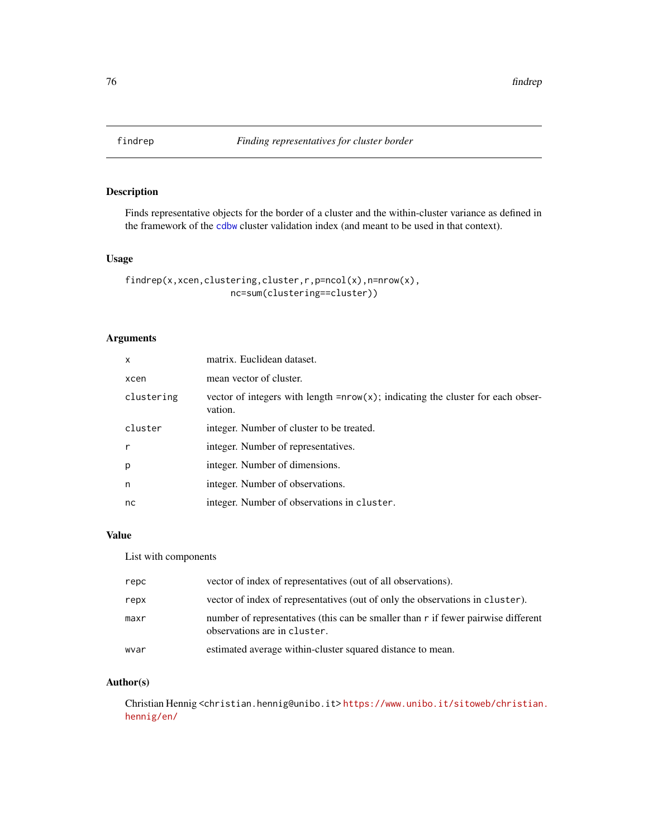Finds representative objects for the border of a cluster and the within-cluster variance as defined in the framework of the [cdbw](#page-17-0) cluster validation index (and meant to be used in that context).

### Usage

```
findrep(x,xcen,clustering,cluster,r,p=ncol(x),n=nrow(x),
                   nc=sum(clustering==cluster))
```
### Arguments

| $\mathsf{x}$ | matrix. Euclidean dataset.                                                                     |
|--------------|------------------------------------------------------------------------------------------------|
| xcen         | mean vector of cluster.                                                                        |
| clustering   | vector of integers with length $= nrow(x)$ ; indicating the cluster for each obser-<br>vation. |
| cluster      | integer. Number of cluster to be treated.                                                      |
| $\mathsf{r}$ | integer. Number of representatives.                                                            |
| p            | integer. Number of dimensions.                                                                 |
| n            | integer. Number of observations.                                                               |
| nc           | integer. Number of observations in cluster.                                                    |

## Value

List with components

| repc | vector of index of representatives (out of all observations).                                                     |
|------|-------------------------------------------------------------------------------------------------------------------|
| repx | vector of index of representatives (out of only the observations in cluster).                                     |
| maxr | number of representatives (this can be smaller than r if fewer pairwise different<br>observations are in cluster. |
| wvar | estimated average within-cluster squared distance to mean.                                                        |

## Author(s)

Christian Hennig <christian.hennig@unibo.it> [https://www.unibo.it/sitoweb/christian](https://www.unibo.it/sitoweb/christian.hennig/en/). [hennig/en/](https://www.unibo.it/sitoweb/christian.hennig/en/)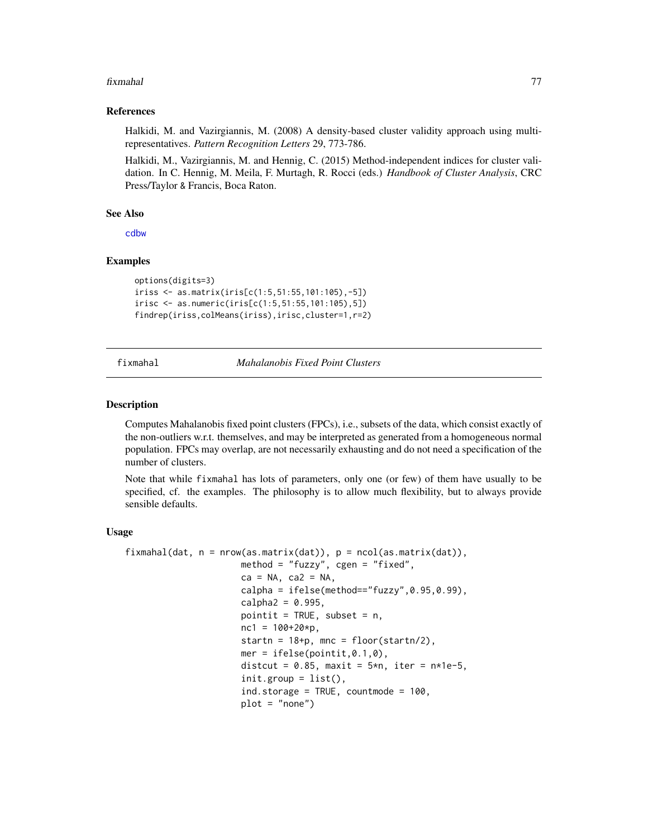#### References

Halkidi, M. and Vazirgiannis, M. (2008) A density-based cluster validity approach using multirepresentatives. *Pattern Recognition Letters* 29, 773-786.

Halkidi, M., Vazirgiannis, M. and Hennig, C. (2015) Method-independent indices for cluster validation. In C. Hennig, M. Meila, F. Murtagh, R. Rocci (eds.) *Handbook of Cluster Analysis*, CRC Press/Taylor & Francis, Boca Raton.

### See Also

[cdbw](#page-17-0)

### Examples

```
options(digits=3)
iriss <- as.matrix(iris[c(1:5,51:55,101:105),-5])
irisc <- as.numeric(iris[c(1:5,51:55,101:105),5])
findrep(iriss,colMeans(iriss),irisc,cluster=1,r=2)
```
<span id="page-76-0"></span>fixmahal *Mahalanobis Fixed Point Clusters*

#### Description

Computes Mahalanobis fixed point clusters (FPCs), i.e., subsets of the data, which consist exactly of the non-outliers w.r.t. themselves, and may be interpreted as generated from a homogeneous normal population. FPCs may overlap, are not necessarily exhausting and do not need a specification of the number of clusters.

Note that while fixmahal has lots of parameters, only one (or few) of them have usually to be specified, cf. the examples. The philosophy is to allow much flexibility, but to always provide sensible defaults.

#### Usage

```
fixmahal(data, n = nrow(as.matrix(data)), p = ncol(as.matrix(data)),method = "fuzzy", cgen = "fixed",ca = NA, ca2 = NA,
                     calpha = ifelse(method=="fuzzy",0.95,0.99),
                     cal = 0.995,
                     pointit = TRUE, subset = n,
                     nc1 = 100+20*p,
                     startn = 18+p, mnc = floor(startn/2),
                     mer = ifelse(pointit,0.1, 0),
                     distcut = 0.85, maxit = 5*n, iter = n*1e-5,
                      init.group = list(),
                      ind.storage = TRUE, countmode = 100,
                     plot = "none")
```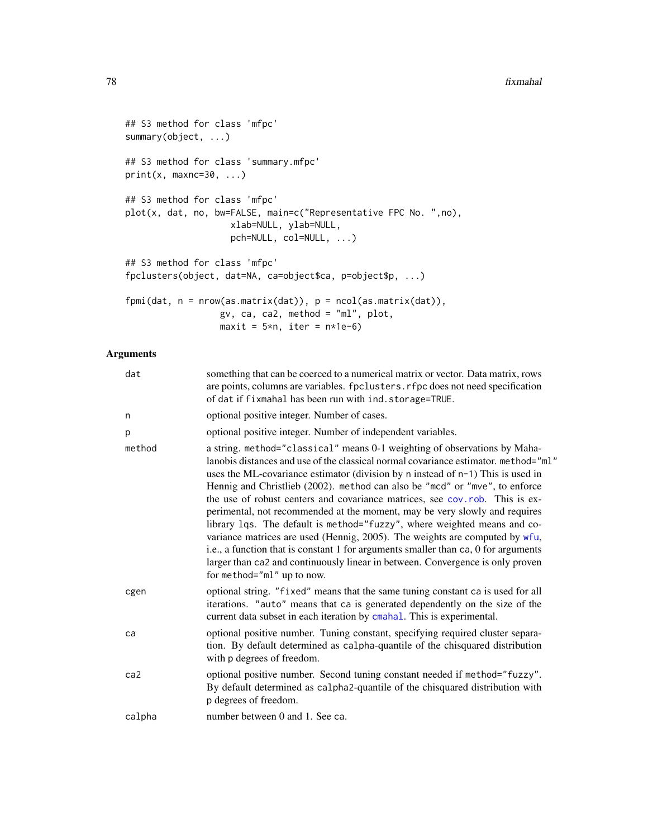```
## S3 method for class 'mfpc'
summary(object, ...)
## S3 method for class 'summary.mfpc'
print(x, maxnc=30, ...)## S3 method for class 'mfpc'
plot(x, dat, no, bw=FALSE, main=c("Representative FPC No. ",no),
                   xlab=NULL, ylab=NULL,
                   pch=NULL, col=NULL, ...)
## S3 method for class 'mfpc'
fpclusters(object, dat=NA, ca=object$ca, p=object$p, ...)
fpmi(dat, n = nrow(as.matrix(dat)), p = ncol(as.matrix(dat)),
                  gv, ca, ca2, method = "ml", plot,
                  maxit = 5*n, iter = n*1e-6
```

| something that can be coerced to a numerical matrix or vector. Data matrix, rows<br>are points, columns are variables. fpclusters. rfpc does not need specification<br>of dat if fixmahal has been run with ind. storage=TRUE.                                                                                                                                                                                                                                                                                                                                                                                                                                                                                                                                                                                                                                   |
|------------------------------------------------------------------------------------------------------------------------------------------------------------------------------------------------------------------------------------------------------------------------------------------------------------------------------------------------------------------------------------------------------------------------------------------------------------------------------------------------------------------------------------------------------------------------------------------------------------------------------------------------------------------------------------------------------------------------------------------------------------------------------------------------------------------------------------------------------------------|
| optional positive integer. Number of cases.                                                                                                                                                                                                                                                                                                                                                                                                                                                                                                                                                                                                                                                                                                                                                                                                                      |
| optional positive integer. Number of independent variables.                                                                                                                                                                                                                                                                                                                                                                                                                                                                                                                                                                                                                                                                                                                                                                                                      |
| a string. method="classical" means 0-1 weighting of observations by Maha-<br>lanobis distances and use of the classical normal covariance estimator. method="ml"<br>uses the ML-covariance estimator (division by n instead of n-1) This is used in<br>Hennig and Christlieb (2002). method can also be "mcd" or "mve", to enforce<br>the use of robust centers and covariance matrices, see cov.rob. This is ex-<br>perimental, not recommended at the moment, may be very slowly and requires<br>library 1qs. The default is method="fuzzy", where weighted means and co-<br>variance matrices are used (Hennig, 2005). The weights are computed by wfu,<br>i.e., a function that is constant 1 for arguments smaller than ca, 0 for arguments<br>larger than ca2 and continuously linear in between. Convergence is only proven<br>for method="ml" up to now. |
| optional string. "fixed" means that the same tuning constant ca is used for all<br>iterations. "auto" means that ca is generated dependently on the size of the<br>current data subset in each iteration by cmahal. This is experimental.                                                                                                                                                                                                                                                                                                                                                                                                                                                                                                                                                                                                                        |
| optional positive number. Tuning constant, specifying required cluster separa-<br>tion. By default determined as calpha-quantile of the chisquared distribution<br>with p degrees of freedom.                                                                                                                                                                                                                                                                                                                                                                                                                                                                                                                                                                                                                                                                    |
| optional positive number. Second tuning constant needed if method="fuzzy".<br>By default determined as calpha2-quantile of the chisquared distribution with<br>p degrees of freedom.                                                                                                                                                                                                                                                                                                                                                                                                                                                                                                                                                                                                                                                                             |
| number between 0 and 1. See ca.                                                                                                                                                                                                                                                                                                                                                                                                                                                                                                                                                                                                                                                                                                                                                                                                                                  |
|                                                                                                                                                                                                                                                                                                                                                                                                                                                                                                                                                                                                                                                                                                                                                                                                                                                                  |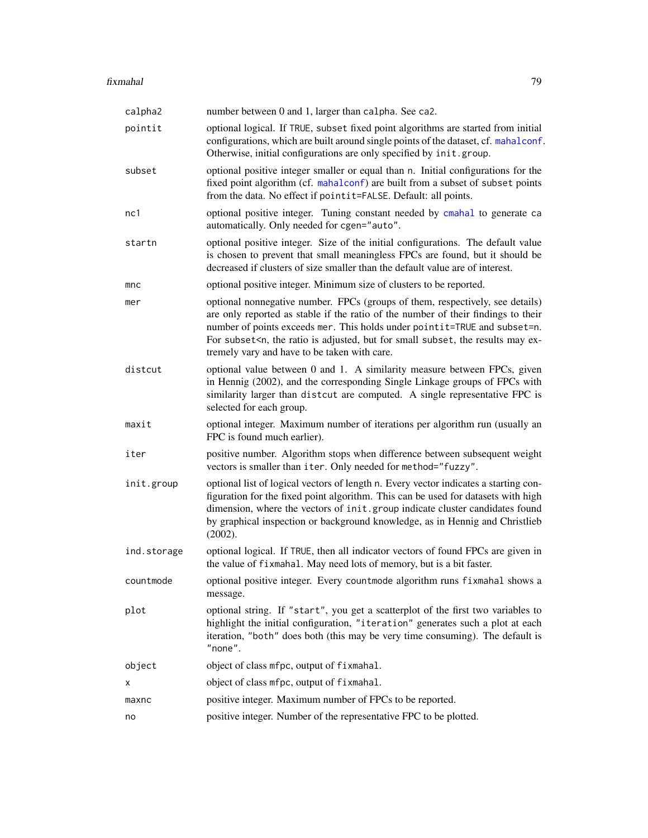| calpha2     | number between 0 and 1, larger than calpha. See ca2.                                                                                                                                                                                                                                                                                                                                                                 |
|-------------|----------------------------------------------------------------------------------------------------------------------------------------------------------------------------------------------------------------------------------------------------------------------------------------------------------------------------------------------------------------------------------------------------------------------|
| pointit     | optional logical. If TRUE, subset fixed point algorithms are started from initial<br>configurations, which are built around single points of the dataset, cf. mahalconf.<br>Otherwise, initial configurations are only specified by init.group.                                                                                                                                                                      |
| subset      | optional positive integer smaller or equal than n. Initial configurations for the<br>fixed point algorithm (cf. mahalconf) are built from a subset of subset points<br>from the data. No effect if pointit=FALSE. Default: all points.                                                                                                                                                                               |
| nc1         | optional positive integer. Tuning constant needed by cmahal to generate ca<br>automatically. Only needed for cgen="auto".                                                                                                                                                                                                                                                                                            |
| startn      | optional positive integer. Size of the initial configurations. The default value<br>is chosen to prevent that small meaningless FPCs are found, but it should be<br>decreased if clusters of size smaller than the default value are of interest.                                                                                                                                                                    |
| mnc         | optional positive integer. Minimum size of clusters to be reported.                                                                                                                                                                                                                                                                                                                                                  |
| mer         | optional nonnegative number. FPCs (groups of them, respectively, see details)<br>are only reported as stable if the ratio of the number of their findings to their<br>number of points exceeds mer. This holds under pointit=TRUE and subset=n.<br>For subset <n, adjusted,="" but="" ex-<br="" for="" is="" may="" ratio="" results="" small="" subset,="" the="">tremely vary and have to be taken with care.</n,> |
| distcut     | optional value between 0 and 1. A similarity measure between FPCs, given<br>in Hennig (2002), and the corresponding Single Linkage groups of FPCs with<br>similarity larger than distcut are computed. A single representative FPC is<br>selected for each group.                                                                                                                                                    |
| maxit       | optional integer. Maximum number of iterations per algorithm run (usually an<br>FPC is found much earlier).                                                                                                                                                                                                                                                                                                          |
| iter        | positive number. Algorithm stops when difference between subsequent weight<br>vectors is smaller than iter. Only needed for method="fuzzy".                                                                                                                                                                                                                                                                          |
| init.group  | optional list of logical vectors of length n. Every vector indicates a starting con-<br>figuration for the fixed point algorithm. This can be used for datasets with high<br>dimension, where the vectors of init.group indicate cluster candidates found<br>by graphical inspection or background knowledge, as in Hennig and Christlieb<br>(2002).                                                                 |
| ind.storage | optional logical. If TRUE, then all indicator vectors of found FPCs are given in<br>the value of fixmahal. May need lots of memory, but is a bit faster.                                                                                                                                                                                                                                                             |
| countmode   | optional positive integer. Every countmode algorithm runs fixmahal shows a<br>message.                                                                                                                                                                                                                                                                                                                               |
| plot        | optional string. If "start", you get a scatterplot of the first two variables to<br>highlight the initial configuration, "iteration" generates such a plot at each<br>iteration, "both" does both (this may be very time consuming). The default is<br>"none".                                                                                                                                                       |
| object      | object of class mfpc, output of fixmahal.                                                                                                                                                                                                                                                                                                                                                                            |
| х           | object of class mfpc, output of fixmahal.                                                                                                                                                                                                                                                                                                                                                                            |
| maxnc       | positive integer. Maximum number of FPCs to be reported.                                                                                                                                                                                                                                                                                                                                                             |
| no          | positive integer. Number of the representative FPC to be plotted.                                                                                                                                                                                                                                                                                                                                                    |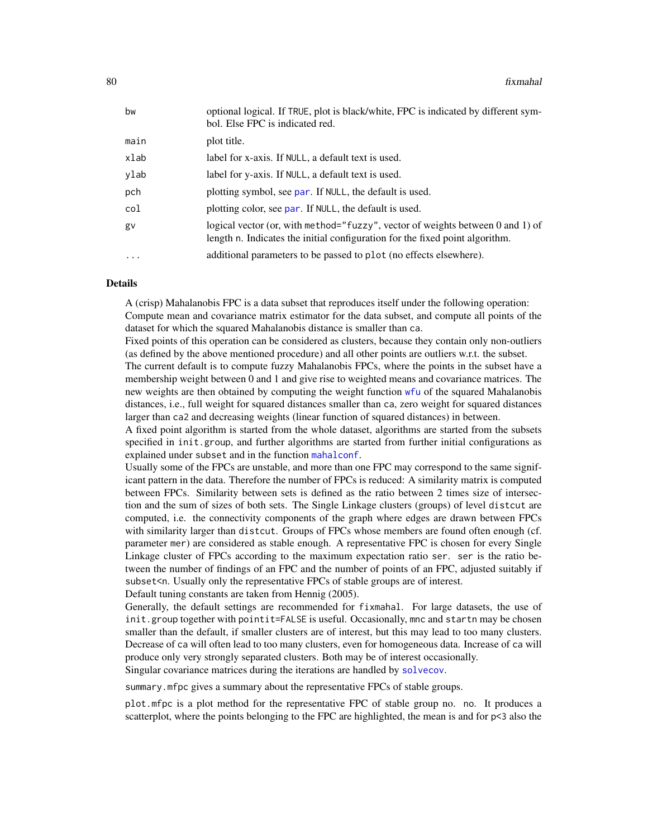| bw                | optional logical. If TRUE, plot is black/white, FPC is indicated by different sym-<br>bol. Else FPC is indicated red.                                          |
|-------------------|----------------------------------------------------------------------------------------------------------------------------------------------------------------|
| main              | plot title.                                                                                                                                                    |
| xlab              | label for x-axis. If NULL, a default text is used.                                                                                                             |
| ylab              | label for y-axis. If NULL, a default text is used.                                                                                                             |
| pch               | plotting symbol, see par. If NULL, the default is used.                                                                                                        |
| col               | plotting color, see par. If NULL, the default is used.                                                                                                         |
| gv                | logical vector (or, with method="fuzzy", vector of weights between 0 and 1) of<br>length n. Indicates the initial configuration for the fixed point algorithm. |
| $\cdot\cdot\cdot$ | additional parameters to be passed to plot (no effects elsewhere).                                                                                             |
|                   |                                                                                                                                                                |

### Details

A (crisp) Mahalanobis FPC is a data subset that reproduces itself under the following operation: Compute mean and covariance matrix estimator for the data subset, and compute all points of the dataset for which the squared Mahalanobis distance is smaller than ca.

Fixed points of this operation can be considered as clusters, because they contain only non-outliers (as defined by the above mentioned procedure) and all other points are outliers w.r.t. the subset.

The current default is to compute fuzzy Mahalanobis FPCs, where the points in the subset have a membership weight between 0 and 1 and give rise to weighted means and covariance matrices. The new weights are then obtained by computing the weight function [wfu](#page-155-0) of the squared Mahalanobis distances, i.e., full weight for squared distances smaller than ca, zero weight for squared distances larger than ca2 and decreasing weights (linear function of squared distances) in between.

A fixed point algorithm is started from the whole dataset, algorithms are started from the subsets specified in init.group, and further algorithms are started from further initial configurations as explained under subset and in the function [mahalconf](#page-106-0).

Usually some of the FPCs are unstable, and more than one FPC may correspond to the same significant pattern in the data. Therefore the number of FPCs is reduced: A similarity matrix is computed between FPCs. Similarity between sets is defined as the ratio between 2 times size of intersection and the sum of sizes of both sets. The Single Linkage clusters (groups) of level distcut are computed, i.e. the connectivity components of the graph where edges are drawn between FPCs with similarity larger than distcut. Groups of FPCs whose members are found often enough (cf. parameter mer) are considered as stable enough. A representative FPC is chosen for every Single Linkage cluster of FPCs according to the maximum expectation ratio ser. ser is the ratio between the number of findings of an FPC and the number of points of an FPC, adjusted suitably if subset<n. Usually only the representative FPCs of stable groups are of interest.

Default tuning constants are taken from Hennig (2005).

Generally, the default settings are recommended for fixmahal. For large datasets, the use of init.group together with pointit=FALSE is useful. Occasionally, mnc and startn may be chosen smaller than the default, if smaller clusters are of interest, but this may lead to too many clusters. Decrease of ca will often lead to too many clusters, even for homogeneous data. Increase of ca will produce only very strongly separated clusters. Both may be of interest occasionally. Singular covariance matrices during the iterations are handled by [solvecov](#page-144-0).

summary.mfpc gives a summary about the representative FPCs of stable groups.

plot.mfpc is a plot method for the representative FPC of stable group no. no. It produces a scatterplot, where the points belonging to the FPC are highlighted, the mean is and for  $p<3$  also the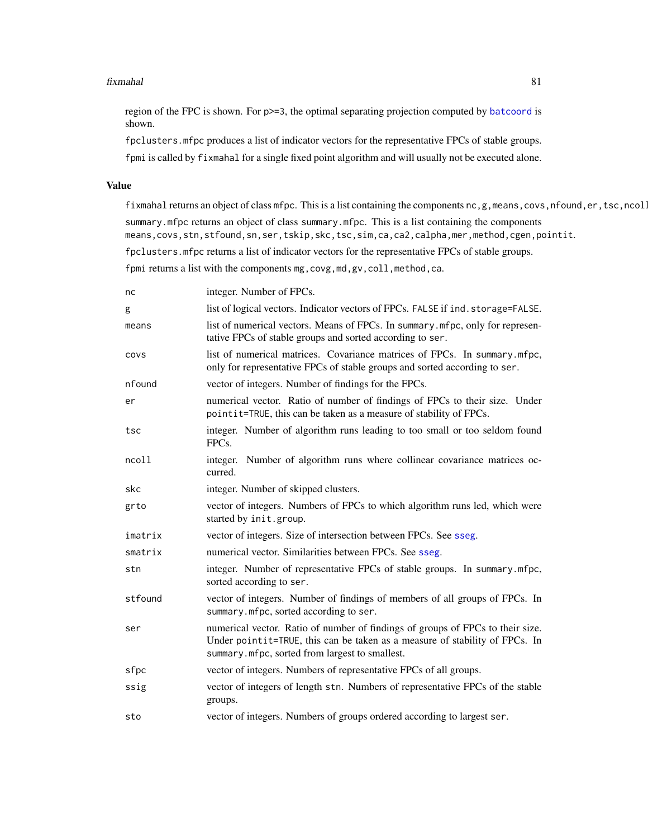region of the FPC is shown. For p>=3, the optimal separating projection computed by [batcoord](#page-10-0) is shown.

fpclusters.mfpc produces a list of indicator vectors for the representative FPCs of stable groups.

fpmi is called by fixmahal for a single fixed point algorithm and will usually not be executed alone.

### Value

fixmahal returns an object of class mfpc. This is a list containing the components nc, g, means, covs, nfound, er, tsc, ncol. summary.mfpc returns an object of class summary.mfpc. This is a list containing the components means,covs,stn,stfound,sn,ser,tskip,skc,tsc,sim,ca,ca2,calpha,mer,method,cgen,pointit. fpclusters.mfpc returns a list of indicator vectors for the representative FPCs of stable groups. fpmi returns a list with the components mg, covg, md, gv, coll, method, ca.

nc integer. Number of FPCs. g list of logical vectors. Indicator vectors of FPCs. FALSE if ind.storage=FALSE. means list of numerical vectors. Means of FPCs. In summary.mfpc, only for representative FPCs of stable groups and sorted according to ser. covs list of numerical matrices. Covariance matrices of FPCs. In summary.mfpc, only for representative FPCs of stable groups and sorted according to ser. nfound vector of integers. Number of findings for the FPCs. er numerical vector. Ratio of number of findings of FPCs to their size. Under pointit=TRUE, this can be taken as a measure of stability of FPCs. tsc integer. Number of algorithm runs leading to too small or too seldom found FPCs. ncoll integer. Number of algorithm runs where collinear covariance matrices occurred. skc integer. Number of skipped clusters. grto vector of integers. Numbers of FPCs to which algorithm runs led, which were started by init.group. imatrix vector of integers. Size of intersection between FPCs. See [sseg](#page-145-0). smatrix numerical vector. Similarities between FPCs. See [sseg](#page-145-0). stn integer. Number of representative FPCs of stable groups. In summary.mfpc, sorted according to ser. stfound vector of integers. Number of findings of members of all groups of FPCs. In summary.mfpc, sorted according to ser. ser numerical vector. Ratio of number of findings of groups of FPCs to their size. Under pointit=TRUE, this can be taken as a measure of stability of FPCs. In summary.mfpc, sorted from largest to smallest. sfpc vector of integers. Numbers of representative FPCs of all groups. ssig vector of integers of length stn. Numbers of representative FPCs of the stable groups. sto vector of integers. Numbers of groups ordered according to largest ser.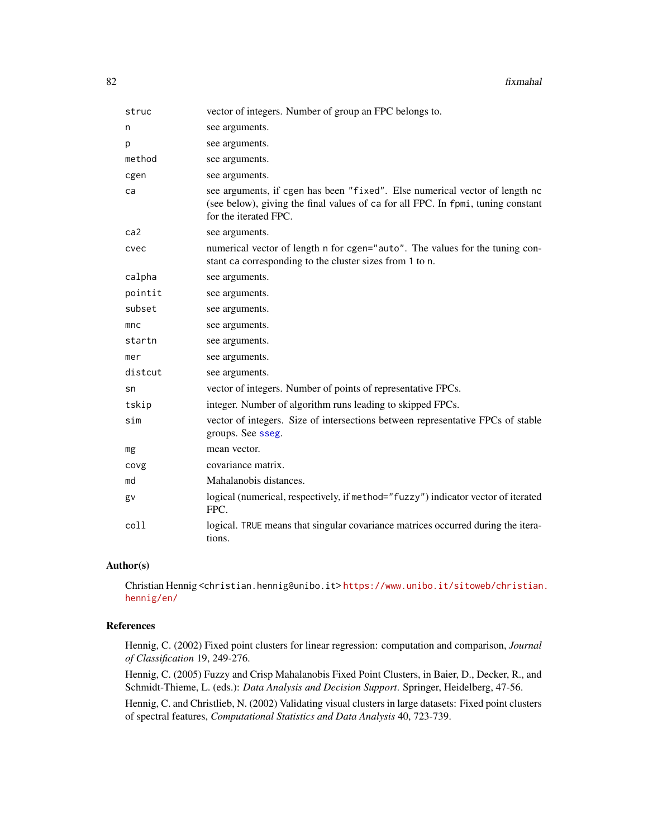| struc   | vector of integers. Number of group an FPC belongs to.                                                                                                                                   |
|---------|------------------------------------------------------------------------------------------------------------------------------------------------------------------------------------------|
| n       | see arguments.                                                                                                                                                                           |
| р       | see arguments.                                                                                                                                                                           |
| method  | see arguments.                                                                                                                                                                           |
| cgen    | see arguments.                                                                                                                                                                           |
| ca      | see arguments, if cgen has been "fixed". Else numerical vector of length nc<br>(see below), giving the final values of ca for all FPC. In fpmi, tuning constant<br>for the iterated FPC. |
| ca2     | see arguments.                                                                                                                                                                           |
| cvec    | numerical vector of length n for cgen="auto". The values for the tuning con-<br>stant ca corresponding to the cluster sizes from 1 to n.                                                 |
| calpha  | see arguments.                                                                                                                                                                           |
| pointit | see arguments.                                                                                                                                                                           |
| subset  | see arguments.                                                                                                                                                                           |
| mnc     | see arguments.                                                                                                                                                                           |
| startn  | see arguments.                                                                                                                                                                           |
| mer     | see arguments.                                                                                                                                                                           |
| distcut | see arguments.                                                                                                                                                                           |
| sn      | vector of integers. Number of points of representative FPCs.                                                                                                                             |
| tskip   | integer. Number of algorithm runs leading to skipped FPCs.                                                                                                                               |
| sim     | vector of integers. Size of intersections between representative FPCs of stable<br>groups. See sseg.                                                                                     |
| mg      | mean vector.                                                                                                                                                                             |
| covg    | covariance matrix.                                                                                                                                                                       |
| md      | Mahalanobis distances.                                                                                                                                                                   |
| gv      | logical (numerical, respectively, if method="fuzzy") indicator vector of iterated<br>FPC.                                                                                                |
| coll    | logical. TRUE means that singular covariance matrices occurred during the itera-<br>tions.                                                                                               |

## Author(s)

Christian Hennig <christian.hennig@unibo.it> [https://www.unibo.it/sitoweb/christian](https://www.unibo.it/sitoweb/christian.hennig/en/). [hennig/en/](https://www.unibo.it/sitoweb/christian.hennig/en/)

# References

Hennig, C. (2002) Fixed point clusters for linear regression: computation and comparison, *Journal of Classification* 19, 249-276.

Hennig, C. (2005) Fuzzy and Crisp Mahalanobis Fixed Point Clusters, in Baier, D., Decker, R., and Schmidt-Thieme, L. (eds.): *Data Analysis and Decision Support*. Springer, Heidelberg, 47-56.

Hennig, C. and Christlieb, N. (2002) Validating visual clusters in large datasets: Fixed point clusters of spectral features, *Computational Statistics and Data Analysis* 40, 723-739.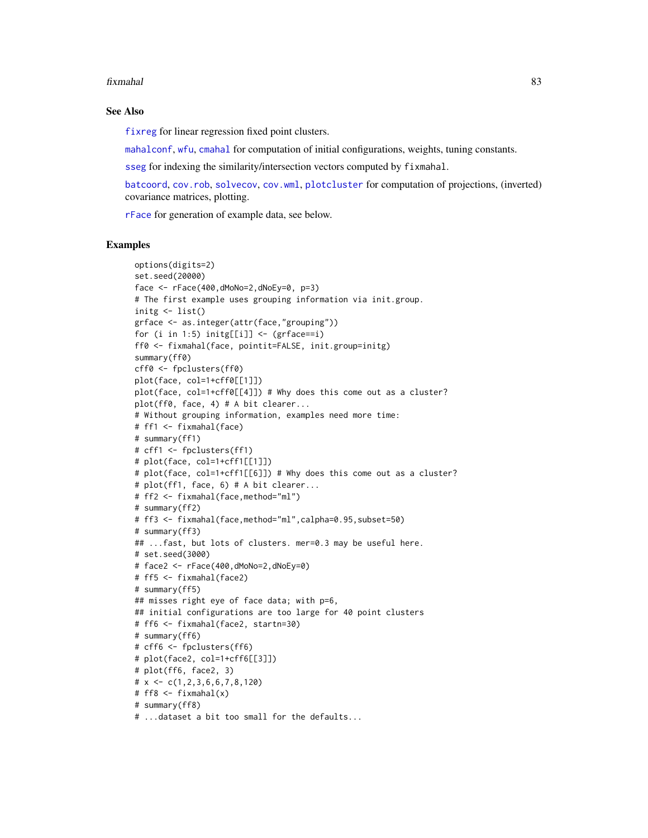#### See Also

[fixreg](#page-83-0) for linear regression fixed point clusters.

[mahalconf](#page-106-0), [wfu](#page-155-0), [cmahal](#page-46-0) for computation of initial configurations, weights, tuning constants.

[sseg](#page-145-0) for indexing the similarity/intersection vectors computed by fixmahal.

[batcoord](#page-10-0), [cov.rob](#page-0-0), [solvecov](#page-144-0), [cov.wml](#page-49-0), [plotcluster](#page-127-0) for computation of projections, (inverted) covariance matrices, plotting.

[rFace](#page-139-0) for generation of example data, see below.

```
options(digits=2)
set.seed(20000)
face \leq rFace(400,dMoNo=2,dNoEy=0, p=3)
# The first example uses grouping information via init.group.
initg <- list()
grface <- as.integer(attr(face,"grouping"))
for (i in 1:5) initg[[i]] \leftarrow (grface == i)ff0 <- fixmahal(face, pointit=FALSE, init.group=initg)
summary(ff0)
cff0 <- fpclusters(ff0)
plot(face, col=1+cff0[[1]])
plot(face, col=1+cff0[[4]]) # Why does this come out as a cluster?
plot(ff0, face, 4) # A bit clearer...
# Without grouping information, examples need more time:
# ff1 <- fixmahal(face)
# summary(ff1)
# cff1 <- fpclusters(ff1)
# plot(face, col=1+cff1[[1]])
# plot(face, col=1+cff1[[6]]) # Why does this come out as a cluster?
# plot(ff1, face, 6) # A bit clearer...
# ff2 <- fixmahal(face,method="ml")
# summary(ff2)
# ff3 <- fixmahal(face,method="ml",calpha=0.95,subset=50)
# summary(ff3)
## ...fast, but lots of clusters. mer=0.3 may be useful here.
# set.seed(3000)
# face2 <- rFace(400,dMoNo=2,dNoEy=0)
# ff5 <- fixmahal(face2)
# summary(ff5)
## misses right eye of face data; with p=6,
## initial configurations are too large for 40 point clusters
# ff6 <- fixmahal(face2, startn=30)
# summary(ff6)
# cff6 <- fpclusters(ff6)
# plot(face2, col=1+cff6[[3]])
# plot(ff6, face2, 3)
# x \leftarrow c(1, 2, 3, 6, 6, 7, 8, 120)# ff8 <- fixmahal(x)
# summary(ff8)
# ...dataset a bit too small for the defaults...
```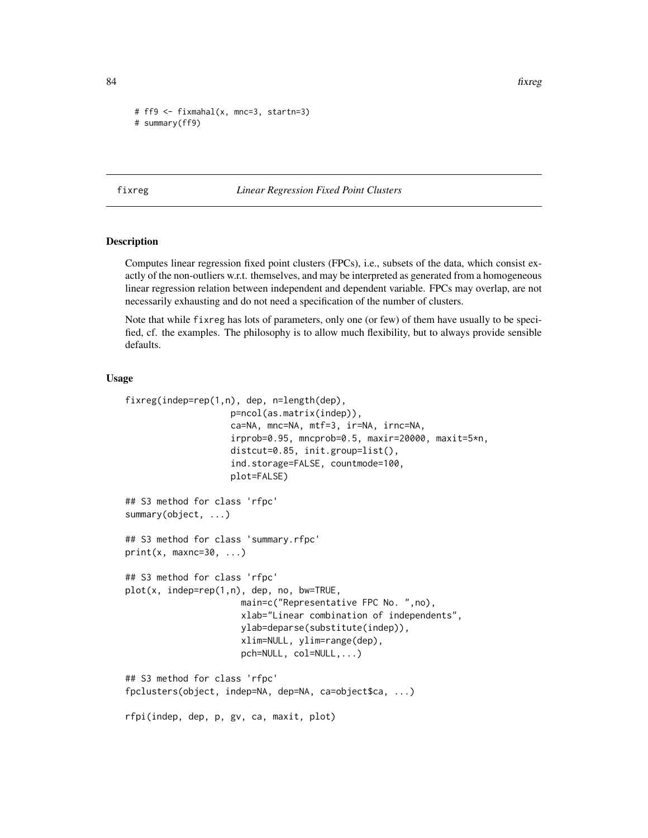84 fixreg

```
# ff9 <- fixmahal(x, mnc=3, startn=3)
# summary(ff9)
```
<span id="page-83-0"></span>fixreg *Linear Regression Fixed Point Clusters*

### Description

Computes linear regression fixed point clusters (FPCs), i.e., subsets of the data, which consist exactly of the non-outliers w.r.t. themselves, and may be interpreted as generated from a homogeneous linear regression relation between independent and dependent variable. FPCs may overlap, are not necessarily exhausting and do not need a specification of the number of clusters.

Note that while fixreg has lots of parameters, only one (or few) of them have usually to be specified, cf. the examples. The philosophy is to allow much flexibility, but to always provide sensible defaults.

### Usage

```
fixreg(indep=rep(1,n), dep, n=length(dep),
                    p=ncol(as.matrix(indep)),
                    ca=NA, mnc=NA, mtf=3, ir=NA, irnc=NA,
                    irprob=0.95, mncprob=0.5, maxir=20000, maxit=5*n,
                    distcut=0.85, init.group=list(),
                    ind.storage=FALSE, countmode=100,
                    plot=FALSE)
## S3 method for class 'rfpc'
summary(object, ...)
## S3 method for class 'summary.rfpc'
print(x, maxnc=30, ...)## S3 method for class 'rfpc'
plot(x, indep=rep(1,n), dep, no, bw=TRUE,
                      main=c("Representative FPC No. ",no),
                      xlab="Linear combination of independents",
                      ylab=deparse(substitute(indep)),
                      xlim=NULL, ylim=range(dep),
                      pch=NULL, col=NULL,...)
## S3 method for class 'rfpc'
fpclusters(object, indep=NA, dep=NA, ca=object$ca, ...)
rfpi(indep, dep, p, gv, ca, maxit, plot)
```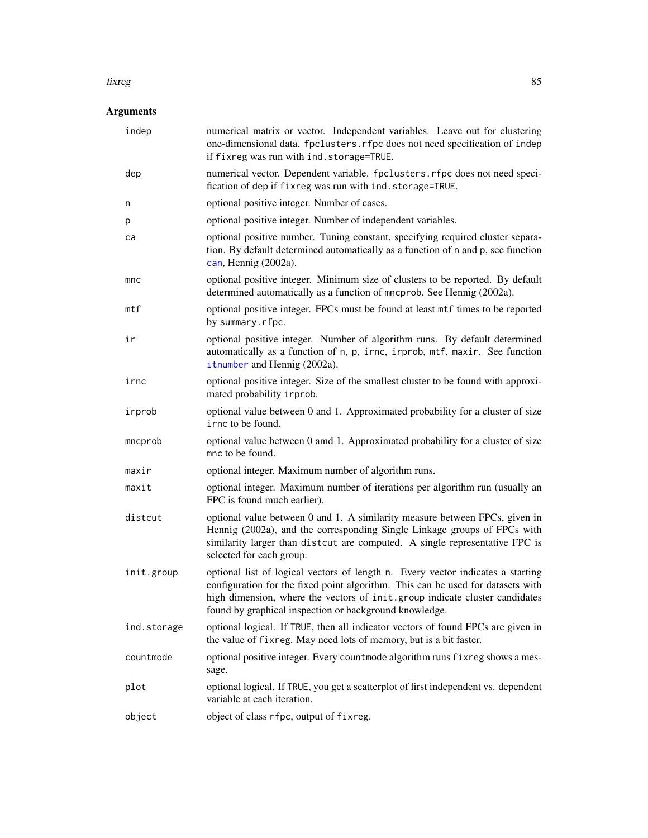#### fixreg that the state of the state of the state of the state of the state of the state of the state of the state of the state of the state of the state of the state of the state of the state of the state of the state of th

| indep       | numerical matrix or vector. Independent variables. Leave out for clustering<br>one-dimensional data. fpclusters. rfpc does not need specification of indep<br>if fixreg was run with ind. storage=TRUE.                                                                                                     |
|-------------|-------------------------------------------------------------------------------------------------------------------------------------------------------------------------------------------------------------------------------------------------------------------------------------------------------------|
| dep         | numerical vector. Dependent variable. fpclusters.rfpc does not need speci-<br>fication of dep if fixreg was run with ind. storage=TRUE.                                                                                                                                                                     |
| n           | optional positive integer. Number of cases.                                                                                                                                                                                                                                                                 |
| р           | optional positive integer. Number of independent variables.                                                                                                                                                                                                                                                 |
| ca          | optional positive number. Tuning constant, specifying required cluster separa-<br>tion. By default determined automatically as a function of n and p, see function<br>can, Hennig (2002a).                                                                                                                  |
| mnc         | optional positive integer. Minimum size of clusters to be reported. By default<br>determined automatically as a function of mncprob. See Hennig (2002a).                                                                                                                                                    |
| mtf         | optional positive integer. FPCs must be found at least mtf times to be reported<br>by summary.rfpc.                                                                                                                                                                                                         |
| ir          | optional positive integer. Number of algorithm runs. By default determined<br>automatically as a function of n, p, irnc, irprob, mtf, maxir. See function<br>itnumber and Hennig (2002a).                                                                                                                   |
| irnc        | optional positive integer. Size of the smallest cluster to be found with approxi-<br>mated probability irprob.                                                                                                                                                                                              |
| irprob      | optional value between 0 and 1. Approximated probability for a cluster of size<br>irnc to be found.                                                                                                                                                                                                         |
| mncprob     | optional value between 0 amd 1. Approximated probability for a cluster of size<br>mnc to be found.                                                                                                                                                                                                          |
| maxir       | optional integer. Maximum number of algorithm runs.                                                                                                                                                                                                                                                         |
| maxit       | optional integer. Maximum number of iterations per algorithm run (usually an<br>FPC is found much earlier).                                                                                                                                                                                                 |
| distcut     | optional value between 0 and 1. A similarity measure between FPCs, given in<br>Hennig (2002a), and the corresponding Single Linkage groups of FPCs with<br>similarity larger than distcut are computed. A single representative FPC is<br>selected for each group.                                          |
| init.group  | optional list of logical vectors of length n. Every vector indicates a starting<br>configuration for the fixed point algorithm. This can be used for datasets with<br>high dimension, where the vectors of init.group indicate cluster candidates<br>found by graphical inspection or background knowledge. |
| ind.storage | optional logical. If TRUE, then all indicator vectors of found FPCs are given in<br>the value of fixreg. May need lots of memory, but is a bit faster.                                                                                                                                                      |
| countmode   | optional positive integer. Every countmode algorithm runs fixreg shows a mes-<br>sage.                                                                                                                                                                                                                      |
| plot        | optional logical. If TRUE, you get a scatterplot of first independent vs. dependent<br>variable at each iteration.                                                                                                                                                                                          |
| object      | object of class rfpc, output of fixreg.                                                                                                                                                                                                                                                                     |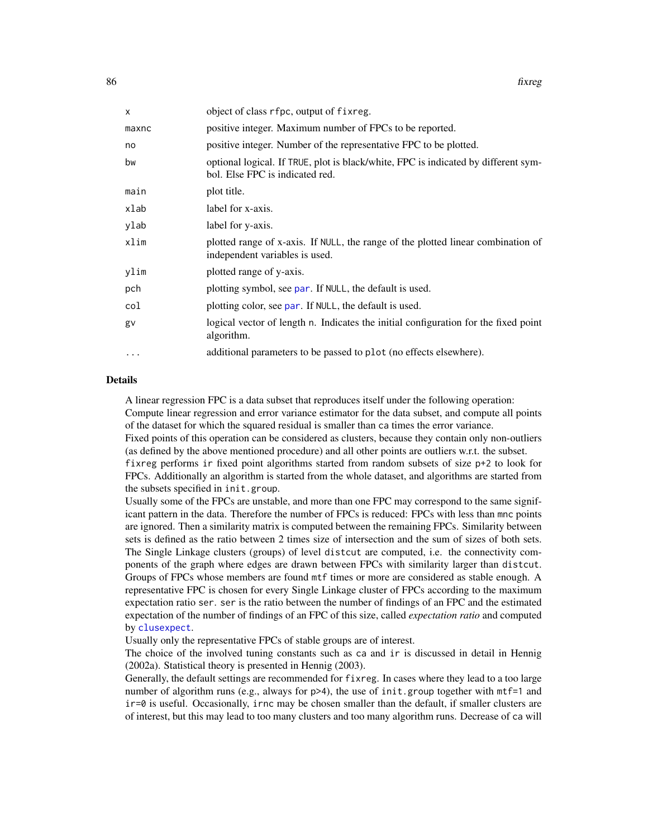| x        | object of class rfpc, output of fixreg.                                                                               |
|----------|-----------------------------------------------------------------------------------------------------------------------|
| maxnc    | positive integer. Maximum number of FPCs to be reported.                                                              |
| no       | positive integer. Number of the representative FPC to be plotted.                                                     |
| bw       | optional logical. If TRUE, plot is black/white, FPC is indicated by different sym-<br>bol. Else FPC is indicated red. |
| main     | plot title.                                                                                                           |
| xlab     | label for x-axis.                                                                                                     |
| vlab     | label for y-axis.                                                                                                     |
| xlim     | plotted range of x-axis. If NULL, the range of the plotted linear combination of<br>independent variables is used.    |
| ylim     | plotted range of y-axis.                                                                                              |
| pch      | plotting symbol, see par. If NULL, the default is used.                                                               |
| col      | plotting color, see par. If NULL, the default is used.                                                                |
| gv       | logical vector of length n. Indicates the initial configuration for the fixed point<br>algorithm.                     |
| $\cdots$ | additional parameters to be passed to plot (no effects elsewhere).                                                    |
|          |                                                                                                                       |

#### Details

A linear regression FPC is a data subset that reproduces itself under the following operation: Compute linear regression and error variance estimator for the data subset, and compute all points of the dataset for which the squared residual is smaller than ca times the error variance.

Fixed points of this operation can be considered as clusters, because they contain only non-outliers (as defined by the above mentioned procedure) and all other points are outliers w.r.t. the subset.

fixreg performs ir fixed point algorithms started from random subsets of size p+2 to look for FPCs. Additionally an algorithm is started from the whole dataset, and algorithms are started from the subsets specified in init.group.

Usually some of the FPCs are unstable, and more than one FPC may correspond to the same significant pattern in the data. Therefore the number of FPCs is reduced: FPCs with less than mnc points are ignored. Then a similarity matrix is computed between the remaining FPCs. Similarity between sets is defined as the ratio between 2 times size of intersection and the sum of sizes of both sets. The Single Linkage clusters (groups) of level distcut are computed, i.e. the connectivity components of the graph where edges are drawn between FPCs with similarity larger than distcut. Groups of FPCs whose members are found mtf times or more are considered as stable enough. A representative FPC is chosen for every Single Linkage cluster of FPCs according to the maximum expectation ratio ser. ser is the ratio between the number of findings of an FPC and the estimated expectation of the number of findings of an FPC of this size, called *expectation ratio* and computed by [clusexpect](#page-24-0).

Usually only the representative FPCs of stable groups are of interest.

The choice of the involved tuning constants such as ca and ir is discussed in detail in Hennig (2002a). Statistical theory is presented in Hennig (2003).

Generally, the default settings are recommended for fixreg. In cases where they lead to a too large number of algorithm runs (e.g., always for  $p>4$ ), the use of init.group together with  $m$ tf=1 and ir=0 is useful. Occasionally, irnc may be chosen smaller than the default, if smaller clusters are of interest, but this may lead to too many clusters and too many algorithm runs. Decrease of ca will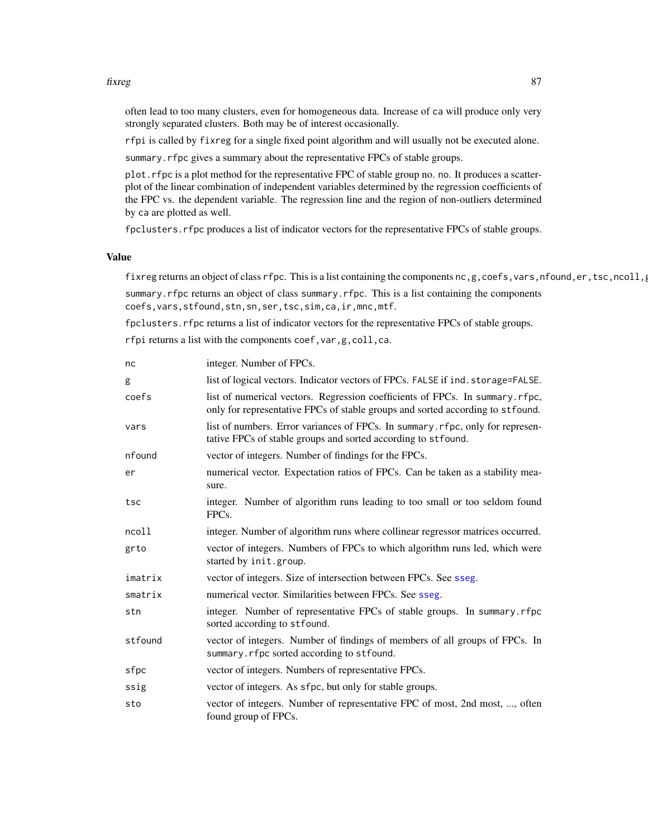#### fixreg 87

often lead to too many clusters, even for homogeneous data. Increase of ca will produce only very strongly separated clusters. Both may be of interest occasionally.

rfpi is called by fixreg for a single fixed point algorithm and will usually not be executed alone.

summary.rfpc gives a summary about the representative FPCs of stable groups.

plot.rfpc is a plot method for the representative FPC of stable group no. no. It produces a scatterplot of the linear combination of independent variables determined by the regression coefficients of the FPC vs. the dependent variable. The regression line and the region of non-outliers determined by ca are plotted as well.

fpclusters. rfpc produces a list of indicator vectors for the representative FPCs of stable groups.

### Value

fixreg returns an object of class rfpc. This is a list containing the components nc,g,coefs,vars,nfound,er,tsc,ncoll, summary.rfpc returns an object of class summary.rfpc. This is a list containing the components coefs,vars,stfound,stn,sn,ser,tsc,sim,ca,ir,mnc,mtf.

fpclusters.rfpc returns a list of indicator vectors for the representative FPCs of stable groups.

rfpi returns a list with the components coef,var,g,coll,ca.

| nc      | integer. Number of FPCs.                                                                                                                                       |
|---------|----------------------------------------------------------------------------------------------------------------------------------------------------------------|
| g       | list of logical vectors. Indicator vectors of FPCs. FALSE if ind. storage=FALSE.                                                                               |
| coefs   | list of numerical vectors. Regression coefficients of FPCs. In summary.rfpc,<br>only for representative FPCs of stable groups and sorted according to stfound. |
| vars    | list of numbers. Error variances of FPCs. In summary. rfpc, only for represen-<br>tative FPCs of stable groups and sorted according to stfound.                |
| nfound  | vector of integers. Number of findings for the FPCs.                                                                                                           |
| er      | numerical vector. Expectation ratios of FPCs. Can be taken as a stability mea-<br>sure.                                                                        |
| tsc     | integer. Number of algorithm runs leading to too small or too seldom found<br>FPC <sub>s</sub> .                                                               |
| ncoll   | integer. Number of algorithm runs where collinear regressor matrices occurred.                                                                                 |
| grto    | vector of integers. Numbers of FPCs to which algorithm runs led, which were<br>started by init.group.                                                          |
| imatrix | vector of integers. Size of intersection between FPCs. See sseg.                                                                                               |
| smatrix | numerical vector. Similarities between FPCs. See sseg.                                                                                                         |
| stn     | integer. Number of representative FPCs of stable groups. In summary.rfpc<br>sorted according to stfound.                                                       |
| stfound | vector of integers. Number of findings of members of all groups of FPCs. In<br>summary.rfpc sorted according to stfound.                                       |
| sfpc    | vector of integers. Numbers of representative FPCs.                                                                                                            |
| ssig    | vector of integers. As sfpc, but only for stable groups.                                                                                                       |
| sto     | vector of integers. Number of representative FPC of most, 2nd most, , often<br>found group of FPCs.                                                            |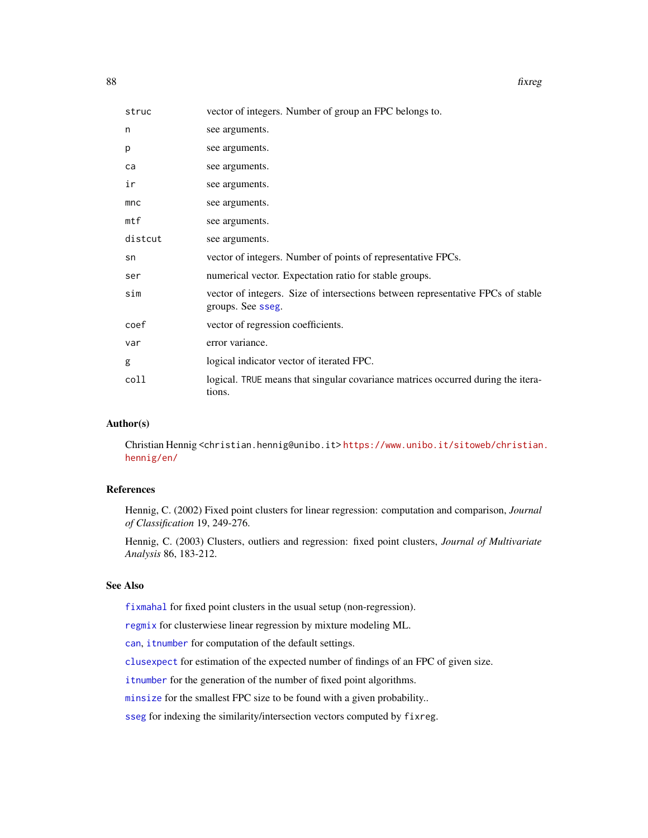| struc   | vector of integers. Number of group an FPC belongs to.                                               |
|---------|------------------------------------------------------------------------------------------------------|
| n       | see arguments.                                                                                       |
| p       | see arguments.                                                                                       |
| ca      | see arguments.                                                                                       |
| ir      | see arguments.                                                                                       |
| mnc     | see arguments.                                                                                       |
| mtf     | see arguments.                                                                                       |
| distcut | see arguments.                                                                                       |
| sn      | vector of integers. Number of points of representative FPCs.                                         |
| ser     | numerical vector. Expectation ratio for stable groups.                                               |
| sim     | vector of integers. Size of intersections between representative FPCs of stable<br>groups. See sseg. |
| coef    | vector of regression coefficients.                                                                   |
| var     | error variance.                                                                                      |
| g       | logical indicator vector of iterated FPC.                                                            |
| coll    | logical. TRUE means that singular covariance matrices occurred during the itera-<br>tions.           |

### Author(s)

Christian Hennig <christian.hennig@unibo.it> [https://www.unibo.it/sitoweb/christian](https://www.unibo.it/sitoweb/christian.hennig/en/). [hennig/en/](https://www.unibo.it/sitoweb/christian.hennig/en/)

## References

Hennig, C. (2002) Fixed point clusters for linear regression: computation and comparison, *Journal of Classification* 19, 249-276.

Hennig, C. (2003) Clusters, outliers and regression: fixed point clusters, *Journal of Multivariate Analysis* 86, 183-212.

#### See Also

[fixmahal](#page-76-0) for fixed point clusters in the usual setup (non-regression).

[regmix](#page-136-0) for clusterwiese linear regression by mixture modeling ML.

[can](#page-15-0), [itnumber](#page-92-0) for computation of the default settings.

[clusexpect](#page-24-0) for estimation of the expected number of findings of an FPC of given size.

[itnumber](#page-92-0) for the generation of the number of fixed point algorithms.

[minsize](#page-112-0) for the smallest FPC size to be found with a given probability..

[sseg](#page-145-0) for indexing the similarity/intersection vectors computed by fixreg.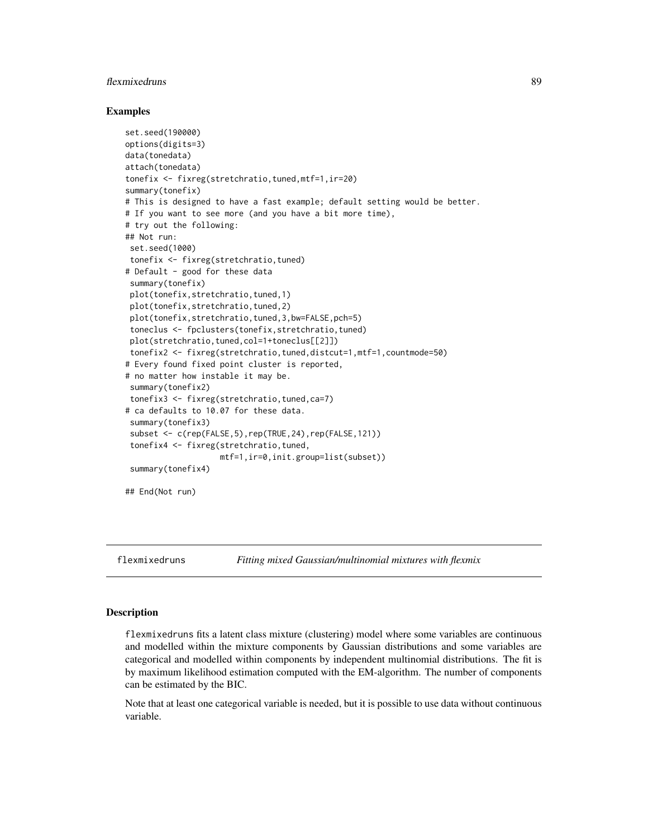## flexmixedruns 89

#### Examples

```
set.seed(190000)
options(digits=3)
data(tonedata)
attach(tonedata)
tonefix <- fixreg(stretchratio,tuned,mtf=1,ir=20)
summary(tonefix)
# This is designed to have a fast example; default setting would be better.
# If you want to see more (and you have a bit more time),
# try out the following:
## Not run:
set.seed(1000)
tonefix <- fixreg(stretchratio,tuned)
# Default - good for these data
 summary(tonefix)
 plot(tonefix,stretchratio,tuned,1)
 plot(tonefix,stretchratio,tuned,2)
 plot(tonefix,stretchratio,tuned,3,bw=FALSE,pch=5)
 toneclus <- fpclusters(tonefix,stretchratio,tuned)
 plot(stretchratio,tuned,col=1+toneclus[[2]])
 tonefix2 <- fixreg(stretchratio, tuned, distcut=1, mtf=1, countmode=50)
# Every found fixed point cluster is reported,
# no matter how instable it may be.
 summary(tonefix2)
 tonefix3 <- fixreg(stretchratio,tuned,ca=7)
# ca defaults to 10.07 for these data.
summary(tonefix3)
 subset <- c(rep(FALSE, 5), rep(TRUE, 24), rep(FALSE, 121))
 tonefix4 <- fixreg(stretchratio,tuned,
                    mtf=1,ir=0,init.group=list(subset))
 summary(tonefix4)
## End(Not run)
```
<span id="page-88-0"></span>flexmixedruns *Fitting mixed Gaussian/multinomial mixtures with flexmix*

### **Description**

flexmixedruns fits a latent class mixture (clustering) model where some variables are continuous and modelled within the mixture components by Gaussian distributions and some variables are categorical and modelled within components by independent multinomial distributions. The fit is by maximum likelihood estimation computed with the EM-algorithm. The number of components can be estimated by the BIC.

Note that at least one categorical variable is needed, but it is possible to use data without continuous variable.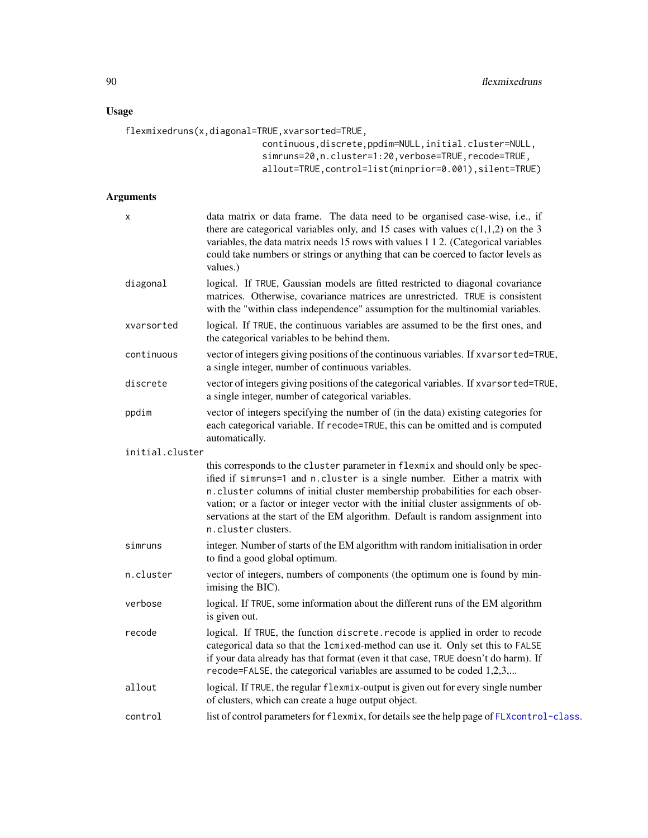## Usage

```
flexmixedruns(x,diagonal=TRUE,xvarsorted=TRUE,
                          continuous,discrete,ppdim=NULL,initial.cluster=NULL,
                          simruns=20,n.cluster=1:20,verbose=TRUE,recode=TRUE,
                          allout=TRUE, control=list(minprior=0.001), silent=TRUE)
```

| X               | data matrix or data frame. The data need to be organised case-wise, i.e., if<br>there are categorical variables only, and 15 cases with values $c(1,1,2)$ on the 3<br>variables, the data matrix needs 15 rows with values 1 1 2. (Categorical variables<br>could take numbers or strings or anything that can be coerced to factor levels as<br>values.)                                                                                 |
|-----------------|-------------------------------------------------------------------------------------------------------------------------------------------------------------------------------------------------------------------------------------------------------------------------------------------------------------------------------------------------------------------------------------------------------------------------------------------|
| diagonal        | logical. If TRUE, Gaussian models are fitted restricted to diagonal covariance<br>matrices. Otherwise, covariance matrices are unrestricted. TRUE is consistent<br>with the "within class independence" assumption for the multinomial variables.                                                                                                                                                                                         |
| xvarsorted      | logical. If TRUE, the continuous variables are assumed to be the first ones, and<br>the categorical variables to be behind them.                                                                                                                                                                                                                                                                                                          |
| continuous      | vector of integers giving positions of the continuous variables. If xvarsorted=TRUE,<br>a single integer, number of continuous variables.                                                                                                                                                                                                                                                                                                 |
| discrete        | vector of integers giving positions of the categorical variables. If xvarsorted=TRUE,<br>a single integer, number of categorical variables.                                                                                                                                                                                                                                                                                               |
| ppdim           | vector of integers specifying the number of (in the data) existing categories for<br>each categorical variable. If recode=TRUE, this can be omitted and is computed<br>automatically.                                                                                                                                                                                                                                                     |
| initial.cluster |                                                                                                                                                                                                                                                                                                                                                                                                                                           |
|                 | this corresponds to the cluster parameter in flexmix and should only be spec-<br>ified if simruns=1 and n.cluster is a single number. Either a matrix with<br>n.cluster columns of initial cluster membership probabilities for each obser-<br>vation; or a factor or integer vector with the initial cluster assignments of ob-<br>servations at the start of the EM algorithm. Default is random assignment into<br>n.cluster clusters. |
| simruns         | integer. Number of starts of the EM algorithm with random initialisation in order<br>to find a good global optimum.                                                                                                                                                                                                                                                                                                                       |
| n.cluster       | vector of integers, numbers of components (the optimum one is found by min-<br>imising the BIC).                                                                                                                                                                                                                                                                                                                                          |
| verbose         | logical. If TRUE, some information about the different runs of the EM algorithm<br>is given out.                                                                                                                                                                                                                                                                                                                                          |
| recode          | logical. If TRUE, the function discrete.recode is applied in order to recode<br>categorical data so that the 1cmixed-method can use it. Only set this to FALSE<br>if your data already has that format (even it that case, TRUE doesn't do harm). If<br>recode=FALSE, the categorical variables are assumed to be coded 1,2,3,                                                                                                            |
| allout          | logical. If TRUE, the regular flexmix-output is given out for every single number<br>of clusters, which can create a huge output object.                                                                                                                                                                                                                                                                                                  |
| control         | list of control parameters for flexmix, for details see the help page of FLXcontrol-class.                                                                                                                                                                                                                                                                                                                                                |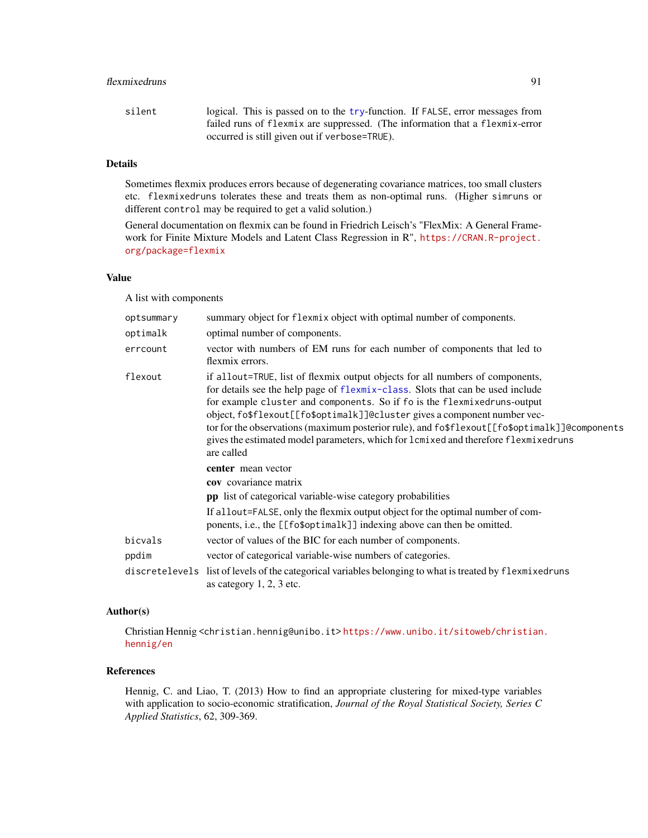### flexmixedruns 91

| silent | logical. This is passed on to the try-function. If FALSE, error messages from |
|--------|-------------------------------------------------------------------------------|
|        | failed runs of flexmix are suppressed. (The information that a flexmix-error  |
|        | occurred is still given out if verbose=TRUE).                                 |

# Details

Sometimes flexmix produces errors because of degenerating covariance matrices, too small clusters etc. flexmixedruns tolerates these and treats them as non-optimal runs. (Higher simruns or different control may be required to get a valid solution.)

General documentation on flexmix can be found in Friedrich Leisch's "FlexMix: A General Framework for Finite Mixture Models and Latent Class Regression in R", [https://CRAN.R-project.](https://CRAN.R-project.org/package=flexmix) [org/package=flexmix](https://CRAN.R-project.org/package=flexmix)

## Value

A list with components

| optsummary | summary object for flexmix object with optimal number of components.                                                                                                                                                                                                                                                                                                                                                                                                                                                              |
|------------|-----------------------------------------------------------------------------------------------------------------------------------------------------------------------------------------------------------------------------------------------------------------------------------------------------------------------------------------------------------------------------------------------------------------------------------------------------------------------------------------------------------------------------------|
| optimalk   | optimal number of components.                                                                                                                                                                                                                                                                                                                                                                                                                                                                                                     |
| errcount   | vector with numbers of EM runs for each number of components that led to<br>flexmix errors.                                                                                                                                                                                                                                                                                                                                                                                                                                       |
| flexout    | if allout=TRUE, list of flexmix output objects for all numbers of components,<br>for details see the help page of flexmix-class. Slots that can be used include<br>for example cluster and components. So if fo is the flexmixedruns-output<br>object, fo\$flexout[[fo\$optimalk]]@cluster gives a component number vec-<br>tor for the observations (maximum posterior rule), and fo\$flexout[[fo\$optimalk]]@components<br>gives the estimated model parameters, which for $l$ cmixed and therefore flexmixedruns<br>are called |
|            | center mean vector                                                                                                                                                                                                                                                                                                                                                                                                                                                                                                                |
|            | <b>cov</b> covariance matrix                                                                                                                                                                                                                                                                                                                                                                                                                                                                                                      |
|            | pp list of categorical variable-wise category probabilities                                                                                                                                                                                                                                                                                                                                                                                                                                                                       |
|            | If allout=FALSE, only the flexmix output object for the optimal number of com-<br>ponents, i.e., the [[fo\$optimalk]] indexing above can then be omitted.                                                                                                                                                                                                                                                                                                                                                                         |
| bicvals    | vector of values of the BIC for each number of components.                                                                                                                                                                                                                                                                                                                                                                                                                                                                        |
| ppdim      | vector of categorical variable-wise numbers of categories.                                                                                                                                                                                                                                                                                                                                                                                                                                                                        |
|            | discretelevels list of levels of the categorical variables belonging to what is treated by flexmixedruns<br>as category 1, 2, 3 etc.                                                                                                                                                                                                                                                                                                                                                                                              |

# Author(s)

Christian Hennig <christian.hennig@unibo.it> [https://www.unibo.it/sitoweb/christian](https://www.unibo.it/sitoweb/christian.hennig/en). [hennig/en](https://www.unibo.it/sitoweb/christian.hennig/en)

### References

Hennig, C. and Liao, T. (2013) How to find an appropriate clustering for mixed-type variables with application to socio-economic stratification, *Journal of the Royal Statistical Society, Series C Applied Statistics*, 62, 309-369.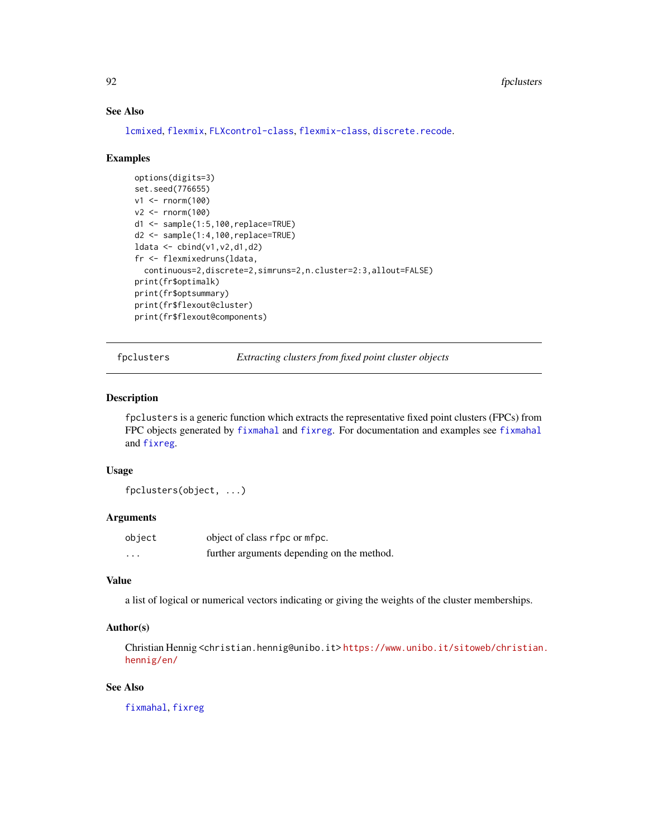## See Also

[lcmixed](#page-101-0), [flexmix](#page-0-0), [FLXcontrol-class](#page-0-0), [flexmix-class](#page-0-0), [discrete.recode](#page-64-0).

#### Examples

```
options(digits=3)
set.seed(776655)
v1 <- rnorm(100)
v2 < - rnorm(100)
d1 <- sample(1:5,100,replace=TRUE)
d2 <- sample(1:4,100,replace=TRUE)
ldata < -\text{cbind}(v1, v2, d1, d2)fr <- flexmixedruns(ldata,
 continuous=2,discrete=2,simruns=2,n.cluster=2:3,allout=FALSE)
print(fr$optimalk)
print(fr$optsummary)
print(fr$flexout@cluster)
print(fr$flexout@components)
```
fpclusters *Extracting clusters from fixed point cluster objects*

### Description

fpclusters is a generic function which extracts the representative fixed point clusters (FPCs) from FPC objects generated by [fixmahal](#page-76-0) and [fixreg](#page-83-0). For documentation and examples see [fixmahal](#page-76-0) and [fixreg](#page-83-0).

## Usage

fpclusters(object, ...)

## Arguments

| object | object of class rfpc or mfpc.              |
|--------|--------------------------------------------|
| .      | further arguments depending on the method. |

### Value

a list of logical or numerical vectors indicating or giving the weights of the cluster memberships.

#### Author(s)

Christian Hennig <christian.hennig@unibo.it> [https://www.unibo.it/sitoweb/christian](https://www.unibo.it/sitoweb/christian.hennig/en/). [hennig/en/](https://www.unibo.it/sitoweb/christian.hennig/en/)

## See Also

[fixmahal](#page-76-0), [fixreg](#page-83-0)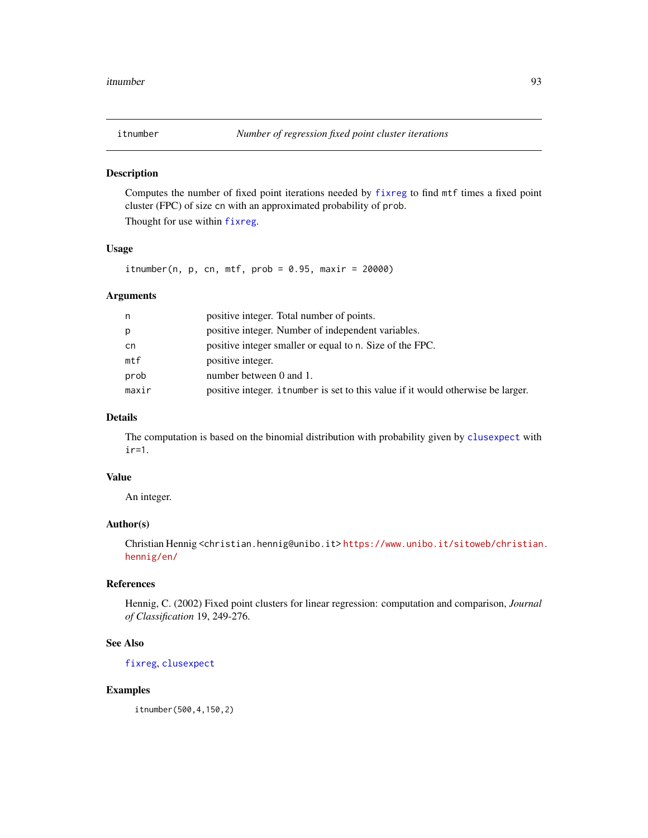<span id="page-92-0"></span>

Computes the number of fixed point iterations needed by [fixreg](#page-83-0) to find mtf times a fixed point cluster (FPC) of size cn with an approximated probability of prob. Thought for use within [fixreg](#page-83-0).

### Usage

 $itnumber(n, p, cn, mtf, prob = 0.95, maxir = 20000)$ 

### Arguments

| n     | positive integer. Total number of points.                                         |
|-------|-----------------------------------------------------------------------------------|
| p     | positive integer. Number of independent variables.                                |
| -cn   | positive integer smaller or equal to n. Size of the FPC.                          |
| mtf   | positive integer.                                                                 |
| prob  | number between 0 and 1.                                                           |
| maxir | positive integer, i thumber is set to this value if it would otherwise be larger. |

### Details

The computation is based on the binomial distribution with probability given by [clusexpect](#page-24-0) with ir=1.

## Value

An integer.

### Author(s)

Christian Hennig <christian.hennig@unibo.it> [https://www.unibo.it/sitoweb/christian](https://www.unibo.it/sitoweb/christian.hennig/en/). [hennig/en/](https://www.unibo.it/sitoweb/christian.hennig/en/)

### References

Hennig, C. (2002) Fixed point clusters for linear regression: computation and comparison, *Journal of Classification* 19, 249-276.

### See Also

[fixreg](#page-83-0), [clusexpect](#page-24-0)

#### Examples

itnumber(500,4,150,2)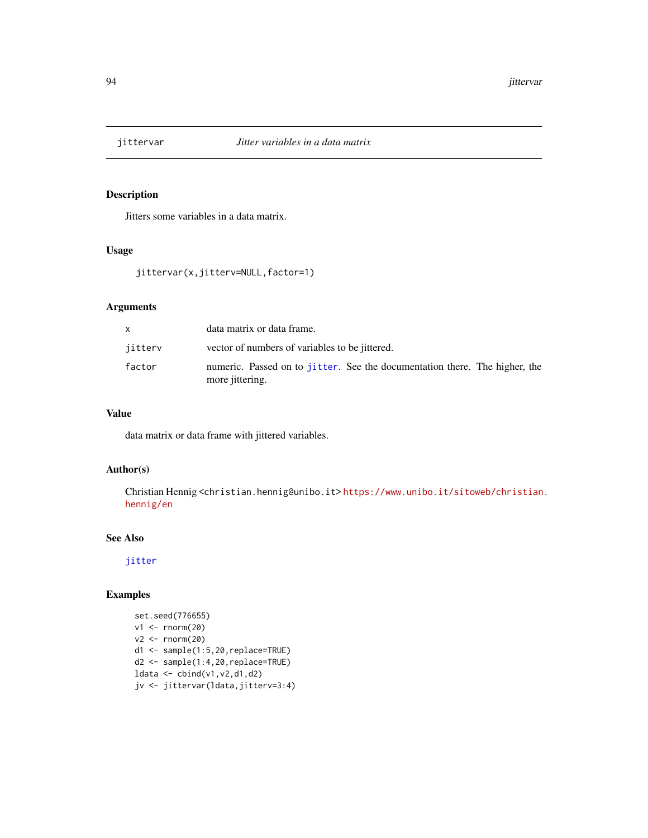Jitters some variables in a data matrix.

## Usage

```
jittervar(x,jitterv=NULL,factor=1)
```
#### Arguments

|         | data matrix or data frame.                                                                    |
|---------|-----------------------------------------------------------------------------------------------|
| jitterv | vector of numbers of variables to be jittered.                                                |
| factor  | numeric. Passed on to jitter. See the documentation there. The higher, the<br>more jittering. |

# Value

data matrix or data frame with jittered variables.

### Author(s)

Christian Hennig <christian.hennig@unibo.it> [https://www.unibo.it/sitoweb/christian](https://www.unibo.it/sitoweb/christian.hennig/en). [hennig/en](https://www.unibo.it/sitoweb/christian.hennig/en)

### See Also

[jitter](#page-0-0)

```
set.seed(776655)
v1 <- rnorm(20)v2 \le rnorm(20)d1 <- sample(1:5,20,replace=TRUE)
d2 <- sample(1:4,20,replace=TRUE)
ldata <- cbind(v1,v2,d1,d2)
jv <- jittervar(ldata,jitterv=3:4)
```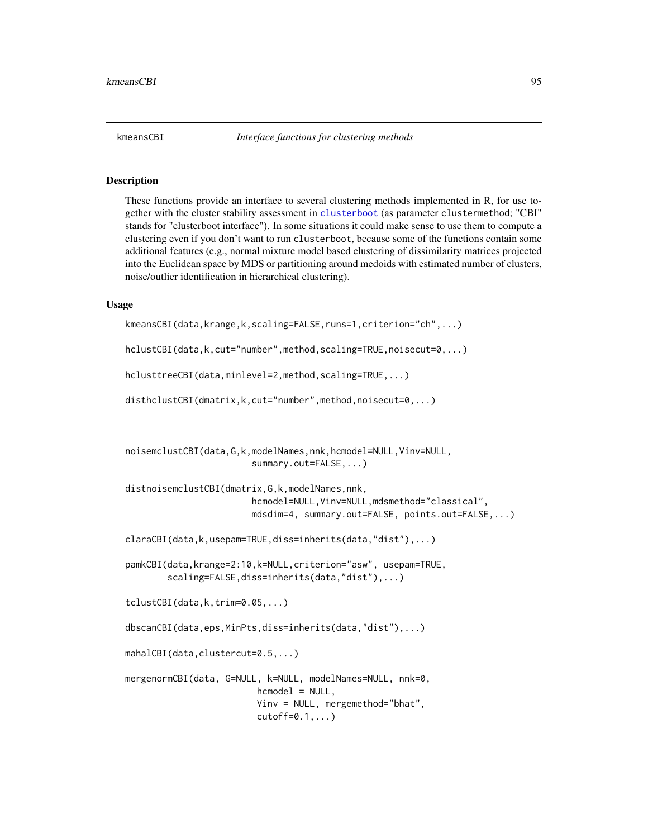These functions provide an interface to several clustering methods implemented in R, for use together with the cluster stability assessment in [clusterboot](#page-40-0) (as parameter clustermethod; "CBI" stands for "clusterboot interface"). In some situations it could make sense to use them to compute a clustering even if you don't want to run clusterboot, because some of the functions contain some additional features (e.g., normal mixture model based clustering of dissimilarity matrices projected into the Euclidean space by MDS or partitioning around medoids with estimated number of clusters, noise/outlier identification in hierarchical clustering).

#### Usage

```
kmeansCBI(data,krange,k,scaling=FALSE,runs=1,criterion="ch",...)
```
hclustCBI(data,k,cut="number",method,scaling=TRUE,noisecut=0,...)

```
hclusttreeCBI(data,minlevel=2,method,scaling=TRUE,...)
```
disthclustCBI(dmatrix,k,cut="number",method,noisecut=0,...)

```
noisemclustCBI(data,G,k,modelNames,nnk,hcmodel=NULL,Vinv=NULL,
                        summary.out=FALSE,...)
```

```
distnoisemclustCBI(dmatrix,G,k,modelNames,nnk,
                        hcmodel=NULL,Vinv=NULL,mdsmethod="classical",
                        mdsdim=4, summary.out=FALSE, points.out=FALSE,...)
```

```
claraCBI(data,k,usepam=TRUE,diss=inherits(data,"dist"),...)
```

```
pamkCBI(data,krange=2:10,k=NULL,criterion="asw", usepam=TRUE,
       scaling=FALSE,diss=inherits(data,"dist"),...)
```

```
tclustCBI(data,k,trim=0.05,...)
```
dbscanCBI(data,eps,MinPts,diss=inherits(data,"dist"),...)

```
mahalCBI(data,clustercut=0.5,...)
```

```
mergenormCBI(data, G=NULL, k=NULL, modelNames=NULL, nnk=0,
                         hcmodel = NULL,
                         Vinv = NULL, mergemethod="bhat",
                         cutoff=0.1,...)
```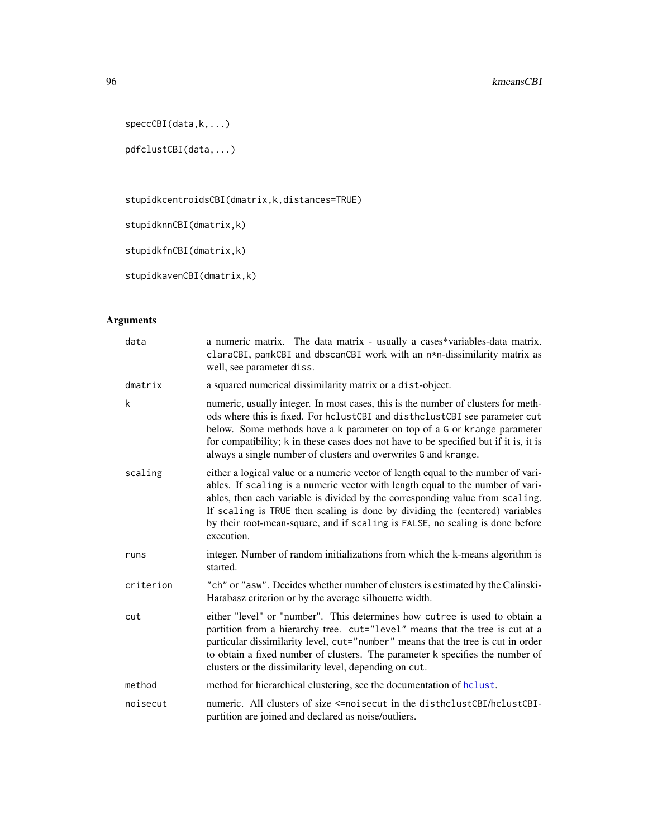```
speccCBI(data,k,...)
```

```
pdfclustCBI(data,...)
```
stupidkcentroidsCBI(dmatrix,k,distances=TRUE)

stupidknnCBI(dmatrix,k)

stupidkfnCBI(dmatrix,k)

```
stupidkavenCBI(dmatrix,k)
```

| data      | a numeric matrix. The data matrix - usually a cases*variables-data matrix.<br>claraCBI, pamkCBI and dbscanCBI work with an n*n-dissimilarity matrix as<br>well, see parameter diss.                                                                                                                                                                                                                                                 |
|-----------|-------------------------------------------------------------------------------------------------------------------------------------------------------------------------------------------------------------------------------------------------------------------------------------------------------------------------------------------------------------------------------------------------------------------------------------|
| dmatrix   | a squared numerical dissimilarity matrix or a dist-object.                                                                                                                                                                                                                                                                                                                                                                          |
| k         | numeric, usually integer. In most cases, this is the number of clusters for meth-<br>ods where this is fixed. For hclustCBI and disthclustCBI see parameter cut<br>below. Some methods have a k parameter on top of a G or krange parameter<br>for compatibility; k in these cases does not have to be specified but if it is, it is<br>always a single number of clusters and overwrites G and krange.                             |
| scaling   | either a logical value or a numeric vector of length equal to the number of vari-<br>ables. If scaling is a numeric vector with length equal to the number of vari-<br>ables, then each variable is divided by the corresponding value from scaling.<br>If scaling is TRUE then scaling is done by dividing the (centered) variables<br>by their root-mean-square, and if scaling is FALSE, no scaling is done before<br>execution. |
| runs      | integer. Number of random initializations from which the k-means algorithm is<br>started.                                                                                                                                                                                                                                                                                                                                           |
| criterion | "ch" or "asw". Decides whether number of clusters is estimated by the Calinski-<br>Harabasz criterion or by the average silhouette width.                                                                                                                                                                                                                                                                                           |
| cut       | either "level" or "number". This determines how cutree is used to obtain a<br>partition from a hierarchy tree. cut="level" means that the tree is cut at a<br>particular dissimilarity level, cut="number" means that the tree is cut in order<br>to obtain a fixed number of clusters. The parameter k specifies the number of<br>clusters or the dissimilarity level, depending on cut.                                           |
| method    | method for hierarchical clustering, see the documentation of helust.                                                                                                                                                                                                                                                                                                                                                                |
| noisecut  | numeric. All clusters of size <=noisecut in the disthclustCBI/hclustCBI-<br>partition are joined and declared as noise/outliers.                                                                                                                                                                                                                                                                                                    |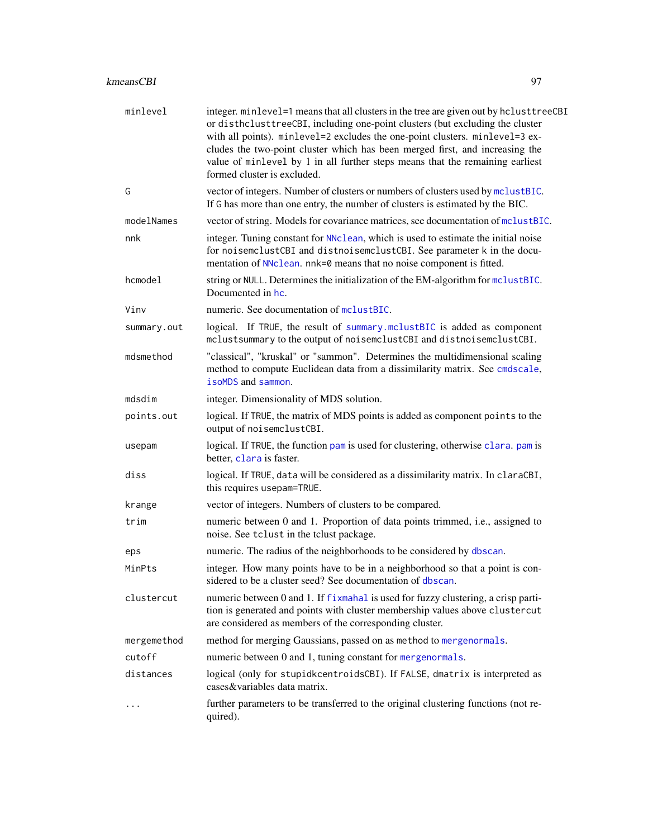| minlevel    | integer. minlevel=1 means that all clusters in the tree are given out by hclusttreeCBI<br>or disthclusttreeCBI, including one-point clusters (but excluding the cluster<br>with all points). minlevel=2 excludes the one-point clusters. minlevel=3 ex-<br>cludes the two-point cluster which has been merged first, and increasing the<br>value of minlevel by 1 in all further steps means that the remaining earliest<br>formed cluster is excluded. |
|-------------|---------------------------------------------------------------------------------------------------------------------------------------------------------------------------------------------------------------------------------------------------------------------------------------------------------------------------------------------------------------------------------------------------------------------------------------------------------|
| G           | vector of integers. Number of clusters or numbers of clusters used by mclustBIC.<br>If G has more than one entry, the number of clusters is estimated by the BIC.                                                                                                                                                                                                                                                                                       |
| modelNames  | vector of string. Models for covariance matrices, see documentation of mclustBIC.                                                                                                                                                                                                                                                                                                                                                                       |
| nnk         | integer. Tuning constant for NNclean, which is used to estimate the initial noise<br>for noisemclustCBI and distnoisemclustCBI. See parameter k in the docu-<br>mentation of NNclean. nnk=0 means that no noise component is fitted.                                                                                                                                                                                                                    |
| hcmodel     | string or NULL. Determines the initialization of the EM-algorithm for mclustBIC.<br>Documented in hc.                                                                                                                                                                                                                                                                                                                                                   |
| Vinv        | numeric. See documentation of mclustBIC.                                                                                                                                                                                                                                                                                                                                                                                                                |
| summary.out | logical. If TRUE, the result of summary.mclustBIC is added as component<br>mclustsummary to the output of noisemclustCBI and distnoisemclustCBI.                                                                                                                                                                                                                                                                                                        |
| mdsmethod   | "classical", "kruskal" or "sammon". Determines the multidimensional scaling<br>method to compute Euclidean data from a dissimilarity matrix. See cmdscale,<br>isoMDS and sammon.                                                                                                                                                                                                                                                                        |
| mdsdim      | integer. Dimensionality of MDS solution.                                                                                                                                                                                                                                                                                                                                                                                                                |
| points.out  | logical. If TRUE, the matrix of MDS points is added as component points to the<br>output of noisemclustCBI.                                                                                                                                                                                                                                                                                                                                             |
| usepam      | logical. If TRUE, the function pam is used for clustering, otherwise clara. pam is<br>better, clara is faster.                                                                                                                                                                                                                                                                                                                                          |
| diss        | logical. If TRUE, data will be considered as a dissimilarity matrix. In claraCBI,<br>this requires usepam=TRUE.                                                                                                                                                                                                                                                                                                                                         |
| krange      | vector of integers. Numbers of clusters to be compared.                                                                                                                                                                                                                                                                                                                                                                                                 |
| trim        | numeric between 0 and 1. Proportion of data points trimmed, i.e., assigned to<br>noise. See tclust in the tclust package.                                                                                                                                                                                                                                                                                                                               |
| eps         | numeric. The radius of the neighborhoods to be considered by dbscan.                                                                                                                                                                                                                                                                                                                                                                                    |
| MinPts      | integer. How many points have to be in a neighborhood so that a point is con-<br>sidered to be a cluster seed? See documentation of dbscan.                                                                                                                                                                                                                                                                                                             |
| clustercut  | numeric between 0 and 1. If fixmahal is used for fuzzy clustering, a crisp parti-<br>tion is generated and points with cluster membership values above clustercut<br>are considered as members of the corresponding cluster.                                                                                                                                                                                                                            |
| mergemethod | method for merging Gaussians, passed on as method to mergenormals.                                                                                                                                                                                                                                                                                                                                                                                      |
| cutoff      | numeric between 0 and 1, tuning constant for mergenormals.                                                                                                                                                                                                                                                                                                                                                                                              |
| distances   | logical (only for stupidkcentroidsCBI). If FALSE, dmatrix is interpreted as<br>cases&variables data matrix.                                                                                                                                                                                                                                                                                                                                             |
|             | further parameters to be transferred to the original clustering functions (not re-<br>quired).                                                                                                                                                                                                                                                                                                                                                          |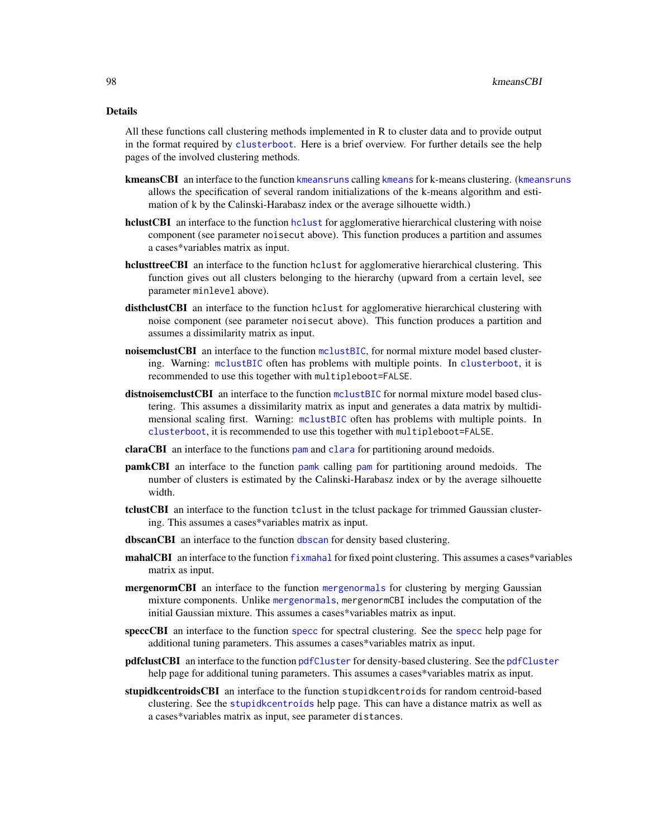#### Details

All these functions call clustering methods implemented in R to cluster data and to provide output in the format required by [clusterboot](#page-40-0). Here is a brief overview. For further details see the help pages of the involved clustering methods.

- kmeansCBI an interface to the function [kmeansruns](#page-99-0) calling [kmeans](#page-0-0) for k-means clustering. (kmeansruns allows the specification of several random initializations of the k-means algorithm and estimation of k by the Calinski-Harabasz index or the average silhouette width.)
- [hclust](#page-0-0)CBI an interface to the function hclust for agglomerative hierarchical clustering with noise component (see parameter noisecut above). This function produces a partition and assumes a cases\*variables matrix as input.
- hclusttreeCBI an interface to the function hclust for agglomerative hierarchical clustering. This function gives out all clusters belonging to the hierarchy (upward from a certain level, see parameter minlevel above).
- disthclustCBI an interface to the function hclust for agglomerative hierarchical clustering with noise component (see parameter noisecut above). This function produces a partition and assumes a dissimilarity matrix as input.
- noisemclustCBI an interface to the function [mclustBIC](#page-0-0), for normal mixture model based clustering. Warning: [mclustBIC](#page-0-0) often has problems with multiple points. In [clusterboot](#page-40-0), it is recommended to use this together with multipleboot=FALSE.
- distnoisemclustCBI an interface to the function [mclustBIC](#page-0-0) for normal mixture model based clustering. This assumes a dissimilarity matrix as input and generates a data matrix by multidimensional scaling first. Warning: [mclustBIC](#page-0-0) often has problems with multiple points. In [clusterboot](#page-40-0), it is recommended to use this together with multipleboot=FALSE.
- claraCBI an interface to the functions [pam](#page-0-0) and [clara](#page-0-0) for partitioning around medoids.
- pamkCBI an interface to the function [pamk](#page-121-0) calling [pam](#page-0-0) for partitioning around medoids. The number of clusters is estimated by the Calinski-Harabasz index or by the average silhouette width.
- tclustCBI an interface to the function tclust in the tclust package for trimmed Gaussian clustering. This assumes a cases\*variables matrix as input.
- [dbscan](#page-58-0)CBI an interface to the function dbscan for density based clustering.
- mahalCBI an interface to the function [fixmahal](#page-76-0) for fixed point clustering. This assumes a cases\*variables matrix as input.
- mergenormCBI an interface to the function [mergenormals](#page-107-0) for clustering by merging Gaussian mixture components. Unlike [mergenormals](#page-107-0), mergenormCBI includes the computation of the initial Gaussian mixture. This assumes a cases\*variables matrix as input.
- speccCBI an interface to the function [specc](#page-0-0) for spectral clustering. See the [specc](#page-0-0) help page for additional tuning parameters. This assumes a cases\*variables matrix as input.
- pdfclustCBI an interface to the function [pdfCluster](#page-0-0) for density-based clustering. See the [pdfCluster](#page-0-0) help page for additional tuning parameters. This assumes a cases\*variables matrix as input.
- stupidkcentroidsCBI an interface to the function stupidkcentroids for random centroid-based clustering. See the [stupidkcentroids](#page-146-0) help page. This can have a distance matrix as well as a cases\*variables matrix as input, see parameter distances.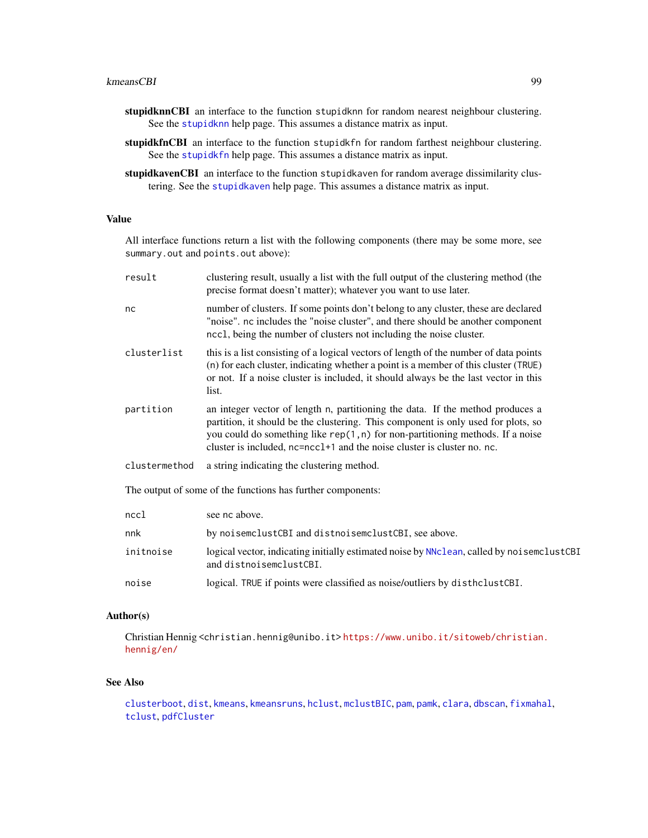#### kmeansCBI 99

- stupidknnCBI an interface to the function stupidknn for random nearest neighbour clustering. See the [stupidknn](#page-148-0) help page. This assumes a distance matrix as input.
- stupidkfnCBI an interface to the function stupidkfn for random farthest neighbour clustering. See the [stupidkfn](#page-147-0) help page. This assumes a distance matrix as input.
- stupidkavenCBI an interface to the function stupidkaven for random average dissimilarity clustering. See the [stupidkaven](#page-145-1) help page. This assumes a distance matrix as input.

### Value

All interface functions return a list with the following components (there may be some more, see summary.out and points.out above):

| result        | clustering result, usually a list with the full output of the clustering method (the<br>precise format doesn't matter); whatever you want to use later.                                                                                                                                                                            |
|---------------|------------------------------------------------------------------------------------------------------------------------------------------------------------------------------------------------------------------------------------------------------------------------------------------------------------------------------------|
| nc            | number of clusters. If some points don't belong to any cluster, these are declared<br>"noise". nc includes the "noise cluster", and there should be another component<br>ncc1, being the number of clusters not including the noise cluster.                                                                                       |
| clusterlist   | this is a list consisting of a logical vectors of length of the number of data points<br>(n) for each cluster, indicating whether a point is a member of this cluster (TRUE)<br>or not. If a noise cluster is included, it should always be the last vector in this<br>list.                                                       |
| partition     | an integer vector of length n, partitioning the data. If the method produces a<br>partition, it should be the clustering. This component is only used for plots, so<br>you could do something like $rep(1, n)$ for non-partitioning methods. If a noise<br>cluster is included, nc=ncc1+1 and the noise cluster is cluster no. nc. |
| clustermethod | a string indicating the clustering method.                                                                                                                                                                                                                                                                                         |
|               | The output of some of the functions has further components:                                                                                                                                                                                                                                                                        |
| nccl          | see nc above.                                                                                                                                                                                                                                                                                                                      |
| nnk           | by noisemclustCBI and distnoisemclustCBI, see above.                                                                                                                                                                                                                                                                               |
| initnoise     | logical vector, indicating initially estimated noise by NNclean, called by noisemclustCBI<br>and distnoisemclustCBI.                                                                                                                                                                                                               |
| noise         | logical. TRUE if points were classified as noise/outliers by disthclustCBI.                                                                                                                                                                                                                                                        |

#### Author(s)

Christian Hennig <christian.hennig@unibo.it> [https://www.unibo.it/sitoweb/christian](https://www.unibo.it/sitoweb/christian.hennig/en/). [hennig/en/](https://www.unibo.it/sitoweb/christian.hennig/en/)

### See Also

[clusterboot](#page-40-0), [dist](#page-0-0), [kmeans](#page-0-0), [kmeansruns](#page-99-0), [hclust](#page-0-0), [mclustBIC](#page-0-0), [pam](#page-0-0), [pamk](#page-121-0), [clara](#page-0-0), [dbscan](#page-58-0), [fixmahal](#page-76-0), [tclust](#page-0-0), [pdfCluster](#page-0-0)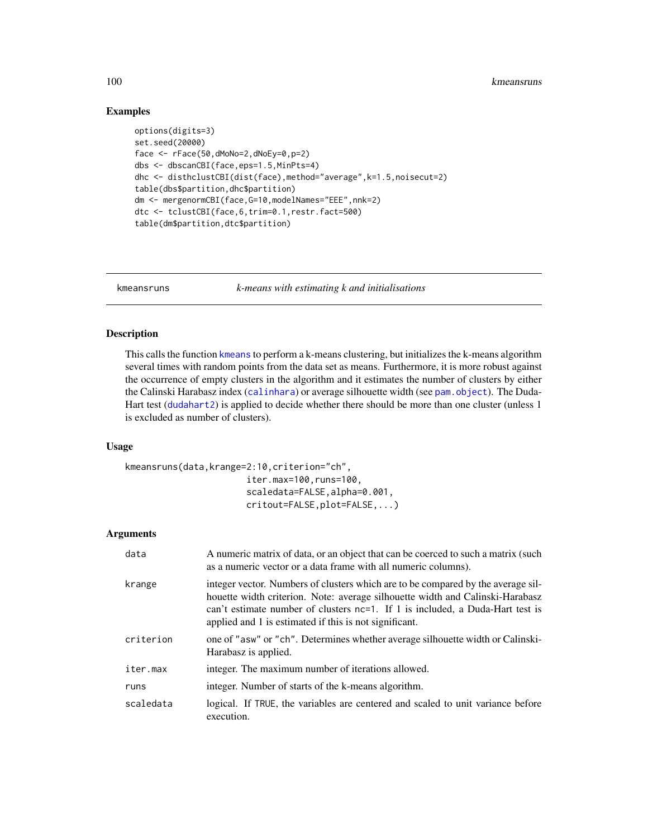#### 100 kmeansruns

## Examples

```
options(digits=3)
set.seed(20000)
face <- rFace(50,dMoNo=2,dNoEy=0,p=2)
dbs <- dbscanCBI(face,eps=1.5,MinPts=4)
dhc <- disthclustCBI(dist(face),method="average",k=1.5,noisecut=2)
table(dbs$partition,dhc$partition)
dm <- mergenormCBI(face,G=10,modelNames="EEE",nnk=2)
dtc <- tclustCBI(face,6,trim=0.1,restr.fact=500)
table(dm$partition,dtc$partition)
```
<span id="page-99-0"></span>

kmeansruns *k-means with estimating k and initialisations*

### Description

This calls the function [kmeans](#page-0-0) to perform a k-means clustering, but initializes the k-means algorithm several times with random points from the data set as means. Furthermore, it is more robust against the occurrence of empty clusters in the algorithm and it estimates the number of clusters by either the Calinski Harabasz index ([calinhara](#page-14-0)) or average silhouette width (see [pam.object](#page-0-0)). The Duda-Hart test ([dudahart2](#page-73-0)) is applied to decide whether there should be more than one cluster (unless 1 is excluded as number of clusters).

#### Usage

```
kmeansruns(data,krange=2:10,criterion="ch",
                       iter.max=100,runs=100,
                       scaledata=FALSE,alpha=0.001,
                       critout=FALSE,plot=FALSE,...)
```

| data      | A numeric matrix of data, or an object that can be coerced to such a matrix (such<br>as a numeric vector or a data frame with all numeric columns).                                                                                                                                                          |
|-----------|--------------------------------------------------------------------------------------------------------------------------------------------------------------------------------------------------------------------------------------------------------------------------------------------------------------|
| krange    | integer vector. Numbers of clusters which are to be compared by the average sil-<br>houette width criterion. Note: average silhouette width and Calinski-Harabasz<br>can't estimate number of clusters nc=1. If 1 is included, a Duda-Hart test is<br>applied and 1 is estimated if this is not significant. |
| criterion | one of "asw" or "ch". Determines whether average silhouette width or Calinski-<br>Harabasz is applied.                                                                                                                                                                                                       |
| iter.max  | integer. The maximum number of iterations allowed.                                                                                                                                                                                                                                                           |
| runs      | integer. Number of starts of the k-means algorithm.                                                                                                                                                                                                                                                          |
| scaledata | logical. If TRUE, the variables are centered and scaled to unit variance before<br>execution.                                                                                                                                                                                                                |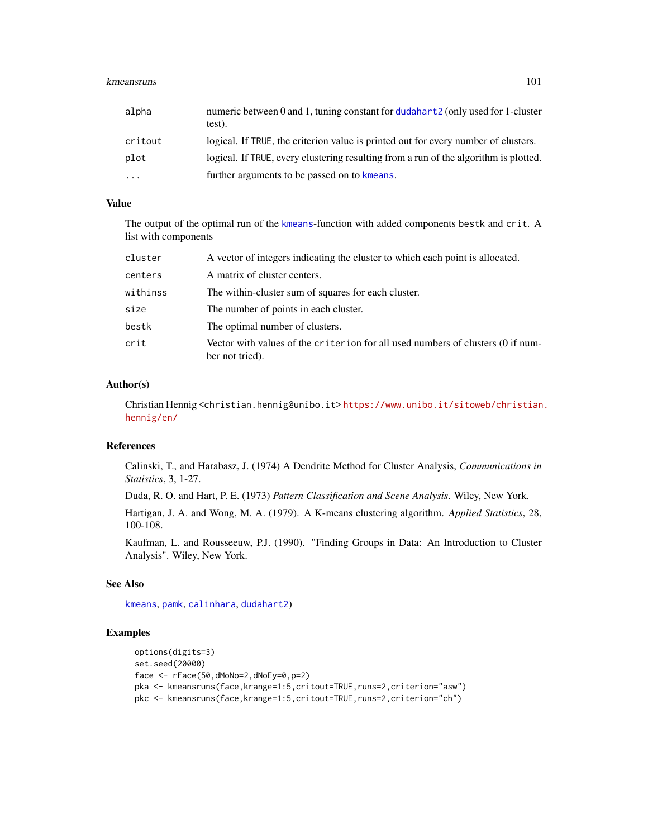#### kmeansruns 101

| alpha     | numeric between 0 and 1, tuning constant for dudahart 2 (only used for 1-cluster<br>test). |
|-----------|--------------------------------------------------------------------------------------------|
| critout   | logical. If TRUE, the criterion value is printed out for every number of clusters.         |
| plot      | logical. If TRUE, every clustering resulting from a run of the algorithm is plotted.       |
| $\ddotsc$ | further arguments to be passed on to kmeans.                                               |

#### Value

The output of the optimal run of the [kmeans](#page-0-0)-function with added components bestk and crit. A list with components

| cluster  | A vector of integers indicating the cluster to which each point is allocated.                      |
|----------|----------------------------------------------------------------------------------------------------|
| centers  | A matrix of cluster centers.                                                                       |
| withinss | The within-cluster sum of squares for each cluster.                                                |
| size     | The number of points in each cluster.                                                              |
| bestk    | The optimal number of clusters.                                                                    |
| crit     | Vector with values of the criterion for all used numbers of clusters (0 if num-<br>ber not tried). |

### Author(s)

Christian Hennig <christian.hennig@unibo.it> [https://www.unibo.it/sitoweb/christian](https://www.unibo.it/sitoweb/christian.hennig/en/). [hennig/en/](https://www.unibo.it/sitoweb/christian.hennig/en/)

### References

Calinski, T., and Harabasz, J. (1974) A Dendrite Method for Cluster Analysis, *Communications in Statistics*, 3, 1-27.

Duda, R. O. and Hart, P. E. (1973) *Pattern Classification and Scene Analysis*. Wiley, New York.

Hartigan, J. A. and Wong, M. A. (1979). A K-means clustering algorithm. *Applied Statistics*, 28, 100-108.

Kaufman, L. and Rousseeuw, P.J. (1990). "Finding Groups in Data: An Introduction to Cluster Analysis". Wiley, New York.

### See Also

[kmeans](#page-0-0), [pamk](#page-121-0), [calinhara](#page-14-0), [dudahart2](#page-73-0))

```
options(digits=3)
set.seed(20000)
face <- rFace(50,dMoNo=2,dNoEy=0,p=2)
pka <- kmeansruns(face,krange=1:5,critout=TRUE,runs=2,criterion="asw")
pkc <- kmeansruns(face,krange=1:5,critout=TRUE,runs=2,criterion="ch")
```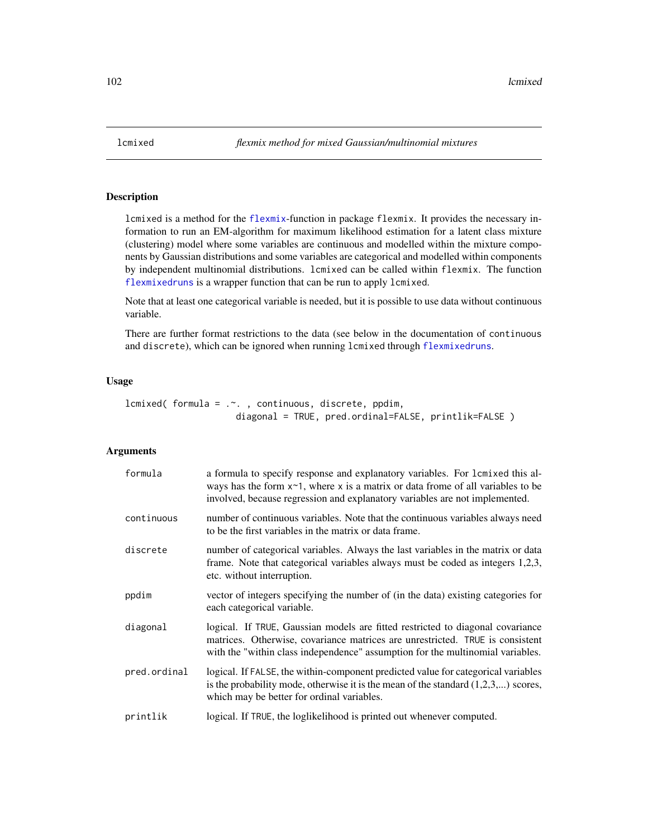<span id="page-101-0"></span>

lcmixed is a method for the [flexmix](#page-0-0)-function in package flexmix. It provides the necessary information to run an EM-algorithm for maximum likelihood estimation for a latent class mixture (clustering) model where some variables are continuous and modelled within the mixture components by Gaussian distributions and some variables are categorical and modelled within components by independent multinomial distributions. lcmixed can be called within flexmix. The function [flexmixedruns](#page-88-0) is a wrapper function that can be run to apply lcmixed.

Note that at least one categorical variable is needed, but it is possible to use data without continuous variable.

There are further format restrictions to the data (see below in the documentation of continuous and discrete), which can be ignored when running lcmixed through [flexmixedruns](#page-88-0).

### Usage

```
lcmixed( formula = \ldots, continuous, discrete, ppdim,
                     diagonal = TRUE, pred.ordinal=FALSE, printlik=FALSE )
```

| formula      | a formula to specify response and explanatory variables. For l cmixed this al-<br>ways has the form $x \sim 1$ , where x is a matrix or data frome of all variables to be<br>involved, because regression and explanatory variables are not implemented. |
|--------------|----------------------------------------------------------------------------------------------------------------------------------------------------------------------------------------------------------------------------------------------------------|
| continuous   | number of continuous variables. Note that the continuous variables always need<br>to be the first variables in the matrix or data frame.                                                                                                                 |
| discrete     | number of categorical variables. Always the last variables in the matrix or data<br>frame. Note that categorical variables always must be coded as integers 1,2,3,<br>etc. without interruption.                                                         |
| ppdim        | vector of integers specifying the number of (in the data) existing categories for<br>each categorical variable.                                                                                                                                          |
| diagonal     | logical. If TRUE, Gaussian models are fitted restricted to diagonal covariance<br>matrices. Otherwise, covariance matrices are unrestricted. TRUE is consistent<br>with the "within class independence" assumption for the multinomial variables.        |
| pred.ordinal | logical. If FALSE, the within-component predicted value for categorical variables<br>is the probability mode, otherwise it is the mean of the standard $(1,2,3,)$ scores,<br>which may be better for ordinal variables.                                  |
| printlik     | logical. If TRUE, the loglikelihood is printed out whenever computed.                                                                                                                                                                                    |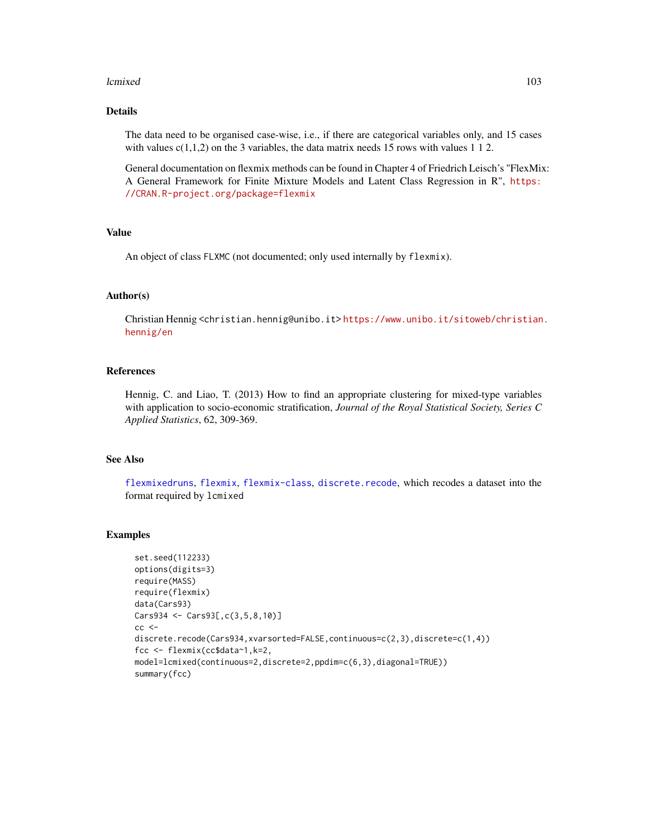#### lcmixed to the control of the control of the control of the control of the control of the control of the control of the control of the control of the control of the control of the control of the control of the control of t

## Details

The data need to be organised case-wise, i.e., if there are categorical variables only, and 15 cases with values  $c(1,1,2)$  on the 3 variables, the data matrix needs 15 rows with values 1 1 2.

General documentation on flexmix methods can be found in Chapter 4 of Friedrich Leisch's "FlexMix: A General Framework for Finite Mixture Models and Latent Class Regression in R", [https:](https://CRAN.R-project.org/package=flexmix) [//CRAN.R-project.org/package=flexmix](https://CRAN.R-project.org/package=flexmix)

### Value

An object of class FLXMC (not documented; only used internally by flexmix).

#### Author(s)

Christian Hennig <christian.hennig@unibo.it> [https://www.unibo.it/sitoweb/christian](https://www.unibo.it/sitoweb/christian.hennig/en). [hennig/en](https://www.unibo.it/sitoweb/christian.hennig/en)

#### References

Hennig, C. and Liao, T. (2013) How to find an appropriate clustering for mixed-type variables with application to socio-economic stratification, *Journal of the Royal Statistical Society, Series C Applied Statistics*, 62, 309-369.

### See Also

[flexmixedruns](#page-88-0), [flexmix](#page-0-0), [flexmix-class](#page-0-0), [discrete.recode](#page-64-0), which recodes a dataset into the format required by lcmixed

```
set.seed(112233)
options(digits=3)
require(MASS)
require(flexmix)
data(Cars93)
Cars934 <- Cars93[,c(3,5,8,10)]
cc <discrete.recode(Cars934,xvarsorted=FALSE,continuous=c(2,3),discrete=c(1,4))
fcc <- flexmix(cc$data~1,k=2,
model=lcmixed(continuous=2,discrete=2,ppdim=c(6,3),diagonal=TRUE))
summary(fcc)
```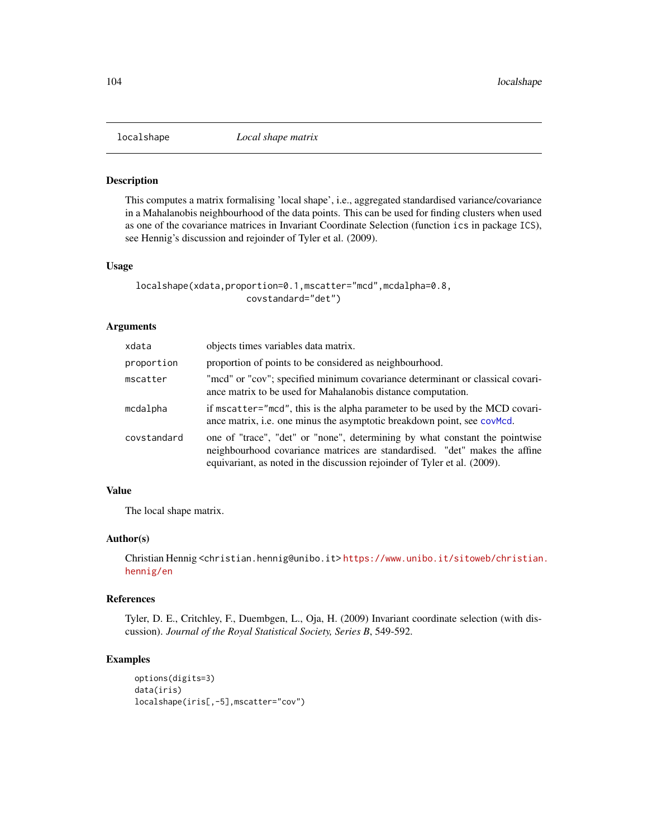This computes a matrix formalising 'local shape', i.e., aggregated standardised variance/covariance in a Mahalanobis neighbourhood of the data points. This can be used for finding clusters when used as one of the covariance matrices in Invariant Coordinate Selection (function ics in package ICS), see Hennig's discussion and rejoinder of Tyler et al. (2009).

#### Usage

```
localshape(xdata,proportion=0.1,mscatter="mcd",mcdalpha=0.8,
                     covstandard="det")
```
## Arguments

| xdata       | objects times variables data matrix.                                                                                                                                                                                                   |
|-------------|----------------------------------------------------------------------------------------------------------------------------------------------------------------------------------------------------------------------------------------|
| proportion  | proportion of points to be considered as neighbourhood.                                                                                                                                                                                |
| mscatter    | "mcd" or "cov"; specified minimum covariance determinant or classical covari-<br>ance matrix to be used for Mahalanobis distance computation.                                                                                          |
| mcdalpha    | if mscatter="mcd", this is the alpha parameter to be used by the MCD covari-<br>ance matrix, i.e. one minus the asymptotic breakdown point, see covMcd.                                                                                |
| covstandard | one of "trace", "det" or "none", determining by what constant the pointwise<br>neighbourhood covariance matrices are standardised. "det" makes the affine<br>equivariant, as noted in the discussion rejoinder of Tyler et al. (2009). |

#### Value

The local shape matrix.

### Author(s)

Christian Hennig <christian.hennig@unibo.it> [https://www.unibo.it/sitoweb/christian](https://www.unibo.it/sitoweb/christian.hennig/en). [hennig/en](https://www.unibo.it/sitoweb/christian.hennig/en)

## References

Tyler, D. E., Critchley, F., Duembgen, L., Oja, H. (2009) Invariant coordinate selection (with discussion). *Journal of the Royal Statistical Society, Series B*, 549-592.

```
options(digits=3)
data(iris)
localshape(iris[,-5],mscatter="cov")
```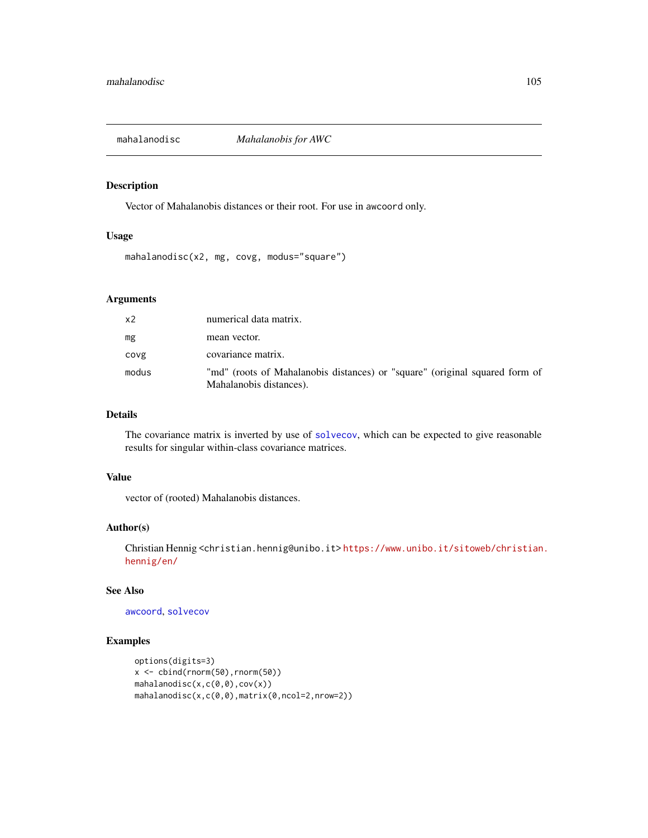Vector of Mahalanobis distances or their root. For use in awcoord only.

### Usage

mahalanodisc(x2, mg, covg, modus="square")

## Arguments

| x2    | numerical data matrix.                                                                                 |
|-------|--------------------------------------------------------------------------------------------------------|
| mg    | mean vector.                                                                                           |
| covg  | covariance matrix.                                                                                     |
| modus | "md" (roots of Mahalanobis distances) or "square" (original squared form of<br>Mahalanobis distances). |

## Details

The covariance matrix is inverted by use of [solvecov](#page-144-0), which can be expected to give reasonable results for singular within-class covariance matrices.

## Value

vector of (rooted) Mahalanobis distances.

#### Author(s)

Christian Hennig <christian.hennig@unibo.it> [https://www.unibo.it/sitoweb/christian](https://www.unibo.it/sitoweb/christian.hennig/en/). [hennig/en/](https://www.unibo.it/sitoweb/christian.hennig/en/)

## See Also

[awcoord](#page-8-0), [solvecov](#page-144-0)

```
options(digits=3)
x \leftarrow \text{cbind}(rnorm(50), rnorm(50))mahalanodisc(x,c(0,0),cov(x))
mahalanodisc(x,c(0,0),matrix(0,ncol=2,nrow=2))
```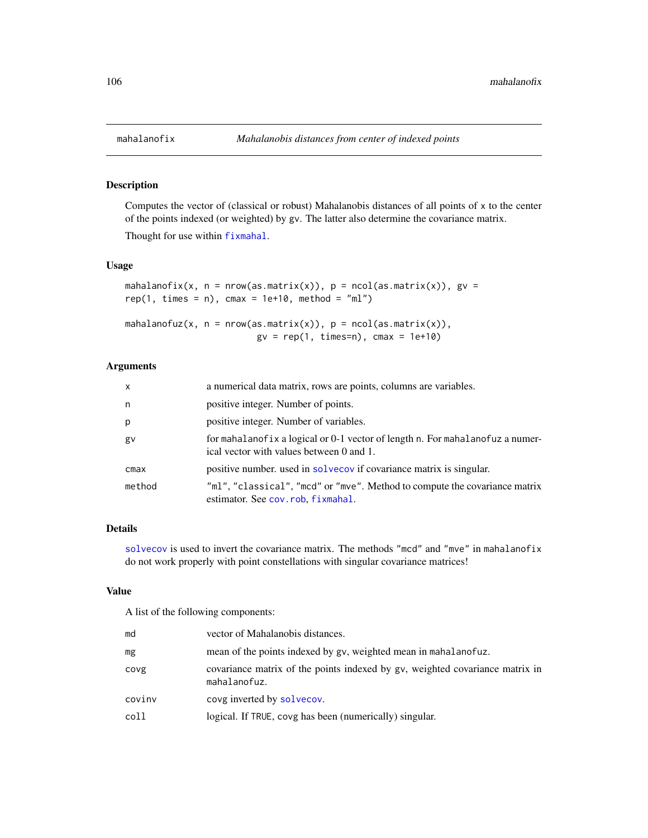Computes the vector of (classical or robust) Mahalanobis distances of all points of x to the center of the points indexed (or weighted) by gv. The latter also determine the covariance matrix.

Thought for use within [fixmahal](#page-76-0).

#### Usage

```
mahalanofix(x, n = new(as.matrix(x)), p = ncol(as.matrix(x)), gv =rep(1, times = n), cmax = 1e+10, method = "ml")
mahalanofuz(x, n = new(as.matrix(x)), p = ncol(as.matrix(x)),gv = rep(1, times=n), cmax = 1e+10)
```
## Arguments

| $\mathsf{x}$ | a numerical data matrix, rows are points, columns are variables.                                                          |
|--------------|---------------------------------------------------------------------------------------------------------------------------|
| n            | positive integer. Number of points.                                                                                       |
| p            | positive integer. Number of variables.                                                                                    |
| gv           | for mahalanofix a logical or 0-1 vector of length n. For mahalanofuz a numer-<br>ical vector with values between 0 and 1. |
| cmax         | positive number. used in solvecov if covariance matrix is singular.                                                       |
| method       | "ml", "classical", "mcd" or "mve". Method to compute the covariance matrix<br>estimator. See cov.rob, fixmahal.           |

## Details

[solvecov](#page-144-0) is used to invert the covariance matrix. The methods "mcd" and "mve" in mahalanofix do not work properly with point constellations with singular covariance matrices!

#### Value

A list of the following components:

| md     | vector of Mahalanobis distances.                                                             |
|--------|----------------------------------------------------------------------------------------------|
| mg     | mean of the points indexed by gv, weighted mean in mahalanofuz.                              |
| covg   | covariance matrix of the points indexed by gv, weighted covariance matrix in<br>mahalanofuz. |
| covinv | covg inverted by solvecov.                                                                   |
| coll   | logical. If TRUE, covg has been (numerically) singular.                                      |
|        |                                                                                              |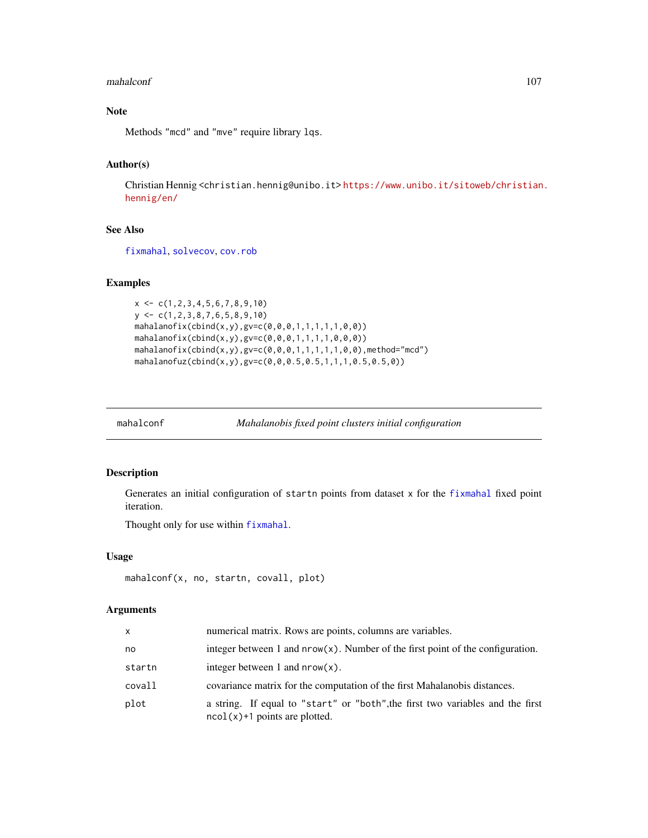#### mahalconf and the contract of the contract of the contract of the contract of the contract of the contract of the contract of the contract of the contract of the contract of the contract of the contract of the contract of

# Note

Methods "mcd" and "mve" require library lqs.

## Author(s)

Christian Hennig <christian.hennig@unibo.it> [https://www.unibo.it/sitoweb/christian](https://www.unibo.it/sitoweb/christian.hennig/en/). [hennig/en/](https://www.unibo.it/sitoweb/christian.hennig/en/)

### See Also

[fixmahal](#page-76-0), [solvecov](#page-144-0), [cov.rob](#page-0-0)

## Examples

```
x \leftarrow c(1, 2, 3, 4, 5, 6, 7, 8, 9, 10)y <- c(1,2,3,8,7,6,5,8,9,10)
mahalanofix(cbind(x,y),gv=c(0,0,0,1,1,1,1,1,0,0))
mahalanofix(cbind(x,y),gv=c(0,0,0,1,1,1,1,0,0,0))
mahalanofix(cbind(x,y),gv=c(0,0,0,1,1,1,1,1,0,0), method="mcd")mahalanofuz(cbind(x,y),gv=c(0,0,0.5,0.5,1,1,1,0.5,0.5,0))
```
<span id="page-106-0"></span>

mahalconf *Mahalanobis fixed point clusters initial configuration*

### Description

Generates an initial configuration of startn points from dataset x for the [fixmahal](#page-76-0) fixed point iteration.

Thought only for use within [fixmahal](#page-76-0).

#### Usage

```
mahalconf(x, no, startn, covall, plot)
```

| x      | numerical matrix. Rows are points, columns are variables.                                                         |
|--------|-------------------------------------------------------------------------------------------------------------------|
| no     | integer between 1 and $nrow(x)$ . Number of the first point of the configuration.                                 |
| startn | integer between 1 and $nrow(x)$ .                                                                                 |
| covall | covariance matrix for the computation of the first Mahalanobis distances.                                         |
| plot   | a string. If equal to "start" or "both", the first two variables and the first<br>$ncol(x)+1$ points are plotted. |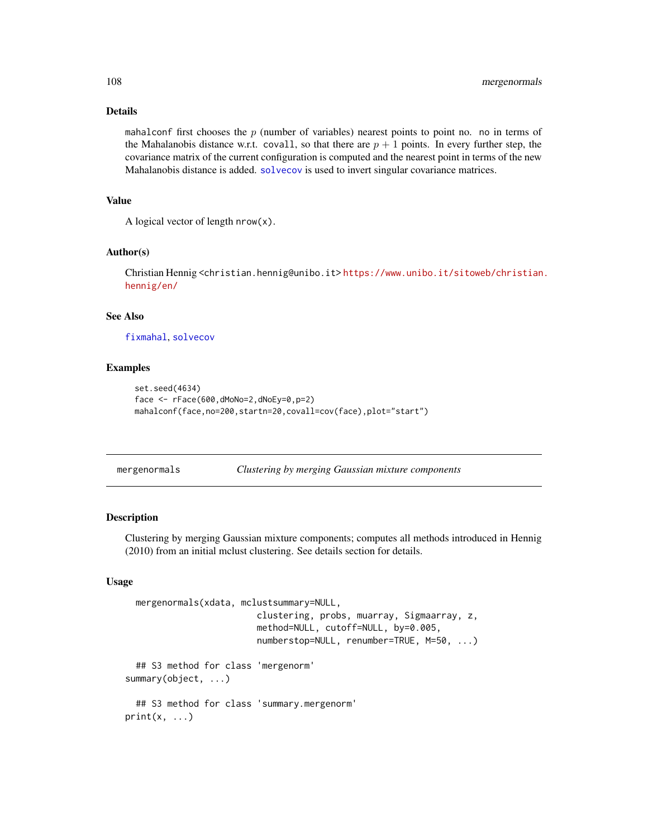### Details

mahalconf first chooses the  $p$  (number of variables) nearest points to point no. no in terms of the Mahalanobis distance w.r.t. covall, so that there are  $p + 1$  points. In every further step, the covariance matrix of the current configuration is computed and the nearest point in terms of the new Mahalanobis distance is added. [solvecov](#page-144-0) is used to invert singular covariance matrices.

#### Value

A logical vector of length  $nrow(x)$ .

#### Author(s)

Christian Hennig <christian.hennig@unibo.it> [https://www.unibo.it/sitoweb/christian](https://www.unibo.it/sitoweb/christian.hennig/en/). [hennig/en/](https://www.unibo.it/sitoweb/christian.hennig/en/)

### See Also

[fixmahal](#page-76-0), [solvecov](#page-144-0)

### Examples

```
set.seed(4634)
face <- rFace(600,dMoNo=2,dNoEy=0,p=2)
mahalconf(face,no=200,startn=20,covall=cov(face),plot="start")
```
<span id="page-107-0"></span>mergenormals *Clustering by merging Gaussian mixture components*

## **Description**

Clustering by merging Gaussian mixture components; computes all methods introduced in Hennig (2010) from an initial mclust clustering. See details section for details.

## Usage

```
mergenormals(xdata, mclustsummary=NULL,
                         clustering, probs, muarray, Sigmaarray, z,
                         method=NULL, cutoff=NULL, by=0.005,
                         numberstop=NULL, renumber=TRUE, M=50, ...)
  ## S3 method for class 'mergenorm'
summary(object, ...)
  ## S3 method for class 'summary.mergenorm'
print(x, \ldots)
```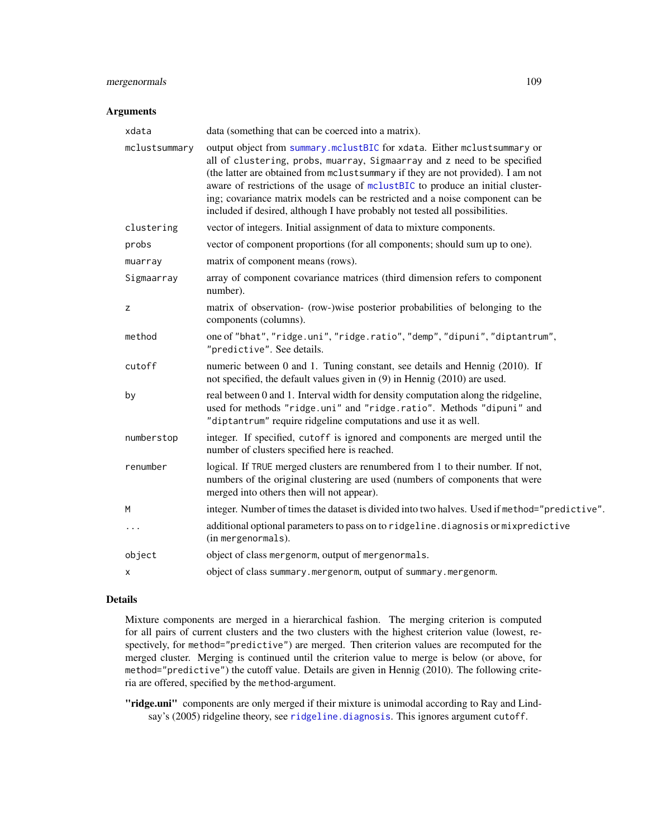# mergenormals 109

#### Arguments

| xdata         | data (something that can be coerced into a matrix).                                                                                                                                                                                                                                                                                                                                                                                                                                      |
|---------------|------------------------------------------------------------------------------------------------------------------------------------------------------------------------------------------------------------------------------------------------------------------------------------------------------------------------------------------------------------------------------------------------------------------------------------------------------------------------------------------|
| mclustsummary | output object from summary.mclustBIC for xdata. Either mclustsummary or<br>all of clustering, probs, muarray, Sigmaarray and z need to be specified<br>(the latter are obtained from mclust summary if they are not provided). I am not<br>aware of restrictions of the usage of mclustBIC to produce an initial cluster-<br>ing; covariance matrix models can be restricted and a noise component can be<br>included if desired, although I have probably not tested all possibilities. |
| clustering    | vector of integers. Initial assignment of data to mixture components.                                                                                                                                                                                                                                                                                                                                                                                                                    |
| probs         | vector of component proportions (for all components; should sum up to one).                                                                                                                                                                                                                                                                                                                                                                                                              |
| muarray       | matrix of component means (rows).                                                                                                                                                                                                                                                                                                                                                                                                                                                        |
| Sigmaarray    | array of component covariance matrices (third dimension refers to component<br>number).                                                                                                                                                                                                                                                                                                                                                                                                  |
| z             | matrix of observation- (row-)wise posterior probabilities of belonging to the<br>components (columns).                                                                                                                                                                                                                                                                                                                                                                                   |
| method        | one of "bhat", "ridge.uni", "ridge.ratio", "demp", "dipuni", "diptantrum",<br>"predictive". See details.                                                                                                                                                                                                                                                                                                                                                                                 |
| cutoff        | numeric between 0 and 1. Tuning constant, see details and Hennig (2010). If<br>not specified, the default values given in (9) in Hennig (2010) are used.                                                                                                                                                                                                                                                                                                                                 |
| by            | real between 0 and 1. Interval width for density computation along the ridgeline,<br>used for methods "ridge.uni" and "ridge.ratio". Methods "dipuni" and<br>"diptantrum" require ridgeline computations and use it as well.                                                                                                                                                                                                                                                             |
| numberstop    | integer. If specified, cutoff is ignored and components are merged until the<br>number of clusters specified here is reached.                                                                                                                                                                                                                                                                                                                                                            |
| renumber      | logical. If TRUE merged clusters are renumbered from 1 to their number. If not,<br>numbers of the original clustering are used (numbers of components that were<br>merged into others then will not appear).                                                                                                                                                                                                                                                                             |
| M             | integer. Number of times the dataset is divided into two halves. Used if method="predictive".                                                                                                                                                                                                                                                                                                                                                                                            |
| $\cdots$      | additional optional parameters to pass on to ridgeline.diagnosis or mixpredictive<br>(in mergenormals).                                                                                                                                                                                                                                                                                                                                                                                  |
| object        | object of class mergenorm, output of mergenormals.                                                                                                                                                                                                                                                                                                                                                                                                                                       |
| х             | object of class summary.mergenorm, output of summary.mergenorm.                                                                                                                                                                                                                                                                                                                                                                                                                          |
|               |                                                                                                                                                                                                                                                                                                                                                                                                                                                                                          |

# Details

Mixture components are merged in a hierarchical fashion. The merging criterion is computed for all pairs of current clusters and the two clusters with the highest criterion value (lowest, respectively, for method="predictive") are merged. Then criterion values are recomputed for the merged cluster. Merging is continued until the criterion value to merge is below (or above, for method="predictive") the cutoff value. Details are given in Hennig (2010). The following criteria are offered, specified by the method-argument.

"ridge.uni" components are only merged if their mixture is unimodal according to Ray and Lindsay's (2005) ridgeline theory, see [ridgeline.diagnosis](#page-141-0). This ignores argument cutoff.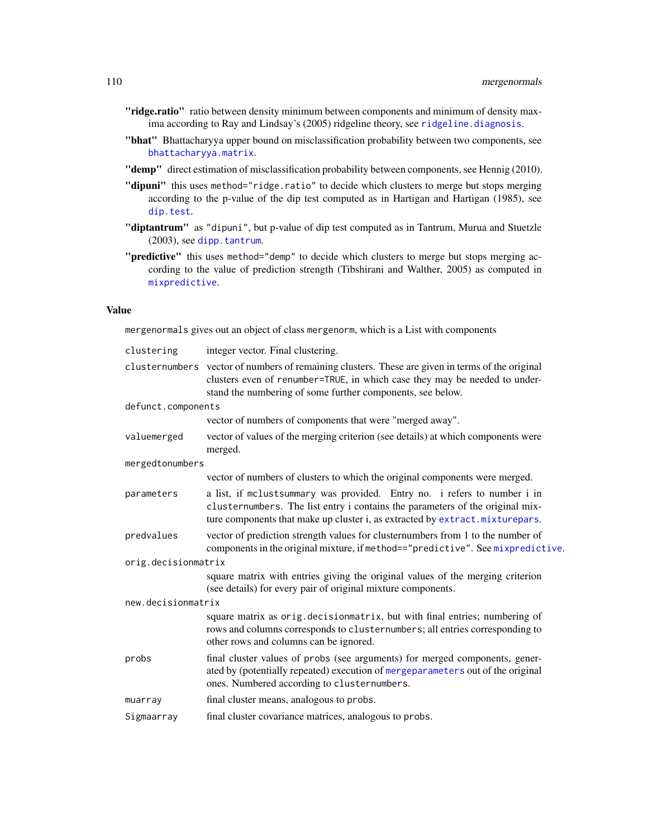- "ridge.ratio" ratio between density minimum between components and minimum of density maxima according to Ray and Lindsay's (2005) ridgeline theory, see [ridgeline.diagnosis](#page-141-0).
- "bhat" Bhattacharyya upper bound on misclassification probability between two components, see [bhattacharyya.matrix](#page-13-0).
- "demp" direct estimation of misclassification probability between components, see Hennig (2010).
- "dipuni" this uses method="ridge.ratio" to decide which clusters to merge but stops merging according to the p-value of the dip test computed as in Hartigan and Hartigan (1985), see [dip.test](#page-0-0).
- "diptantrum" as "dipuni", but p-value of dip test computed as in Tantrum, Murua and Stuetzle (2003), see [dipp.tantrum](#page-61-0).
- "**predictive**" this uses method="demp" to decide which clusters to merge but stops merging according to the value of prediction strength (Tibshirani and Walther, 2005) as computed in [mixpredictive](#page-114-0).

## Value

mergenormals gives out an object of class mergenorm, which is a List with components

| clustering          | integer vector. Final clustering.                                                                                                                                                                                                            |
|---------------------|----------------------------------------------------------------------------------------------------------------------------------------------------------------------------------------------------------------------------------------------|
|                     | clusternumbers vector of numbers of remaining clusters. These are given in terms of the original<br>clusters even of renumber=TRUE, in which case they may be needed to under-<br>stand the numbering of some further components, see below. |
| defunct.components  |                                                                                                                                                                                                                                              |
|                     | vector of numbers of components that were "merged away".                                                                                                                                                                                     |
| valuemerged         | vector of values of the merging criterion (see details) at which components were<br>merged.                                                                                                                                                  |
| mergedtonumbers     |                                                                                                                                                                                                                                              |
|                     | vector of numbers of clusters to which the original components were merged.                                                                                                                                                                  |
| parameters          | a list, if mclustsummary was provided. Entry no. i refers to number i in<br>clusternumbers. The list entry i contains the parameters of the original mix-<br>ture components that make up cluster i, as extracted by extract.mixturepars.    |
| predvalues          | vector of prediction strength values for clusternumbers from 1 to the number of<br>components in the original mixture, if method=="predictive". See mixpredictive.                                                                           |
| orig.decisionmatrix |                                                                                                                                                                                                                                              |
|                     | square matrix with entries giving the original values of the merging criterion<br>(see details) for every pair of original mixture components.                                                                                               |
| new.decisionmatrix  |                                                                                                                                                                                                                                              |
|                     | square matrix as orig.decisionmatrix, but with final entries; numbering of<br>rows and columns corresponds to clusternumbers; all entries corresponding to<br>other rows and columns can be ignored.                                         |
| probs               | final cluster values of probs (see arguments) for merged components, gener-<br>ated by (potentially repeated) execution of mergeparameters out of the original<br>ones. Numbered according to clusternumbers.                                |
| muarray             | final cluster means, analogous to probs.                                                                                                                                                                                                     |
| Sigmaarray          | final cluster covariance matrices, analogous to probs.                                                                                                                                                                                       |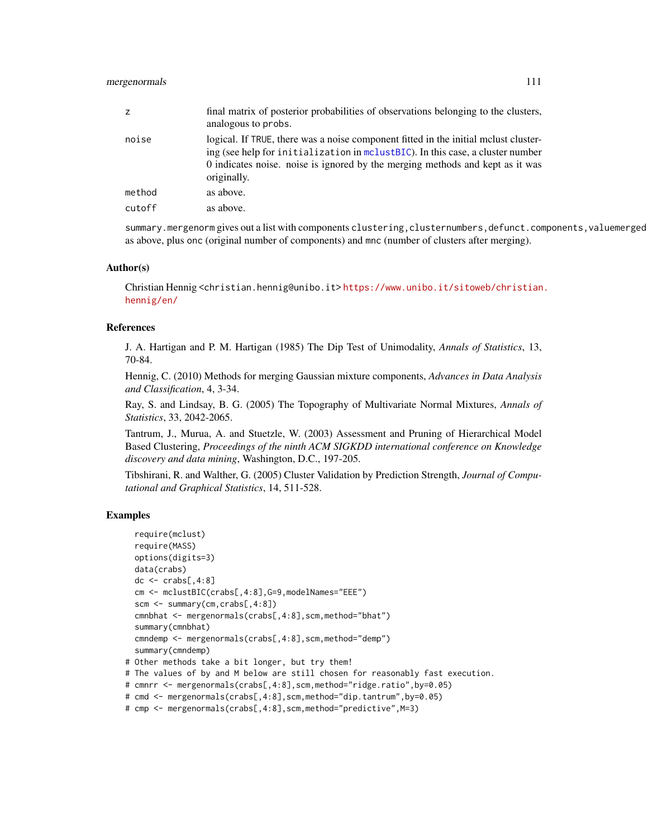# mergenormals that the contract of the contract of the contract of the contract of the contract of the contract of the contract of the contract of the contract of the contract of the contract of the contract of the contract

| Z.     | final matrix of posterior probabilities of observations belonging to the clusters,<br>analogous to probs.                                                                                                                                                             |
|--------|-----------------------------------------------------------------------------------------------------------------------------------------------------------------------------------------------------------------------------------------------------------------------|
| noise  | logical. If TRUE, there was a noise component fitted in the initial mclust cluster-<br>ing (see help for initialization in mclustBIC). In this case, a cluster number<br>0 indicates noise. noise is ignored by the merging methods and kept as it was<br>originally. |
| method | as above.                                                                                                                                                                                                                                                             |
| cutoff | as above.                                                                                                                                                                                                                                                             |
|        |                                                                                                                                                                                                                                                                       |

summary.mergenorm gives out a list with components clustering,clusternumbers,defunct.components,valuemerged as above, plus onc (original number of components) and mnc (number of clusters after merging).

#### Author(s)

Christian Hennig <christian.hennig@unibo.it> [https://www.unibo.it/sitoweb/christian](https://www.unibo.it/sitoweb/christian.hennig/en/). [hennig/en/](https://www.unibo.it/sitoweb/christian.hennig/en/)

#### References

J. A. Hartigan and P. M. Hartigan (1985) The Dip Test of Unimodality, *Annals of Statistics*, 13, 70-84.

Hennig, C. (2010) Methods for merging Gaussian mixture components, *Advances in Data Analysis and Classification*, 4, 3-34.

Ray, S. and Lindsay, B. G. (2005) The Topography of Multivariate Normal Mixtures, *Annals of Statistics*, 33, 2042-2065.

Tantrum, J., Murua, A. and Stuetzle, W. (2003) Assessment and Pruning of Hierarchical Model Based Clustering, *Proceedings of the ninth ACM SIGKDD international conference on Knowledge discovery and data mining*, Washington, D.C., 197-205.

Tibshirani, R. and Walther, G. (2005) Cluster Validation by Prediction Strength, *Journal of Computational and Graphical Statistics*, 14, 511-528.

#### Examples

```
require(mclust)
 require(MASS)
 options(digits=3)
 data(crabs)
 dc \leq crabs[,4:8]
 cm <- mclustBIC(crabs[,4:8],G=9,modelNames="EEE")
 scm <- summary(cm,crabs[,4:8])
 cmnbhat <- mergenormals(crabs[,4:8],scm,method="bhat")
 summary(cmnbhat)
 cmndemp <- mergenormals(crabs[,4:8],scm,method="demp")
 summary(cmndemp)
# Other methods take a bit longer, but try them!
# The values of by and M below are still chosen for reasonably fast execution.
# cmnrr <- mergenormals(crabs[,4:8],scm,method="ridge.ratio",by=0.05)
# cmd <- mergenormals(crabs[,4:8],scm,method="dip.tantrum",by=0.05)
# cmp <- mergenormals(crabs[,4:8],scm,method="predictive",M=3)
```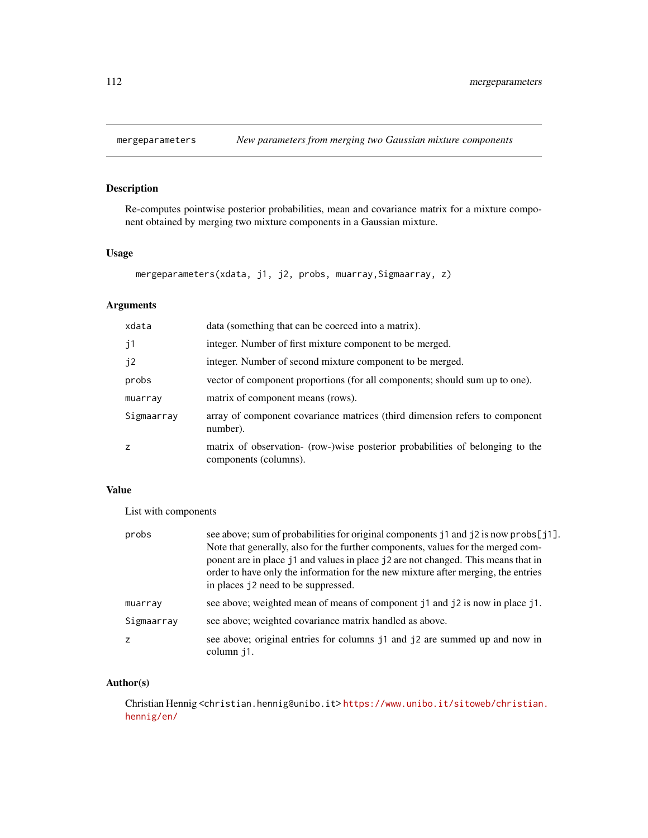<span id="page-111-0"></span>

# Description

Re-computes pointwise posterior probabilities, mean and covariance matrix for a mixture component obtained by merging two mixture components in a Gaussian mixture.

#### Usage

```
mergeparameters(xdata, j1, j2, probs, muarray,Sigmaarray, z)
```
# Arguments

| xdata          | data (something that can be coerced into a matrix).                                                    |
|----------------|--------------------------------------------------------------------------------------------------------|
| j <sub>1</sub> | integer. Number of first mixture component to be merged.                                               |
| j2             | integer. Number of second mixture component to be merged.                                              |
| probs          | vector of component proportions (for all components; should sum up to one).                            |
| muarray        | matrix of component means (rows).                                                                      |
| Sigmaarray     | array of component covariance matrices (third dimension refers to component<br>number).                |
| z              | matrix of observation- (row-)wise posterior probabilities of belonging to the<br>components (columns). |

# Value

List with components

| probs      | see above; sum of probabilities for original components j1 and j2 is now probs[j1].<br>Note that generally, also for the further components, values for the merged com-<br>ponent are in place j1 and values in place j2 are not changed. This means that in<br>order to have only the information for the new mixture after merging, the entries<br>in places j2 need to be suppressed. |
|------------|------------------------------------------------------------------------------------------------------------------------------------------------------------------------------------------------------------------------------------------------------------------------------------------------------------------------------------------------------------------------------------------|
| muarray    | see above; weighted mean of means of component j1 and j2 is now in place j1.                                                                                                                                                                                                                                                                                                             |
| Sigmaarray | see above; weighted covariance matrix handled as above.                                                                                                                                                                                                                                                                                                                                  |
| z          | see above; original entries for columns j1 and j2 are summed up and now in<br>column i1.                                                                                                                                                                                                                                                                                                 |

# Author(s)

Christian Hennig <christian.hennig@unibo.it> [https://www.unibo.it/sitoweb/christian](https://www.unibo.it/sitoweb/christian.hennig/en/). [hennig/en/](https://www.unibo.it/sitoweb/christian.hennig/en/)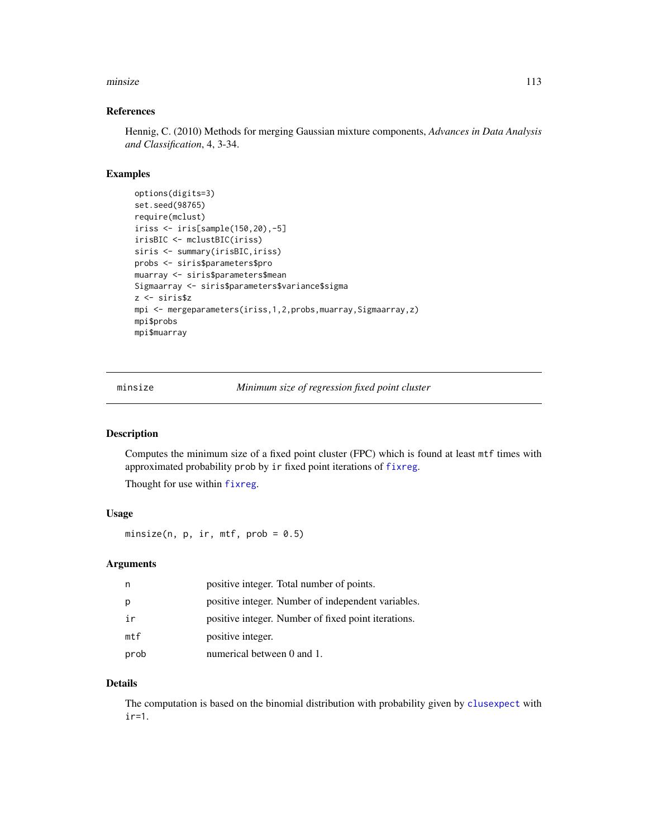#### minsize 113

#### References

Hennig, C. (2010) Methods for merging Gaussian mixture components, *Advances in Data Analysis and Classification*, 4, 3-34.

# Examples

```
options(digits=3)
set.seed(98765)
require(mclust)
iriss <- iris[sample(150,20),-5]
irisBIC <- mclustBIC(iriss)
siris <- summary(irisBIC, iriss)
probs <- siris$parameters$pro
muarray <- siris$parameters$mean
Sigmaarray <- siris$parameters$variance$sigma
z <- siris$z
mpi <- mergeparameters(iriss,1,2,probs,muarray,Sigmaarray,z)
mpi$probs
mpi$muarray
```
minsize *Minimum size of regression fixed point cluster*

## Description

Computes the minimum size of a fixed point cluster (FPC) which is found at least mtf times with approximated probability prob by ir fixed point iterations of [fixreg](#page-83-0).

Thought for use within [fixreg](#page-83-0).

#### Usage

minsize(n,  $p$ , ir, mtf,  $prob = 0.5$ )

## Arguments

| n         | positive integer. Total number of points.           |
|-----------|-----------------------------------------------------|
| р         | positive integer. Number of independent variables.  |
| ir        | positive integer. Number of fixed point iterations. |
| $m$ t $f$ | positive integer.                                   |
| prob      | numerical between 0 and 1.                          |

#### Details

The computation is based on the binomial distribution with probability given by [clusexpect](#page-24-0) with ir=1.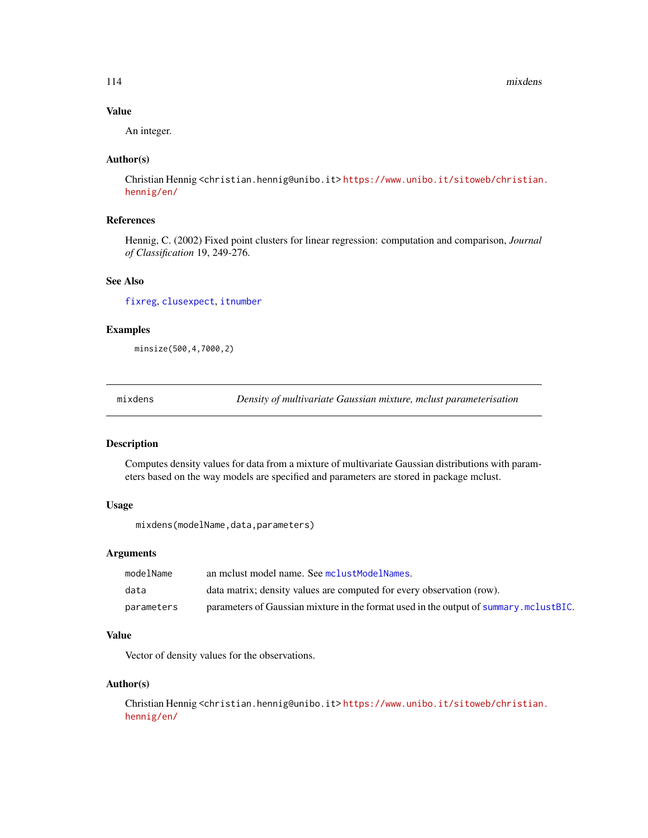114 mixdens

#### Value

An integer.

## Author(s)

Christian Hennig <christian.hennig@unibo.it> [https://www.unibo.it/sitoweb/christian](https://www.unibo.it/sitoweb/christian.hennig/en/). [hennig/en/](https://www.unibo.it/sitoweb/christian.hennig/en/)

# References

Hennig, C. (2002) Fixed point clusters for linear regression: computation and comparison, *Journal of Classification* 19, 249-276.

#### See Also

[fixreg](#page-83-0), [clusexpect](#page-24-0), [itnumber](#page-92-0)

#### Examples

minsize(500,4,7000,2)

mixdens *Density of multivariate Gaussian mixture, mclust parameterisation*

## Description

Computes density values for data from a mixture of multivariate Gaussian distributions with parameters based on the way models are specified and parameters are stored in package mclust.

#### Usage

mixdens(modelName,data,parameters)

#### Arguments

| modelName  | an melust model name. See melustModelNames.                                            |
|------------|----------------------------------------------------------------------------------------|
| data       | data matrix; density values are computed for every observation (row).                  |
| parameters | parameters of Gaussian mixture in the format used in the output of summary. mclustBIC. |

# Value

Vector of density values for the observations.

## Author(s)

Christian Hennig <christian.hennig@unibo.it> [https://www.unibo.it/sitoweb/christian](https://www.unibo.it/sitoweb/christian.hennig/en/). [hennig/en/](https://www.unibo.it/sitoweb/christian.hennig/en/)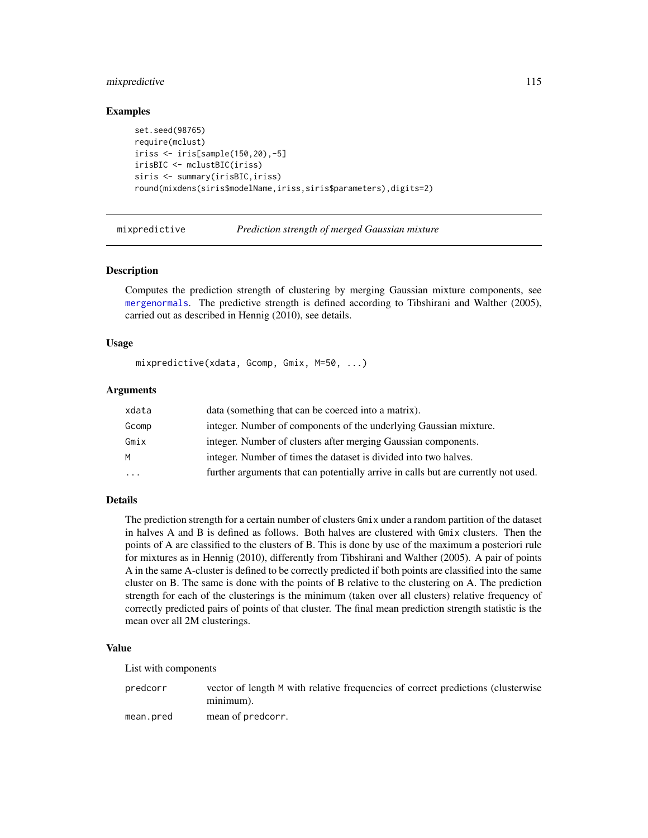# mixpredictive 115

#### Examples

```
set.seed(98765)
require(mclust)
iriss <- iris[sample(150,20),-5]
irisBIC <- mclustBIC(iriss)
siris <- summary(irisBIC,iriss)
round(mixdens(siris$modelName,iriss,siris$parameters),digits=2)
```
<span id="page-114-0"></span>mixpredictive *Prediction strength of merged Gaussian mixture*

#### Description

Computes the prediction strength of clustering by merging Gaussian mixture components, see [mergenormals](#page-107-0). The predictive strength is defined according to Tibshirani and Walther (2005), carried out as described in Hennig (2010), see details.

#### Usage

```
mixpredictive(xdata, Gcomp, Gmix, M=50, ...)
```
## Arguments

| xdata | data (something that can be coerced into a matrix).                                |
|-------|------------------------------------------------------------------------------------|
| Gcomp | integer. Number of components of the underlying Gaussian mixture.                  |
| Gmix  | integer. Number of clusters after merging Gaussian components.                     |
| M     | integer. Number of times the dataset is divided into two halves.                   |
| .     | further arguments that can potentially arrive in calls but are currently not used. |

## Details

The prediction strength for a certain number of clusters Gmix under a random partition of the dataset in halves A and B is defined as follows. Both halves are clustered with Gmix clusters. Then the points of A are classified to the clusters of B. This is done by use of the maximum a posteriori rule for mixtures as in Hennig (2010), differently from Tibshirani and Walther (2005). A pair of points A in the same A-cluster is defined to be correctly predicted if both points are classified into the same cluster on B. The same is done with the points of B relative to the clustering on A. The prediction strength for each of the clusterings is the minimum (taken over all clusters) relative frequency of correctly predicted pairs of points of that cluster. The final mean prediction strength statistic is the mean over all 2M clusterings.

## Value

List with components

predcorr vector of length M with relative frequencies of correct predictions (clusterwise minimum). mean.pred mean of predcorr.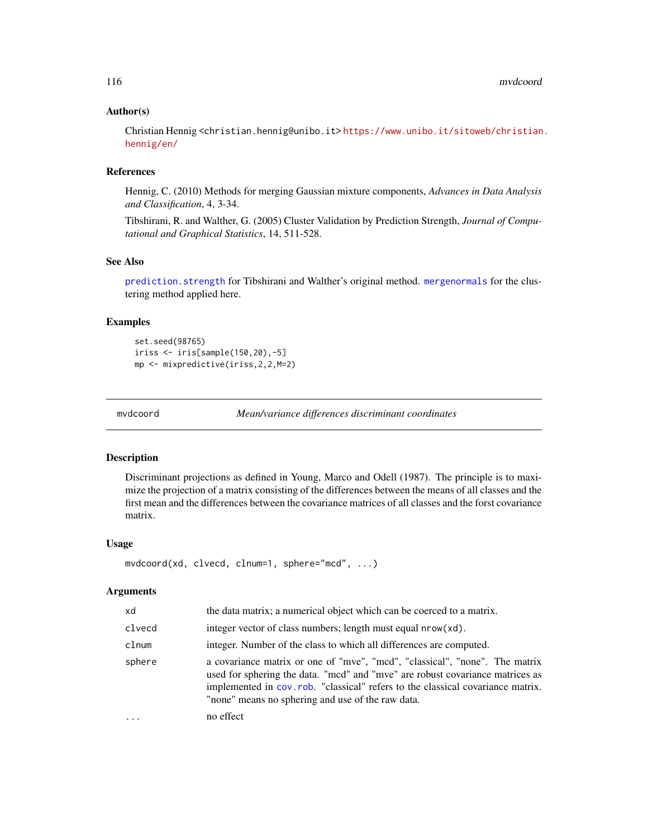#### Author(s)

Christian Hennig <christian.hennig@unibo.it> [https://www.unibo.it/sitoweb/christian](https://www.unibo.it/sitoweb/christian.hennig/en/). [hennig/en/](https://www.unibo.it/sitoweb/christian.hennig/en/)

#### References

Hennig, C. (2010) Methods for merging Gaussian mixture components, *Advances in Data Analysis and Classification*, 4, 3-34.

Tibshirani, R. and Walther, G. (2005) Cluster Validation by Prediction Strength, *Journal of Computational and Graphical Statistics*, 14, 511-528.

# See Also

[prediction.strength](#page-130-0) for Tibshirani and Walther's original method. [mergenormals](#page-107-0) for the clustering method applied here.

# Examples

set.seed(98765) iriss <- iris[sample(150,20),-5] mp <- mixpredictive(iriss,2,2,M=2)

<span id="page-115-0"></span>

mvdcoord *Mean/variance differences discriminant coordinates*

#### Description

Discriminant projections as defined in Young, Marco and Odell (1987). The principle is to maximize the projection of a matrix consisting of the differences between the means of all classes and the first mean and the differences between the covariance matrices of all classes and the forst covariance matrix.

#### Usage

```
mvdcoord(xd, clvecd, clnum=1, sphere="mcd", ...)
```

| xd       | the data matrix; a numerical object which can be coerced to a matrix.                                                                                                                                                                                                                               |
|----------|-----------------------------------------------------------------------------------------------------------------------------------------------------------------------------------------------------------------------------------------------------------------------------------------------------|
| clvecd   | integer vector of class numbers; length must equal nrow(xd).                                                                                                                                                                                                                                        |
| clnum    | integer. Number of the class to which all differences are computed.                                                                                                                                                                                                                                 |
| sphere   | a covariance matrix or one of "mve", "mcd", "classical", "none". The matrix<br>used for sphering the data. "mcd" and "mve" are robust covariance matrices as<br>implemented in cov.rob. "classical" refers to the classical covariance matrix.<br>"none" means no sphering and use of the raw data. |
| $\cdots$ | no effect                                                                                                                                                                                                                                                                                           |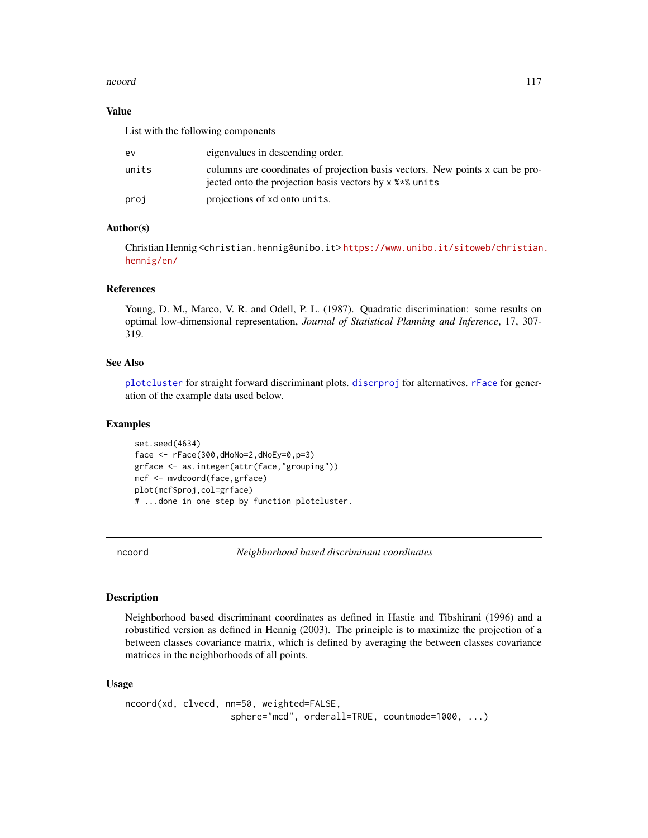#### ncoord and the set of the set of the set of the set of the set of the set of the set of the set of the set of the set of the set of the set of the set of the set of the set of the set of the set of the set of the set of th

## Value

List with the following components

| ev.   | eigenvalues in descending order.                                                                                                         |
|-------|------------------------------------------------------------------------------------------------------------------------------------------|
| units | columns are coordinates of projection basis vectors. New points x can be pro-<br>jected onto the projection basis vectors by x % * units |
| proj  | projections of xd onto units.                                                                                                            |

#### Author(s)

Christian Hennig <christian.hennig@unibo.it> [https://www.unibo.it/sitoweb/christian](https://www.unibo.it/sitoweb/christian.hennig/en/). [hennig/en/](https://www.unibo.it/sitoweb/christian.hennig/en/)

#### References

Young, D. M., Marco, V. R. and Odell, P. L. (1987). Quadratic discrimination: some results on optimal low-dimensional representation, *Journal of Statistical Planning and Inference*, 17, 307- 319.

#### See Also

[plotcluster](#page-127-0) for straight forward discriminant plots. [discrproj](#page-65-0) for alternatives. [rFace](#page-139-0) for generation of the example data used below.

# Examples

set.seed(4634) face <- rFace(300,dMoNo=2,dNoEy=0,p=3) grface <- as.integer(attr(face,"grouping")) mcf <- mvdcoord(face,grface) plot(mcf\$proj,col=grface) # ...done in one step by function plotcluster.

<span id="page-116-0"></span>ncoord *Neighborhood based discriminant coordinates*

#### Description

Neighborhood based discriminant coordinates as defined in Hastie and Tibshirani (1996) and a robustified version as defined in Hennig (2003). The principle is to maximize the projection of a between classes covariance matrix, which is defined by averaging the between classes covariance matrices in the neighborhoods of all points.

#### Usage

```
ncoord(xd, clvecd, nn=50, weighted=FALSE,
                    sphere="mcd", orderall=TRUE, countmode=1000, ...)
```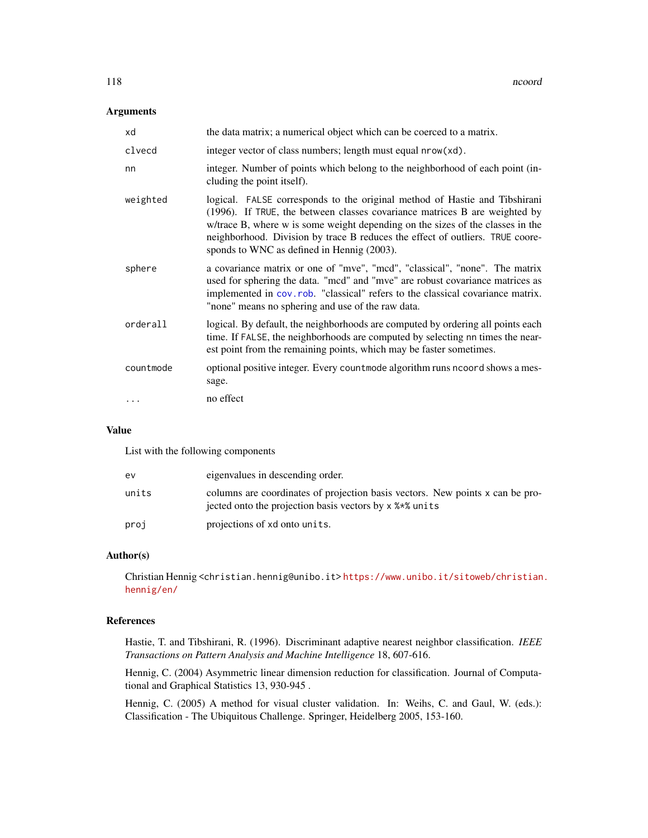# Arguments

| xd        | the data matrix; a numerical object which can be coerced to a matrix.                                                                                                                                                                                                                                                                                                     |
|-----------|---------------------------------------------------------------------------------------------------------------------------------------------------------------------------------------------------------------------------------------------------------------------------------------------------------------------------------------------------------------------------|
| clvecd    | integer vector of class numbers; length must equal nrow(xd).                                                                                                                                                                                                                                                                                                              |
| nn        | integer. Number of points which belong to the neighborhood of each point (in-<br>cluding the point itself).                                                                                                                                                                                                                                                               |
| weighted  | logical. FALSE corresponds to the original method of Hastie and Tibshirani<br>(1996). If TRUE, the between classes covariance matrices B are weighted by<br>w/trace B, where w is some weight depending on the sizes of the classes in the<br>neighborhood. Division by trace B reduces the effect of outliers. TRUE coore-<br>sponds to WNC as defined in Hennig (2003). |
| sphere    | a covariance matrix or one of "mve", "mcd", "classical", "none". The matrix<br>used for sphering the data. "mcd" and "mve" are robust covariance matrices as<br>implemented in cov.rob. "classical" refers to the classical covariance matrix.<br>"none" means no sphering and use of the raw data.                                                                       |
| orderall  | logical. By default, the neighborhoods are computed by ordering all points each<br>time. If FALSE, the neighborhoods are computed by selecting nn times the near-<br>est point from the remaining points, which may be faster sometimes.                                                                                                                                  |
| countmode | optional positive integer. Every countmode algorithm runs ncoord shows a mes-<br>sage.                                                                                                                                                                                                                                                                                    |
|           | no effect                                                                                                                                                                                                                                                                                                                                                                 |

# Value

List with the following components

| ev    | eigenvalues in descending order.                                                                                                           |
|-------|--------------------------------------------------------------------------------------------------------------------------------------------|
| units | columns are coordinates of projection basis vectors. New points x can be pro-<br>jected onto the projection basis vectors by x % * % units |
| proj  | projections of xd onto units.                                                                                                              |

## Author(s)

Christian Hennig <christian.hennig@unibo.it> [https://www.unibo.it/sitoweb/christian](https://www.unibo.it/sitoweb/christian.hennig/en/). [hennig/en/](https://www.unibo.it/sitoweb/christian.hennig/en/)

# References

Hastie, T. and Tibshirani, R. (1996). Discriminant adaptive nearest neighbor classification. *IEEE Transactions on Pattern Analysis and Machine Intelligence* 18, 607-616.

Hennig, C. (2004) Asymmetric linear dimension reduction for classification. Journal of Computational and Graphical Statistics 13, 930-945 .

Hennig, C. (2005) A method for visual cluster validation. In: Weihs, C. and Gaul, W. (eds.): Classification - The Ubiquitous Challenge. Springer, Heidelberg 2005, 153-160.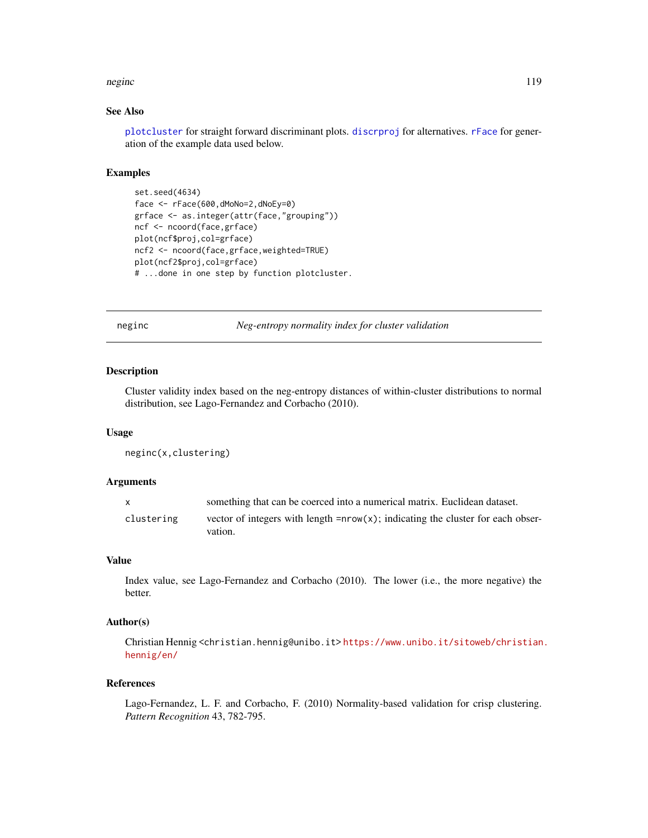#### neginc and the set of the set of the set of the set of the set of the set of the set of the set of the set of the set of the set of the set of the set of the set of the set of the set of the set of the set of the set of th

# See Also

[plotcluster](#page-127-0) for straight forward discriminant plots. [discrproj](#page-65-0) for alternatives. [rFace](#page-139-0) for generation of the example data used below.

## Examples

```
set.seed(4634)
face <- rFace(600,dMoNo=2,dNoEy=0)
grface <- as.integer(attr(face,"grouping"))
ncf <- ncoord(face,grface)
plot(ncf$proj,col=grface)
ncf2 <- ncoord(face,grface,weighted=TRUE)
plot(ncf2$proj,col=grface)
# ...done in one step by function plotcluster.
```
neginc *Neg-entropy normality index for cluster validation*

# Description

Cluster validity index based on the neg-entropy distances of within-cluster distributions to normal distribution, see Lago-Fernandez and Corbacho (2010).

#### Usage

```
neginc(x,clustering)
```
## Arguments

| $\mathsf{X}$ | something that can be coerced into a numerical matrix. Euclidean dataset.                      |
|--------------|------------------------------------------------------------------------------------------------|
| clustering   | vector of integers with length = $nrow(x)$ ; indicating the cluster for each obser-<br>vation. |

#### Value

Index value, see Lago-Fernandez and Corbacho (2010). The lower (i.e., the more negative) the better.

## Author(s)

Christian Hennig <christian.hennig@unibo.it> [https://www.unibo.it/sitoweb/christian](https://www.unibo.it/sitoweb/christian.hennig/en/). [hennig/en/](https://www.unibo.it/sitoweb/christian.hennig/en/)

#### References

Lago-Fernandez, L. F. and Corbacho, F. (2010) Normality-based validation for crisp clustering. *Pattern Recognition* 43, 782-795.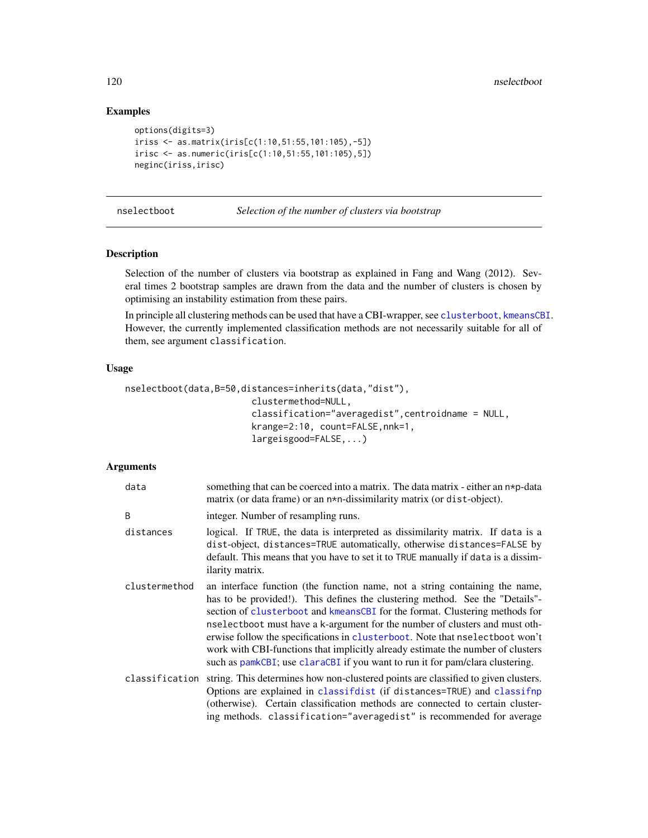# Examples

```
options(digits=3)
iriss <- as.matrix(iris[c(1:10,51:55,101:105),-5])
irisc <- as.numeric(iris[c(1:10,51:55,101:105),5])
neginc(iriss,irisc)
```
<span id="page-119-0"></span>nselectboot *Selection of the number of clusters via bootstrap*

#### Description

Selection of the number of clusters via bootstrap as explained in Fang and Wang (2012). Several times 2 bootstrap samples are drawn from the data and the number of clusters is chosen by optimising an instability estimation from these pairs.

In principle all clustering methods can be used that have a CBI-wrapper, see [clusterboot](#page-40-0), [kmeansCBI](#page-94-0). However, the currently implemented classification methods are not necessarily suitable for all of them, see argument classification.

#### Usage

```
nselectboot(data,B=50,distances=inherits(data,"dist"),
                        clustermethod=NULL,
                        classification="averagedist",centroidname = NULL,
                        krange=2:10, count=FALSE,nnk=1,
                        largeisgood=FALSE,...)
```

| data           | something that can be coerced into a matrix. The data matrix - either an $n \ast p$ -data<br>matrix (or data frame) or an n*n-dissimilarity matrix (or dist-object).                                                                                                                                                                                                                                                                                                                                                                                                          |
|----------------|-------------------------------------------------------------------------------------------------------------------------------------------------------------------------------------------------------------------------------------------------------------------------------------------------------------------------------------------------------------------------------------------------------------------------------------------------------------------------------------------------------------------------------------------------------------------------------|
| B              | integer. Number of resampling runs.                                                                                                                                                                                                                                                                                                                                                                                                                                                                                                                                           |
| distances      | logical. If TRUE, the data is interpreted as dissimilarity matrix. If data is a<br>dist-object, distances=TRUE automatically, otherwise distances=FALSE by<br>default. This means that you have to set it to TRUE manually if data is a dissim-<br>ilarity matrix.                                                                                                                                                                                                                                                                                                            |
| clustermethod  | an interface function (the function name, not a string containing the name,<br>has to be provided!). This defines the clustering method. See the "Details"-<br>section of clusterboot and kmeansCBI for the format. Clustering methods for<br>nselectboot must have a k-argument for the number of clusters and must oth-<br>erwise follow the specifications in clusterboot. Note that nselectboot won't<br>work with CBI-functions that implicitly already estimate the number of clusters<br>such as pamkCBI; use claraCBI if you want to run it for pam/clara clustering. |
| classification | string. This determines how non-clustered points are classified to given clusters.<br>Options are explained in classifdist (if distances=TRUE) and classifnp<br>(otherwise). Certain classification methods are connected to certain cluster-<br>ing methods. classification="averagedist" is recommended for average                                                                                                                                                                                                                                                         |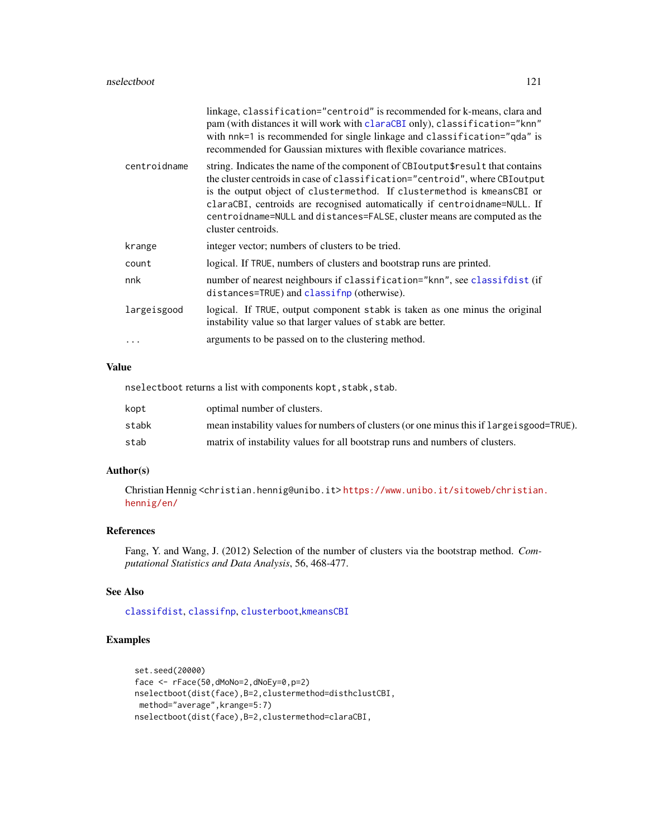|              | linkage, classification="centroid" is recommended for k-means, clara and<br>pam (with distances it will work with claraCBI only), classification="knn"<br>with nnk=1 is recommended for single linkage and classification="qda" is<br>recommended for Gaussian mixtures with flexible covariance matrices.                                                                                                               |
|--------------|--------------------------------------------------------------------------------------------------------------------------------------------------------------------------------------------------------------------------------------------------------------------------------------------------------------------------------------------------------------------------------------------------------------------------|
| centroidname | string. Indicates the name of the component of CBIoutput\$result that contains<br>the cluster centroids in case of classification="centroid", where CBI output<br>is the output object of clustermethod. If clustermethod is kmeansCBI or<br>claraCBI, centroids are recognised automatically if centroidname=NULL. If<br>centroidname=NULL and distances=FALSE, cluster means are computed as the<br>cluster centroids. |
| krange       | integer vector; numbers of clusters to be tried.                                                                                                                                                                                                                                                                                                                                                                         |
| count        | logical. If TRUE, numbers of clusters and bootstrap runs are printed.                                                                                                                                                                                                                                                                                                                                                    |
| nnk          | number of nearest neighbours if classification="knn", see classifdist (if<br>distances=TRUE) and classifnp (otherwise).                                                                                                                                                                                                                                                                                                  |
| largeisgood  | logical. If TRUE, output component stabk is taken as one minus the original<br>instability value so that larger values of stabk are better.                                                                                                                                                                                                                                                                              |
|              | arguments to be passed on to the clustering method.                                                                                                                                                                                                                                                                                                                                                                      |

# Value

nselectboot returns a list with components kopt, stabk, stab.

| kopt  | optimal number of clusters.                                                                |
|-------|--------------------------------------------------------------------------------------------|
| stabk | mean instability values for numbers of clusters (or one minus this if large is good=TRUE). |
| stab  | matrix of instability values for all bootstrap runs and numbers of clusters.               |

# Author(s)

Christian Hennig <christian.hennig@unibo.it> [https://www.unibo.it/sitoweb/christian](https://www.unibo.it/sitoweb/christian.hennig/en/). [hennig/en/](https://www.unibo.it/sitoweb/christian.hennig/en/)

# References

Fang, Y. and Wang, J. (2012) Selection of the number of clusters via the bootstrap method. *Computational Statistics and Data Analysis*, 56, 468-477.

#### See Also

[classifdist](#page-20-0), [classifnp](#page-20-1), [clusterboot](#page-40-0),[kmeansCBI](#page-94-0)

# Examples

```
set.seed(20000)
face <- rFace(50,dMoNo=2,dNoEy=0,p=2)
nselectboot(dist(face),B=2,clustermethod=disthclustCBI,
method="average",krange=5:7)
nselectboot(dist(face),B=2,clustermethod=claraCBI,
```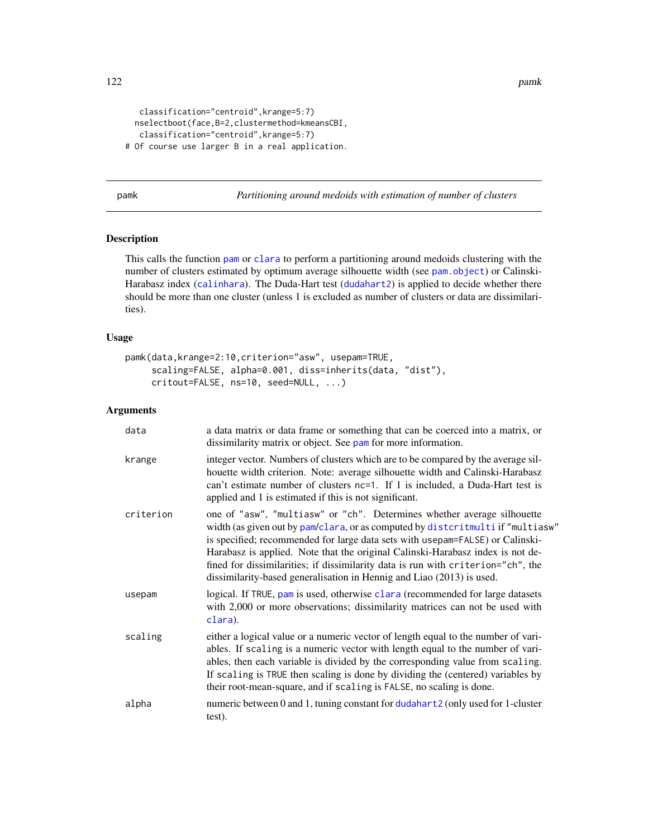```
classification="centroid",krange=5:7)
 nselectboot(face,B=2,clustermethod=kmeansCBI,
  classification="centroid",krange=5:7)
# Of course use larger B in a real application.
```
pamk *Partitioning around medoids with estimation of number of clusters*

# Description

This calls the function [pam](#page-0-0) or [clara](#page-0-0) to perform a partitioning around medoids clustering with the number of clusters estimated by optimum average silhouette width (see [pam.object](#page-0-0)) or Calinski-Harabasz index ([calinhara](#page-14-0)). The Duda-Hart test ([dudahart2](#page-73-0)) is applied to decide whether there should be more than one cluster (unless 1 is excluded as number of clusters or data are dissimilarities).

# Usage

```
pamk(data,krange=2:10,criterion="asw", usepam=TRUE,
     scaling=FALSE, alpha=0.001, diss=inherits(data, "dist"),
     critout=FALSE, ns=10, seed=NULL, ...)
```

| data      | a data matrix or data frame or something that can be coerced into a matrix, or<br>dissimilarity matrix or object. See pam for more information.                                                                                                                                                                                                                                                                                                                                            |
|-----------|--------------------------------------------------------------------------------------------------------------------------------------------------------------------------------------------------------------------------------------------------------------------------------------------------------------------------------------------------------------------------------------------------------------------------------------------------------------------------------------------|
| krange    | integer vector. Numbers of clusters which are to be compared by the average sil-<br>houette width criterion. Note: average silhouette width and Calinski-Harabasz<br>can't estimate number of clusters nc=1. If 1 is included, a Duda-Hart test is<br>applied and 1 is estimated if this is not significant.                                                                                                                                                                               |
| criterion | one of "asw", "multiasw" or "ch". Determines whether average silhouette<br>width (as given out by pam/clara, or as computed by distcritmulti if "multiasw"<br>is specified; recommended for large data sets with usepam=FALSE) or Calinski-<br>Harabasz is applied. Note that the original Calinski-Harabasz index is not de-<br>fined for dissimilarities; if dissimilarity data is run with criterion="ch", the<br>dissimilarity-based generalisation in Hennig and Liao (2013) is used. |
| usepam    | logical. If TRUE, pam is used, otherwise clara (recommended for large datasets<br>with 2,000 or more observations; dissimilarity matrices can not be used with<br>clara).                                                                                                                                                                                                                                                                                                                  |
| scaling   | either a logical value or a numeric vector of length equal to the number of vari-<br>ables. If scaling is a numeric vector with length equal to the number of vari-<br>ables, then each variable is divided by the corresponding value from scaling.<br>If scaling is TRUE then scaling is done by dividing the (centered) variables by<br>their root-mean-square, and if scaling is FALSE, no scaling is done.                                                                            |
| alpha     | numeric between 0 and 1, tuning constant for dudahart 2 (only used for 1-cluster<br>test).                                                                                                                                                                                                                                                                                                                                                                                                 |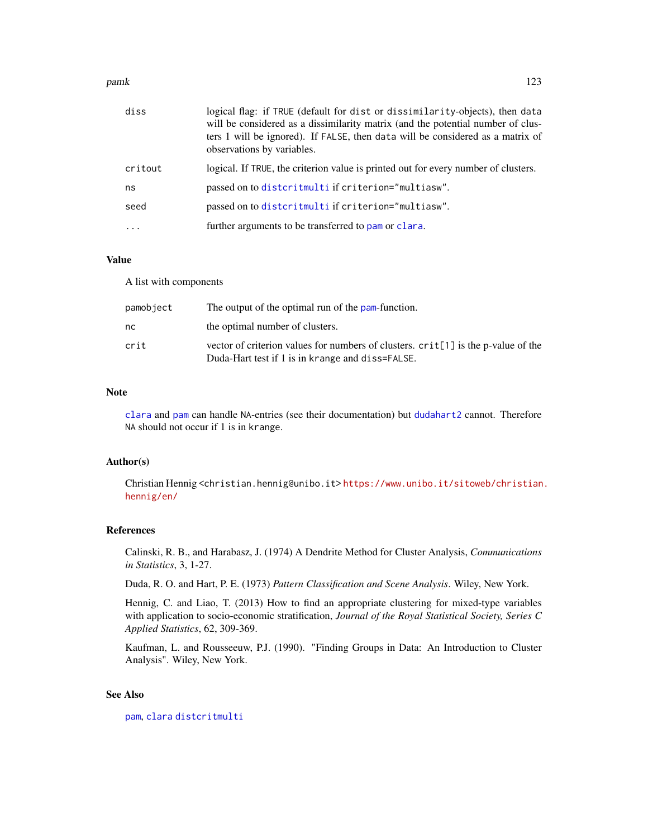#### pamk 123

| diss    | logical flag: if TRUE (default for dist or dissimilarity-objects), then data<br>will be considered as a dissimilarity matrix (and the potential number of clus-<br>ters 1 will be ignored). If FALSE, then data will be considered as a matrix of<br>observations by variables. |
|---------|---------------------------------------------------------------------------------------------------------------------------------------------------------------------------------------------------------------------------------------------------------------------------------|
| critout | logical. If TRUE, the criterion value is printed out for every number of clusters.                                                                                                                                                                                              |
| ns      | passed on to distcritmulti if criterion="multiasw".                                                                                                                                                                                                                             |
| seed    | passed on to distcritmulti if criterion="multiasw".                                                                                                                                                                                                                             |
|         | further arguments to be transferred to pam or clara.                                                                                                                                                                                                                            |
|         |                                                                                                                                                                                                                                                                                 |

## Value

A list with components

| pamobject | The output of the optimal run of the pam-function.                                                                                    |
|-----------|---------------------------------------------------------------------------------------------------------------------------------------|
| nc        | the optimal number of clusters.                                                                                                       |
| crit      | vector of criterion values for numbers of clusters. crit[1] is the p-value of the<br>Duda-Hart test if 1 is in krange and diss=FALSE. |

#### Note

[clara](#page-0-0) and [pam](#page-0-0) can handle NA-entries (see their documentation) but [dudahart2](#page-73-0) cannot. Therefore NA should not occur if 1 is in krange.

#### Author(s)

Christian Hennig <christian.hennig@unibo.it> [https://www.unibo.it/sitoweb/christian](https://www.unibo.it/sitoweb/christian.hennig/en/). [hennig/en/](https://www.unibo.it/sitoweb/christian.hennig/en/)

#### References

Calinski, R. B., and Harabasz, J. (1974) A Dendrite Method for Cluster Analysis, *Communications in Statistics*, 3, 1-27.

Duda, R. O. and Hart, P. E. (1973) *Pattern Classification and Scene Analysis*. Wiley, New York.

Hennig, C. and Liao, T. (2013) How to find an appropriate clustering for mixed-type variables with application to socio-economic stratification, *Journal of the Royal Statistical Society, Series C Applied Statistics*, 62, 309-369.

Kaufman, L. and Rousseeuw, P.J. (1990). "Finding Groups in Data: An Introduction to Cluster Analysis". Wiley, New York.

# See Also

[pam](#page-0-0), [clara](#page-0-0) [distcritmulti](#page-69-0)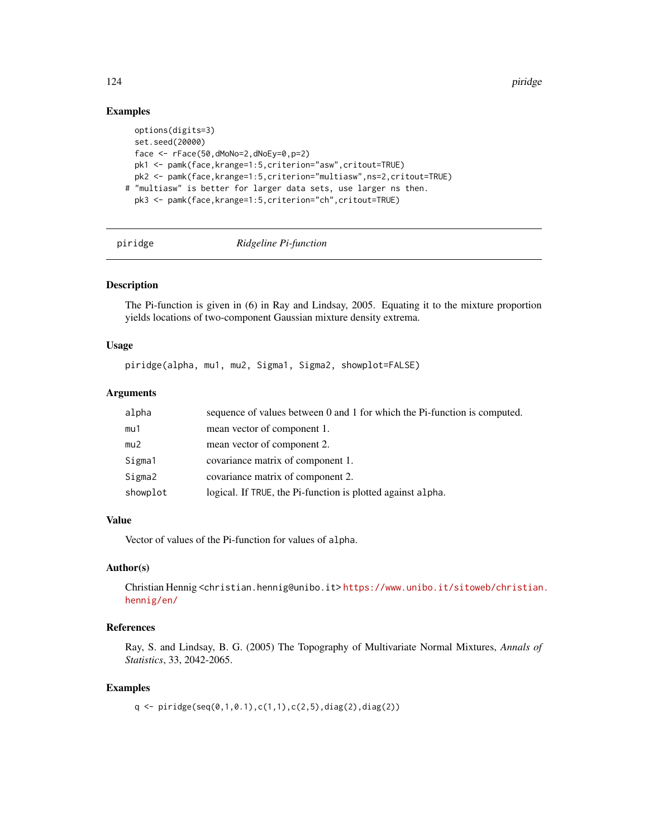124 **piridge** 

# Examples

```
options(digits=3)
 set.seed(20000)
 face \leq rFace(50,dMoNo=2,dNoEy=0,p=2)
 pk1 <- pamk(face,krange=1:5,criterion="asw",critout=TRUE)
 pk2 <- pamk(face,krange=1:5,criterion="multiasw",ns=2,critout=TRUE)
# "multiasw" is better for larger data sets, use larger ns then.
 pk3 <- pamk(face,krange=1:5,criterion="ch",critout=TRUE)
```
<span id="page-123-0"></span>piridge *Ridgeline Pi-function*

# Description

The Pi-function is given in (6) in Ray and Lindsay, 2005. Equating it to the mixture proportion yields locations of two-component Gaussian mixture density extrema.

## Usage

piridge(alpha, mu1, mu2, Sigma1, Sigma2, showplot=FALSE)

#### **Arguments**

| alpha    | sequence of values between 0 and 1 for which the Pi-function is computed. |
|----------|---------------------------------------------------------------------------|
| mu1      | mean vector of component 1.                                               |
| mu2      | mean vector of component 2.                                               |
| Sigma1   | covariance matrix of component 1.                                         |
| Sigma2   | covariance matrix of component 2.                                         |
| showplot | logical. If TRUE, the Pi-function is plotted against alpha.               |

# Value

Vector of values of the Pi-function for values of alpha.

## Author(s)

Christian Hennig <christian.hennig@unibo.it> [https://www.unibo.it/sitoweb/christian](https://www.unibo.it/sitoweb/christian.hennig/en/). [hennig/en/](https://www.unibo.it/sitoweb/christian.hennig/en/)

# References

Ray, S. and Lindsay, B. G. (2005) The Topography of Multivariate Normal Mixtures, *Annals of Statistics*, 33, 2042-2065.

# Examples

q <- piridge(seq(0,1,0.1),c(1,1),c(2,5),diag(2),diag(2))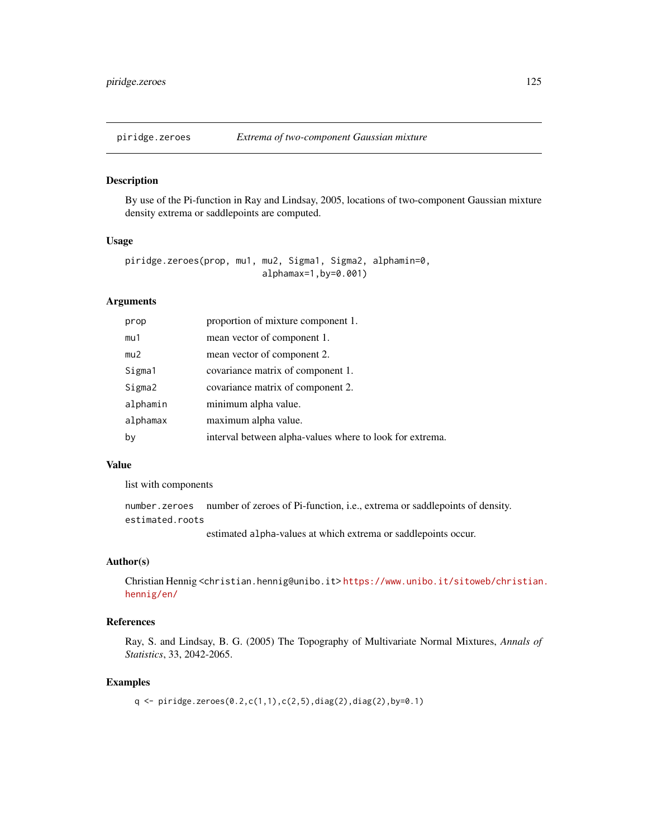<span id="page-124-0"></span>

# Description

By use of the Pi-function in Ray and Lindsay, 2005, locations of two-component Gaussian mixture density extrema or saddlepoints are computed.

#### Usage

piridge.zeroes(prop, mu1, mu2, Sigma1, Sigma2, alphamin=0, alphamax=1,by=0.001)

#### Arguments

| prop     | proportion of mixture component 1.                       |
|----------|----------------------------------------------------------|
| mu1      | mean vector of component 1.                              |
| mu2      | mean vector of component 2.                              |
| Sigma1   | covariance matrix of component 1.                        |
| Sigma2   | covariance matrix of component 2.                        |
| alphamin | minimum alpha value.                                     |
| alphamax | maximum alpha value.                                     |
| by       | interval between alpha-values where to look for extrema. |

#### Value

list with components

number.zeroes number of zeroes of Pi-function, i.e., extrema or saddlepoints of density. estimated.roots

estimated alpha-values at which extrema or saddlepoints occur.

#### Author(s)

Christian Hennig <christian.hennig@unibo.it> [https://www.unibo.it/sitoweb/christian](https://www.unibo.it/sitoweb/christian.hennig/en/). [hennig/en/](https://www.unibo.it/sitoweb/christian.hennig/en/)

# References

Ray, S. and Lindsay, B. G. (2005) The Topography of Multivariate Normal Mixtures, *Annals of Statistics*, 33, 2042-2065.

## Examples

q <- piridge.zeroes(0.2,c(1,1),c(2,5),diag(2),diag(2),by=0.1)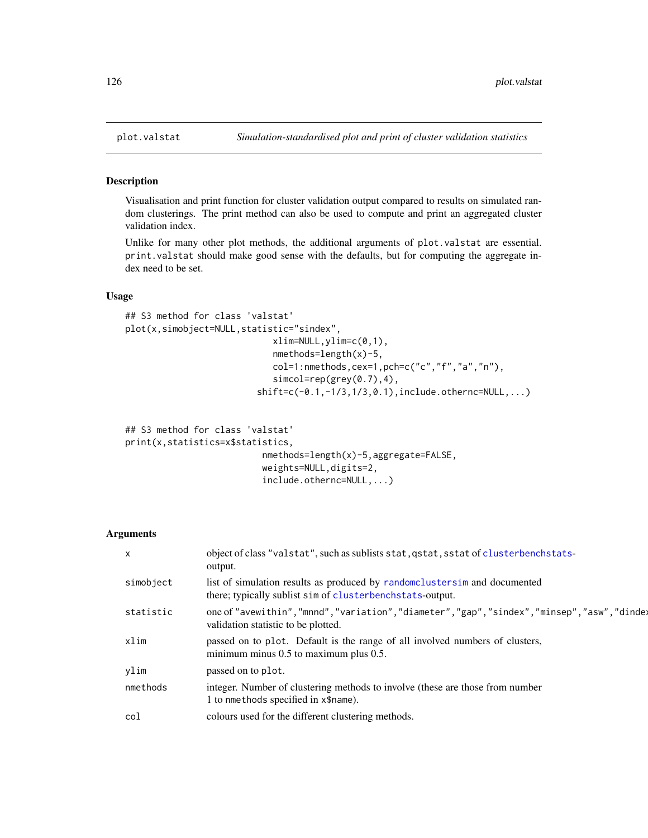#### Description

Visualisation and print function for cluster validation output compared to results on simulated random clusterings. The print method can also be used to compute and print an aggregated cluster validation index.

Unlike for many other plot methods, the additional arguments of plot.valstat are essential. print.valstat should make good sense with the defaults, but for computing the aggregate index need to be set.

# Usage

```
## S3 method for class 'valstat'
plot(x,simobject=NULL,statistic="sindex",
                            xlim=NULL,ylim=c(0,1),
                            nmethods=length(x)-5,
                            col=1:nmethods,cex=1,pch=c("c","f","a","n"),
                            simcol=rep(grey(0.7),4),
                         shift=c(-0.1,-1/3,1/3,0.1),include.othernc=NULL,...)
```

```
## S3 method for class 'valstat'
print(x,statistics=x$statistics,
                          nmethods=length(x)-5,aggregate=FALSE,
                          weights=NULL,digits=2,
                          include.othernc=NULL,...)
```

| $\times$  | object of class "valstat", such as sublists stat, qstat, sstat of clusterbenchstats-<br>output.                                        |
|-----------|----------------------------------------------------------------------------------------------------------------------------------------|
| simobject | list of simulation results as produced by randomclustersim and documented<br>there; typically sublist sim of clusterbenchstats-output. |
| statistic | one of "avewithin", "mnnd", "variation", "diameter", "gap", "sindex", "minsep", "asw", "dinde;<br>validation statistic to be plotted.  |
| xlim      | passed on to plot. Default is the range of all involved numbers of clusters,<br>minimum minus $0.5$ to maximum plus $0.5$ .            |
| ylim      | passed on to plot.                                                                                                                     |
| nmethods  | integer. Number of clustering methods to involve (these are those from number<br>1 to nmethods specified in x\$name).                  |
| col       | colours used for the different clustering methods.                                                                                     |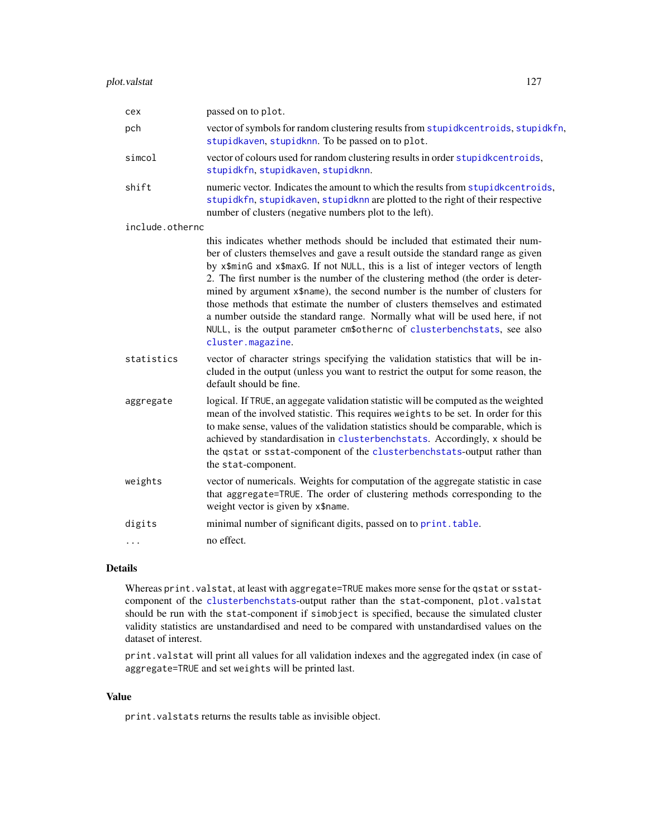| cex             | passed on to plot.                                                                                                                                                                                                                                                                                                                                                                                                                                                                                                                                                                                                                                                                    |
|-----------------|---------------------------------------------------------------------------------------------------------------------------------------------------------------------------------------------------------------------------------------------------------------------------------------------------------------------------------------------------------------------------------------------------------------------------------------------------------------------------------------------------------------------------------------------------------------------------------------------------------------------------------------------------------------------------------------|
| pch             | vector of symbols for random clustering results from stupidkcentroids, stupidkfn,<br>stupidkaven, stupidknn. To be passed on to plot.                                                                                                                                                                                                                                                                                                                                                                                                                                                                                                                                                 |
| simcol          | vector of colours used for random clustering results in order stupidkcentroids,<br>stupidkfn, stupidkaven, stupidknn.                                                                                                                                                                                                                                                                                                                                                                                                                                                                                                                                                                 |
| shift           | numeric vector. Indicates the amount to which the results from stupidkcentroids,<br>stupidkfn, stupidkaven, stupidknn are plotted to the right of their respective<br>number of clusters (negative numbers plot to the left).                                                                                                                                                                                                                                                                                                                                                                                                                                                         |
| include.othernc |                                                                                                                                                                                                                                                                                                                                                                                                                                                                                                                                                                                                                                                                                       |
|                 | this indicates whether methods should be included that estimated their num-<br>ber of clusters themselves and gave a result outside the standard range as given<br>by x\$minG and x\$maxG. If not NULL, this is a list of integer vectors of length<br>2. The first number is the number of the clustering method (the order is deter-<br>mined by argument x\$name), the second number is the number of clusters for<br>those methods that estimate the number of clusters themselves and estimated<br>a number outside the standard range. Normally what will be used here, if not<br>NULL, is the output parameter cm\$othernc of clusterbenchstats, see also<br>cluster.magazine. |
| statistics      | vector of character strings specifying the validation statistics that will be in-<br>cluded in the output (unless you want to restrict the output for some reason, the<br>default should be fine.                                                                                                                                                                                                                                                                                                                                                                                                                                                                                     |
| aggregate       | logical. If TRUE, an aggegate validation statistic will be computed as the weighted<br>mean of the involved statistic. This requires weights to be set. In order for this<br>to make sense, values of the validation statistics should be comparable, which is<br>achieved by standardisation in clusterbenchstats. Accordingly, x should be<br>the qstat or sstat-component of the clusterbenchstats-output rather than<br>the stat-component.                                                                                                                                                                                                                                       |
| weights         | vector of numericals. Weights for computation of the aggregate statistic in case<br>that aggregate=TRUE. The order of clustering methods corresponding to the<br>weight vector is given by x\$name.                                                                                                                                                                                                                                                                                                                                                                                                                                                                                   |
| digits          | minimal number of significant digits, passed on to print. table.                                                                                                                                                                                                                                                                                                                                                                                                                                                                                                                                                                                                                      |
| $\cdots$        | no effect.                                                                                                                                                                                                                                                                                                                                                                                                                                                                                                                                                                                                                                                                            |

# Details

Whereas print.valstat, at least with aggregate=TRUE makes more sense for the qstat or sstatcomponent of the [clusterbenchstats](#page-36-0)-output rather than the stat-component, plot.valstat should be run with the stat-component if simobject is specified, because the simulated cluster validity statistics are unstandardised and need to be compared with unstandardised values on the dataset of interest.

print.valstat will print all values for all validation indexes and the aggregated index (in case of aggregate=TRUE and set weights will be printed last.

## Value

print.valstats returns the results table as invisible object.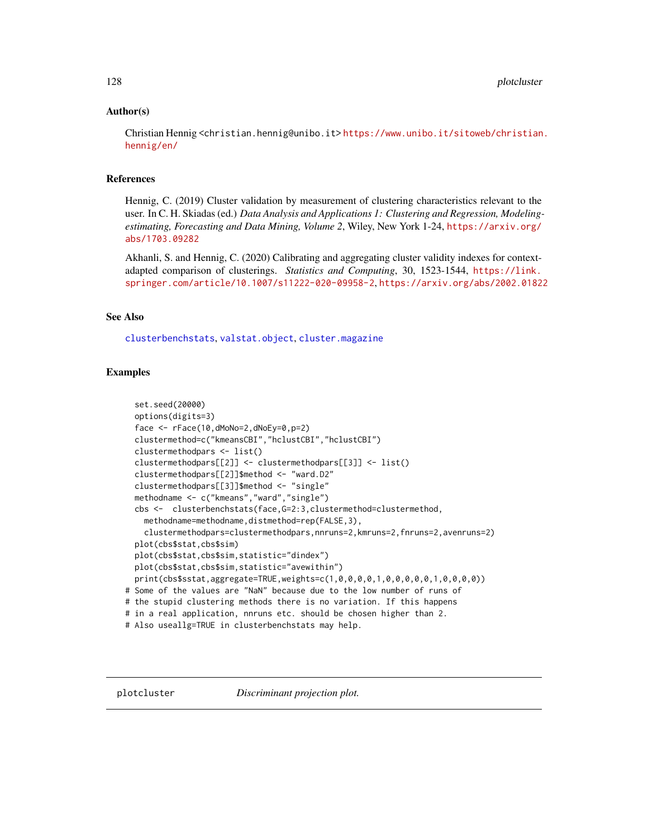#### Author(s)

Christian Hennig <christian.hennig@unibo.it> [https://www.unibo.it/sitoweb/christian](https://www.unibo.it/sitoweb/christian.hennig/en/). [hennig/en/](https://www.unibo.it/sitoweb/christian.hennig/en/)

#### References

Hennig, C. (2019) Cluster validation by measurement of clustering characteristics relevant to the user. In C. H. Skiadas (ed.) *Data Analysis and Applications 1: Clustering and Regression, Modelingestimating, Forecasting and Data Mining, Volume 2*, Wiley, New York 1-24, [https://arxiv.org/](https://arxiv.org/abs/1703.09282) [abs/1703.09282](https://arxiv.org/abs/1703.09282)

Akhanli, S. and Hennig, C. (2020) Calibrating and aggregating cluster validity indexes for contextadapted comparison of clusterings. *Statistics and Computing*, 30, 1523-1544, [https://link.](https://link.springer.com/article/10.1007/s11222-020-09958-2) [springer.com/article/10.1007/s11222-020-09958-2](https://link.springer.com/article/10.1007/s11222-020-09958-2), <https://arxiv.org/abs/2002.01822>

## See Also

[clusterbenchstats](#page-36-0), [valstat.object](#page-151-0), [cluster.magazine](#page-28-0)

# Examples

```
set.seed(20000)
 options(digits=3)
 face <- rFace(10,dMoNo=2,dNoEy=0,p=2)
 clustermethod=c("kmeansCBI","hclustCBI","hclustCBI")
 clustermethodpars <- list()
 clustermethodpars[[2]] <- clustermethodpars[[3]] <- list()
 clustermethodpars[[2]]$method <- "ward.D2"
 clustermethodpars[[3]]$method <- "single"
 methodname <- c("kmeans","ward","single")
 cbs <- clusterbenchstats(face,G=2:3,clustermethod=clustermethod,
   methodname=methodname,distmethod=rep(FALSE,3),
   clustermethodpars=clustermethodpars,nnruns=2,kmruns=2,fnruns=2,avenruns=2)
 plot(cbs$stat,cbs$sim)
 plot(cbs$stat,cbs$sim,statistic="dindex")
 plot(cbs$stat,cbs$sim,statistic="avewithin")
 print(cbs$sstat,aggregate=TRUE,weights=c(1,0,0,0,0,1,0,0,0,0,0,1,0,0,0,0))
# Some of the values are "NaN" because due to the low number of runs of
# the stupid clustering methods there is no variation. If this happens
# in a real application, nnruns etc. should be chosen higher than 2.
# Also useallg=TRUE in clusterbenchstats may help.
```
<span id="page-127-0"></span>plotcluster *Discriminant projection plot.*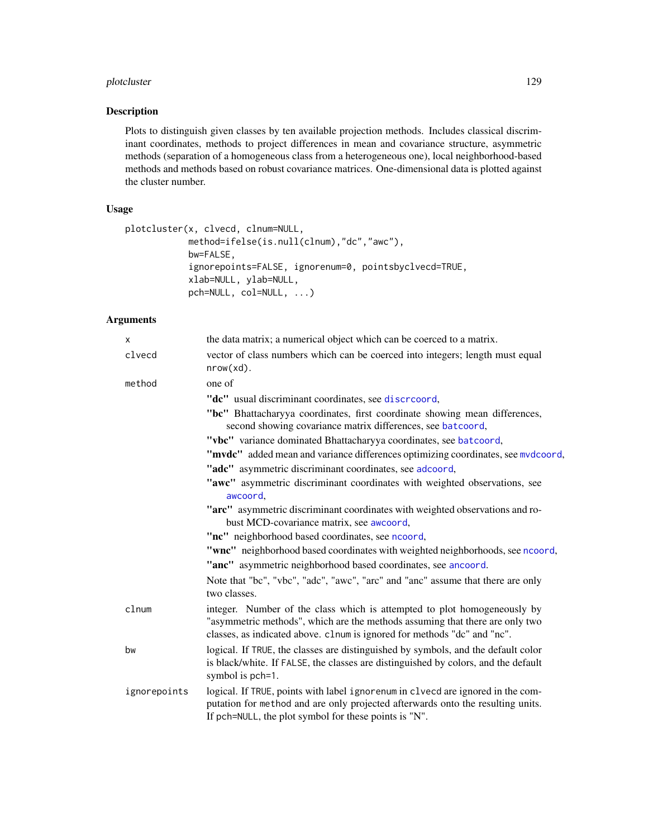# plotcluster 129

## Description

Plots to distinguish given classes by ten available projection methods. Includes classical discriminant coordinates, methods to project differences in mean and covariance structure, asymmetric methods (separation of a homogeneous class from a heterogeneous one), local neighborhood-based methods and methods based on robust covariance matrices. One-dimensional data is plotted against the cluster number.

# Usage

```
plotcluster(x, clvecd, clnum=NULL,
            method=ifelse(is.null(clnum),"dc","awc"),
            bw=FALSE,
            ignorepoints=FALSE, ignorenum=0, pointsbyclvecd=TRUE,
            xlab=NULL, ylab=NULL,
            pch=NULL, col=NULL, ...)
```

| X            | the data matrix; a numerical object which can be coerced to a matrix.                                                                                                                                                                |
|--------------|--------------------------------------------------------------------------------------------------------------------------------------------------------------------------------------------------------------------------------------|
| clvecd       | vector of class numbers which can be coerced into integers; length must equal<br>$nrow(xd)$ .                                                                                                                                        |
| method       | one of                                                                                                                                                                                                                               |
|              | "dc" usual discriminant coordinates, see discreoord,                                                                                                                                                                                 |
|              | "bc" Bhattacharyya coordinates, first coordinate showing mean differences,<br>second showing covariance matrix differences, see batcoord,                                                                                            |
|              | "vbc" variance dominated Bhattacharyya coordinates, see batcoord,                                                                                                                                                                    |
|              | "mvdc" added mean and variance differences optimizing coordinates, see mvdcoord,                                                                                                                                                     |
|              | "adc" asymmetric discriminant coordinates, see adcoord,                                                                                                                                                                              |
|              | "awc" asymmetric discriminant coordinates with weighted observations, see<br>awcoord,                                                                                                                                                |
|              | "arc" asymmetric discriminant coordinates with weighted observations and ro-<br>bust MCD-covariance matrix, see awcoord,                                                                                                             |
|              | "nc" neighborhood based coordinates, see ncoord,                                                                                                                                                                                     |
|              | "wnc" neighborhood based coordinates with weighted neighborhoods, see ncoord,<br>"anc" asymmetric neighborhood based coordinates, see ancoord.                                                                                       |
|              | Note that "bc", "vbc", "adc", "awc", "arc" and "anc" assume that there are only<br>two classes.                                                                                                                                      |
| clnum        | integer. Number of the class which is attempted to plot homogeneously by<br>"asymmetric methods", which are the methods assuming that there are only two<br>classes, as indicated above. clnum is ignored for methods "dc" and "nc". |
| bw           | logical. If TRUE, the classes are distinguished by symbols, and the default color<br>is black/white. If FALSE, the classes are distinguished by colors, and the default<br>symbol is pch=1.                                          |
| ignorepoints | logical. If TRUE, points with label ignorenum in clvecd are ignored in the com-<br>putation for method and are only projected afterwards onto the resulting units.<br>If pch=NULL, the plot symbol for these points is "N".          |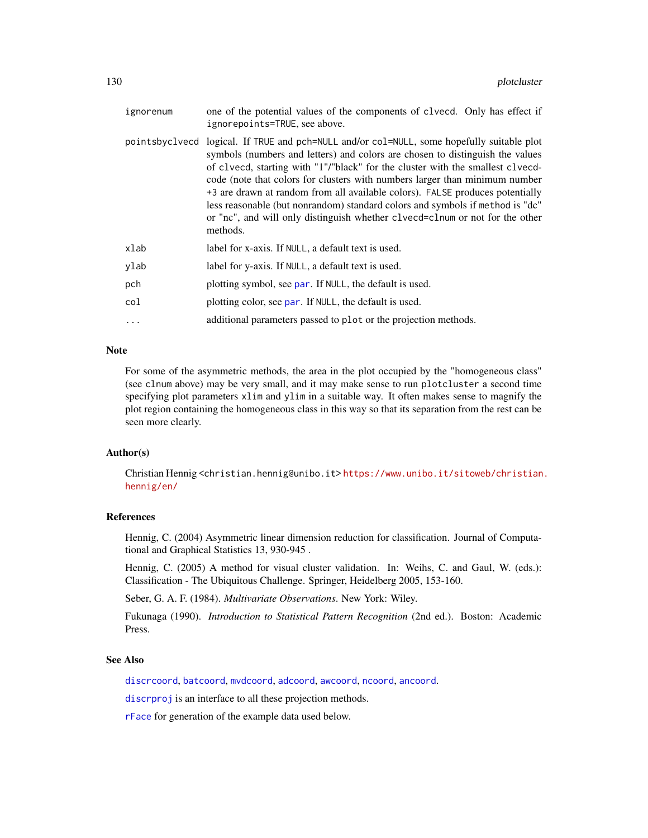| ignorenum | one of the potential values of the components of clvecd. Only has effect if<br>ignorepoints=TRUE, see above.                                                                                                                                                                                                                                                                                                                                                                                                                                                                                               |
|-----------|------------------------------------------------------------------------------------------------------------------------------------------------------------------------------------------------------------------------------------------------------------------------------------------------------------------------------------------------------------------------------------------------------------------------------------------------------------------------------------------------------------------------------------------------------------------------------------------------------------|
|           | pointsbyclvecd logical. If TRUE and pch=NULL and/or col=NULL, some hopefully suitable plot<br>symbols (numbers and letters) and colors are chosen to distinguish the values<br>of clvecd, starting with "1"/"black" for the cluster with the smallest clvecd-<br>code (note that colors for clusters with numbers larger than minimum number<br>+3 are drawn at random from all available colors). FALSE produces potentially<br>less reasonable (but nonrandom) standard colors and symbols if method is "dc"<br>or "nc", and will only distinguish whether clvecd=clnum or not for the other<br>methods. |
| xlab      | label for x-axis. If NULL, a default text is used.                                                                                                                                                                                                                                                                                                                                                                                                                                                                                                                                                         |
| ylab      | label for y-axis. If NULL, a default text is used.                                                                                                                                                                                                                                                                                                                                                                                                                                                                                                                                                         |
| pch       | plotting symbol, see par. If NULL, the default is used.                                                                                                                                                                                                                                                                                                                                                                                                                                                                                                                                                    |
| col       | plotting color, see par. If NULL, the default is used.                                                                                                                                                                                                                                                                                                                                                                                                                                                                                                                                                     |
| $\ddotsc$ | additional parameters passed to plot or the projection methods.                                                                                                                                                                                                                                                                                                                                                                                                                                                                                                                                            |

# Note

For some of the asymmetric methods, the area in the plot occupied by the "homogeneous class" (see clnum above) may be very small, and it may make sense to run plotcluster a second time specifying plot parameters xlim and ylim in a suitable way. It often makes sense to magnify the plot region containing the homogeneous class in this way so that its separation from the rest can be seen more clearly.

## Author(s)

Christian Hennig <christian.hennig@unibo.it> [https://www.unibo.it/sitoweb/christian](https://www.unibo.it/sitoweb/christian.hennig/en/). [hennig/en/](https://www.unibo.it/sitoweb/christian.hennig/en/)

# References

Hennig, C. (2004) Asymmetric linear dimension reduction for classification. Journal of Computational and Graphical Statistics 13, 930-945 .

Hennig, C. (2005) A method for visual cluster validation. In: Weihs, C. and Gaul, W. (eds.): Classification - The Ubiquitous Challenge. Springer, Heidelberg 2005, 153-160.

Seber, G. A. F. (1984). *Multivariate Observations*. New York: Wiley.

Fukunaga (1990). *Introduction to Statistical Pattern Recognition* (2nd ed.). Boston: Academic Press.

#### See Also

[discrcoord](#page-63-0), [batcoord](#page-10-0), [mvdcoord](#page-115-0), [adcoord](#page-5-0), [awcoord](#page-8-0), [ncoord](#page-116-0), [ancoord](#page-7-0).

[discrproj](#page-65-0) is an interface to all these projection methods.

[rFace](#page-139-0) for generation of the example data used below.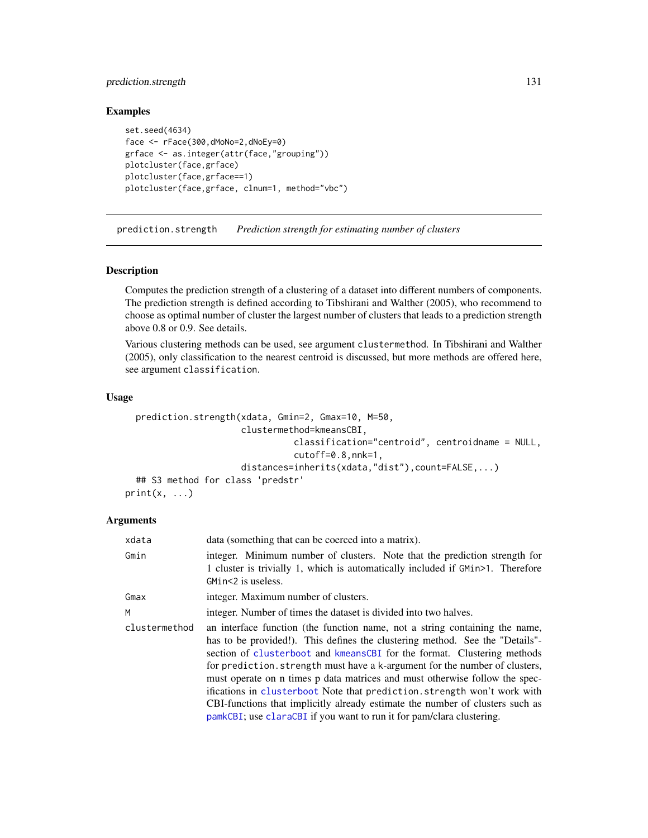# prediction.strength 131

#### Examples

```
set.seed(4634)
face <- rFace(300,dMoNo=2,dNoEy=0)
grface <- as.integer(attr(face,"grouping"))
plotcluster(face,grface)
plotcluster(face,grface==1)
plotcluster(face,grface, clnum=1, method="vbc")
```
<span id="page-130-0"></span>prediction.strength *Prediction strength for estimating number of clusters*

#### Description

Computes the prediction strength of a clustering of a dataset into different numbers of components. The prediction strength is defined according to Tibshirani and Walther (2005), who recommend to choose as optimal number of cluster the largest number of clusters that leads to a prediction strength above 0.8 or 0.9. See details.

Various clustering methods can be used, see argument clustermethod. In Tibshirani and Walther (2005), only classification to the nearest centroid is discussed, but more methods are offered here, see argument classification.

#### Usage

```
prediction.strength(xdata, Gmin=2, Gmax=10, M=50,
                      clustermethod=kmeansCBI,
                                classification="centroid", centroidname = NULL,
                                cutoff=0.8,nnk=1,
                      distances=inherits(xdata,"dist"),count=FALSE,...)
  ## S3 method for class 'predstr'
print(x, \ldots)
```

| xdata         | data (something that can be coerced into a matrix).                                                                                                                                                                                                                                                                                                                                                                                                                                                                                                                                                                                        |  |
|---------------|--------------------------------------------------------------------------------------------------------------------------------------------------------------------------------------------------------------------------------------------------------------------------------------------------------------------------------------------------------------------------------------------------------------------------------------------------------------------------------------------------------------------------------------------------------------------------------------------------------------------------------------------|--|
| Gmin          | integer. Minimum number of clusters. Note that the prediction strength for<br>1 cluster is trivially 1, which is automatically included if GM1n>1. Therefore<br>GMin<2 is useless.                                                                                                                                                                                                                                                                                                                                                                                                                                                         |  |
| Gmax          | integer. Maximum number of clusters.                                                                                                                                                                                                                                                                                                                                                                                                                                                                                                                                                                                                       |  |
| М             | integer. Number of times the dataset is divided into two halves.                                                                                                                                                                                                                                                                                                                                                                                                                                                                                                                                                                           |  |
| clustermethod | an interface function (the function name, not a string containing the name,<br>has to be provided!). This defines the clustering method. See the "Details"-<br>section of clusterboot and kmeansCBI for the format. Clustering methods<br>for prediction. strength must have a k-argument for the number of clusters,<br>must operate on n times p data matrices and must otherwise follow the spec-<br>ifications in clusterboot Note that prediction. strength won't work with<br>CBI-functions that implicitly already estimate the number of clusters such as<br>pamkCBI; use claraCBI if you want to run it for pam/clara clustering. |  |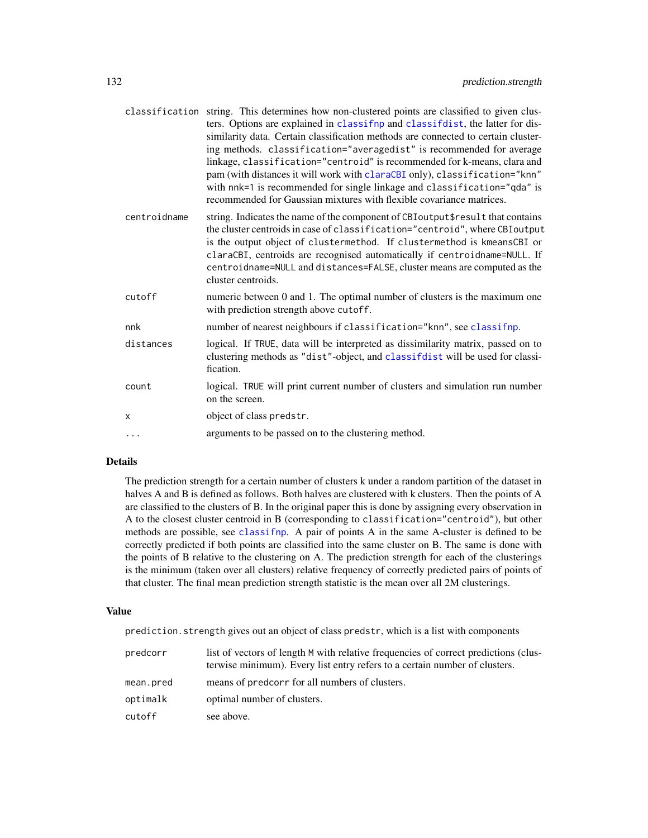|              | classification string. This determines how non-clustered points are classified to given clus-<br>ters. Options are explained in classifnp and classifdist, the latter for dis-<br>similarity data. Certain classification methods are connected to certain cluster-<br>ing methods. classification="averagedist" is recommended for average<br>linkage, classification="centroid" is recommended for k-means, clara and<br>pam (with distances it will work with claraCBI only), classification="knn"<br>with nnk=1 is recommended for single linkage and classification="qda" is<br>recommended for Gaussian mixtures with flexible covariance matrices. |
|--------------|-----------------------------------------------------------------------------------------------------------------------------------------------------------------------------------------------------------------------------------------------------------------------------------------------------------------------------------------------------------------------------------------------------------------------------------------------------------------------------------------------------------------------------------------------------------------------------------------------------------------------------------------------------------|
| centroidname | string. Indicates the name of the component of CBIoutput\$result that contains<br>the cluster centroids in case of classification="centroid", where CBIoutput<br>is the output object of clustermethod. If clustermethod is kmeansCBI or<br>claraCBI, centroids are recognised automatically if centroidname=NULL. If<br>centroidname=NULL and distances=FALSE, cluster means are computed as the<br>cluster centroids.                                                                                                                                                                                                                                   |
| cutoff       | numeric between 0 and 1. The optimal number of clusters is the maximum one<br>with prediction strength above cutoff.                                                                                                                                                                                                                                                                                                                                                                                                                                                                                                                                      |
| nnk          | number of nearest neighbours if classification="knn", see classifnp.                                                                                                                                                                                                                                                                                                                                                                                                                                                                                                                                                                                      |
| distances    | logical. If TRUE, data will be interpreted as dissimilarity matrix, passed on to<br>clustering methods as "dist"-object, and classifdist will be used for classi-<br>fication.                                                                                                                                                                                                                                                                                                                                                                                                                                                                            |
| count        | logical. TRUE will print current number of clusters and simulation run number<br>on the screen.                                                                                                                                                                                                                                                                                                                                                                                                                                                                                                                                                           |
| X            | object of class predstr.                                                                                                                                                                                                                                                                                                                                                                                                                                                                                                                                                                                                                                  |
| $\cdots$     | arguments to be passed on to the clustering method.                                                                                                                                                                                                                                                                                                                                                                                                                                                                                                                                                                                                       |

## Details

The prediction strength for a certain number of clusters k under a random partition of the dataset in halves A and B is defined as follows. Both halves are clustered with k clusters. Then the points of A are classified to the clusters of B. In the original paper this is done by assigning every observation in A to the closest cluster centroid in B (corresponding to classification="centroid"), but other methods are possible, see [classifnp](#page-20-1). A pair of points A in the same A-cluster is defined to be correctly predicted if both points are classified into the same cluster on B. The same is done with the points of B relative to the clustering on A. The prediction strength for each of the clusterings is the minimum (taken over all clusters) relative frequency of correctly predicted pairs of points of that cluster. The final mean prediction strength statistic is the mean over all 2M clusterings.

#### Value

prediction.strength gives out an object of class predstr, which is a list with components

| predcorr  | list of vectors of length M with relative frequencies of correct predictions (clus-<br>terwise minimum). Every list entry refers to a certain number of clusters. |
|-----------|-------------------------------------------------------------------------------------------------------------------------------------------------------------------|
| mean.pred | means of predcorr for all numbers of clusters.                                                                                                                    |
| optimalk  | optimal number of clusters.                                                                                                                                       |
| cutoff    | see above.                                                                                                                                                        |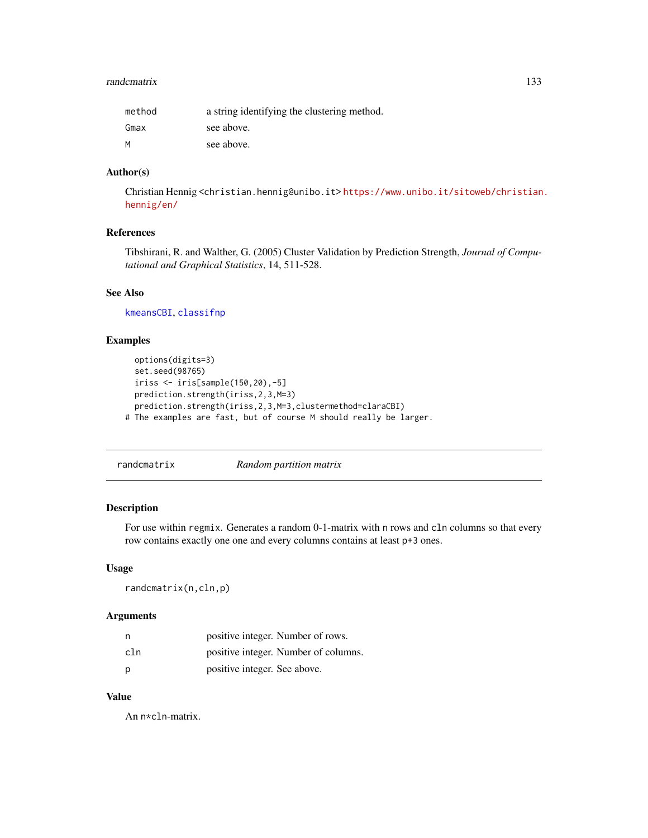#### randcmatrix 133

| method | a string identifying the clustering method. |
|--------|---------------------------------------------|
| Gmax   | see above.                                  |
| M      | see above.                                  |

#### Author(s)

Christian Hennig <christian.hennig@unibo.it> [https://www.unibo.it/sitoweb/christian](https://www.unibo.it/sitoweb/christian.hennig/en/). [hennig/en/](https://www.unibo.it/sitoweb/christian.hennig/en/)

# References

Tibshirani, R. and Walther, G. (2005) Cluster Validation by Prediction Strength, *Journal of Computational and Graphical Statistics*, 14, 511-528.

#### See Also

[kmeansCBI](#page-94-0), [classifnp](#page-20-1)

#### Examples

```
options(digits=3)
 set.seed(98765)
 iriss <- iris[sample(150,20),-5]
 prediction.strength(iriss,2,3,M=3)
 prediction.strength(iriss,2,3,M=3,clustermethod=claraCBI)
# The examples are fast, but of course M should really be larger.
```
<span id="page-132-0"></span>randcmatrix *Random partition matrix*

# Description

For use within regmix. Generates a random 0-1-matrix with n rows and cln columns so that every row contains exactly one one and every columns contains at least p+3 ones.

## Usage

randcmatrix(n,cln,p)

#### Arguments

| n   | positive integer. Number of rows.    |
|-----|--------------------------------------|
| cln | positive integer. Number of columns. |
| p   | positive integer. See above.         |

# Value

An n\*cln-matrix.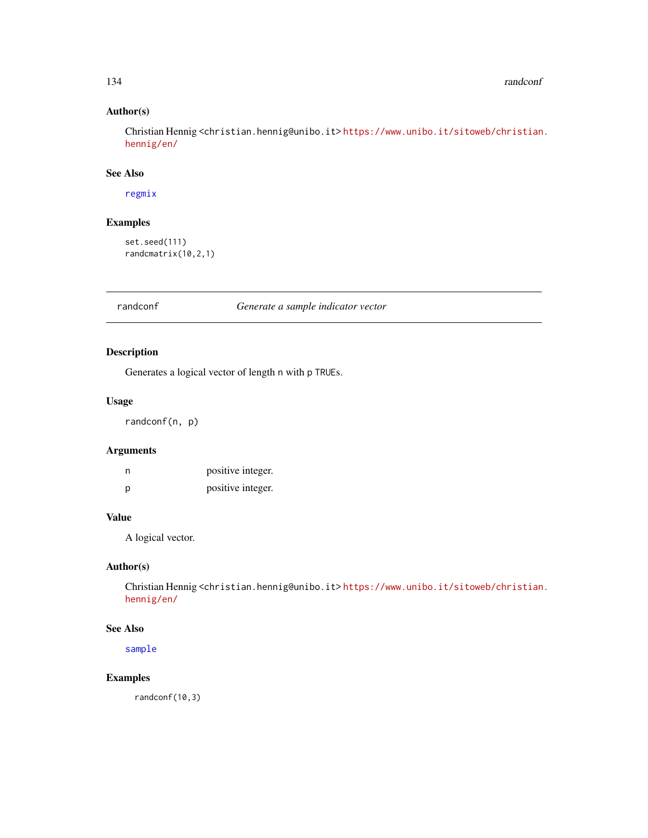# Author(s)

Christian Hennig <christian.hennig@unibo.it> [https://www.unibo.it/sitoweb/christian](https://www.unibo.it/sitoweb/christian.hennig/en/). [hennig/en/](https://www.unibo.it/sitoweb/christian.hennig/en/)

#### See Also

[regmix](#page-136-0)

# Examples

```
set.seed(111)
randcmatrix(10,2,1)
```
randconf *Generate a sample indicator vector*

# Description

Generates a logical vector of length n with p TRUEs.

# Usage

randconf(n, p)

# Arguments

| n | positive integer. |
|---|-------------------|
| р | positive integer. |

## Value

A logical vector.

# Author(s)

Christian Hennig <christian.hennig@unibo.it> [https://www.unibo.it/sitoweb/christian](https://www.unibo.it/sitoweb/christian.hennig/en/). [hennig/en/](https://www.unibo.it/sitoweb/christian.hennig/en/)

# See Also

[sample](#page-0-0)

# Examples

randconf(10,3)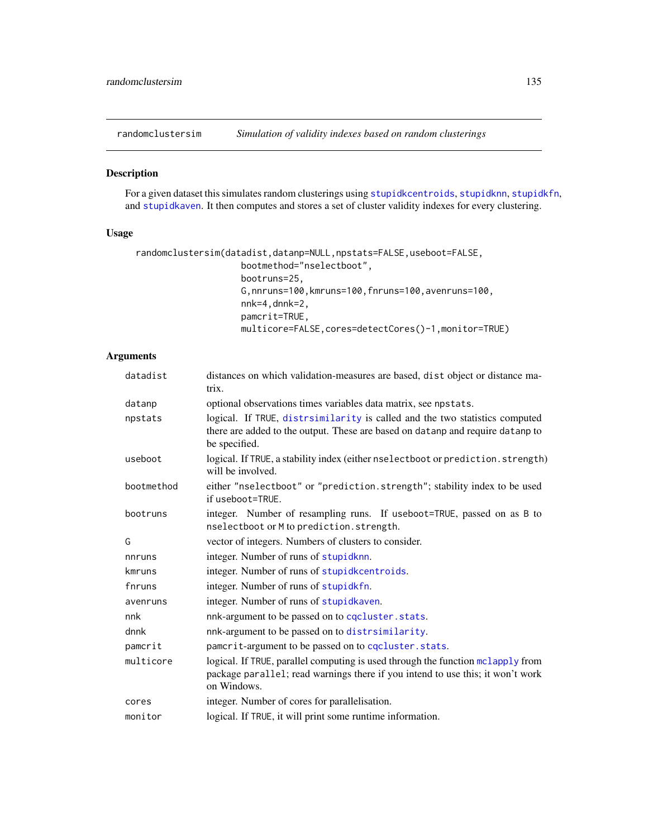<span id="page-134-0"></span>randomclustersim *Simulation of validity indexes based on random clusterings*

## Description

For a given dataset this simulates random clusterings using [stupidkcentroids](#page-146-0), [stupidknn](#page-148-0), [stupidkfn](#page-147-0), and [stupidkaven](#page-145-0). It then computes and stores a set of cluster validity indexes for every clustering.

# Usage

```
randomclustersim(datadist,datanp=NULL,npstats=FALSE,useboot=FALSE,
                    bootmethod="nselectboot",
                    bootruns=25,
                    G,nnruns=100,kmruns=100,fnruns=100,avenruns=100,
                    nnk=4,dnnk=2,
                    pamcrit=TRUE,
                    multicore=FALSE, cores=detectCores()-1, monitor=TRUE)
```

| datadist   | distances on which validation-measures are based, dist object or distance ma-<br>trix.                                                                                           |  |
|------------|----------------------------------------------------------------------------------------------------------------------------------------------------------------------------------|--|
| datanp     | optional observations times variables data matrix, see npstats.                                                                                                                  |  |
| npstats    | logical. If TRUE, distrsimilarity is called and the two statistics computed<br>there are added to the output. These are based on datanp and require datanp to<br>be specified.   |  |
| useboot    | logical. If TRUE, a stability index (either nselectboot or prediction. strength)<br>will be involved.                                                                            |  |
| bootmethod | either "nselectboot" or "prediction.strength"; stability index to be used<br>if useboot=TRUE.                                                                                    |  |
| bootruns   | integer. Number of resampling runs. If useboot=TRUE, passed on as B to<br>nselectboot or M to prediction. strength.                                                              |  |
| G          | vector of integers. Numbers of clusters to consider.                                                                                                                             |  |
| nnruns     | integer. Number of runs of stupidknn.                                                                                                                                            |  |
| kmruns     | integer. Number of runs of stupidkcentroids.                                                                                                                                     |  |
| fnruns     | integer. Number of runs of stupidkfn.                                                                                                                                            |  |
| avenruns   | integer. Number of runs of stupidkaven.                                                                                                                                          |  |
| nnk        | nnk-argument to be passed on to cqcluster.stats.                                                                                                                                 |  |
| dnnk       | nnk-argument to be passed on to distrsimilarity.                                                                                                                                 |  |
| pamcrit    | pamcrit-argument to be passed on to cqcluster. stats.                                                                                                                            |  |
| multicore  | logical. If TRUE, parallel computing is used through the function mclapply from<br>package parallel; read warnings there if you intend to use this; it won't work<br>on Windows. |  |
| cores      | integer. Number of cores for parallelisation.                                                                                                                                    |  |
| monitor    | logical. If TRUE, it will print some runtime information.                                                                                                                        |  |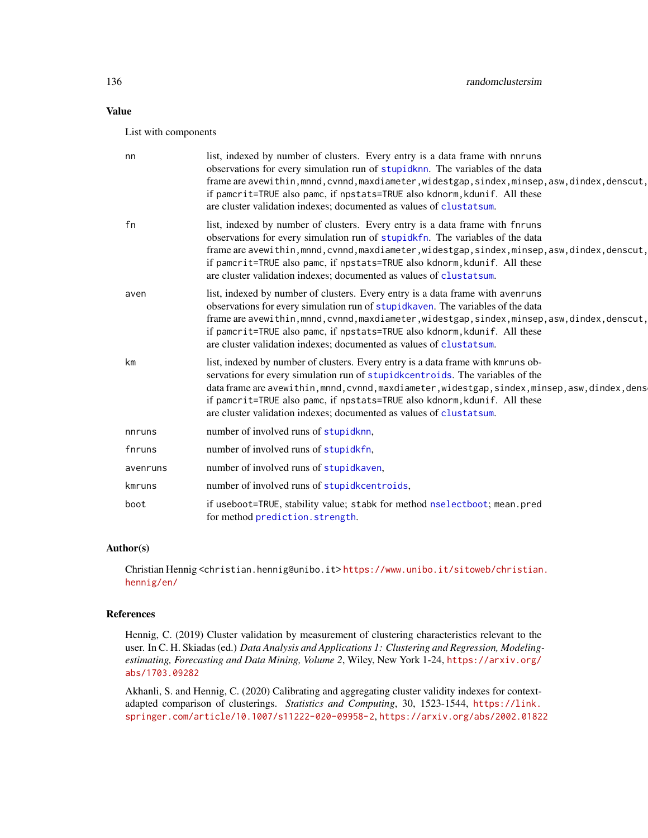# Value

List with components

| nn       | list, indexed by number of clusters. Every entry is a data frame with nnruns<br>observations for every simulation run of stupidknn. The variables of the data<br>frame are avewithin, mnnd, cvnnd, maxdiameter, widestgap, sindex, minsep, asw, dindex, denscut,<br>if pamcrit=TRUE also pamc, if npstats=TRUE also kdnorm, kdunif. All these<br>are cluster validation indexes; documented as values of clustatsum.      |
|----------|---------------------------------------------------------------------------------------------------------------------------------------------------------------------------------------------------------------------------------------------------------------------------------------------------------------------------------------------------------------------------------------------------------------------------|
| fn       | list, indexed by number of clusters. Every entry is a data frame with finruns<br>observations for every simulation run of stupidkfn. The variables of the data<br>frame are avewithin, mnnd, cvnnd, maxdiameter, widestgap, sindex, minsep, asw, dindex, denscut,<br>if pamcrit=TRUE also pamc, if npstats=TRUE also kdnorm, kdunif. All these<br>are cluster validation indexes; documented as values of clustatsum.     |
| aven     | list, indexed by number of clusters. Every entry is a data frame with avenruns<br>observations for every simulation run of stupidkaven. The variables of the data<br>frame are avewithin, mnnd, cvnnd, maxdiameter, widestgap, sindex, minsep, asw, dindex, denscut,<br>if pamcrit=TRUE also pamc, if npstats=TRUE also kdnorm, kdunif. All these<br>are cluster validation indexes; documented as values of clustatsum.  |
| km       | list, indexed by number of clusters. Every entry is a data frame with kmruns ob-<br>servations for every simulation run of stupidkcentroids. The variables of the<br>data frame are avewithin, mnnd, cvnnd, maxdiameter, widestgap, sindex, minsep, asw, dindex, dens<br>if pamcrit=TRUE also pamc, if npstats=TRUE also kdnorm, kdunif. All these<br>are cluster validation indexes; documented as values of clustatsum. |
| nnruns   | number of involved runs of stupidknn.                                                                                                                                                                                                                                                                                                                                                                                     |
| fnruns   | number of involved runs of stupidkfn.                                                                                                                                                                                                                                                                                                                                                                                     |
| avenruns | number of involved runs of stupidkaven.                                                                                                                                                                                                                                                                                                                                                                                   |
| kmruns   | number of involved runs of stupidkcentroids,                                                                                                                                                                                                                                                                                                                                                                              |
| boot     | if useboot=TRUE, stability value; stabk for method nselectboot; mean.pred<br>for method prediction.strength.                                                                                                                                                                                                                                                                                                              |

# Author(s)

Christian Hennig <christian.hennig@unibo.it> [https://www.unibo.it/sitoweb/christian](https://www.unibo.it/sitoweb/christian.hennig/en/). [hennig/en/](https://www.unibo.it/sitoweb/christian.hennig/en/)

## References

Hennig, C. (2019) Cluster validation by measurement of clustering characteristics relevant to the user. In C. H. Skiadas (ed.) *Data Analysis and Applications 1: Clustering and Regression, Modelingestimating, Forecasting and Data Mining, Volume 2*, Wiley, New York 1-24, [https://arxiv.org/](https://arxiv.org/abs/1703.09282) [abs/1703.09282](https://arxiv.org/abs/1703.09282)

Akhanli, S. and Hennig, C. (2020) Calibrating and aggregating cluster validity indexes for contextadapted comparison of clusterings. *Statistics and Computing*, 30, 1523-1544, [https://link.](https://link.springer.com/article/10.1007/s11222-020-09958-2) [springer.com/article/10.1007/s11222-020-09958-2](https://link.springer.com/article/10.1007/s11222-020-09958-2), <https://arxiv.org/abs/2002.01822>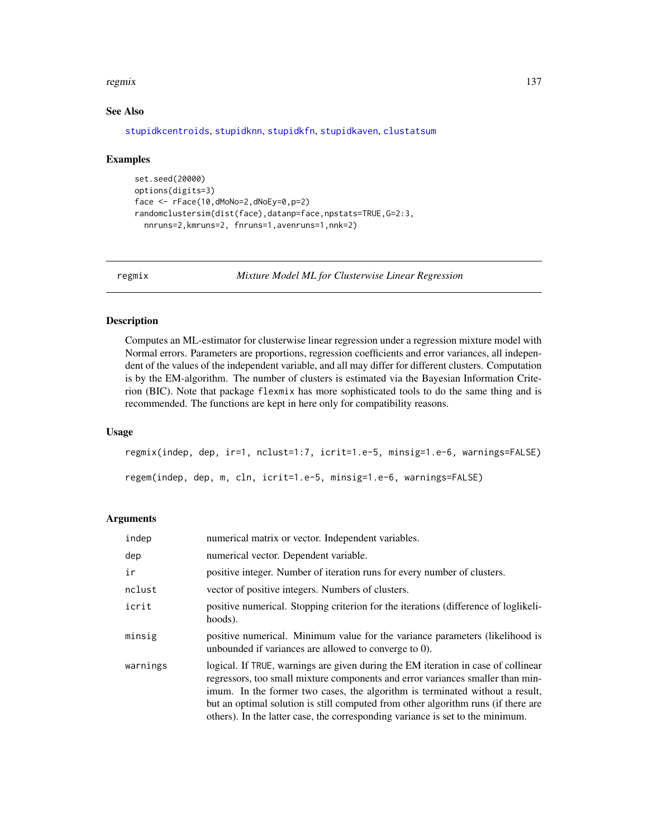#### regmix the state of the state of the state of the state of the state of the state of the state of the state of the state of the state of the state of the state of the state of the state of the state of the state of the sta

# See Also

[stupidkcentroids](#page-146-0), [stupidknn](#page-148-0), [stupidkfn](#page-147-0), [stupidkaven](#page-145-0), [clustatsum](#page-25-0)

#### Examples

```
set.seed(20000)
options(digits=3)
face <- rFace(10,dMoNo=2,dNoEy=0,p=2)
randomclustersim(dist(face),datanp=face,npstats=TRUE,G=2:3,
  nnruns=2,kmruns=2, fnruns=1,avenruns=1,nnk=2)
```
<span id="page-136-0"></span>regmix *Mixture Model ML for Clusterwise Linear Regression*

# Description

Computes an ML-estimator for clusterwise linear regression under a regression mixture model with Normal errors. Parameters are proportions, regression coefficients and error variances, all independent of the values of the independent variable, and all may differ for different clusters. Computation is by the EM-algorithm. The number of clusters is estimated via the Bayesian Information Criterion (BIC). Note that package flexmix has more sophisticated tools to do the same thing and is recommended. The functions are kept in here only for compatibility reasons.

# Usage

```
regmix(indep, dep, ir=1, nclust=1:7, icrit=1.e-5, minsig=1.e-6, warnings=FALSE)
regem(indep, dep, m, cln, icrit=1.e-5, minsig=1.e-6, warnings=FALSE)
```

| indep    | numerical matrix or vector. Independent variables.                                                                                                                                                                                                                                                                                                                                                                         |
|----------|----------------------------------------------------------------------------------------------------------------------------------------------------------------------------------------------------------------------------------------------------------------------------------------------------------------------------------------------------------------------------------------------------------------------------|
| dep      | numerical vector. Dependent variable.                                                                                                                                                                                                                                                                                                                                                                                      |
| ir       | positive integer. Number of iteration runs for every number of clusters.                                                                                                                                                                                                                                                                                                                                                   |
| nclust   | vector of positive integers. Numbers of clusters.                                                                                                                                                                                                                                                                                                                                                                          |
| icrit    | positive numerical. Stopping criterion for the iterations (difference of loglikeli-<br>hoods).                                                                                                                                                                                                                                                                                                                             |
| minsig   | positive numerical. Minimum value for the variance parameters (likelihood is<br>unbounded if variances are allowed to converge to 0).                                                                                                                                                                                                                                                                                      |
| warnings | logical. If TRUE, warnings are given during the EM iteration in case of collinear<br>regressors, too small mixture components and error variances smaller than min-<br>imum. In the former two cases, the algorithm is terminated without a result,<br>but an optimal solution is still computed from other algorithm runs (if there are<br>others). In the latter case, the corresponding variance is set to the minimum. |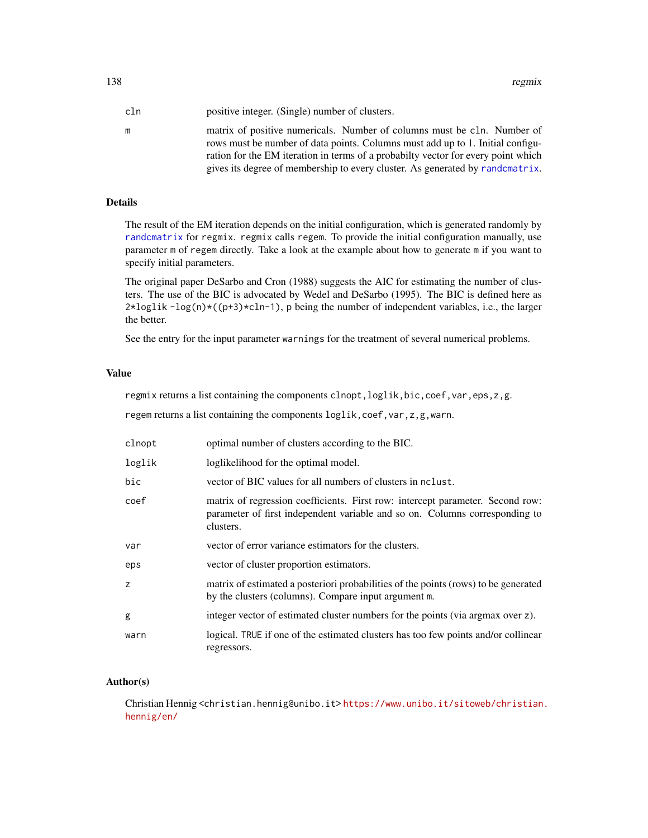138 regmix

| cln | positive integer. (Single) number of clusters.                                                                                                            |
|-----|-----------------------------------------------------------------------------------------------------------------------------------------------------------|
| m   | matrix of positive numericals. Number of columns must be cln. Number of<br>rows must be number of data points. Columns must add up to 1. Initial configu- |
|     | ration for the EM iteration in terms of a probabilty vector for every point which                                                                         |
|     | gives its degree of membership to every cluster. As generated by randcmatrix.                                                                             |

# Details

The result of the EM iteration depends on the initial configuration, which is generated randomly by [randcmatrix](#page-132-0) for regmix. regmix calls regem. To provide the initial configuration manually, use parameter m of regem directly. Take a look at the example about how to generate m if you want to specify initial parameters.

The original paper DeSarbo and Cron (1988) suggests the AIC for estimating the number of clusters. The use of the BIC is advocated by Wedel and DeSarbo (1995). The BIC is defined here as  $2 \times \log \mathbb{1}$  ik  $-\log(n) \times ((p+3) \times \mathbb{1} - 1)$ , p being the number of independent variables, i.e., the larger the better.

See the entry for the input parameter warnings for the treatment of several numerical problems.

#### Value

regmix returns a list containing the components clnopt,loglik,bic,coef,var,eps,z,g.

regem returns a list containing the components loglik, coef, var, z, g, warn.

| clnopt | optimal number of clusters according to the BIC.                                                                                                                           |
|--------|----------------------------------------------------------------------------------------------------------------------------------------------------------------------------|
| loglik | loglikelihood for the optimal model.                                                                                                                                       |
| bic    | vector of BIC values for all numbers of clusters in nolust.                                                                                                                |
| coef   | matrix of regression coefficients. First row: intercept parameter. Second row:<br>parameter of first independent variable and so on. Columns corresponding to<br>clusters. |
| var    | vector of error variance estimators for the clusters.                                                                                                                      |
| eps    | vector of cluster proportion estimators.                                                                                                                                   |
| z      | matrix of estimated a posteriori probabilities of the points (rows) to be generated<br>by the clusters (columns). Compare input argument m.                                |
| g      | integer vector of estimated cluster numbers for the points (via argmax over z).                                                                                            |
| warn   | logical. TRUE if one of the estimated clusters has too few points and/or collinear<br>regressors.                                                                          |

## Author(s)

Christian Hennig <christian.hennig@unibo.it> [https://www.unibo.it/sitoweb/christian](https://www.unibo.it/sitoweb/christian.hennig/en/). [hennig/en/](https://www.unibo.it/sitoweb/christian.hennig/en/)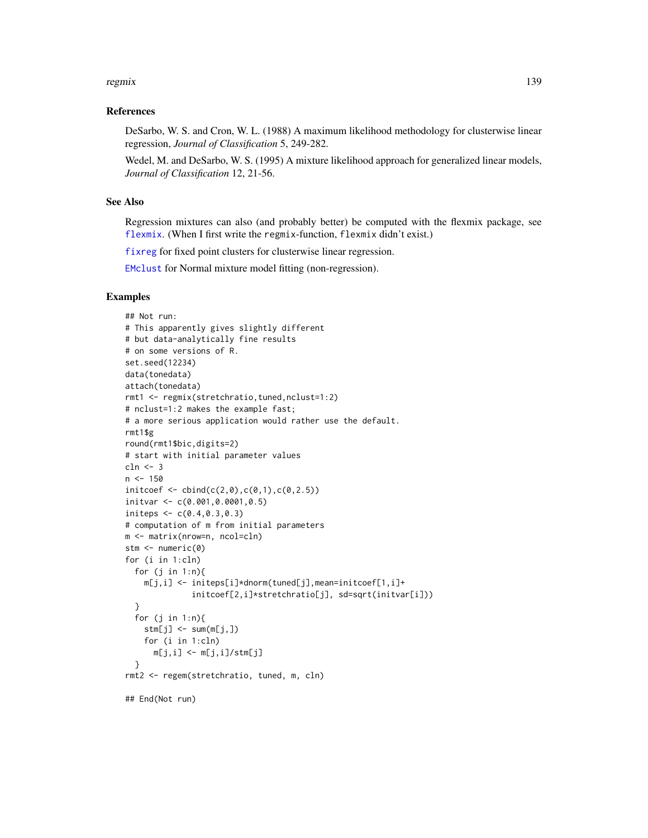#### regmix 139

### References

DeSarbo, W. S. and Cron, W. L. (1988) A maximum likelihood methodology for clusterwise linear regression, *Journal of Classification* 5, 249-282.

Wedel, M. and DeSarbo, W. S. (1995) A mixture likelihood approach for generalized linear models, *Journal of Classification* 12, 21-56.

## See Also

Regression mixtures can also (and probably better) be computed with the flexmix package, see [flexmix](#page-0-0). (When I first write the regmix-function, flexmix didn't exist.)

[fixreg](#page-83-0) for fixed point clusters for clusterwise linear regression.

[EMclust](#page-0-0) for Normal mixture model fitting (non-regression).

# Examples

```
## Not run:
# This apparently gives slightly different
# but data-analytically fine results
# on some versions of R.
set.seed(12234)
data(tonedata)
attach(tonedata)
rmt1 <- regmix(stretchratio,tuned,nclust=1:2)
# nclust=1:2 makes the example fast;
# a more serious application would rather use the default.
rmt1$g
round(rmt1$bic,digits=2)
# start with initial parameter values
cln <- 3
n < -150initcoef \leftarrow cbind(c(2,0),c(0,1),c(0,2.5))initvar <- c(0.001,0.0001,0.5)
initeps \leq c(0.4, 0.3, 0.3)# computation of m from initial parameters
m <- matrix(nrow=n, ncol=cln)
stm <- numeric(0)
for (i in 1:cln)
  for (j in 1:n){
   m[j,i] <- initeps[i]*dnorm(tuned[j],mean=initcoef[1,i]+
              initcoef[2,i]*stretchratio[j], sd=sqrt(initvar[i]))
  }
  for (j in 1:n){
    stm[j] \leq "sum(m[j,])for (i in 1:cln)
      m[j,i] <- m[j,i]/stm[j]}
rmt2 <- regem(stretchratio, tuned, m, cln)
## End(Not run)
```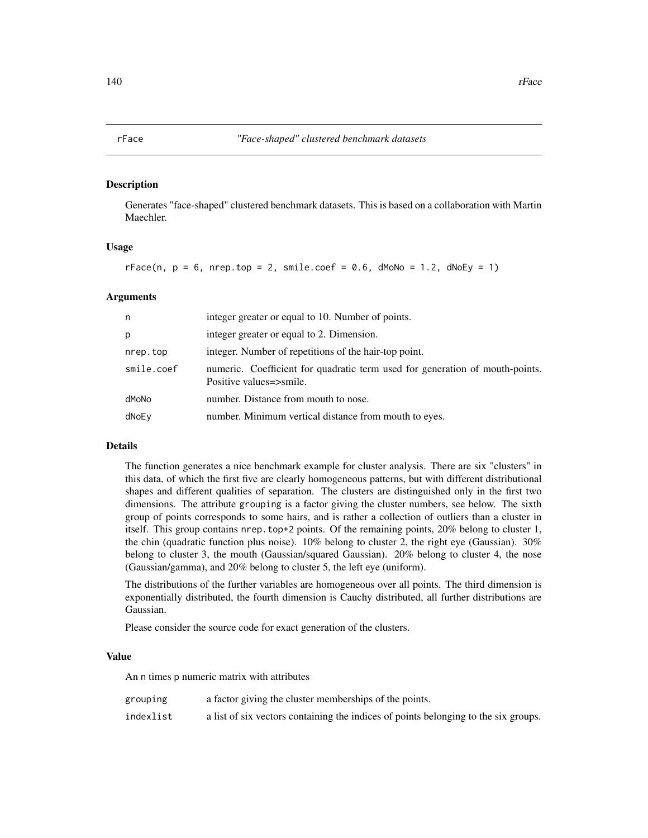#### <span id="page-139-0"></span>Description

Generates "face-shaped" clustered benchmark datasets. This is based on a collaboration with Martin Maechler.

#### Usage

```
rFace(n, p = 6, nrep.top = 2, smile.coef = 0.6, dMoNo = 1.2, dNoEy = 1)
```
# Arguments

| n          | integer greater or equal to 10. Number of points.                                                       |
|------------|---------------------------------------------------------------------------------------------------------|
| p          | integer greater or equal to 2. Dimension.                                                               |
| nrep.top   | integer. Number of repetitions of the hair-top point.                                                   |
| smile.coef | numeric. Coefficient for quadratic term used for generation of mouth-points.<br>Positive values=>smile. |
| dMoNo      | number. Distance from mouth to nose.                                                                    |
| dNoEy      | number. Minimum vertical distance from mouth to eyes.                                                   |

#### Details

The function generates a nice benchmark example for cluster analysis. There are six "clusters" in this data, of which the first five are clearly homogeneous patterns, but with different distributional shapes and different qualities of separation. The clusters are distinguished only in the first two dimensions. The attribute grouping is a factor giving the cluster numbers, see below. The sixth group of points corresponds to some hairs, and is rather a collection of outliers than a cluster in itself. This group contains nrep.top+2 points. Of the remaining points, 20% belong to cluster 1, the chin (quadratic function plus noise).  $10\%$  belong to cluster 2, the right eye (Gaussian).  $30\%$ belong to cluster 3, the mouth (Gaussian/squared Gaussian). 20% belong to cluster 4, the nose (Gaussian/gamma), and 20% belong to cluster 5, the left eye (uniform).

The distributions of the further variables are homogeneous over all points. The third dimension is exponentially distributed, the fourth dimension is Cauchy distributed, all further distributions are Gaussian.

Please consider the source code for exact generation of the clusters.

#### Value

An n times p numeric matrix with attributes

| grouping  | a factor giving the cluster memberships of the points.                              |
|-----------|-------------------------------------------------------------------------------------|
| indexlist | a list of six vectors containing the indices of points belonging to the six groups. |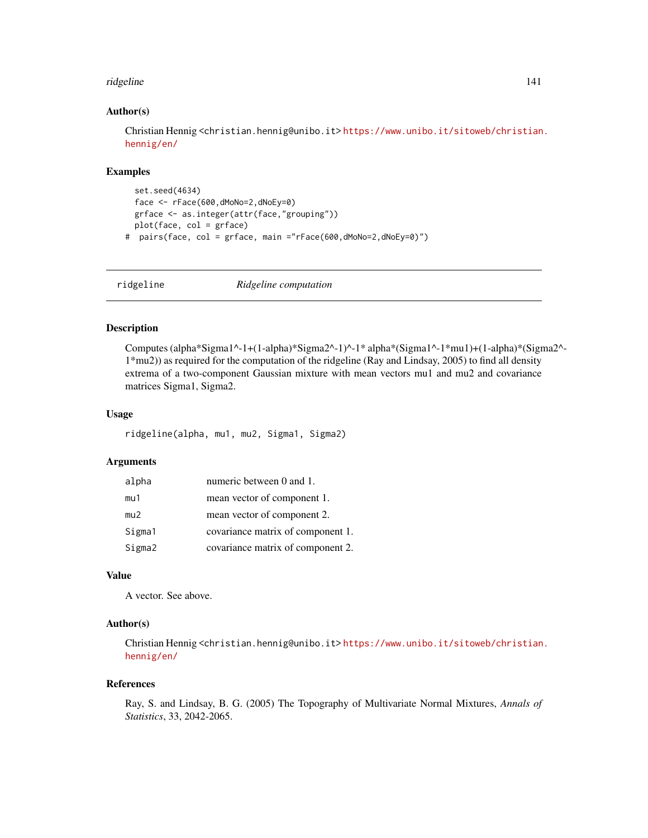#### ridgeline 141

### Author(s)

Christian Hennig <christian.hennig@unibo.it> [https://www.unibo.it/sitoweb/christian](https://www.unibo.it/sitoweb/christian.hennig/en/). [hennig/en/](https://www.unibo.it/sitoweb/christian.hennig/en/)

#### Examples

```
set.seed(4634)
 face <- rFace(600,dMoNo=2,dNoEy=0)
 grface <- as.integer(attr(face,"grouping"))
 plot(face, col = grface)
# pairs(face, col = grface, main ="rFace(600,dMoNo=2,dNoEy=0)")
```
<span id="page-140-0"></span>ridgeline *Ridgeline computation*

#### Description

Computes (alpha\*Sigma1^-1+(1-alpha)\*Sigma2^-1)^-1\* alpha\*(Sigma1^-1\*mu1)+(1-alpha)\*(Sigma2^- 1\*mu2)) as required for the computation of the ridgeline (Ray and Lindsay, 2005) to find all density extrema of a two-component Gaussian mixture with mean vectors mu1 and mu2 and covariance matrices Sigma1, Sigma2.

## Usage

ridgeline(alpha, mu1, mu2, Sigma1, Sigma2)

#### Arguments

| alpha  | numeric between 0 and 1.          |
|--------|-----------------------------------|
| mu1    | mean vector of component 1.       |
| mu2    | mean vector of component 2.       |
| Sigma1 | covariance matrix of component 1. |
| Sigma2 | covariance matrix of component 2. |

# Value

A vector. See above.

# Author(s)

Christian Hennig <christian.hennig@unibo.it> [https://www.unibo.it/sitoweb/christian](https://www.unibo.it/sitoweb/christian.hennig/en/). [hennig/en/](https://www.unibo.it/sitoweb/christian.hennig/en/)

#### References

Ray, S. and Lindsay, B. G. (2005) The Topography of Multivariate Normal Mixtures, *Annals of Statistics*, 33, 2042-2065.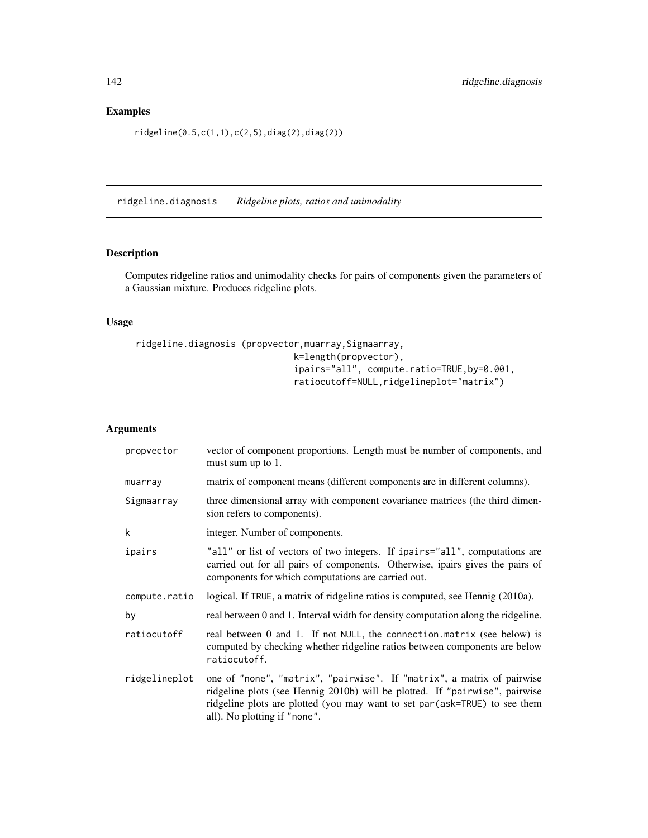# Examples

ridgeline(0.5,c(1,1),c(2,5),diag(2),diag(2))

<span id="page-141-0"></span>ridgeline.diagnosis *Ridgeline plots, ratios and unimodality*

# Description

Computes ridgeline ratios and unimodality checks for pairs of components given the parameters of a Gaussian mixture. Produces ridgeline plots.

# Usage

```
ridgeline.diagnosis (propvector, muarray, Sigmaarray,
                              k=length(propvector),
                              ipairs="all", compute.ratio=TRUE,by=0.001,
                              ratiocutoff=NULL,ridgelineplot="matrix")
```

| propvector    | vector of component proportions. Length must be number of components, and<br>must sum up to 1.                                                                                                                                                                       |
|---------------|----------------------------------------------------------------------------------------------------------------------------------------------------------------------------------------------------------------------------------------------------------------------|
| muarray       | matrix of component means (different components are in different columns).                                                                                                                                                                                           |
| Sigmaarray    | three dimensional array with component covariance matrices (the third dimen-<br>sion refers to components).                                                                                                                                                          |
| k             | integer. Number of components.                                                                                                                                                                                                                                       |
| ipairs        | "all" or list of vectors of two integers. If ipairs="all", computations are<br>carried out for all pairs of components. Otherwise, ipairs gives the pairs of<br>components for which computations are carried out.                                                   |
| compute.ratio | logical. If TRUE, a matrix of ridgeline ratios is computed, see Hennig (2010a).                                                                                                                                                                                      |
| by            | real between 0 and 1. Interval width for density computation along the ridgeline.                                                                                                                                                                                    |
| ratiocutoff   | real between 0 and 1. If not NULL, the connection matrix (see below) is<br>computed by checking whether ridgeline ratios between components are below<br>ratiocutoff.                                                                                                |
| ridgelineplot | one of "none", "matrix", "pairwise". If "matrix", a matrix of pairwise<br>ridgeline plots (see Hennig 2010b) will be plotted. If "pairwise", pairwise<br>ridgeline plots are plotted (you may want to set par (ask=TRUE) to see them<br>all). No plotting if "none". |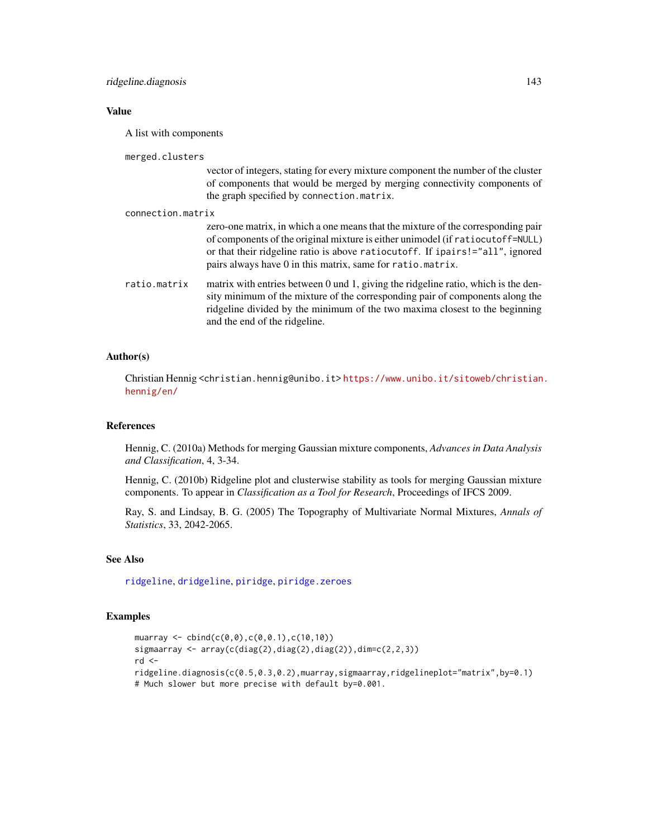## Value

A list with components

merged.clusters

vector of integers, stating for every mixture component the number of the cluster of components that would be merged by merging connectivity components of the graph specified by connection.matrix.

connection.matrix zero-one matrix, in which a one means that the mixture of the corresponding pair of components of the original mixture is either unimodel (if ratiocutoff=NULL) or that their ridgeline ratio is above ratiocutoff. If ipairs!="all", ignored pairs always have 0 in this matrix, same for ratio.matrix. ratio.matrix matrix with entries between 0 und 1, giving the ridgeline ratio, which is the density minimum of the mixture of the corresponding pair of components along the ridgeline divided by the minimum of the two maxima closest to the beginning

#### Author(s)

Christian Hennig <christian.hennig@unibo.it> [https://www.unibo.it/sitoweb/christian](https://www.unibo.it/sitoweb/christian.hennig/en/). [hennig/en/](https://www.unibo.it/sitoweb/christian.hennig/en/)

# References

Hennig, C. (2010a) Methods for merging Gaussian mixture components, *Advances in Data Analysis and Classification*, 4, 3-34.

Hennig, C. (2010b) Ridgeline plot and clusterwise stability as tools for merging Gaussian mixture components. To appear in *Classification as a Tool for Research*, Proceedings of IFCS 2009.

Ray, S. and Lindsay, B. G. (2005) The Topography of Multivariate Normal Mixtures, *Annals of Statistics*, 33, 2042-2065.

# See Also

[ridgeline](#page-140-0), [dridgeline](#page-72-0), [piridge](#page-123-0), [piridge.zeroes](#page-124-0)

and the end of the ridgeline.

## Examples

```
muarray \leq cbind(c(0,0),c(0,0.1),c(10,10))
sigmaarray \leq array(c(diag(2),diag(2),diag(2)),dim=c(2,2,3))
rd < -ridgeline.diagnosis(c(0.5,0.3,0.2),muarray,sigmaarray,ridgelineplot="matrix",by=0.1)
# Much slower but more precise with default by=0.001.
```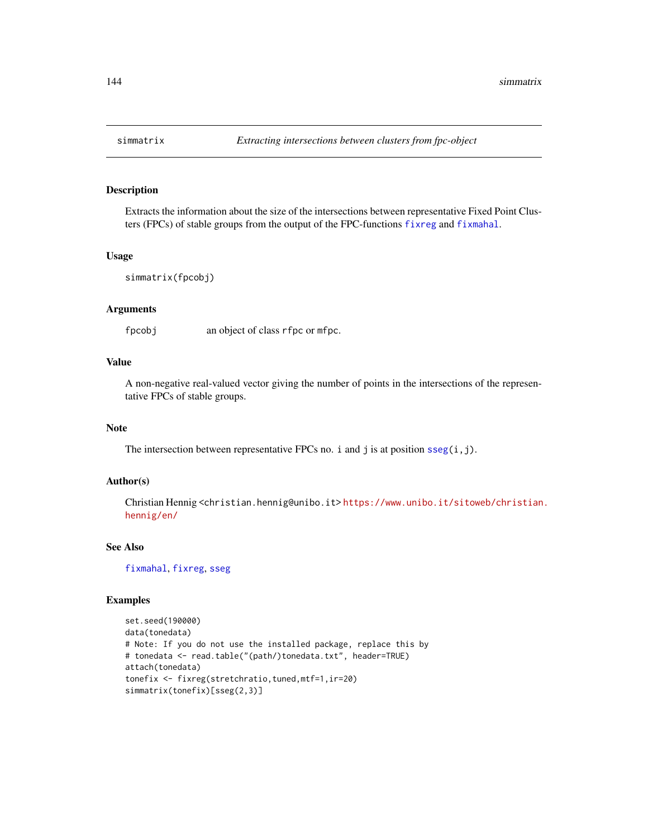#### Description

Extracts the information about the size of the intersections between representative Fixed Point Clusters (FPCs) of stable groups from the output of the FPC-functions [fixreg](#page-83-0) and [fixmahal](#page-76-0).

# Usage

```
simmatrix(fpcobj)
```
#### Arguments

fpcobj an object of class rfpc or mfpc.

# Value

A non-negative real-valued vector giving the number of points in the intersections of the representative FPCs of stable groups.

# Note

The intersection between representative FPCs no. i and j is at position  $sseg(i,j)$  $sseg(i,j)$ .

## Author(s)

Christian Hennig <christian.hennig@unibo.it> [https://www.unibo.it/sitoweb/christian](https://www.unibo.it/sitoweb/christian.hennig/en/). [hennig/en/](https://www.unibo.it/sitoweb/christian.hennig/en/)

# See Also

[fixmahal](#page-76-0), [fixreg](#page-83-0), [sseg](#page-145-1)

#### Examples

```
set.seed(190000)
data(tonedata)
# Note: If you do not use the installed package, replace this by
# tonedata <- read.table("(path/)tonedata.txt", header=TRUE)
attach(tonedata)
tonefix <- fixreg(stretchratio,tuned,mtf=1,ir=20)
simmatrix(tonefix)[sseg(2,3)]
```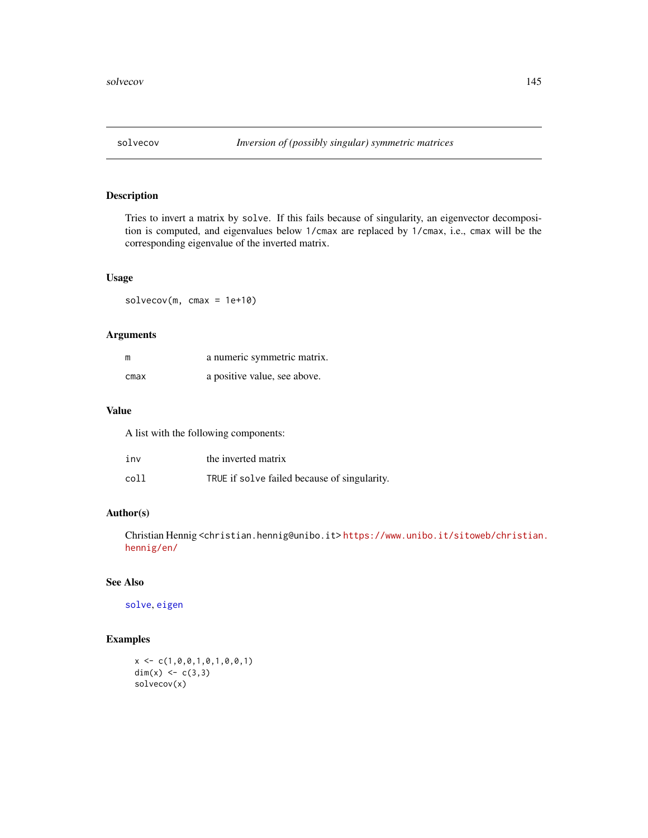<span id="page-144-0"></span>

Tries to invert a matrix by solve. If this fails because of singularity, an eigenvector decomposition is computed, and eigenvalues below 1/cmax are replaced by 1/cmax, i.e., cmax will be the corresponding eigenvalue of the inverted matrix.

# Usage

 $solvecov(m, cmax = 1e+10)$ 

# Arguments

| m    | a numeric symmetric matrix.  |
|------|------------------------------|
| cmax | a positive value, see above. |

## Value

A list with the following components:

| inv  | the inverted matrix                          |
|------|----------------------------------------------|
| coll | TRUE if solve failed because of singularity. |

# Author(s)

Christian Hennig <christian.hennig@unibo.it> [https://www.unibo.it/sitoweb/christian](https://www.unibo.it/sitoweb/christian.hennig/en/). [hennig/en/](https://www.unibo.it/sitoweb/christian.hennig/en/)

# See Also

[solve](#page-0-0), [eigen](#page-0-0)

# Examples

```
x \leftarrow c(1, 0, 0, 1, 0, 1, 0, 0, 1)dim(x) <- c(3,3)solvecov(x)
```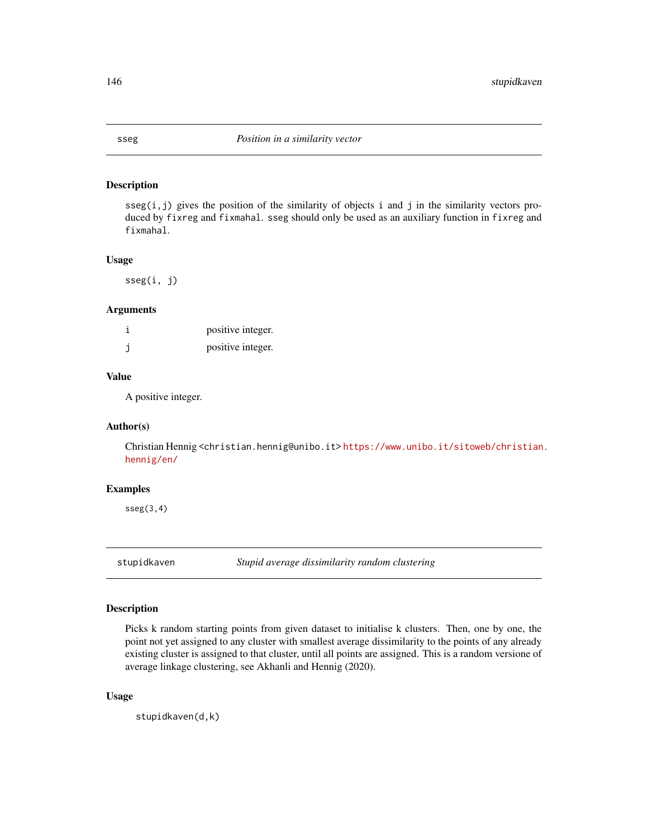<span id="page-145-1"></span>

 $sseg(i,j)$  gives the position of the similarity of objects i and j in the similarity vectors produced by fixreg and fixmahal. sseg should only be used as an auxiliary function in fixreg and fixmahal.

#### Usage

sseg(i, j)

#### Arguments

| positive integer. |
|-------------------|
| positive integer. |

#### Value

A positive integer.

#### Author(s)

Christian Hennig <christian.hennig@unibo.it> [https://www.unibo.it/sitoweb/christian](https://www.unibo.it/sitoweb/christian.hennig/en/). [hennig/en/](https://www.unibo.it/sitoweb/christian.hennig/en/)

# Examples

 $sseg(3,4)$ 

<span id="page-145-0"></span>stupidkaven *Stupid average dissimilarity random clustering*

#### Description

Picks k random starting points from given dataset to initialise k clusters. Then, one by one, the point not yet assigned to any cluster with smallest average dissimilarity to the points of any already existing cluster is assigned to that cluster, until all points are assigned. This is a random versione of average linkage clustering, see Akhanli and Hennig (2020).

#### Usage

stupidkaven(d,k)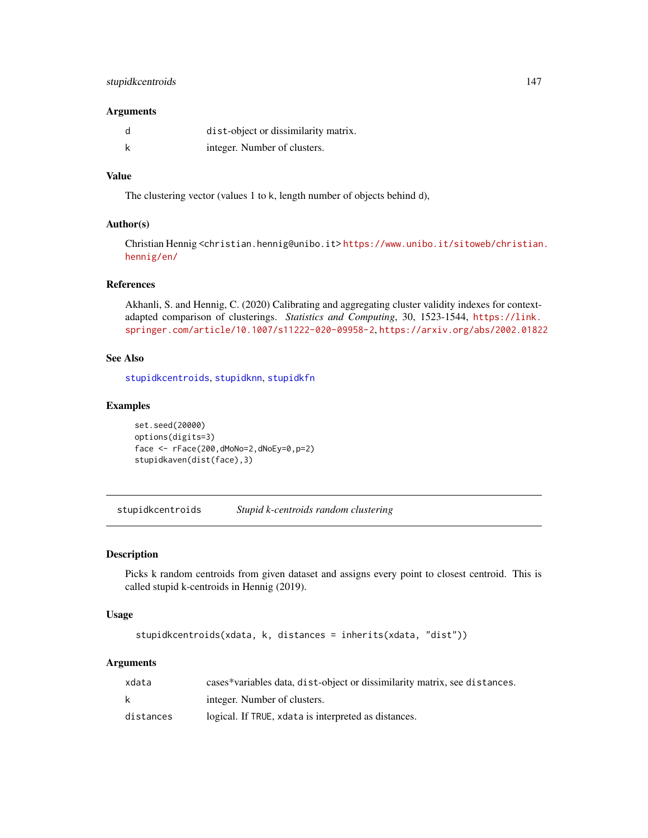# <span id="page-146-1"></span>stupidkcentroids 147

#### **Arguments**

| d | dist-object or dissimilarity matrix. |
|---|--------------------------------------|
| k | integer. Number of clusters.         |

# Value

The clustering vector (values 1 to k, length number of objects behind d),

#### Author(s)

Christian Hennig <christian.hennig@unibo.it> [https://www.unibo.it/sitoweb/christian](https://www.unibo.it/sitoweb/christian.hennig/en/). [hennig/en/](https://www.unibo.it/sitoweb/christian.hennig/en/)

# References

Akhanli, S. and Hennig, C. (2020) Calibrating and aggregating cluster validity indexes for contextadapted comparison of clusterings. *Statistics and Computing*, 30, 1523-1544, [https://link.](https://link.springer.com/article/10.1007/s11222-020-09958-2) [springer.com/article/10.1007/s11222-020-09958-2](https://link.springer.com/article/10.1007/s11222-020-09958-2), <https://arxiv.org/abs/2002.01822>

#### See Also

[stupidkcentroids](#page-146-0), [stupidknn](#page-148-0), [stupidkfn](#page-147-0)

#### Examples

```
set.seed(20000)
options(digits=3)
face <- rFace(200,dMoNo=2,dNoEy=0,p=2)
stupidkaven(dist(face),3)
```
<span id="page-146-0"></span>stupidkcentroids *Stupid k-centroids random clustering*

#### Description

Picks k random centroids from given dataset and assigns every point to closest centroid. This is called stupid k-centroids in Hennig (2019).

#### Usage

```
stupidkcentroids(xdata, k, distances = inherits(xdata, "dist"))
```
# Arguments

| xdata     | cases*variables data, dist-object or dissimilarity matrix, see distances. |
|-----------|---------------------------------------------------------------------------|
| k         | integer. Number of clusters.                                              |
| distances | logical. If TRUE, x data is interpreted as distances.                     |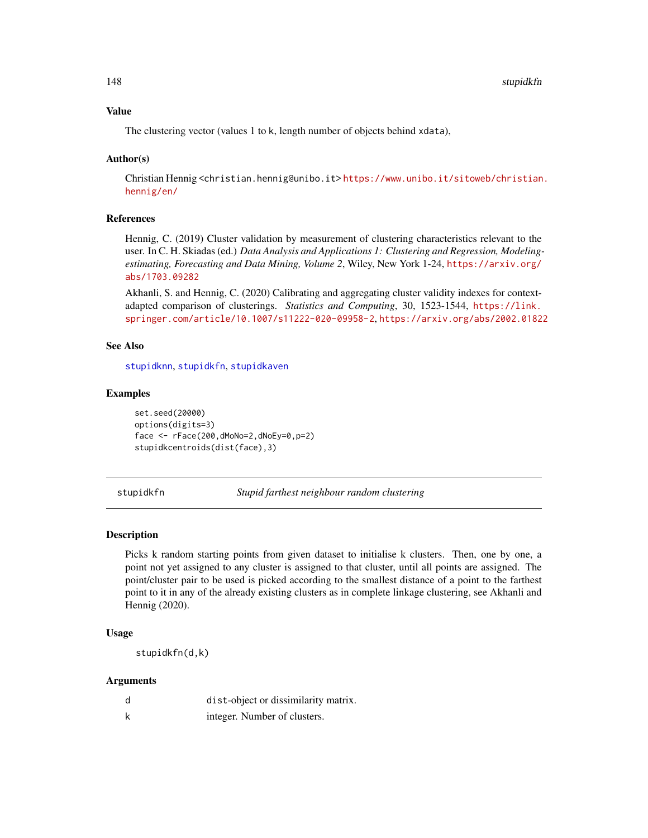# Value

The clustering vector (values 1 to k, length number of objects behind xdata),

#### Author(s)

Christian Hennig <christian.hennig@unibo.it> [https://www.unibo.it/sitoweb/christian](https://www.unibo.it/sitoweb/christian.hennig/en/). [hennig/en/](https://www.unibo.it/sitoweb/christian.hennig/en/)

#### References

Hennig, C. (2019) Cluster validation by measurement of clustering characteristics relevant to the user. In C. H. Skiadas (ed.) *Data Analysis and Applications 1: Clustering and Regression, Modelingestimating, Forecasting and Data Mining, Volume 2*, Wiley, New York 1-24, [https://arxiv.org/](https://arxiv.org/abs/1703.09282) [abs/1703.09282](https://arxiv.org/abs/1703.09282)

Akhanli, S. and Hennig, C. (2020) Calibrating and aggregating cluster validity indexes for contextadapted comparison of clusterings. *Statistics and Computing*, 30, 1523-1544, [https://link.](https://link.springer.com/article/10.1007/s11222-020-09958-2) [springer.com/article/10.1007/s11222-020-09958-2](https://link.springer.com/article/10.1007/s11222-020-09958-2), <https://arxiv.org/abs/2002.01822>

#### See Also

[stupidknn](#page-148-0), [stupidkfn](#page-147-0), [stupidkaven](#page-145-0)

#### Examples

set.seed(20000) options(digits=3) face <- rFace(200,dMoNo=2,dNoEy=0,p=2) stupidkcentroids(dist(face),3)

<span id="page-147-0"></span>stupidkfn *Stupid farthest neighbour random clustering*

#### Description

Picks k random starting points from given dataset to initialise k clusters. Then, one by one, a point not yet assigned to any cluster is assigned to that cluster, until all points are assigned. The point/cluster pair to be used is picked according to the smallest distance of a point to the farthest point to it in any of the already existing clusters as in complete linkage clustering, see Akhanli and Hennig (2020).

## Usage

stupidkfn(d,k)

#### Arguments

| d | dist-object or dissimilarity matrix. |
|---|--------------------------------------|
|   | integer. Number of clusters.         |

<span id="page-147-1"></span>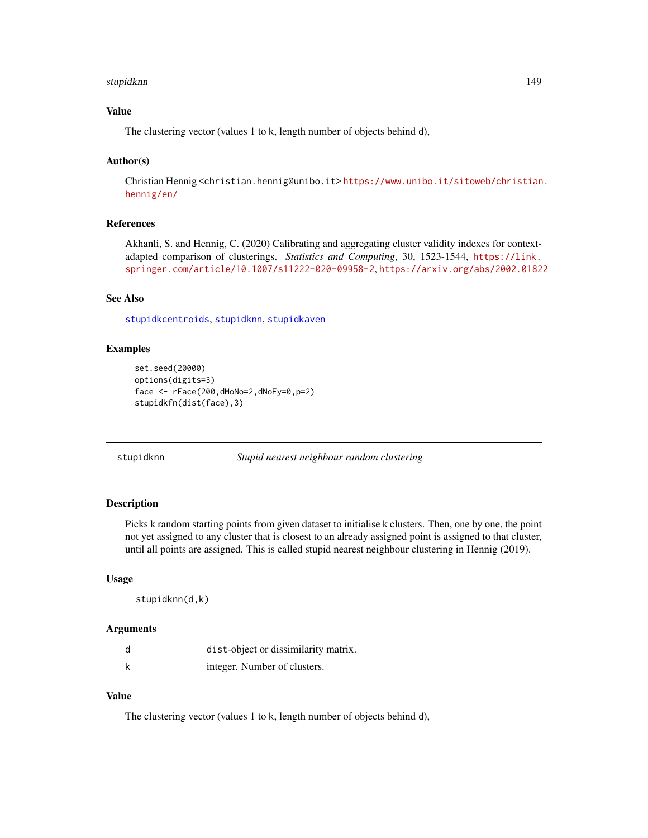#### <span id="page-148-1"></span>stupidknn 149

# Value

The clustering vector (values 1 to k, length number of objects behind d),

#### Author(s)

Christian Hennig <christian.hennig@unibo.it> [https://www.unibo.it/sitoweb/christian](https://www.unibo.it/sitoweb/christian.hennig/en/). [hennig/en/](https://www.unibo.it/sitoweb/christian.hennig/en/)

#### References

Akhanli, S. and Hennig, C. (2020) Calibrating and aggregating cluster validity indexes for contextadapted comparison of clusterings. *Statistics and Computing*, 30, 1523-1544, [https://link.](https://link.springer.com/article/10.1007/s11222-020-09958-2) [springer.com/article/10.1007/s11222-020-09958-2](https://link.springer.com/article/10.1007/s11222-020-09958-2), <https://arxiv.org/abs/2002.01822>

#### See Also

[stupidkcentroids](#page-146-0), [stupidknn](#page-148-0), [stupidkaven](#page-145-0)

#### Examples

```
set.seed(20000)
options(digits=3)
face <- rFace(200,dMoNo=2,dNoEy=0,p=2)
stupidkfn(dist(face),3)
```
<span id="page-148-0"></span>stupidknn *Stupid nearest neighbour random clustering*

# Description

Picks k random starting points from given dataset to initialise k clusters. Then, one by one, the point not yet assigned to any cluster that is closest to an already assigned point is assigned to that cluster, until all points are assigned. This is called stupid nearest neighbour clustering in Hennig (2019).

#### Usage

```
stupidknn(d,k)
```
#### Arguments

| d | dist-object or dissimilarity matrix. |
|---|--------------------------------------|
| k | integer. Number of clusters.         |

# Value

The clustering vector (values 1 to k, length number of objects behind d),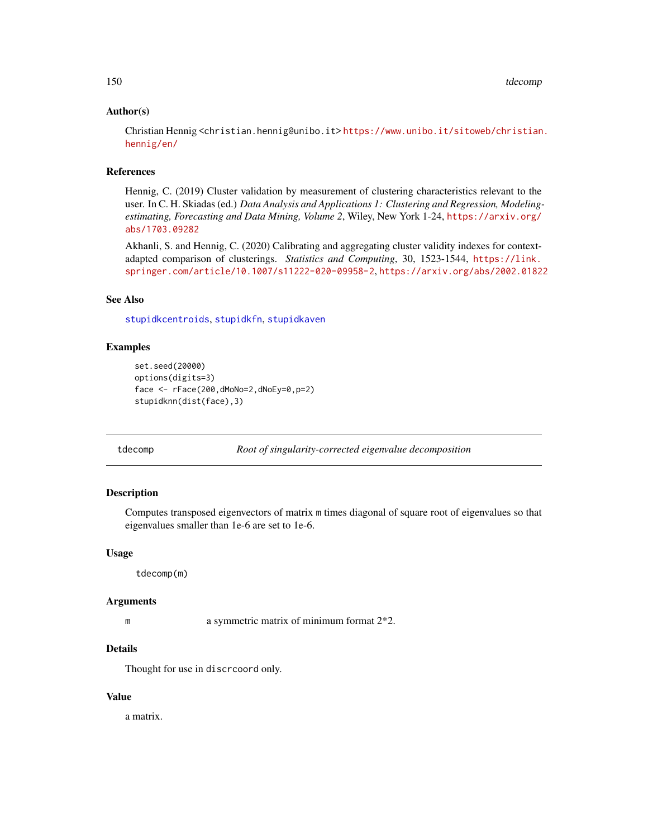#### <span id="page-149-0"></span>Author(s)

Christian Hennig <christian.hennig@unibo.it> [https://www.unibo.it/sitoweb/christian](https://www.unibo.it/sitoweb/christian.hennig/en/). [hennig/en/](https://www.unibo.it/sitoweb/christian.hennig/en/)

#### References

Hennig, C. (2019) Cluster validation by measurement of clustering characteristics relevant to the user. In C. H. Skiadas (ed.) *Data Analysis and Applications 1: Clustering and Regression, Modelingestimating, Forecasting and Data Mining, Volume 2*, Wiley, New York 1-24, [https://arxiv.org/](https://arxiv.org/abs/1703.09282) [abs/1703.09282](https://arxiv.org/abs/1703.09282)

Akhanli, S. and Hennig, C. (2020) Calibrating and aggregating cluster validity indexes for contextadapted comparison of clusterings. *Statistics and Computing*, 30, 1523-1544, [https://link.](https://link.springer.com/article/10.1007/s11222-020-09958-2) [springer.com/article/10.1007/s11222-020-09958-2](https://link.springer.com/article/10.1007/s11222-020-09958-2), <https://arxiv.org/abs/2002.01822>

# See Also

[stupidkcentroids](#page-146-0), [stupidkfn](#page-147-0), [stupidkaven](#page-145-0)

#### Examples

```
set.seed(20000)
options(digits=3)
face <- rFace(200,dMoNo=2,dNoEy=0,p=2)
stupidknn(dist(face),3)
```
tdecomp *Root of singularity-corrected eigenvalue decomposition*

#### Description

Computes transposed eigenvectors of matrix m times diagonal of square root of eigenvalues so that eigenvalues smaller than 1e-6 are set to 1e-6.

#### Usage

tdecomp(m)

#### Arguments

m a symmetric matrix of minimum format  $2*2$ .

# **Details**

Thought for use in discrcoord only.

#### Value

a matrix.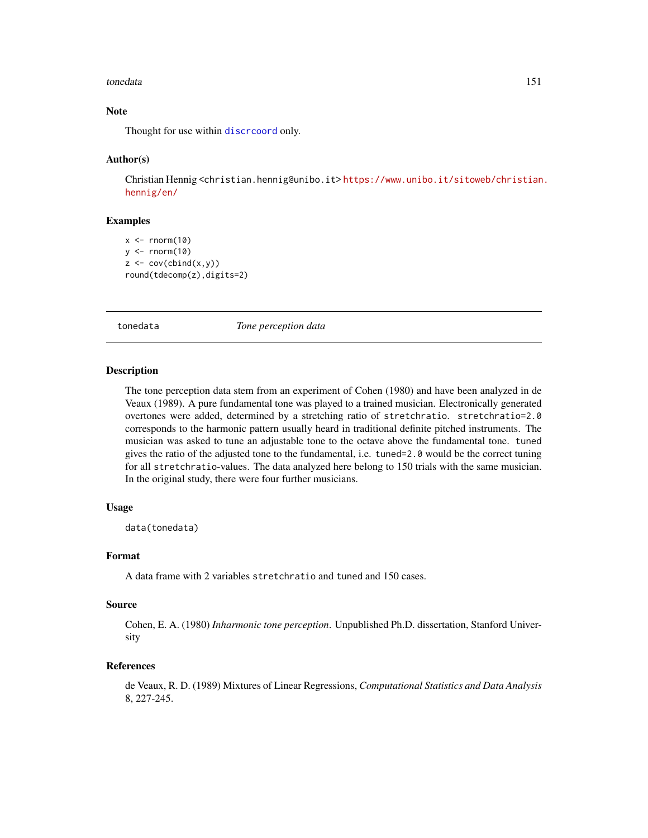#### <span id="page-150-0"></span>tonedata 151

# Note

Thought for use within discreoord only.

#### Author(s)

Christian Hennig <christian.hennig@unibo.it> [https://www.unibo.it/sitoweb/christian](https://www.unibo.it/sitoweb/christian.hennig/en/). [hennig/en/](https://www.unibo.it/sitoweb/christian.hennig/en/)

# Examples

```
x < - rnorm(10)
y \le - rnorm(10)
z \leftarrow cov(cbind(x,y))round(tdecomp(z),digits=2)
```
tonedata *Tone perception data*

#### Description

The tone perception data stem from an experiment of Cohen (1980) and have been analyzed in de Veaux (1989). A pure fundamental tone was played to a trained musician. Electronically generated overtones were added, determined by a stretching ratio of stretchratio. stretchratio=2.0 corresponds to the harmonic pattern usually heard in traditional definite pitched instruments. The musician was asked to tune an adjustable tone to the octave above the fundamental tone. tuned gives the ratio of the adjusted tone to the fundamental, i.e. tuned=2.0 would be the correct tuning for all stretchratio-values. The data analyzed here belong to 150 trials with the same musician. In the original study, there were four further musicians.

# Usage

data(tonedata)

#### Format

A data frame with 2 variables stretchratio and tuned and 150 cases.

#### Source

Cohen, E. A. (1980) *Inharmonic tone perception*. Unpublished Ph.D. dissertation, Stanford University

#### References

de Veaux, R. D. (1989) Mixtures of Linear Regressions, *Computational Statistics and Data Analysis* 8, 227-245.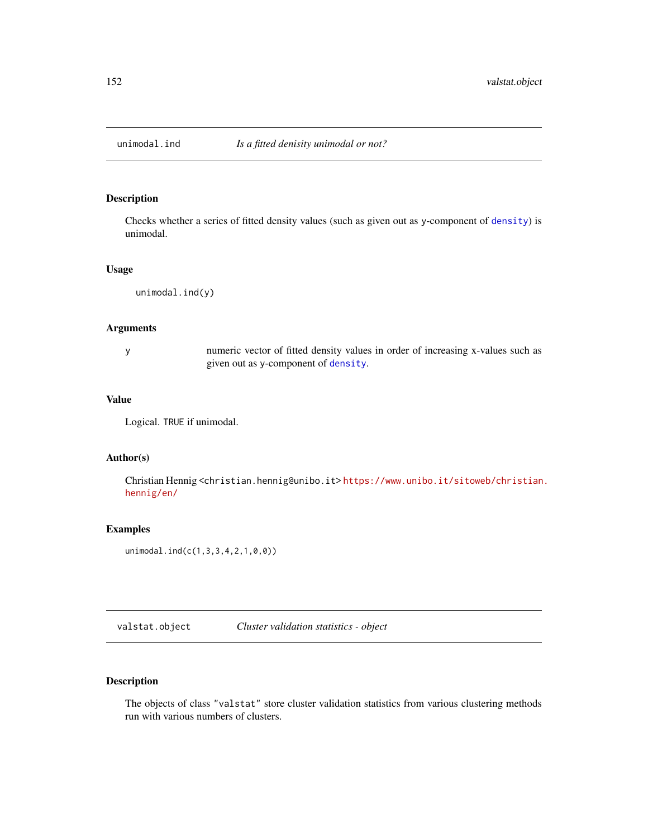<span id="page-151-0"></span>

Checks whether a series of fitted density values (such as given out as y-component of [density](#page-0-0)) is unimodal.

#### Usage

unimodal.ind(y)

#### Arguments

y numeric vector of fitted density values in order of increasing x-values such as given out as y-component of [density](#page-0-0).

#### Value

Logical. TRUE if unimodal.

#### Author(s)

Christian Hennig <christian.hennig@unibo.it> [https://www.unibo.it/sitoweb/christian](https://www.unibo.it/sitoweb/christian.hennig/en/). [hennig/en/](https://www.unibo.it/sitoweb/christian.hennig/en/)

# Examples

unimodal.ind(c(1,3,3,4,2,1,0,0))

valstat.object *Cluster validation statistics - object*

# Description

The objects of class "valstat" store cluster validation statistics from various clustering methods run with various numbers of clusters.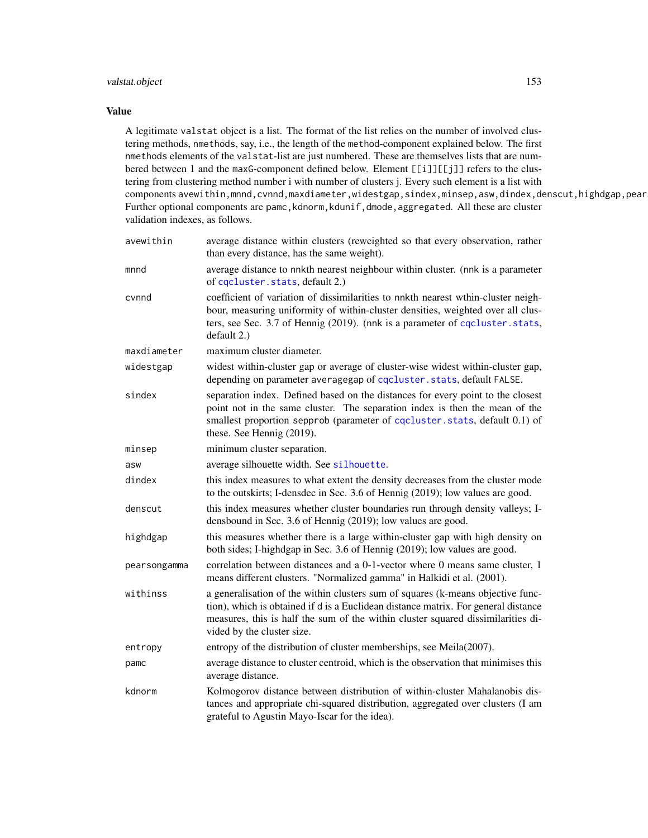# <span id="page-152-0"></span>valstat.object 153

#### Value

A legitimate valstat object is a list. The format of the list relies on the number of involved clustering methods, nmethods, say, i.e., the length of the method-component explained below. The first nmethods elements of the valstat-list are just numbered. These are themselves lists that are numbered between 1 and the maxG-component defined below. Element [[i]][[j]] refers to the clustering from clustering method number i with number of clusters j. Every such element is a list with components avewithin,mnnd,cvnnd,maxdiameter,widestgap,sindex,minsep,asw,dindex,denscut,highdgap,pear Further optional components are pamc, kdnorm, kdunif, dmode, aggregated. All these are cluster validation indexes, as follows.

| avewithin    | average distance within clusters (reweighted so that every observation, rather<br>than every distance, has the same weight).                                                                                                                                                            |
|--------------|-----------------------------------------------------------------------------------------------------------------------------------------------------------------------------------------------------------------------------------------------------------------------------------------|
| mnnd         | average distance to nnkth nearest neighbour within cluster. (nnk is a parameter<br>of cqcluster.stats, default 2.)                                                                                                                                                                      |
| cvnnd        | coefficient of variation of dissimilarities to nnkth nearest wthin-cluster neigh-<br>bour, measuring uniformity of within-cluster densities, weighted over all clus-<br>ters, see Sec. 3.7 of Hennig (2019). (nnk is a parameter of cocluster. stats,<br>default 2.)                    |
| maxdiameter  | maximum cluster diameter.                                                                                                                                                                                                                                                               |
| widestgap    | widest within-cluster gap or average of cluster-wise widest within-cluster gap,<br>depending on parameter averagegap of cqcluster.stats, default FALSE.                                                                                                                                 |
| sindex       | separation index. Defined based on the distances for every point to the closest<br>point not in the same cluster. The separation index is then the mean of the<br>smallest proportion sepprob (parameter of cqcluster.stats, default 0.1) of<br>these. See Hennig (2019).               |
| minsep       | minimum cluster separation.                                                                                                                                                                                                                                                             |
| asw          | average silhouette width. See silhouette.                                                                                                                                                                                                                                               |
| dindex       | this index measures to what extent the density decreases from the cluster mode<br>to the outskirts; I-densdec in Sec. 3.6 of Hennig (2019); low values are good.                                                                                                                        |
| denscut      | this index measures whether cluster boundaries run through density valleys; I-<br>densbound in Sec. 3.6 of Hennig (2019); low values are good.                                                                                                                                          |
| highdgap     | this measures whether there is a large within-cluster gap with high density on<br>both sides; I-highdgap in Sec. 3.6 of Hennig (2019); low values are good.                                                                                                                             |
| pearsongamma | correlation between distances and a 0-1-vector where 0 means same cluster, 1<br>means different clusters. "Normalized gamma" in Halkidi et al. (2001).                                                                                                                                  |
| withinss     | a generalisation of the within clusters sum of squares (k-means objective func-<br>tion), which is obtained if d is a Euclidean distance matrix. For general distance<br>measures, this is half the sum of the within cluster squared dissimilarities di-<br>vided by the cluster size. |
| entropy      | entropy of the distribution of cluster memberships, see Meila(2007).                                                                                                                                                                                                                    |
| pamc         | average distance to cluster centroid, which is the observation that minimises this<br>average distance.                                                                                                                                                                                 |
| kdnorm       | Kolmogorov distance between distribution of within-cluster Mahalanobis dis-<br>tances and appropriate chi-squared distribution, aggregated over clusters (I am<br>grateful to Agustin Mayo-Iscar for the idea).                                                                         |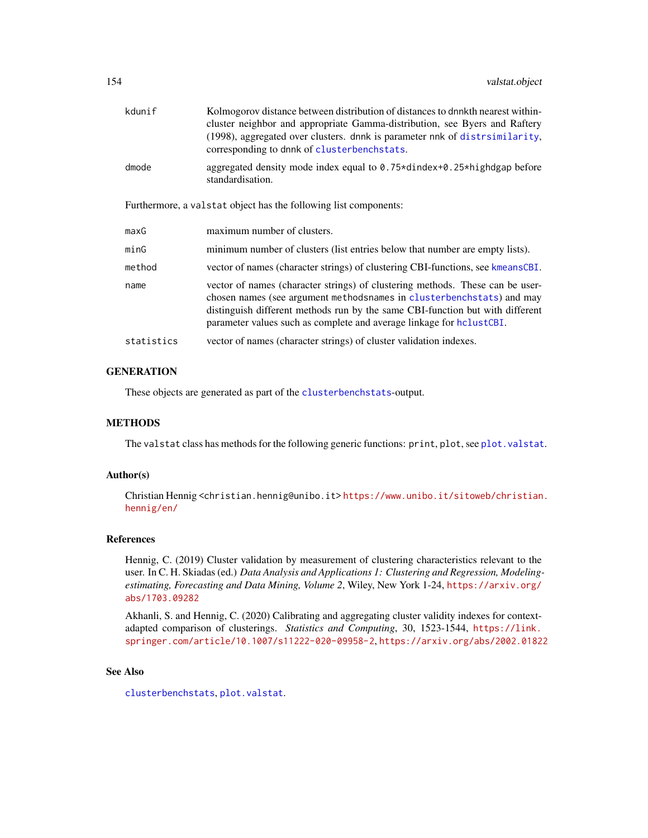<span id="page-153-0"></span>

| kdunif     | Kolmogorov distance between distribution of distances to dnnkth nearest within-<br>cluster neighbor and appropriate Gamma-distribution, see Byers and Raftery<br>(1998), aggregated over clusters. dnnk is parameter nnk of distrsimilarity,<br>corresponding to dnnk of clusterbenchstats.                     |
|------------|-----------------------------------------------------------------------------------------------------------------------------------------------------------------------------------------------------------------------------------------------------------------------------------------------------------------|
| dmode      | aggregated density mode index equal to 0.75*dindex+0.25*highdgap before<br>standardisation.                                                                                                                                                                                                                     |
|            | Furthermore, a valstat object has the following list components:                                                                                                                                                                                                                                                |
| maxG       | maximum number of clusters.                                                                                                                                                                                                                                                                                     |
| minG       | minimum number of clusters (list entries below that number are empty lists).                                                                                                                                                                                                                                    |
| method     | vector of names (character strings) of clustering CBI-functions, see kmeansCBI.                                                                                                                                                                                                                                 |
| name       | vector of names (character strings) of clustering methods. These can be user-<br>chosen names (see argument methodsnames in clusterbenchstats) and may<br>distinguish different methods run by the same CBI-function but with different<br>parameter values such as complete and average linkage for hclustCBI. |
| statistics | vector of names (character strings) of cluster validation indexes.                                                                                                                                                                                                                                              |
|            |                                                                                                                                                                                                                                                                                                                 |

# **GENERATION**

These objects are generated as part of the [clusterbenchstats](#page-36-0)-output.

## METHODS

The valstat class has methods for the following generic functions: print, plot, see [plot.valstat](#page-125-0).

#### Author(s)

Christian Hennig <christian.hennig@unibo.it> [https://www.unibo.it/sitoweb/christian](https://www.unibo.it/sitoweb/christian.hennig/en/). [hennig/en/](https://www.unibo.it/sitoweb/christian.hennig/en/)

#### References

Hennig, C. (2019) Cluster validation by measurement of clustering characteristics relevant to the user. In C. H. Skiadas (ed.) *Data Analysis and Applications 1: Clustering and Regression, Modelingestimating, Forecasting and Data Mining, Volume 2*, Wiley, New York 1-24, [https://arxiv.org/](https://arxiv.org/abs/1703.09282) [abs/1703.09282](https://arxiv.org/abs/1703.09282)

Akhanli, S. and Hennig, C. (2020) Calibrating and aggregating cluster validity indexes for contextadapted comparison of clusterings. *Statistics and Computing*, 30, 1523-1544, [https://link.](https://link.springer.com/article/10.1007/s11222-020-09958-2) [springer.com/article/10.1007/s11222-020-09958-2](https://link.springer.com/article/10.1007/s11222-020-09958-2), <https://arxiv.org/abs/2002.01822>

#### See Also

[clusterbenchstats](#page-36-0), [plot.valstat](#page-125-0).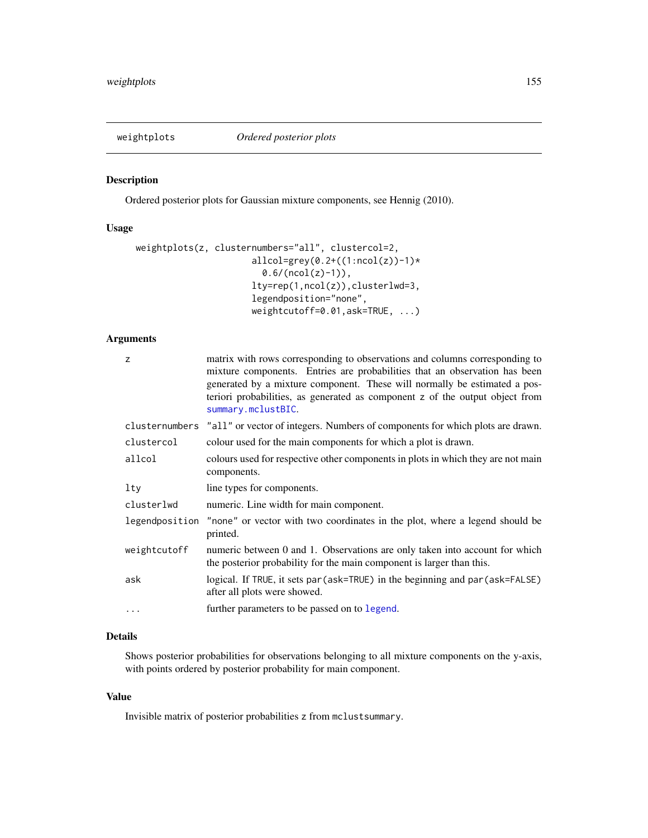<span id="page-154-0"></span>

Ordered posterior plots for Gaussian mixture components, see Hennig (2010).

# Usage

```
weightplots(z, clusternumbers="all", clustercol=2,
                      allcol=grey(0.2+((1:ncol(z))-1)*0.6/(ncol(z)-1)),lty=rep(1,ncol(z)),clusterlwd=3,
                      legendposition="none",
                      weightcutoff=0.01,ask=TRUE, ...)
```
# Arguments

| z              | matrix with rows corresponding to observations and columns corresponding to<br>mixture components. Entries are probabilities that an observation has been<br>generated by a mixture component. These will normally be estimated a pos-<br>teriori probabilities, as generated as component z of the output object from<br>summary.mclustBIC. |
|----------------|----------------------------------------------------------------------------------------------------------------------------------------------------------------------------------------------------------------------------------------------------------------------------------------------------------------------------------------------|
| clusternumbers | "all" or vector of integers. Numbers of components for which plots are drawn.                                                                                                                                                                                                                                                                |
| clustercol     | colour used for the main components for which a plot is drawn.                                                                                                                                                                                                                                                                               |
| allcol         | colours used for respective other components in plots in which they are not main<br>components.                                                                                                                                                                                                                                              |
| lty            | line types for components.                                                                                                                                                                                                                                                                                                                   |
| clusterlwd     | numeric. Line width for main component.                                                                                                                                                                                                                                                                                                      |
|                | legendposition "none" or vector with two coordinates in the plot, where a legend should be<br>printed.                                                                                                                                                                                                                                       |
| weightcutoff   | numeric between 0 and 1. Observations are only taken into account for which<br>the posterior probability for the main component is larger than this.                                                                                                                                                                                         |
| ask            | logical. If TRUE, it sets par (ask=TRUE) in the beginning and par (ask=FALSE)<br>after all plots were showed.                                                                                                                                                                                                                                |
| $\cdots$       | further parameters to be passed on to legend.                                                                                                                                                                                                                                                                                                |

# Details

Shows posterior probabilities for observations belonging to all mixture components on the y-axis, with points ordered by posterior probability for main component.

#### Value

Invisible matrix of posterior probabilities z from mclustsummary.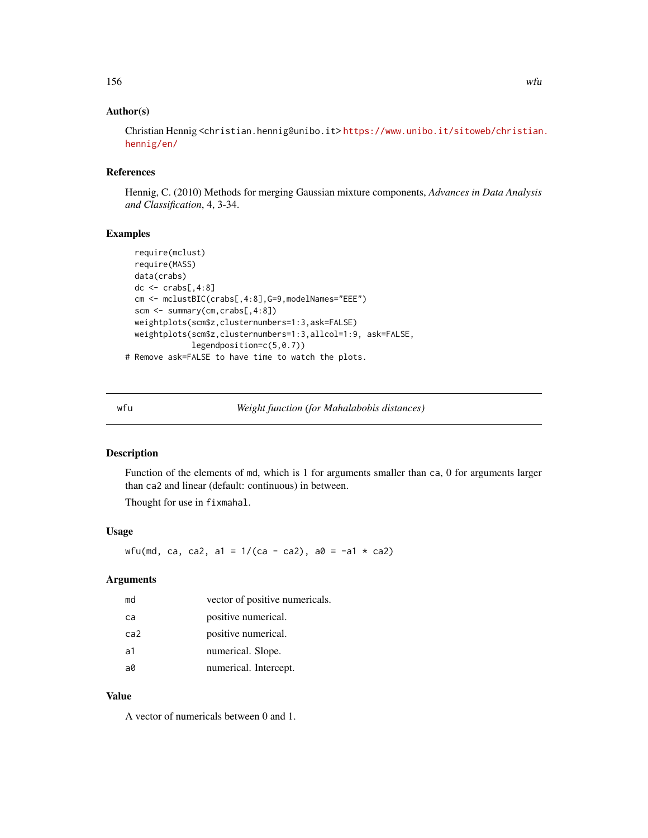# <span id="page-155-0"></span>Author(s)

Christian Hennig <christian.hennig@unibo.it> [https://www.unibo.it/sitoweb/christian](https://www.unibo.it/sitoweb/christian.hennig/en/). [hennig/en/](https://www.unibo.it/sitoweb/christian.hennig/en/)

#### References

Hennig, C. (2010) Methods for merging Gaussian mixture components, *Advances in Data Analysis and Classification*, 4, 3-34.

# Examples

```
require(mclust)
 require(MASS)
 data(crabs)
 dc \le crabs[,4:8]
 cm <- mclustBIC(crabs[,4:8],G=9,modelNames="EEE")
 scm <- summary(cm,crabs[,4:8])
 weightplots(scm$z,clusternumbers=1:3,ask=FALSE)
 weightplots(scm$z,clusternumbers=1:3,allcol=1:9, ask=FALSE,
             legendposition=c(5,0.7))
# Remove ask=FALSE to have time to watch the plots.
```
wfu *Weight function (for Mahalabobis distances)*

# Description

Function of the elements of md, which is 1 for arguments smaller than ca, 0 for arguments larger than ca2 and linear (default: continuous) in between.

Thought for use in fixmahal.

#### Usage

wfu(md, ca, ca2, a1 =  $1/(ca - ca2)$ , a0 = -a1 \* ca2)

#### Arguments

| md  | vector of positive numericals. |
|-----|--------------------------------|
| ca  | positive numerical.            |
| ca2 | positive numerical.            |
| a1  | numerical. Slope.              |
| a0  | numerical. Intercept.          |

# Value

A vector of numericals between 0 and 1.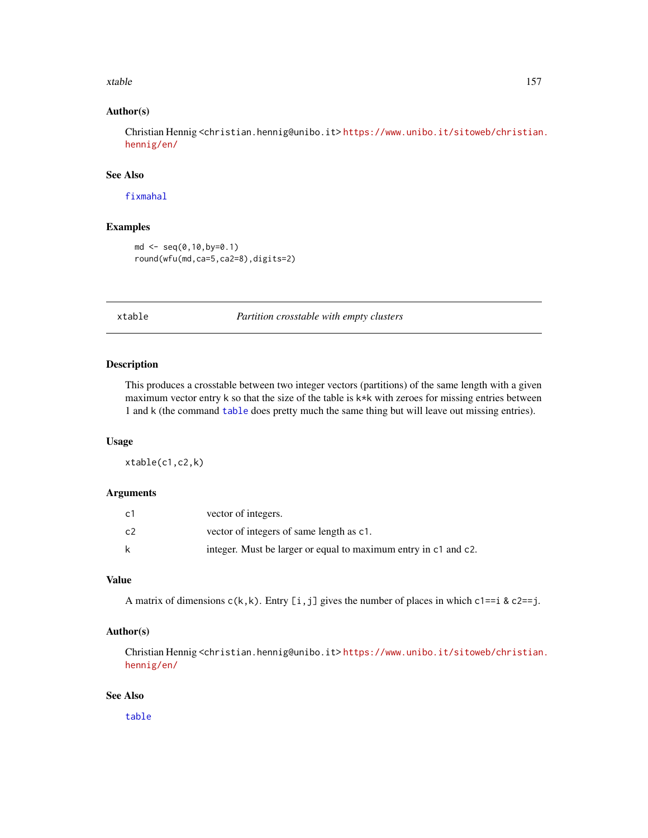#### <span id="page-156-0"></span>xtable the state of the state of the state of the state of the state of the state of the state of the state of the state of the state of the state of the state of the state of the state of the state of the state of the sta

# Author(s)

Christian Hennig <christian.hennig@unibo.it> [https://www.unibo.it/sitoweb/christian](https://www.unibo.it/sitoweb/christian.hennig/en/). [hennig/en/](https://www.unibo.it/sitoweb/christian.hennig/en/)

#### See Also

[fixmahal](#page-76-0)

# Examples

```
md <- seq(0,10,by=0.1)
round(wfu(md,ca=5,ca2=8),digits=2)
```
xtable *Partition crosstable with empty clusters*

# Description

This produces a crosstable between two integer vectors (partitions) of the same length with a given maximum vector entry  $k$  so that the size of the table is  $k*k$  with zeroes for missing entries between 1 and k (the command [table](#page-0-0) does pretty much the same thing but will leave out missing entries).

# Usage

xtable(c1,c2,k)

#### Arguments

| c1 | vector of integers.                                             |
|----|-----------------------------------------------------------------|
| c2 | vector of integers of same length as c1.                        |
| k  | integer. Must be larger or equal to maximum entry in c1 and c2. |

# Value

A matrix of dimensions  $c(k, k)$ . Entry [i,j] gives the number of places in which  $c1 == i$  &  $c2 == j$ .

#### Author(s)

Christian Hennig <christian.hennig@unibo.it> [https://www.unibo.it/sitoweb/christian](https://www.unibo.it/sitoweb/christian.hennig/en/). [hennig/en/](https://www.unibo.it/sitoweb/christian.hennig/en/)

#### See Also

[table](#page-0-0)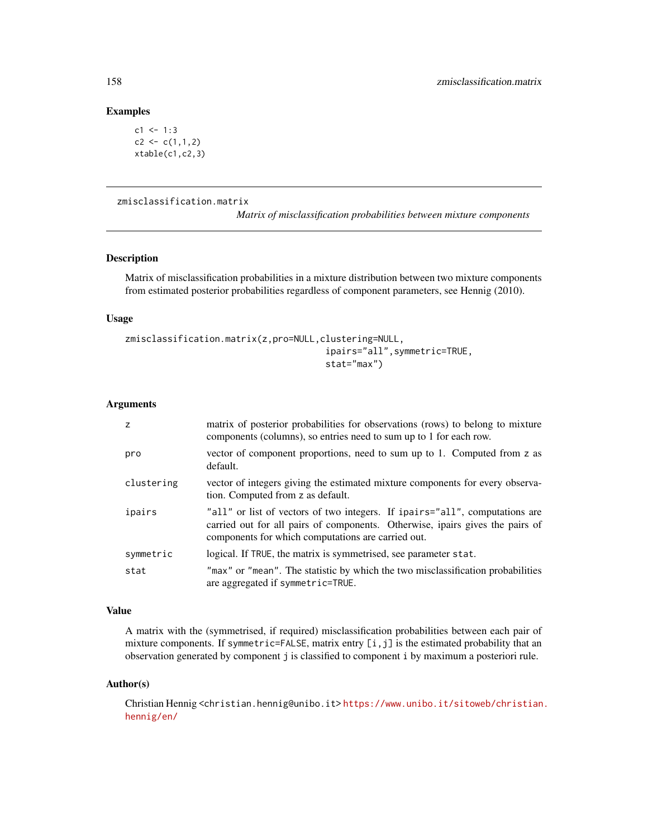# Examples

```
c1 < -1:3c2 \leq c(1,1,2)xtable(c1, c2, 3)
```
#### zmisclassification.matrix

*Matrix of misclassification probabilities between mixture components*

#### Description

Matrix of misclassification probabilities in a mixture distribution between two mixture components from estimated posterior probabilities regardless of component parameters, see Hennig (2010).

#### Usage

```
zmisclassification.matrix(z,pro=NULL,clustering=NULL,
                                      ipairs="all",symmetric=TRUE,
                                      stat="max")
```
#### Arguments

| z          | matrix of posterior probabilities for observations (rows) to belong to mixture<br>components (columns), so entries need to sum up to 1 for each row.                                                               |
|------------|--------------------------------------------------------------------------------------------------------------------------------------------------------------------------------------------------------------------|
| pro        | vector of component proportions, need to sum up to 1. Computed from z as<br>default.                                                                                                                               |
| clustering | vector of integers giving the estimated mixture components for every observa-<br>tion. Computed from z as default.                                                                                                 |
| ipairs     | "all" or list of vectors of two integers. If ipairs="all", computations are<br>carried out for all pairs of components. Otherwise, ipairs gives the pairs of<br>components for which computations are carried out. |
| symmetric  | logical. If TRUE, the matrix is symmetrised, see parameter stat.                                                                                                                                                   |
| stat       | "max" or "mean". The statistic by which the two misclassification probabilities<br>are aggregated if symmetric=TRUE.                                                                                               |

# Value

A matrix with the (symmetrised, if required) misclassification probabilities between each pair of mixture components. If symmetric=FALSE, matrix entry [i,j] is the estimated probability that an observation generated by component j is classified to component i by maximum a posteriori rule.

#### Author(s)

Christian Hennig <christian.hennig@unibo.it> [https://www.unibo.it/sitoweb/christian](https://www.unibo.it/sitoweb/christian.hennig/en/). [hennig/en/](https://www.unibo.it/sitoweb/christian.hennig/en/)

<span id="page-157-0"></span>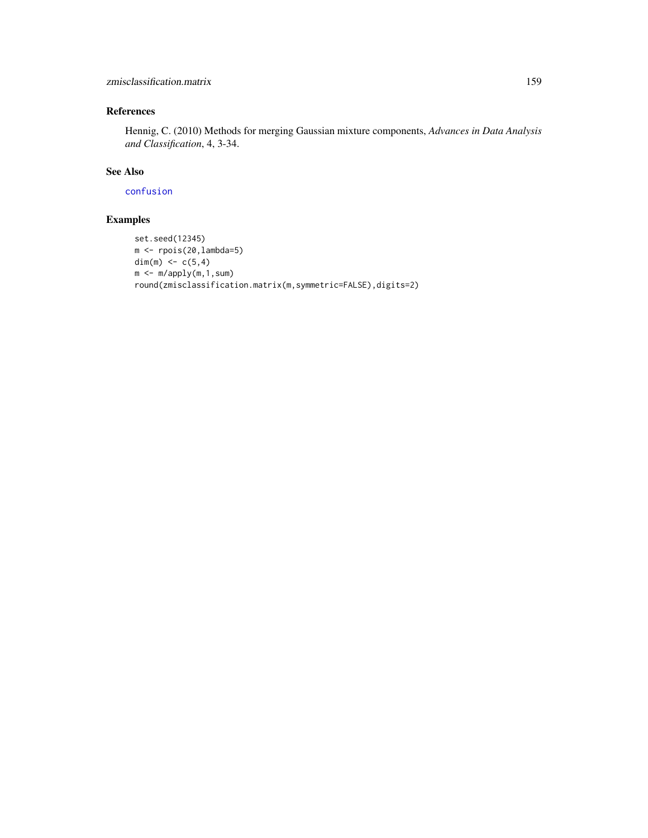# <span id="page-158-0"></span>References

Hennig, C. (2010) Methods for merging Gaussian mixture components, *Advances in Data Analysis and Classification*, 4, 3-34.

# See Also

[confusion](#page-48-0)

# Examples

```
set.seed(12345)
m <- rpois(20,lambda=5)
dim(m) <- c(5,4)m < -m/apply(m,1,sum)round(zmisclassification.matrix(m,symmetric=FALSE),digits=2)
```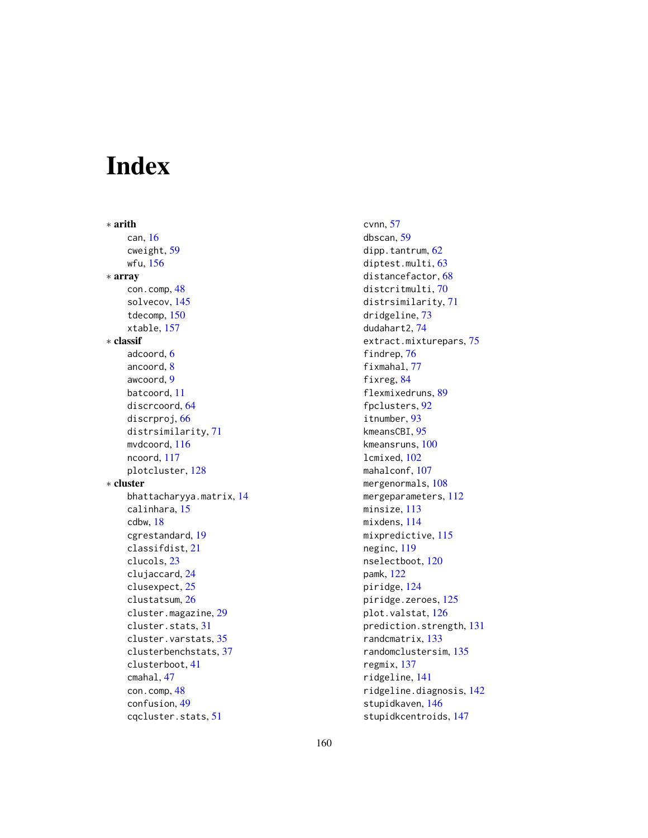# Index

∗ arith can, [16](#page-15-0) cweight, [59](#page-58-0) wfu, [156](#page-155-0) ∗ array con.comp, [48](#page-47-0) solvecov, [145](#page-144-0) tdecomp, [150](#page-149-0) xtable, [157](#page-156-0) ∗ classif adcoord, [6](#page-5-0) ancoord, [8](#page-7-0) awcoord, [9](#page-8-0) batcoord, [11](#page-10-0) discrcoord, [64](#page-63-1) discrproj, [66](#page-65-0) distrsimilarity, [71](#page-70-1) mvdcoord, [116](#page-115-0) ncoord, [117](#page-116-0) plotcluster, [128](#page-127-0) ∗ cluster bhattacharyya.matrix, [14](#page-13-0) calinhara, [15](#page-14-0) cdbw, [18](#page-17-0) cgrestandard, [19](#page-18-0) classifdist, [21](#page-20-0) clucols, [23](#page-22-0) clujaccard, [24](#page-23-0) clusexpect, [25](#page-24-0) clustatsum, [26](#page-25-0) cluster.magazine, [29](#page-28-0) cluster.stats, [31](#page-30-0) cluster.varstats, [35](#page-34-0) clusterbenchstats, [37](#page-36-1) clusterboot, [41](#page-40-0) cmahal, [47](#page-46-0) con.comp, [48](#page-47-0) confusion, [49](#page-48-1) cqcluster.stats, [51](#page-50-1)

cvnn, [57](#page-56-0) dbscan, [59](#page-58-0) dipp.tantrum, [62](#page-61-0) diptest.multi, [63](#page-62-0) distancefactor, [68](#page-67-0) distcritmulti, [70](#page-69-0) distrsimilarity, [71](#page-70-1) dridgeline, [73](#page-72-0) dudahart2, [74](#page-73-0) extract.mixturepars, [75](#page-74-0) findrep, [76](#page-75-0) fixmahal, [77](#page-76-1) fixreg, [84](#page-83-0) flexmixedruns, [89](#page-88-0) fpclusters, [92](#page-91-0) itnumber, [93](#page-92-0) kmeansCBI, [95](#page-94-2) kmeansruns, [100](#page-99-0) lcmixed, [102](#page-101-0) mahalconf, [107](#page-106-0) mergenormals, [108](#page-107-0) mergeparameters, [112](#page-111-0) minsize, [113](#page-112-0) mixdens, [114](#page-113-0) mixpredictive, [115](#page-114-0) neginc, [119](#page-118-0) nselectboot, [120](#page-119-0) pamk, [122](#page-121-0) piridge, [124](#page-123-0) piridge.zeroes, [125](#page-124-0) plot.valstat, [126](#page-125-1) prediction.strength, [131](#page-130-0) randcmatrix, [133](#page-132-0) randomclustersim, [135](#page-134-0) regmix, [137](#page-136-0) ridgeline, [141](#page-140-0) ridgeline.diagnosis, [142](#page-141-0) stupidkaven, [146](#page-145-1) stupidkcentroids, [147](#page-146-1)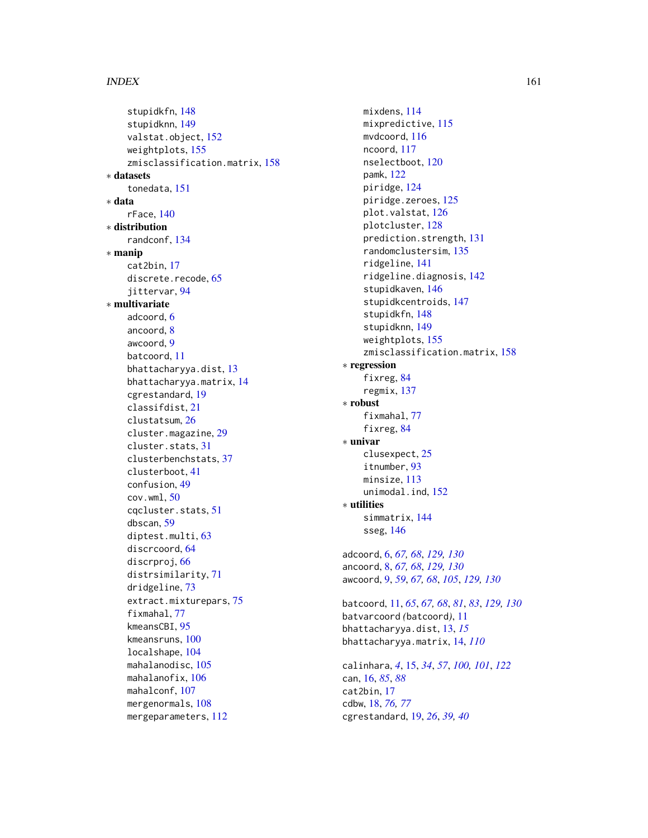#### $I$ NDEX  $161$

stupidkfn, [148](#page-147-1) stupidknn, [149](#page-148-1) valstat.object, [152](#page-151-0) weightplots, [155](#page-154-0) zmisclassification.matrix, [158](#page-157-0) ∗ datasets tonedata, [151](#page-150-0) ∗ data rFace, [140](#page-139-0) ∗ distribution randconf, [134](#page-133-0) ∗ manip cat2bin, [17](#page-16-0) discrete.recode, [65](#page-64-0) jittervar, [94](#page-93-0) ∗ multivariate adcoord, [6](#page-5-0) ancoord, [8](#page-7-0) awcoord, [9](#page-8-0) batcoord, [11](#page-10-0) bhattacharyya.dist, [13](#page-12-0) bhattacharyya.matrix, [14](#page-13-0) cgrestandard, [19](#page-18-0) classifdist, [21](#page-20-0) clustatsum, [26](#page-25-0) cluster.magazine, [29](#page-28-0) cluster.stats, [31](#page-30-0) clusterbenchstats, [37](#page-36-1) clusterboot, [41](#page-40-0) confusion, [49](#page-48-1) cov.wml, [50](#page-49-0) cqcluster.stats, [51](#page-50-1) dbscan, [59](#page-58-0) diptest.multi, [63](#page-62-0) discrcoord, [64](#page-63-1) discrproj, [66](#page-65-0) distrsimilarity, [71](#page-70-1) dridgeline, [73](#page-72-0) extract.mixturepars, [75](#page-74-0) fixmahal, [77](#page-76-1) kmeansCBI, [95](#page-94-2) kmeansruns, [100](#page-99-0) localshape, [104](#page-103-0) mahalanodisc, [105](#page-104-0) mahalanofix, [106](#page-105-0) mahalconf, [107](#page-106-0) mergenormals, [108](#page-107-0) mergeparameters, [112](#page-111-0)

mixdens, [114](#page-113-0) mixpredictive, [115](#page-114-0) mvdcoord, [116](#page-115-0) ncoord, [117](#page-116-0) nselectboot, [120](#page-119-0) pamk, [122](#page-121-0) piridge, [124](#page-123-0) piridge.zeroes, [125](#page-124-0) plot.valstat, [126](#page-125-1) plotcluster, [128](#page-127-0) prediction.strength, [131](#page-130-0) randomclustersim, [135](#page-134-0) ridgeline, [141](#page-140-0) ridgeline.diagnosis, [142](#page-141-0) stupidkaven, [146](#page-145-1) stupidkcentroids, [147](#page-146-1) stupidkfn, [148](#page-147-1) stupidknn, [149](#page-148-1) weightplots, [155](#page-154-0) zmisclassification.matrix, [158](#page-157-0) ∗ regression fixreg, [84](#page-83-0) regmix, [137](#page-136-0) ∗ robust fixmahal, [77](#page-76-1) fixreg, [84](#page-83-0) ∗ univar clusexpect, [25](#page-24-0) itnumber, [93](#page-92-0) minsize, [113](#page-112-0) unimodal.ind, [152](#page-151-0) ∗ utilities simmatrix, [144](#page-143-0) sseg, [146](#page-145-1) adcoord, [6,](#page-5-0) *[67,](#page-66-0) [68](#page-67-0)*, *[129,](#page-128-0) [130](#page-129-0)* ancoord, [8,](#page-7-0) *[67,](#page-66-0) [68](#page-67-0)*, *[129,](#page-128-0) [130](#page-129-0)* awcoord, [9,](#page-8-0) *[59](#page-58-0)*, *[67,](#page-66-0) [68](#page-67-0)*, *[105](#page-104-0)*, *[129,](#page-128-0) [130](#page-129-0)* batcoord, [11,](#page-10-0) *[65](#page-64-0)*, *[67,](#page-66-0) [68](#page-67-0)*, *[81](#page-80-0)*, *[83](#page-82-0)*, *[129,](#page-128-0) [130](#page-129-0)* batvarcoord *(*batcoord*)*, [11](#page-10-0) bhattacharyya.dist, [13,](#page-12-0) *[15](#page-14-0)* bhattacharyya.matrix, [14,](#page-13-0) *[110](#page-109-0)*

```
calinhara, 4, 15, 34, 57, 100, 101, 122
can, 16, 85, 88
cat2bin, 17
cdbw, 18, 76, 77
cgrestandard, 19, 26, 39, 40
```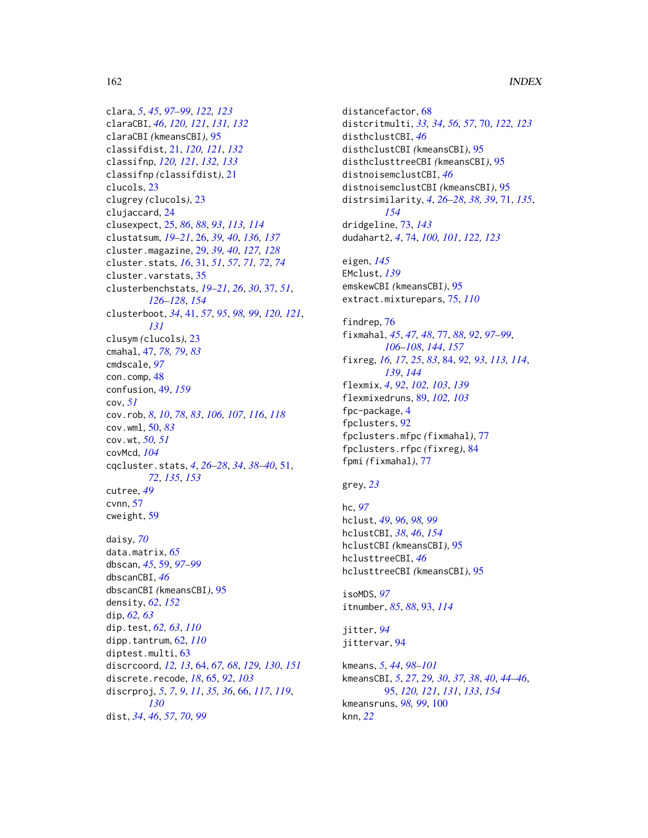```
clara, 5, 45, 97–99, 122, 123
claraCBI, 46, 120, 121, 131, 132
claraCBI (kmeansCBI), 95
classifdist, 21, 120, 121, 132
classifnp, 120, 121, 132, 133
classifnp (classifdist), 21
clucols, 23
clugrey (clucols), 23
clujaccard, 24
clusexpect, 25, 86, 88, 93, 113, 114
clustatsum, 19–21, 26, 39, 40, 136, 137
cluster.magazine, 29, 39, 40, 127, 128
cluster.stats, 16, 31, 51, 57, 71, 72, 74
cluster.varstats, 35
clusterbenchstats, 19–21, 26, 30, 37, 51,
         126–128, 154
clusterboot, 34, 41, 57, 95, 98, 99, 120, 121,
         131
clusym (clucols), 23
cmahal, 47, 78, 79, 83
cmdscale, 97
con.comp, 48
confusion, 49, 159
cov, 51
cov.rob, 8, 10, 78, 83, 106, 107, 116, 118
cov.wml, 50, 83
cov.wt, 50, 51
covMcd, 104
cqcluster.stats, 4, 26–28, 34, 38–40, 51,
         72, 135, 153
cutree, 49
cvnn, 57
cweight, 59
daisy, 70
data.matrix, 65
dbscan, 45, 59, 97–99
```
dbscanCBI, *[46](#page-45-0)* dbscanCBI *(*kmeansCBI*)*, [95](#page-94-2) density, *[62](#page-61-0)*, *[152](#page-151-0)* dip, *[62,](#page-61-0) [63](#page-62-0)* dip.test, *[62,](#page-61-0) [63](#page-62-0)*, *[110](#page-109-0)* dipp.tantrum, [62,](#page-61-0) *[110](#page-109-0)* diptest.multi, [63](#page-62-0) discrcoord, *[12,](#page-11-0) [13](#page-12-0)*, [64,](#page-63-1) *[67,](#page-66-0) [68](#page-67-0)*, *[129,](#page-128-0) [130](#page-129-0)*, *[151](#page-150-0)* discrete.recode, *[18](#page-17-0)*, [65,](#page-64-0) *[92](#page-91-0)*, *[103](#page-102-0)* discrproj, *[5](#page-4-0)*, *[7](#page-6-0)*, *[9](#page-8-0)*, *[11](#page-10-0)*, *[35,](#page-34-0) [36](#page-35-0)*, [66,](#page-65-0) *[117](#page-116-0)*, *[119](#page-118-0)*, *[130](#page-129-0)* dist, *[34](#page-33-0)*, *[46](#page-45-0)*, *[57](#page-56-0)*, *[70](#page-69-0)*, *[99](#page-98-0)*

distancefactor, [68](#page-67-0) distcritmulti, *[33,](#page-32-0) [34](#page-33-0)*, *[56,](#page-55-0) [57](#page-56-0)*, [70,](#page-69-0) *[122,](#page-121-0) [123](#page-122-0)* disthclustCBI, *[46](#page-45-0)* disthclustCBI *(*kmeansCBI*)*, [95](#page-94-2) disthclusttreeCBI *(*kmeansCBI*)*, [95](#page-94-2) distnoisemclustCBI, *[46](#page-45-0)* distnoisemclustCBI *(*kmeansCBI*)*, [95](#page-94-2) distrsimilarity, *[4](#page-3-0)*, *[26](#page-25-0)[–28](#page-27-0)*, *[38,](#page-37-0) [39](#page-38-0)*, [71,](#page-70-1) *[135](#page-134-0)*, *[154](#page-153-0)* dridgeline, [73,](#page-72-0) *[143](#page-142-0)* dudahart2, *[4](#page-3-0)*, [74,](#page-73-0) *[100,](#page-99-0) [101](#page-100-0)*, *[122,](#page-121-0) [123](#page-122-0)*

eigen, *[145](#page-144-0)* EMclust, *[139](#page-138-0)* emskewCBI *(*kmeansCBI*)*, [95](#page-94-2) extract.mixturepars, [75,](#page-74-0) *[110](#page-109-0)*

findrep, [76](#page-75-0) fixmahal, *[45](#page-44-0)*, *[47,](#page-46-0) [48](#page-47-0)*, [77,](#page-76-1) *[88](#page-87-0)*, *[92](#page-91-0)*, *[97](#page-96-0)[–99](#page-98-0)*, *[106](#page-105-0)[–108](#page-107-0)*, *[144](#page-143-0)*, *[157](#page-156-0)* fixreg, *[16,](#page-15-0) [17](#page-16-0)*, *[25](#page-24-0)*, *[83](#page-82-0)*, [84,](#page-83-0) *[92,](#page-91-0) [93](#page-92-0)*, *[113,](#page-112-0) [114](#page-113-0)*, *[139](#page-138-0)*, *[144](#page-143-0)* flexmix, *[4](#page-3-0)*, *[92](#page-91-0)*, *[102,](#page-101-0) [103](#page-102-0)*, *[139](#page-138-0)* flexmixedruns, [89,](#page-88-0) *[102,](#page-101-0) [103](#page-102-0)* fpc-package, [4](#page-3-0) fpclusters, [92](#page-91-0) fpclusters.mfpc *(*fixmahal*)*, [77](#page-76-1) fpclusters.rfpc *(*fixreg*)*, [84](#page-83-0) fpmi *(*fixmahal*)*, [77](#page-76-1)

#### grey, *[23](#page-22-0)*

```
hc, 97
hclust, 49, 96, 98, 99
hclustCBI, 38, 46, 154
hclustCBI (kmeansCBI), 95
hclusttreeCBI, 46
hclusttreeCBI (kmeansCBI), 95
```
isoMDS, *[97](#page-96-0)* itnumber, *[85](#page-84-0)*, *[88](#page-87-0)*, [93,](#page-92-0) *[114](#page-113-0)*

jitter, *[94](#page-93-0)* jittervar, [94](#page-93-0)

kmeans, *[5](#page-4-0)*, *[44](#page-43-0)*, *[98](#page-97-0)[–101](#page-100-0)* kmeansCBI, *[5](#page-4-0)*, *[27](#page-26-0)*, *[29,](#page-28-0) [30](#page-29-0)*, *[37,](#page-36-1) [38](#page-37-0)*, *[40](#page-39-0)*, *[44](#page-43-0)[–46](#page-45-0)*, [95,](#page-94-2) *[120,](#page-119-0) [121](#page-120-0)*, *[131](#page-130-0)*, *[133](#page-132-0)*, *[154](#page-153-0)* kmeansruns, *[98,](#page-97-0) [99](#page-98-0)*, [100](#page-99-0) knn, *[22](#page-21-0)*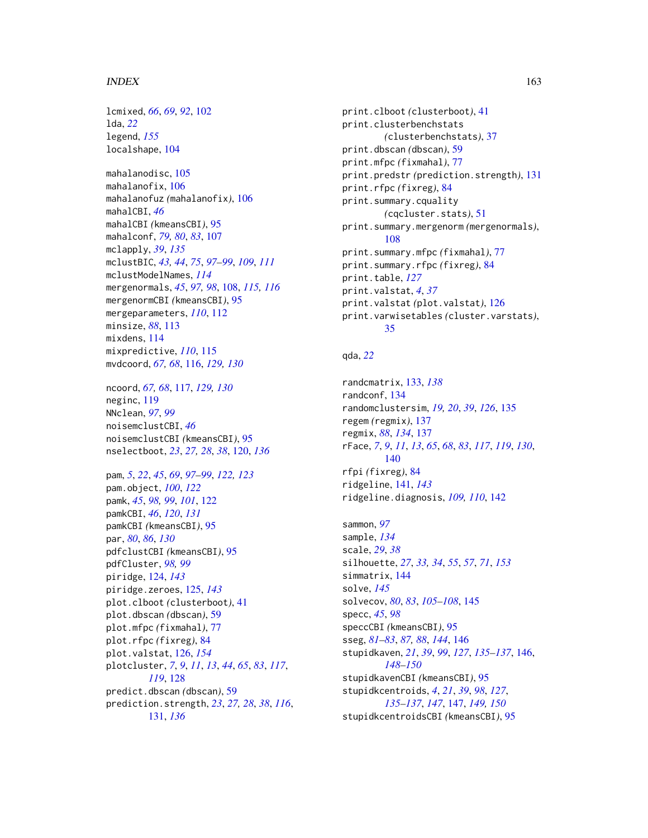#### $I\Lambda$  is a set of  $I\Lambda$  is a set of  $I\Lambda$  is a set of  $I\Lambda$  is a set of  $I\Lambda$  is a set of  $I\Lambda$

lcmixed, *[66](#page-65-0)*, *[69](#page-68-0)*, *[92](#page-91-0)*, [102](#page-101-0) lda, *[22](#page-21-0)* legend, *[155](#page-154-0)* localshape, [104](#page-103-0) mahalanodisc, [105](#page-104-0) mahalanofix, [106](#page-105-0) mahalanofuz *(*mahalanofix*)*, [106](#page-105-0) mahalCBI, *[46](#page-45-0)* mahalCBI *(*kmeansCBI*)*, [95](#page-94-2) mahalconf, *[79,](#page-78-0) [80](#page-79-0)*, *[83](#page-82-0)*, [107](#page-106-0) mclapply, *[39](#page-38-0)*, *[135](#page-134-0)* mclustBIC, *[43,](#page-42-0) [44](#page-43-0)*, *[75](#page-74-0)*, *[97–](#page-96-0)[99](#page-98-0)*, *[109](#page-108-0)*, *[111](#page-110-0)* mclustModelNames, *[114](#page-113-0)* mergenormals, *[45](#page-44-0)*, *[97,](#page-96-0) [98](#page-97-0)*, [108,](#page-107-0) *[115,](#page-114-0) [116](#page-115-0)* mergenormCBI *(*kmeansCBI*)*, [95](#page-94-2) mergeparameters, *[110](#page-109-0)*, [112](#page-111-0) minsize, *[88](#page-87-0)*, [113](#page-112-0) mixdens, [114](#page-113-0) mixpredictive, *[110](#page-109-0)*, [115](#page-114-0) mvdcoord, *[67,](#page-66-0) [68](#page-67-0)*, [116,](#page-115-0) *[129,](#page-128-0) [130](#page-129-0)* ncoord, *[67,](#page-66-0) [68](#page-67-0)*, [117,](#page-116-0) *[129,](#page-128-0) [130](#page-129-0)* neginc, [119](#page-118-0) NNclean, *[97](#page-96-0)*, *[99](#page-98-0)* noisemclustCBI, *[46](#page-45-0)* noisemclustCBI *(*kmeansCBI*)*, [95](#page-94-2) nselectboot, *[23](#page-22-0)*, *[27,](#page-26-0) [28](#page-27-0)*, *[38](#page-37-0)*, [120,](#page-119-0) *[136](#page-135-0)* pam, *[5](#page-4-0)*, *[22](#page-21-0)*, *[45](#page-44-0)*, *[69](#page-68-0)*, *[97](#page-96-0)[–99](#page-98-0)*, *[122,](#page-121-0) [123](#page-122-0)* pam.object, *[100](#page-99-0)*, *[122](#page-121-0)* pamk, *[45](#page-44-0)*, *[98,](#page-97-0) [99](#page-98-0)*, *[101](#page-100-0)*, [122](#page-121-0) pamkCBI, *[46](#page-45-0)*, *[120](#page-119-0)*, *[131](#page-130-0)* pamkCBI *(*kmeansCBI*)*, [95](#page-94-2) par, *[80](#page-79-0)*, *[86](#page-85-0)*, *[130](#page-129-0)* pdfclustCBI *(*kmeansCBI*)*, [95](#page-94-2) pdfCluster, *[98,](#page-97-0) [99](#page-98-0)*

piridge, [124,](#page-123-0) *[143](#page-142-0)* piridge.zeroes, [125,](#page-124-0) *[143](#page-142-0)* plot.clboot *(*clusterboot*)*, [41](#page-40-0) plot.dbscan *(*dbscan*)*, [59](#page-58-0) plot.mfpc *(*fixmahal*)*, [77](#page-76-1) plot.rfpc *(*fixreg*)*, [84](#page-83-0) plot.valstat, [126,](#page-125-1) *[154](#page-153-0)* plotcluster, *[7](#page-6-0)*, *[9](#page-8-0)*, *[11](#page-10-0)*, *[13](#page-12-0)*, *[44](#page-43-0)*, *[65](#page-64-0)*, *[83](#page-82-0)*, *[117](#page-116-0)*, *[119](#page-118-0)*, [128](#page-127-0) predict.dbscan *(*dbscan*)*, [59](#page-58-0) prediction.strength, *[23](#page-22-0)*, *[27,](#page-26-0) [28](#page-27-0)*, *[38](#page-37-0)*, *[116](#page-115-0)*, [131,](#page-130-0) *[136](#page-135-0)*

print.clboot *(*clusterboot*)*, [41](#page-40-0) print.clusterbenchstats *(*clusterbenchstats*)*, [37](#page-36-1) print.dbscan *(*dbscan*)*, [59](#page-58-0) print.mfpc *(*fixmahal*)*, [77](#page-76-1) print.predstr *(*prediction.strength*)*, [131](#page-130-0) print.rfpc *(*fixreg*)*, [84](#page-83-0) print.summary.cquality *(*cqcluster.stats*)*, [51](#page-50-1) print.summary.mergenorm *(*mergenormals*)*, [108](#page-107-0) print.summary.mfpc *(*fixmahal*)*, [77](#page-76-1) print.summary.rfpc *(*fixreg*)*, [84](#page-83-0) print.table, *[127](#page-126-0)* print.valstat, *[4](#page-3-0)*, *[37](#page-36-1)* print.valstat *(*plot.valstat*)*, [126](#page-125-1) print.varwisetables *(*cluster.varstats*)*, [35](#page-34-0)

# qda, *[22](#page-21-0)*

```
randcmatrix, 133, 138
randconf, 134
randomclustersim, 19, 20, 39, 126, 135
regem (regmix), 137
regmix, 88, 134, 137
rFace, 7, 9, 11, 13, 65, 68, 83, 117, 119, 130,
         140
rfpi (fixreg), 84
ridgeline, 141, 143
ridgeline.diagnosis, 109, 110, 142
```

```
sammon, 97
sample, 134
scale, 29, 38
silhouette, 27, 33, 34, 55, 57, 71, 153
simmatrix, 144
solve, 145
solvecov, 80, 83, 105–108, 145
specc, 45, 98
speccCBI (kmeansCBI), 95
sseg, 81–83, 87, 88, 144, 146
stupidkaven, 21, 39, 99, 127, 135–137, 146,
         148–150
stupidkavenCBI (kmeansCBI), 95
stupidkcentroids, 4, 21, 39, 98, 127,
         135–137, 147, 147, 149, 150
stupidkcentroidsCBI (kmeansCBI), 95
```